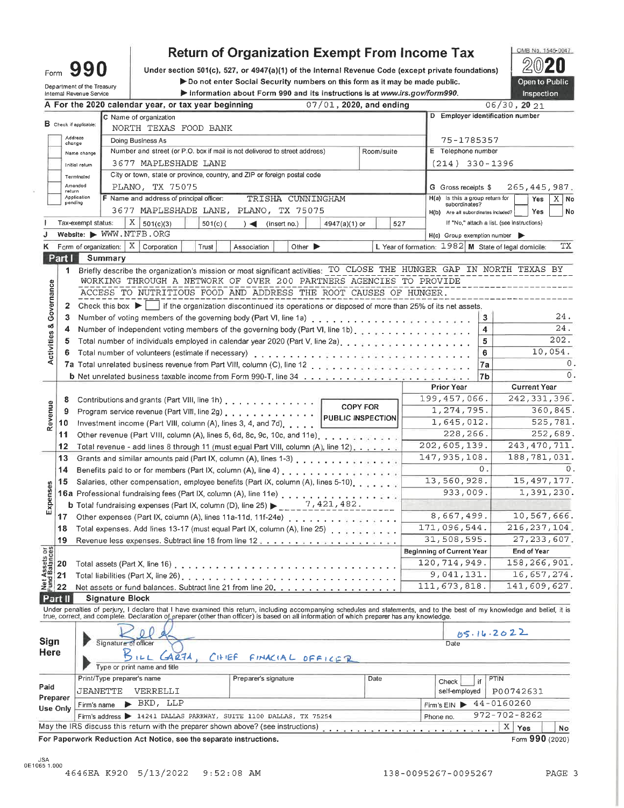| Form                       | 990 |  |
|----------------------------|-----|--|
| Department of the Treasury |     |  |

# **Return of Organization Exempt From Income Tax**

Under section 501(c), 527, or 4947(a)(1) of the Internal Revenue Code (except private foundations) Do not enter Social Security numbers on this form as it may be made public. Information about Form 990 and its instructions is at www.irs.gov/form990.



|                         |              | Internal Revenue Service<br>information about Form 990 and its instructions is at www.irs.gov/rorm990.                                                                     |                 |                            |                                                        |              | <b>Inspection</b>                          |             |
|-------------------------|--------------|----------------------------------------------------------------------------------------------------------------------------------------------------------------------------|-----------------|----------------------------|--------------------------------------------------------|--------------|--------------------------------------------|-------------|
|                         |              | A For the 2020 calendar year, or tax year beginning                                                                                                                        |                 | $07/01$ , 2020, and ending |                                                        |              | 06/30, 2021                                |             |
|                         |              | C Name of organization<br><b>B</b> Check if applicable:                                                                                                                    |                 |                            | D Employer identification number                       |              |                                            |             |
|                         |              | NORTH TEXAS FOOD BANK                                                                                                                                                      |                 |                            |                                                        |              |                                            |             |
|                         | change       | Address<br>Doing Business As                                                                                                                                               |                 |                            | 75-1785357                                             |              |                                            |             |
|                         |              | Number and street (or P.O. box if mail is not delivered to street address)<br>Name change                                                                                  |                 | Room/suite                 | E Telephone number                                     |              |                                            |             |
|                         |              | 3677 MAPLESHADE LANE<br>Initial return                                                                                                                                     |                 |                            | $(214)$ 330-1396                                       |              |                                            |             |
|                         |              | City or town, state or province, country, and ZIP or foreign postal code<br>Terminaled                                                                                     |                 |                            |                                                        |              |                                            |             |
|                         | return       | Amended<br>PLANO, TX 75075                                                                                                                                                 |                 |                            | G Gross receipts \$                                    |              | 265, 445, 987.                             |             |
|                         | pending      | Application<br>F Name and address of principal officer:<br>TRISHA CUNNINGHAM                                                                                               |                 |                            | H(a) is this a group return for<br>subordinates?       |              | Yes                                        | X No        |
|                         |              | 3677 MAPLESHADE LANE, PLANO, TX 75075                                                                                                                                      |                 |                            | H(b) Are all subordinates included?                    |              | Yes                                        | No          |
|                         |              | $X \mid$<br>Tax-exempt status:<br>501(c)(3)<br>$501(c)$ (<br>$)$ (insert no.)                                                                                              | 4947(a)(1) or   | 527                        |                                                        |              | If "No," attach a list. (see instructions) |             |
|                         |              | Website: WWW.NTFB.ORG                                                                                                                                                      |                 |                            | $H(c)$ Group exemption number                          |              |                                            |             |
| ĸ                       |              | Form of organization: $X \mid$ Corporation<br>Trust<br>Other $\blacktriangleright$<br>Association                                                                          |                 |                            | L Year of formation: $1982$ M State of legal domicile: |              |                                            | TX          |
|                         | Part I       | Summary                                                                                                                                                                    |                 |                            |                                                        |              |                                            |             |
|                         |              | 1 Briefly describe the organization's mission or most significant activities: TO CLOSE THE HUNGER GAP IN NORTH TEXAS BY                                                    |                 |                            |                                                        |              |                                            |             |
|                         |              | WORKING THROUGH A NETWORK OF OVER 200 PARTNERS AGENCIES TO PROVIDE                                                                                                         |                 |                            |                                                        |              |                                            |             |
|                         |              | ACCESS TO NUTRITIOUS FOOD AND ADDRESS THE ROOT CAUSES OF HUNGER.                                                                                                           |                 |                            |                                                        |              |                                            |             |
| Activities & Governance | $\mathbf{2}$ | Check this box $\blacktriangleright$   if the organization discontinued its operations or disposed of more than 25% of its net assets.                                     |                 |                            |                                                        |              |                                            |             |
|                         | 3            |                                                                                                                                                                            |                 |                            |                                                        | $\mathbf{3}$ |                                            | 24.         |
|                         | 4            | Number of independent voting members of the governing body (Part VI, line 1b).                                                                                             |                 |                            |                                                        | 4            |                                            | 24.<br>202. |
|                         | 5            | Total number of individuals employed in calendar year 2020 (Part V, line 2a).                                                                                              |                 |                            |                                                        | 5            |                                            | 10,054.     |
|                         | 6            | Total number of volunteers (estimate if necessary)                                                                                                                         |                 |                            |                                                        | 6            |                                            |             |
|                         |              |                                                                                                                                                                            |                 |                            |                                                        | 7a           |                                            | 0           |
|                         |              |                                                                                                                                                                            |                 |                            | <b>Prior Year</b>                                      | 7b           | <b>Current Year</b>                        |             |
|                         |              |                                                                                                                                                                            |                 |                            | 199, 457, 066.                                         |              | 242, 331, 396.                             |             |
| Revenue                 | 8            | Contributions and grants (Part VIII, line 1h)                                                                                                                              | <b>COPY FOR</b> |                            | 1, 274, 795.                                           |              |                                            | 360,845.    |
|                         | 9<br>10      | Program service revenue (Part VIII, line 2g)                                                                                                                               |                 | PUBLIC INSPECTION          | 1,645,012.                                             |              |                                            | 525,781.    |
|                         | 11           | Investment income (Part VIII, column (A), lines 3, 4, and 7d)                                                                                                              |                 |                            | 228,266.                                               |              |                                            | 252,689.    |
|                         | 12           | Total revenue - add lines 8 through 11 (must equal Part VIII, column (A), line 12).                                                                                        |                 |                            | 202,605,139.                                           |              | 243, 470, 711.                             |             |
|                         | 13           | Grants and similar amounts paid (Part IX, column (A), lines 1-3)                                                                                                           |                 |                            | 147, 935, 108.                                         |              | 188,781,031.                               |             |
|                         | 14           |                                                                                                                                                                            |                 |                            |                                                        | 0.           |                                            |             |
|                         | 15           | Salaries, other compensation, employee benefits (Part IX, column (A), lines 5-10).                                                                                         |                 |                            | 13,560,928.                                            |              | 15,497,177.                                |             |
|                         |              |                                                                                                                                                                            |                 |                            | 933,009.                                               |              |                                            | 1,391,230.  |
| Expenses                |              | <b>b</b> Total fundraising expenses (Part IX, column (D), line 25) $\begin{bmatrix} 2.2 & 7.421.482 \end{bmatrix}$ .                                                       |                 |                            |                                                        |              |                                            |             |
|                         |              | 17 Other expenses (Part IX, column (A), lines 11a-11d, 11f-24e)                                                                                                            |                 |                            | 8,667,499.                                             |              | 10,567,666.                                |             |
|                         | 18           |                                                                                                                                                                            |                 |                            | 171,096,544.                                           |              | 216, 237, 104.                             |             |
|                         | 19           |                                                                                                                                                                            |                 |                            | 31,508,595.                                            |              | 27, 233, 607.                              |             |
| 56                      |              |                                                                                                                                                                            |                 |                            | <b>Beginning of Current Year</b>                       |              | End of Year                                |             |
|                         |              | Total assets (Part X, line 16)                                                                                                                                             |                 |                            | 120,714,949.                                           |              | 158,266,901.                               |             |
|                         |              | Total liabilities (Part X, line 26)                                                                                                                                        |                 |                            | 9,041,131.                                             |              | 16,657,274.                                |             |
|                         |              | Net assets or fund balances. Subtract line 21 from line 20.                                                                                                                |                 |                            | 111,673,818.                                           |              | 141,609,627.                               |             |
|                         | Part II      | <b>Signature Block</b>                                                                                                                                                     |                 |                            |                                                        |              |                                            |             |
|                         |              | Under penalties of perjury, I declare that I have examined this return, including accompanying schedules and statements, and to the best of my knowledge and belief, it is |                 |                            |                                                        |              |                                            |             |
|                         |              | true, correct, and complete. Declaration of preparer (other than officer) is based on all information of which preparer has any knowledge.                                 |                 |                            |                                                        |              |                                            |             |
|                         |              |                                                                                                                                                                            |                 |                            |                                                        | 05.16.2022   |                                            |             |
| Sign                    |              | Signature of officer                                                                                                                                                       |                 |                            | Date                                                   |              |                                            |             |
| <b>Here</b>             |              | AA27A<br>$C$ HIEF<br>FINACIAL OFFICER                                                                                                                                      |                 |                            |                                                        |              |                                            |             |
|                         |              | Type or print name and title                                                                                                                                               |                 |                            |                                                        |              |                                            |             |
| Paid                    |              | Print/Type preparer's name<br>Preparer's signature                                                                                                                         |                 | Date                       | Check                                                  | PTIN<br>if   |                                            |             |
| Preparer                |              | JEANETTE<br>VERRELLI                                                                                                                                                       |                 |                            | self-employed                                          |              | P00742631                                  |             |
|                         | Use Only     | $\blacktriangleright$ BKD, LLP<br>Firm's name                                                                                                                              |                 |                            | Firm's EIN                                             | 44-0160260   |                                            |             |
|                         |              | Firm's address > 14241 DALLAS PARKWAY, SUITE 1100 DALLAS, TX 75254                                                                                                         |                 |                            | Phone no.                                              |              | 972-702-8262                               |             |
|                         |              | May the IRS discuss this return with the preparer shown above? (see instructions)                                                                                          |                 |                            |                                                        |              | X Yes                                      | No          |
|                         |              | For Paperwork Reduction Act Notice, see the separate instructions.                                                                                                         |                 |                            |                                                        |              | Form 990 (2020)                            |             |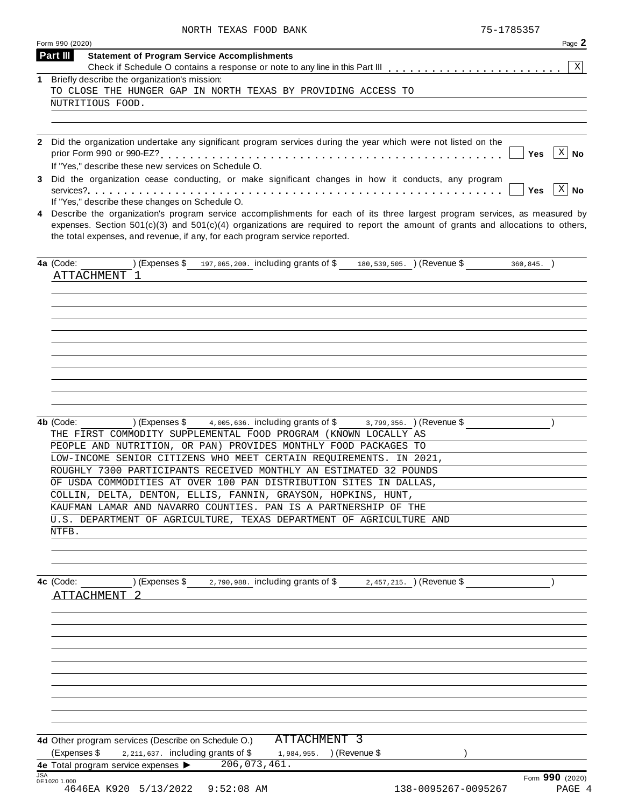| NORTH TEXAS FOOD BANK | 75-1785357 |
|-----------------------|------------|

|     | Form 990 (2020)                                                                                                                                                                                                                             | Page 2                    |
|-----|---------------------------------------------------------------------------------------------------------------------------------------------------------------------------------------------------------------------------------------------|---------------------------|
|     | Part III<br><b>Statement of Program Service Accomplishments</b>                                                                                                                                                                             |                           |
| 1.  | Briefly describe the organization's mission:                                                                                                                                                                                                | ΧI                        |
|     | TO CLOSE THE HUNGER GAP IN NORTH TEXAS BY PROVIDING ACCESS TO                                                                                                                                                                               |                           |
|     | NUTRITIOUS FOOD.                                                                                                                                                                                                                            |                           |
|     |                                                                                                                                                                                                                                             |                           |
|     |                                                                                                                                                                                                                                             |                           |
|     | 2 Did the organization undertake any significant program services during the year which were not listed on the                                                                                                                              |                           |
|     | If "Yes," describe these new services on Schedule O.                                                                                                                                                                                        | $X \mid No$<br>Yes        |
|     | 3 Did the organization cease conducting, or make significant changes in how it conducts, any program                                                                                                                                        |                           |
|     |                                                                                                                                                                                                                                             | $X \mid No$<br><b>Yes</b> |
| 4   | If "Yes," describe these changes on Schedule O.<br>Describe the organization's program service accomplishments for each of its three largest program services, as measured by                                                               |                           |
|     | expenses. Section $501(c)(3)$ and $501(c)(4)$ organizations are required to report the amount of grants and allocations to others,<br>the total expenses, and revenue, if any, for each program service reported.                           |                           |
|     | 4a (Code:<br>) (Expenses $$$ 197,065,200. including grants of $$$ 180,539,505. ) (Revenue $$$<br>ATTACHMENT 1                                                                                                                               | $360, 845.$ )             |
|     |                                                                                                                                                                                                                                             |                           |
|     |                                                                                                                                                                                                                                             |                           |
|     |                                                                                                                                                                                                                                             |                           |
|     |                                                                                                                                                                                                                                             |                           |
|     |                                                                                                                                                                                                                                             |                           |
|     |                                                                                                                                                                                                                                             |                           |
|     |                                                                                                                                                                                                                                             |                           |
|     |                                                                                                                                                                                                                                             |                           |
|     |                                                                                                                                                                                                                                             |                           |
|     |                                                                                                                                                                                                                                             |                           |
|     | $4,005,636$ . including grants of $$$<br>4b (Code:<br>) (Expenses \$<br>$(3, 799, 356. )$ (Revenue \$<br>THE FIRST COMMODITY SUPPLEMENTAL FOOD PROGRAM (KNOWN LOCALLY AS<br>PEOPLE AND NUTRITION, OR PAN) PROVIDES MONTHLY FOOD PACKAGES TO |                           |
|     | LOW-INCOME SENIOR CITIZENS WHO MEET CERTAIN REQUIREMENTS. IN 2021,                                                                                                                                                                          |                           |
|     | ROUGHLY 7300 PARTICIPANTS RECEIVED MONTHLY AN ESTIMATED 32 POUNDS                                                                                                                                                                           |                           |
|     | OF USDA COMMODITIES AT OVER 100 PAN DISTRIBUTION SITES IN DALLAS,                                                                                                                                                                           |                           |
|     | COLLIN, DELTA, DENTON, ELLIS, FANNIN, GRAYSON, HOPKINS, HUNT,                                                                                                                                                                               |                           |
|     | KAUFMAN LAMAR AND NAVARRO COUNTIES. PAN IS A PARTNERSHIP OF THE                                                                                                                                                                             |                           |
|     | U.S. DEPARTMENT OF AGRICULTURE, TEXAS DEPARTMENT OF AGRICULTURE AND                                                                                                                                                                         |                           |
|     | NTFB.                                                                                                                                                                                                                                       |                           |
|     |                                                                                                                                                                                                                                             |                           |
|     |                                                                                                                                                                                                                                             |                           |
|     | 4c (Code: ) (Expenses \$2,790,988. including grants of \$2,457,215. ) (Revenue \$                                                                                                                                                           |                           |
|     | ATTACHMENT <sub>2</sub>                                                                                                                                                                                                                     |                           |
|     |                                                                                                                                                                                                                                             |                           |
|     |                                                                                                                                                                                                                                             |                           |
|     |                                                                                                                                                                                                                                             |                           |
|     |                                                                                                                                                                                                                                             |                           |
|     |                                                                                                                                                                                                                                             |                           |
|     |                                                                                                                                                                                                                                             |                           |
|     |                                                                                                                                                                                                                                             |                           |
|     |                                                                                                                                                                                                                                             |                           |
|     |                                                                                                                                                                                                                                             |                           |
|     |                                                                                                                                                                                                                                             |                           |
|     | 4d Other program services (Describe on Schedule O.) ATTACHMENT 3                                                                                                                                                                            |                           |
|     | (Expenses \$ $\frac{2,211,637}{2}$ including grants of \$ $\frac{1,984,955}{2}$ ) (Revenue \$                                                                                                                                               |                           |
|     | 4e Total program service expenses > 206,073,461.                                                                                                                                                                                            |                           |
| JSA |                                                                                                                                                                                                                                             | Form 990 (2020)           |
|     | 0E1020 1.000<br>4646EA K920 5/13/2022 9:52:08 AM<br>138-0095267-0095267                                                                                                                                                                     | PAGE 4                    |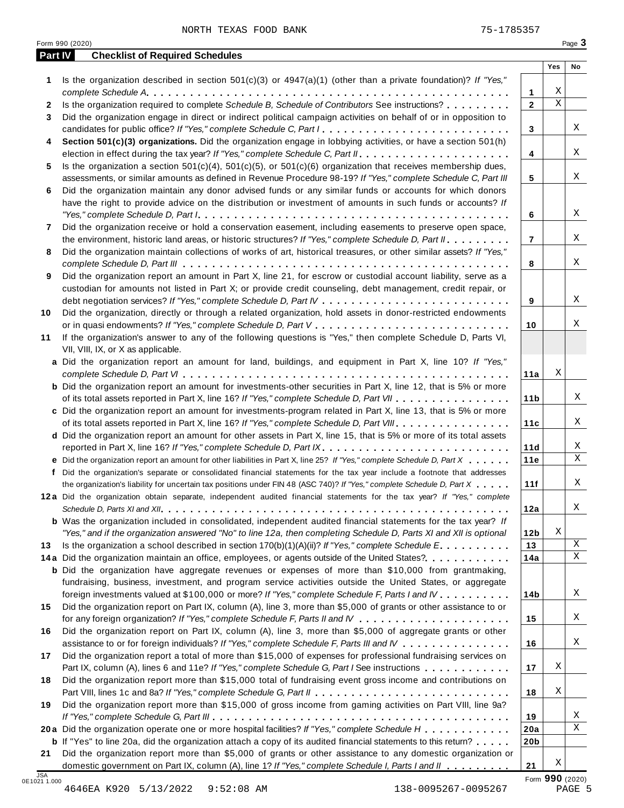NORTH TEXAS FOOD BANK 75-1785357

**2** Is the organization required to complete *Schedule B, Schedule of Contributors* See instructions? m m m m m m m m m **3** Did the organization engage in direct or indirect political campaign activities on behalf of or in opposition to

Is the organization described in section 501(c)(3) or 4947(a)(1) (other than a private foundation)? *If "Yes,"*

*complete Schedule A* **1** m m m m m m m m m m m m m m m m m m m m m m m m m m m m m m m m m m m m m m m m m m m m m m m m m m

**4 Section 501(c)(3) organizations.** Did the organization engage in lobbying activities, or have a section 501(h)

candidates for public office? *If "Yes," complete Schedule C, Part <sup>I</sup>* m m m m m m m m m m m m m m m m m m m m m m m m m m

election in effect during the tax year? *If"Yes," complete Schedule C, Part II* mm m m m m m m m m m m m m m m m m m m m

**5** Is the organization a section 501(c)(4), 501(c)(5), or 501(c)(6) organization that receives membership dues,

|                            | assessments, or similar amounts as defined in Revenue Procedure 98-19? If "Yes," complete Schedule C, Part III            | 5               |   | Χ               |
|----------------------------|---------------------------------------------------------------------------------------------------------------------------|-----------------|---|-----------------|
| 6                          | Did the organization maintain any donor advised funds or any similar funds or accounts for which donors                   |                 |   |                 |
|                            | have the right to provide advice on the distribution or investment of amounts in such funds or accounts? If               |                 |   |                 |
|                            |                                                                                                                           | 6               |   | Χ               |
| 7                          | Did the organization receive or hold a conservation easement, including easements to preserve open space,                 |                 |   |                 |
|                            | the environment, historic land areas, or historic structures? If "Yes," complete Schedule D, Part II.                     | $\overline{7}$  |   | X               |
| 8                          | Did the organization maintain collections of works of art, historical treasures, or other similar assets? If "Yes,"       |                 |   |                 |
|                            |                                                                                                                           | 8               |   | X               |
| 9                          | Did the organization report an amount in Part X, line 21, for escrow or custodial account liability, serve as a           |                 |   |                 |
|                            | custodian for amounts not listed in Part X; or provide credit counseling, debt management, credit repair, or              |                 |   |                 |
|                            |                                                                                                                           | 9               |   | X               |
|                            |                                                                                                                           |                 |   |                 |
| 10                         | Did the organization, directly or through a related organization, hold assets in donor-restricted endowments              |                 |   | Χ               |
|                            |                                                                                                                           | 10              |   |                 |
| 11                         | If the organization's answer to any of the following questions is "Yes," then complete Schedule D, Parts VI,              |                 |   |                 |
|                            | VII, VIII, IX, or X as applicable.                                                                                        |                 |   |                 |
|                            | a Did the organization report an amount for land, buildings, and equipment in Part X, line 10? If "Yes,"                  |                 |   |                 |
|                            |                                                                                                                           | 11a             | Χ |                 |
|                            | <b>b</b> Did the organization report an amount for investments-other securities in Part X, line 12, that is 5% or more    |                 |   |                 |
|                            | of its total assets reported in Part X, line 16? If "Yes," complete Schedule D, Part VII                                  | 11 <sub>b</sub> |   | X               |
|                            | c Did the organization report an amount for investments-program related in Part X, line 13, that is 5% or more            |                 |   |                 |
|                            | of its total assets reported in Part X, line 16? If "Yes," complete Schedule D, Part VIII                                 | 11c             |   | Χ               |
|                            | d Did the organization report an amount for other assets in Part X, line 15, that is 5% or more of its total assets       |                 |   |                 |
|                            |                                                                                                                           | 11d             |   | X               |
|                            | e Did the organization report an amount for other liabilities in Part X, line 25? If "Yes," complete Schedule D, Part X   | 11e             |   | X               |
|                            |                                                                                                                           |                 |   |                 |
|                            | f Did the organization's separate or consolidated financial statements for the tax year include a footnote that addresses |                 |   | Χ               |
|                            | the organization's liability for uncertain tax positions under FIN 48 (ASC 740)? If "Yes," complete Schedule D, Part X    | 11f             |   |                 |
|                            | 12a Did the organization obtain separate, independent audited financial statements for the tax year? If "Yes," complete   |                 |   |                 |
|                            |                                                                                                                           | 12a             |   | Χ               |
|                            | <b>b</b> Was the organization included in consolidated, independent audited financial statements for the tax year? If     |                 |   |                 |
|                            | "Yes," and if the organization answered "No" to line 12a, then completing Schedule D, Parts XI and XII is optional        | 12b             | Χ |                 |
| 13                         | Is the organization a school described in section $170(b)(1)(A)(ii)?$ If "Yes," complete Schedule E.                      | 13              |   | X               |
|                            | 14a Did the organization maintain an office, employees, or agents outside of the United States?.                          | 14a             |   | $\mathbf{X}$    |
|                            | <b>b</b> Did the organization have aggregate revenues or expenses of more than \$10,000 from grantmaking,                 |                 |   |                 |
|                            | fundraising, business, investment, and program service activities outside the United States, or aggregate                 |                 |   |                 |
|                            | foreign investments valued at \$100,000 or more? If "Yes," complete Schedule F, Parts I and IV                            | 14b             |   | X               |
| 15                         | Did the organization report on Part IX, column (A), line 3, more than \$5,000 of grants or other assistance to or         |                 |   |                 |
|                            |                                                                                                                           | 15              |   | Χ               |
| 16                         | Did the organization report on Part IX, column (A), line 3, more than \$5,000 of aggregate grants or other                |                 |   |                 |
|                            | assistance to or for foreign individuals? If "Yes," complete Schedule F, Parts III and IV                                 | 16              |   | Χ               |
| 17                         | Did the organization report a total of more than \$15,000 of expenses for professional fundraising services on            |                 |   |                 |
|                            | Part IX, column (A), lines 6 and 11e? If "Yes," complete Schedule G, Part I See instructions                              | 17              | Χ |                 |
|                            |                                                                                                                           |                 |   |                 |
| 18                         | Did the organization report more than \$15,000 total of fundraising event gross income and contributions on               |                 | Χ |                 |
|                            |                                                                                                                           | 18              |   |                 |
| 19                         | Did the organization report more than \$15,000 of gross income from gaming activities on Part VIII, line 9a?              |                 |   |                 |
|                            |                                                                                                                           | 19              |   | Χ               |
|                            | 20a Did the organization operate one or more hospital facilities? If "Yes," complete Schedule H                           | 20a             |   | Χ               |
|                            | <b>b</b> If "Yes" to line 20a, did the organization attach a copy of its audited financial statements to this return?     | 20 <sub>b</sub> |   |                 |
| 21                         | Did the organization report more than \$5,000 of grants or other assistance to any domestic organization or               |                 |   |                 |
|                            | domestic government on Part IX, column (A), line 1? If "Yes," complete Schedule I, Parts I and II                         | 21              | Χ |                 |
| <b>JSA</b><br>0E1021 1.000 |                                                                                                                           |                 |   | Form 990 (2020) |
|                            | 4646EA K920 5/13/2022<br>$9:52:08$ AM<br>138-0095267-0095267                                                              |                 |   | PAGE 5          |
|                            |                                                                                                                           |                 |   |                 |
|                            |                                                                                                                           |                 |   |                 |
|                            |                                                                                                                           |                 |   |                 |
|                            |                                                                                                                           |                 |   |                 |

**Part IV Checklist of Required Schedules**

**1**

**2**

**3**

**4**

X

X

X

**Yes No**

X  $\overline{\mathbf{x}}$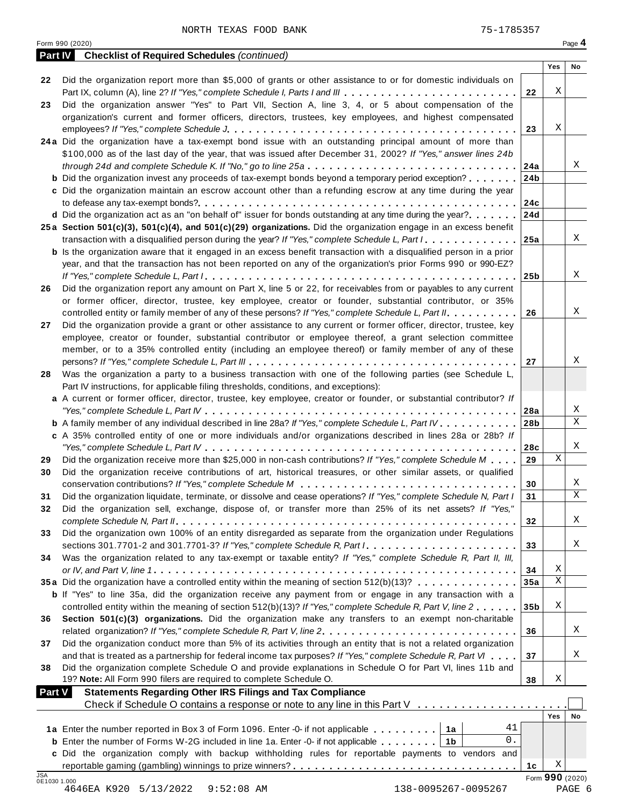|                     | <b>Part IV</b> Checklist of Required Schedules (continued)                                                                                                                                                                    |                 |        |                 |
|---------------------|-------------------------------------------------------------------------------------------------------------------------------------------------------------------------------------------------------------------------------|-----------------|--------|-----------------|
| 22                  | Did the organization report more than \$5,000 of grants or other assistance to or for domestic individuals on                                                                                                                 |                 | Yes    | No              |
|                     | Part IX, column (A), line 2? If "Yes," complete Schedule I, Parts I and III                                                                                                                                                   | 22              | Χ      |                 |
| 23                  | Did the organization answer "Yes" to Part VII, Section A, line 3, 4, or 5 about compensation of the                                                                                                                           |                 |        |                 |
|                     | organization's current and former officers, directors, trustees, key employees, and highest compensated                                                                                                                       |                 |        |                 |
|                     |                                                                                                                                                                                                                               | 23              | Χ      |                 |
|                     | 24a Did the organization have a tax-exempt bond issue with an outstanding principal amount of more than                                                                                                                       |                 |        |                 |
|                     | \$100,000 as of the last day of the year, that was issued after December 31, 2002? If "Yes," answer lines 24b                                                                                                                 |                 |        |                 |
|                     | through 24d and complete Schedule K. If "No," go to line 25a                                                                                                                                                                  | 24a             |        | Χ               |
|                     | <b>b</b> Did the organization invest any proceeds of tax-exempt bonds beyond a temporary period exception?                                                                                                                    | 24 <sub>b</sub> |        |                 |
|                     | c Did the organization maintain an escrow account other than a refunding escrow at any time during the year                                                                                                                   |                 |        |                 |
|                     | <b>d</b> Did the organization act as an "on behalf of" issuer for bonds outstanding at any time during the year?                                                                                                              | 24c<br>24d      |        |                 |
|                     | 25a Section 501(c)(3), 501(c)(4), and 501(c)(29) organizations. Did the organization engage in an excess benefit                                                                                                              |                 |        |                 |
|                     | transaction with a disqualified person during the year? If "Yes," complete Schedule L, Part I.                                                                                                                                | 25a             |        | X               |
|                     | <b>b</b> Is the organization aware that it engaged in an excess benefit transaction with a disqualified person in a prior                                                                                                     |                 |        |                 |
|                     | year, and that the transaction has not been reported on any of the organization's prior Forms 990 or 990-EZ?                                                                                                                  |                 |        |                 |
|                     |                                                                                                                                                                                                                               | 25b             |        | X               |
| 26                  | Did the organization report any amount on Part X, line 5 or 22, for receivables from or payables to any current                                                                                                               |                 |        |                 |
|                     | or former officer, director, trustee, key employee, creator or founder, substantial contributor, or 35%                                                                                                                       |                 |        |                 |
|                     | controlled entity or family member of any of these persons? If "Yes," complete Schedule L, Part II.                                                                                                                           | 26              |        | X               |
| 27                  | Did the organization provide a grant or other assistance to any current or former officer, director, trustee, key                                                                                                             |                 |        |                 |
|                     | employee, creator or founder, substantial contributor or employee thereof, a grant selection committee<br>member, or to a 35% controlled entity (including an employee thereof) or family member of any of these              |                 |        |                 |
|                     |                                                                                                                                                                                                                               | 27              |        | X               |
| 28                  | Was the organization a party to a business transaction with one of the following parties (see Schedule L,                                                                                                                     |                 |        |                 |
|                     | Part IV instructions, for applicable filing thresholds, conditions, and exceptions):                                                                                                                                          |                 |        |                 |
|                     | a A current or former officer, director, trustee, key employee, creator or founder, or substantial contributor? If                                                                                                            |                 |        |                 |
|                     |                                                                                                                                                                                                                               | 28a             |        | X               |
|                     | <b>b</b> A family member of any individual described in line 28a? If "Yes," complete Schedule L, Part IV.                                                                                                                     | 28 <sub>b</sub> |        | $\mathbf X$     |
|                     | c A 35% controlled entity of one or more individuals and/or organizations described in lines 28a or 28b? If                                                                                                                   |                 |        |                 |
|                     |                                                                                                                                                                                                                               | 28c             | X      | Χ               |
| 29<br>30            | Did the organization receive more than \$25,000 in non-cash contributions? If "Yes," complete Schedule M<br>Did the organization receive contributions of art, historical treasures, or other similar assets, or qualified    | 29              |        |                 |
|                     |                                                                                                                                                                                                                               | 30              |        | X               |
| 31                  | Did the organization liquidate, terminate, or dissolve and cease operations? If "Yes," complete Schedule N, Part I                                                                                                            | 31              |        | $\mathbf X$     |
| 32                  | Did the organization sell, exchange, dispose of, or transfer more than 25% of its net assets? If "Yes,"                                                                                                                       |                 |        |                 |
|                     |                                                                                                                                                                                                                               | 32              |        | X               |
| 33                  | Did the organization own 100% of an entity disregarded as separate from the organization under Regulations                                                                                                                    |                 |        |                 |
|                     |                                                                                                                                                                                                                               | 33              |        | Χ               |
| 34                  | Was the organization related to any tax-exempt or taxable entity? If "Yes," complete Schedule R, Part II, III,                                                                                                                |                 |        |                 |
|                     |                                                                                                                                                                                                                               | 34              | Χ<br>Χ |                 |
|                     | 35a Did the organization have a controlled entity within the meaning of section 512(b)(13)?                                                                                                                                   | 35a             |        |                 |
|                     | <b>b</b> If "Yes" to line 35a, did the organization receive any payment from or engage in any transaction with a<br>controlled entity within the meaning of section 512(b)(13)? If "Yes," complete Schedule R, Part V, line 2 | 35 <sub>b</sub> | Χ      |                 |
| 36                  | Section 501(c)(3) organizations. Did the organization make any transfers to an exempt non-charitable                                                                                                                          |                 |        |                 |
|                     | related organization? If "Yes," complete Schedule R, Part V, line 2.                                                                                                                                                          | 36              |        | Χ               |
| 37                  | Did the organization conduct more than 5% of its activities through an entity that is not a related organization                                                                                                              |                 |        |                 |
|                     | and that is treated as a partnership for federal income tax purposes? If "Yes," complete Schedule R, Part VI                                                                                                                  | 37              |        | X               |
| 38                  | Did the organization complete Schedule O and provide explanations in Schedule O for Part VI, lines 11b and                                                                                                                    |                 |        |                 |
|                     | 19? Note: All Form 990 filers are required to complete Schedule O.                                                                                                                                                            | 38              | Χ      |                 |
| <b>Part V</b>       | <b>Statements Regarding Other IRS Filings and Tax Compliance</b>                                                                                                                                                              |                 |        |                 |
|                     | Check if Schedule O contains a response or note to any line in this Part V                                                                                                                                                    |                 | Yes    | No              |
|                     | 41<br>1a Enter the number reported in Box 3 of Form 1096. Enter -0- if not applicable   1a                                                                                                                                    |                 |        |                 |
|                     | 0.<br><b>b</b> Enter the number of Forms W-2G included in line 1a. Enter -0- if not applicable $\ldots \ldots$ ,                                                                                                              |                 |        |                 |
|                     | c Did the organization comply with backup withholding rules for reportable payments to vendors and                                                                                                                            |                 |        |                 |
|                     |                                                                                                                                                                                                                               | 1c              | Χ      |                 |
| JSA<br>0E1030 1.000 |                                                                                                                                                                                                                               |                 |        | Form 990 (2020) |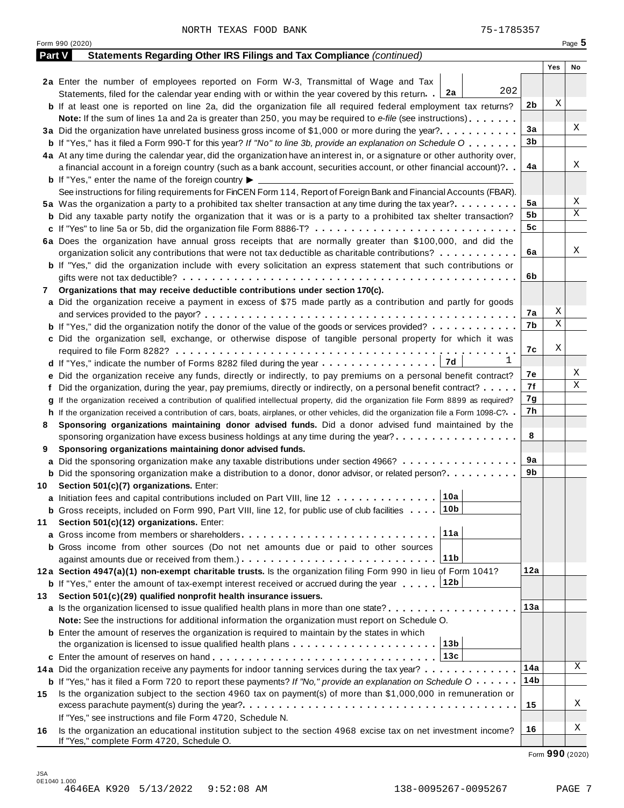Form <sup>990</sup> (2020) Page **5**

| <b>Part V</b> | Statements Regarding Other IRS Filings and Tax Compliance (continued)                                                                                       |                 |                  |    |
|---------------|-------------------------------------------------------------------------------------------------------------------------------------------------------------|-----------------|------------------|----|
|               |                                                                                                                                                             |                 | Yes              | No |
|               | 2a Enter the number of employees reported on Form W-3, Transmittal of Wage and Tax                                                                          |                 |                  |    |
|               | 202<br>2a<br>Statements, filed for the calendar year ending with or within the year covered by this return.                                                 |                 |                  |    |
|               | <b>b</b> If at least one is reported on line 2a, did the organization file all required federal employment tax returns?                                     | 2 <sub>b</sub>  | Χ                |    |
|               | Note: If the sum of lines 1a and 2a is greater than 250, you may be required to e-file (see instructions)                                                   |                 |                  |    |
|               |                                                                                                                                                             | 3a              |                  | Χ  |
|               | <b>b</b> If "Yes," has it filed a Form 990-T for this year? If "No" to line 3b, provide an explanation on Schedule O                                        | 3 <sub>b</sub>  |                  |    |
|               | 4a At any time during the calendar year, did the organization have an interest in, or a signature or other authority over,                                  |                 |                  |    |
|               | a financial account in a foreign country (such as a bank account, securities account, or other financial account)?                                          | 4a              |                  | X  |
|               | <b>b</b> If "Yes," enter the name of the foreign country $\blacktriangleright$ $\equiv$                                                                     |                 |                  |    |
|               | See instructions for filing requirements for FinCEN Form 114, Report of Foreign Bank and Financial Accounts (FBAR).                                         |                 |                  |    |
|               | 5a Was the organization a party to a prohibited tax shelter transaction at any time during the tax year?                                                    | 5a              |                  | Χ  |
|               | <b>b</b> Did any taxable party notify the organization that it was or is a party to a prohibited tax shelter transaction?                                   | 5b              |                  | Χ  |
|               |                                                                                                                                                             | 5c              |                  |    |
|               | 6a Does the organization have annual gross receipts that are normally greater than \$100,000, and did the                                                   |                 |                  |    |
|               | organization solicit any contributions that were not tax deductible as charitable contributions?                                                            | 6a              |                  | Χ  |
|               | <b>b</b> If "Yes," did the organization include with every solicitation an express statement that such contributions or                                     |                 |                  |    |
|               |                                                                                                                                                             | 6b              |                  |    |
| 7             | Organizations that may receive deductible contributions under section 170(c).                                                                               |                 |                  |    |
|               | a Did the organization receive a payment in excess of \$75 made partly as a contribution and partly for goods                                               |                 |                  |    |
|               |                                                                                                                                                             | 7a              | Χ<br>$\mathbf X$ |    |
|               | <b>b</b> If "Yes," did the organization notify the donor of the value of the goods or services provided?                                                    | 7b              |                  |    |
|               | c Did the organization sell, exchange, or otherwise dispose of tangible personal property for which it was                                                  |                 |                  |    |
|               |                                                                                                                                                             | 7c              | Χ                |    |
|               | ı<br>7d<br>d If "Yes," indicate the number of Forms 8282 filed during the year                                                                              |                 |                  | Χ  |
|               | e Did the organization receive any funds, directly or indirectly, to pay premiums on a personal benefit contract?                                           | 7е              |                  | Χ  |
|               | f Did the organization, during the year, pay premiums, directly or indirectly, on a personal benefit contract?                                              | 7f              |                  |    |
|               | g If the organization received a contribution of qualified intellectual property, did the organization file Form 8899 as required?                          | 7g              |                  |    |
|               | h If the organization received a contribution of cars, boats, airplanes, or other vehicles, did the organization file a Form 1098-C?. .                     | 7h              |                  |    |
| 8             | Sponsoring organizations maintaining donor advised funds. Did a donor advised fund maintained by the                                                        |                 |                  |    |
|               | sponsoring organization have excess business holdings at any time during the year?                                                                          | 8               |                  |    |
| 9             | Sponsoring organizations maintaining donor advised funds.                                                                                                   | 9a              |                  |    |
|               | a Did the sponsoring organization make any taxable distributions under section 4966?                                                                        | 9b              |                  |    |
|               | <b>b</b> Did the sponsoring organization make a distribution to a donor, donor advisor, or related person?                                                  |                 |                  |    |
|               | 10 Section 501(c)(7) organizations. Enter:<br>10a                                                                                                           |                 |                  |    |
|               | a Initiation fees and capital contributions included on Part VIII, line 12                                                                                  |                 |                  |    |
| 11            | <b>b</b> Gross receipts, included on Form 990, Part VIII, line 12, for public use of club facilities <b>10b</b><br>Section 501(c)(12) organizations. Enter: |                 |                  |    |
|               | 11a<br>a Gross income from members or shareholders                                                                                                          |                 |                  |    |
|               | <b>b</b> Gross income from other sources (Do not net amounts due or paid to other sources                                                                   |                 |                  |    |
|               | 11 <sub>b</sub>                                                                                                                                             |                 |                  |    |
|               | 12a Section 4947(a)(1) non-exempt charitable trusts. Is the organization filing Form 990 in lieu of Form 1041?                                              | 12a             |                  |    |
|               | 12b<br><b>b</b> If "Yes," enter the amount of tax-exempt interest received or accrued during the year                                                       |                 |                  |    |
| 13            | Section 501(c)(29) qualified nonprofit health insurance issuers.                                                                                            |                 |                  |    |
|               | a Is the organization licensed to issue qualified health plans in more than one state?                                                                      | 13a             |                  |    |
|               | Note: See the instructions for additional information the organization must report on Schedule O.                                                           |                 |                  |    |
|               | <b>b</b> Enter the amount of reserves the organization is required to maintain by the states in which                                                       |                 |                  |    |
|               | 13b<br>the organization is licensed to issue qualified health plans $\ldots \ldots \ldots \ldots \ldots \ldots \ldots$                                      |                 |                  |    |
|               |                                                                                                                                                             |                 |                  |    |
|               | 14a Did the organization receive any payments for indoor tanning services during the tax year?                                                              | 14a             |                  | Χ  |
|               | <b>b</b> If "Yes," has it filed a Form 720 to report these payments? If "No," provide an explanation on Schedule $0 \cdot \cdot \cdot \cdot$                | 14 <sub>b</sub> |                  |    |
| 15            | Is the organization subject to the section 4960 tax on payment(s) of more than \$1,000,000 in remuneration or                                               |                 |                  |    |
|               |                                                                                                                                                             | 15              |                  | Χ  |
|               | If "Yes," see instructions and file Form 4720, Schedule N.                                                                                                  |                 |                  |    |
| 16            | Is the organization an educational institution subject to the section 4968 excise tax on net investment income?                                             | 16              |                  | Χ  |
|               | If "Yes," complete Form 4720, Schedule O.                                                                                                                   |                 |                  |    |

Form **990** (2020)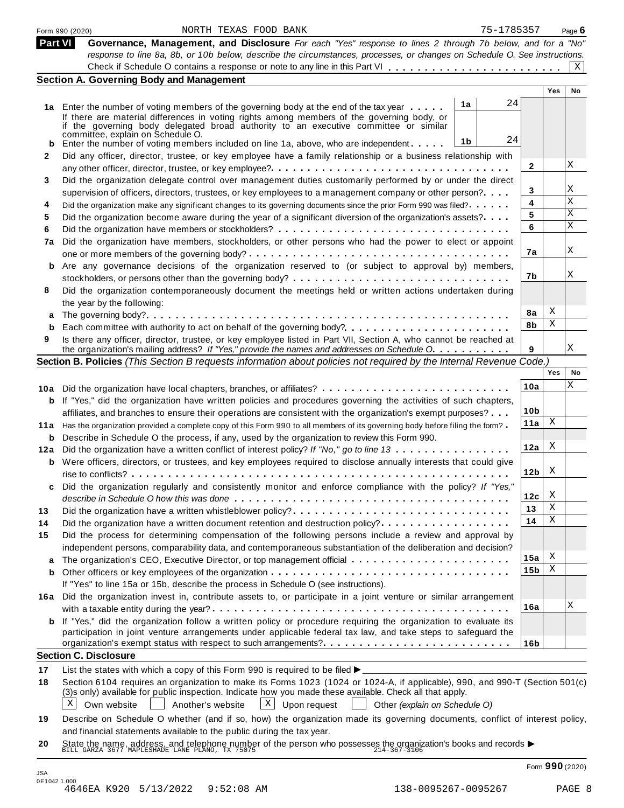|                                 | 75-1785357<br>NORTH TEXAS FOOD BANK<br>Form 990 (2020)                                                                                                                                                                                                                                                                                       |                 |            | Page $6$ |
|---------------------------------|----------------------------------------------------------------------------------------------------------------------------------------------------------------------------------------------------------------------------------------------------------------------------------------------------------------------------------------------|-----------------|------------|----------|
|                                 | <b>Part VI</b><br>Governance, Management, and Disclosure For each "Yes" response to lines 2 through 7b below, and for a "No"                                                                                                                                                                                                                 |                 |            |          |
|                                 | response to line 8a, 8b, or 10b below, describe the circumstances, processes, or changes on Schedule O. See instructions.                                                                                                                                                                                                                    |                 |            |          |
|                                 |                                                                                                                                                                                                                                                                                                                                              |                 |            | X        |
|                                 | <b>Section A. Governing Body and Management</b>                                                                                                                                                                                                                                                                                              |                 | <b>Yes</b> | No       |
|                                 | 24                                                                                                                                                                                                                                                                                                                                           |                 |            |          |
|                                 | 1a<br>1a Enter the number of voting members of the governing body at the end of the tax year<br>If there are material differences in voting rights among members of the governing body, or                                                                                                                                                   |                 |            |          |
|                                 | if the governing body delegated broad authority to an executive committee or similar<br>committée, explain on Schedule O.                                                                                                                                                                                                                    |                 |            |          |
|                                 | 24<br>1b<br>Enter the number of voting members included on line 1a, above, who are independent                                                                                                                                                                                                                                               |                 |            |          |
| 2                               | Did any officer, director, trustee, or key employee have a family relationship or a business relationship with                                                                                                                                                                                                                               |                 |            |          |
|                                 |                                                                                                                                                                                                                                                                                                                                              | 2               |            | Χ        |
| 3                               | Did the organization delegate control over management duties customarily performed by or under the direct                                                                                                                                                                                                                                    | 3               |            | Χ        |
| 4                               | supervision of officers, directors, trustees, or key employees to a management company or other person?                                                                                                                                                                                                                                      | 4               |            | Χ        |
|                                 | Did the organization make any significant changes to its governing documents since the prior Form 990 was filed?                                                                                                                                                                                                                             | 5               |            | Χ        |
| 5<br>6                          | Did the organization become aware during the year of a significant diversion of the organization's assets?                                                                                                                                                                                                                                   | 6               |            | Χ        |
| 7a                              | Did the organization have members, stockholders, or other persons who had the power to elect or appoint                                                                                                                                                                                                                                      |                 |            |          |
|                                 |                                                                                                                                                                                                                                                                                                                                              | 7a              |            | Χ        |
| b                               | Are any governance decisions of the organization reserved to (or subject to approval by) members,                                                                                                                                                                                                                                            |                 |            |          |
|                                 |                                                                                                                                                                                                                                                                                                                                              | 7b              |            | Χ        |
| 8                               | Did the organization contemporaneously document the meetings held or written actions undertaken during                                                                                                                                                                                                                                       |                 |            |          |
|                                 | the year by the following:                                                                                                                                                                                                                                                                                                                   |                 |            |          |
| а                               |                                                                                                                                                                                                                                                                                                                                              | 8a              | X          |          |
| b                               |                                                                                                                                                                                                                                                                                                                                              | 8b              | Χ          |          |
| 9                               | Is there any officer, director, trustee, or key employee listed in Part VII, Section A, who cannot be reached at                                                                                                                                                                                                                             |                 |            |          |
|                                 | the organization's mailing address? If "Yes," provide the names and addresses on Schedule O.                                                                                                                                                                                                                                                 | 9               |            | Χ        |
|                                 | Section B. Policies (This Section B requests information about policies not required by the Internal Revenue Code.)                                                                                                                                                                                                                          |                 |            |          |
|                                 |                                                                                                                                                                                                                                                                                                                                              |                 | Yes        | No       |
|                                 | 10a Did the organization have local chapters, branches, or affiliates?                                                                                                                                                                                                                                                                       | 10a             |            | Χ        |
|                                 | <b>b</b> If "Yes," did the organization have written policies and procedures governing the activities of such chapters,                                                                                                                                                                                                                      |                 |            |          |
|                                 | affiliates, and branches to ensure their operations are consistent with the organization's exempt purposes?                                                                                                                                                                                                                                  | 10 <sub>b</sub> |            |          |
|                                 | 11a Has the organization provided a complete copy of this Form 990 to all members of its governing body before filing the form?                                                                                                                                                                                                              | 11a             | X          |          |
|                                 | <b>b</b> Describe in Schedule O the process, if any, used by the organization to review this Form 990.                                                                                                                                                                                                                                       |                 |            |          |
|                                 |                                                                                                                                                                                                                                                                                                                                              |                 |            |          |
|                                 | 12a Did the organization have a written conflict of interest policy? If "No," go to line 13                                                                                                                                                                                                                                                  | 12a             | X          |          |
|                                 | <b>b</b> Were officers, directors, or trustees, and key employees required to disclose annually interests that could give                                                                                                                                                                                                                    |                 |            |          |
|                                 |                                                                                                                                                                                                                                                                                                                                              | 12 <sub>b</sub> | X          |          |
|                                 | Did the organization regularly and consistently monitor and enforce compliance with the policy? If "Yes,"                                                                                                                                                                                                                                    |                 |            |          |
|                                 |                                                                                                                                                                                                                                                                                                                                              | 12c             | X          |          |
|                                 | Did the organization have a written whistleblower policy?                                                                                                                                                                                                                                                                                    | 13              | X          |          |
|                                 | Did the organization have a written document retention and destruction policy?                                                                                                                                                                                                                                                               | 14              | Χ          |          |
|                                 | Did the process for determining compensation of the following persons include a review and approval by                                                                                                                                                                                                                                       |                 |            |          |
|                                 | independent persons, comparability data, and contemporaneous substantiation of the deliberation and decision?                                                                                                                                                                                                                                |                 |            |          |
|                                 | The organization's CEO, Executive Director, or top management official                                                                                                                                                                                                                                                                       | 15a             | X          |          |
|                                 |                                                                                                                                                                                                                                                                                                                                              | 15 <sub>b</sub> | Χ          |          |
|                                 | If "Yes" to line 15a or 15b, describe the process in Schedule O (see instructions).                                                                                                                                                                                                                                                          |                 |            |          |
|                                 | 16a Did the organization invest in, contribute assets to, or participate in a joint venture or similar arrangement                                                                                                                                                                                                                           |                 |            | Χ        |
|                                 |                                                                                                                                                                                                                                                                                                                                              | 16a             |            |          |
|                                 | <b>b</b> If "Yes," did the organization follow a written policy or procedure requiring the organization to evaluate its                                                                                                                                                                                                                      |                 |            |          |
|                                 | participation in joint venture arrangements under applicable federal tax law, and take steps to safeguard the                                                                                                                                                                                                                                | 16 <sub>b</sub> |            |          |
|                                 | organization's exempt status with respect to such arrangements?<br><b>Section C. Disclosure</b>                                                                                                                                                                                                                                              |                 |            |          |
|                                 |                                                                                                                                                                                                                                                                                                                                              |                 |            |          |
|                                 | List the states with which a copy of this Form 990 is required to be filed $\blacktriangleright$<br>Section 6104 requires an organization to make its Forms 1023 (1024 or 1024-A, if applicable), 990, and 990-T (Section 501(c)<br>(3)s only) available for public inspection. Indicate how you made these available. Check all that apply. |                 |            |          |
| 13<br>14<br>15<br>b<br>17<br>18 | X<br>$X$ Upon request<br>Own website<br>Another's website<br>Other (explain on Schedule O)                                                                                                                                                                                                                                                   |                 |            |          |
|                                 | Describe on Schedule O whether (and if so, how) the organization made its governing documents, conflict of interest policy,                                                                                                                                                                                                                  |                 |            |          |
|                                 | and financial statements available to the public during the tax year.<br>State the name, address, and telephone number of the person who possesses the organization's books and records $\blacktriangleright$<br>BILL GARZA 3677 MAPLESHADE LANE PLANO, TX 75075                                                                             |                 |            |          |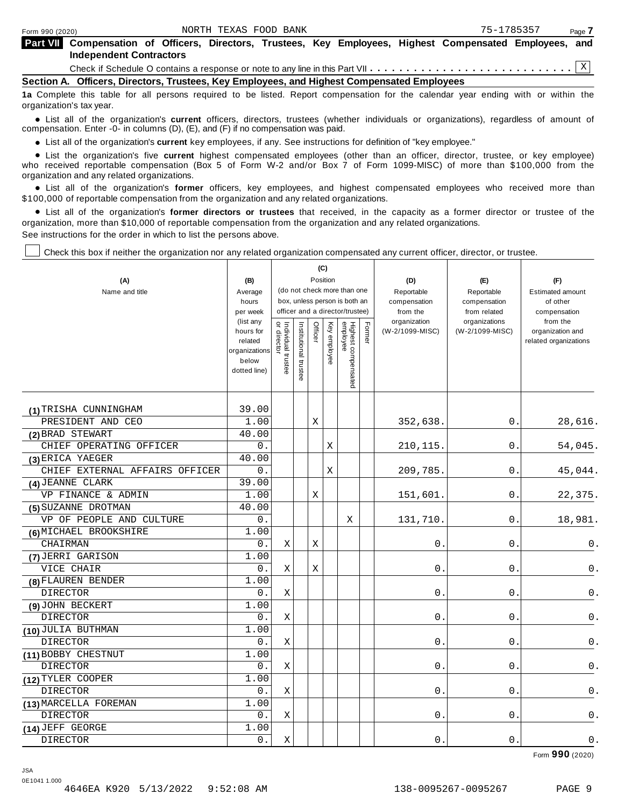| <b>Part VII</b> Compensation of Officers, Directors, Trustees, Key Employees, Highest Compensated Employees, and |  |  |  |  |  |
|------------------------------------------------------------------------------------------------------------------|--|--|--|--|--|
| <b>Independent Contractors</b>                                                                                   |  |  |  |  |  |
|                                                                                                                  |  |  |  |  |  |

**Section A. Officers, Directors, Trustees, Key Employees, and Highest Compensated Employees**

**1a** Complete this table for all persons required to be listed. Report compensation for the calendar year ending with or within the organization's tax year.

anization's lax year.<br>● List all of the organization's **current** officers, directors, trustees (whether individuals or organizations), regardless of amount of<br>nnensation Enter -0- in columns (D) (E) and (E) if no compensa compensation. Enter -0- in columns (D), (E), and (F) if no compensation was paid.

• List all of the organization's current key employees, if any. See instructions for definition of "key employee."

■ List all of the organization's current key employees, if any. See instructions for definition of "key employee."<br>■ List the organization's five current highest compensated employees (other than an officer, director, tru who received reportable compensation (Box 5 of Form W-2 and/or Box 7 of Form 1099-MISC) of more than \$100,000 from the

organization and any related organizations.<br>• List all of the organization's **former** officers, key employees, and highest compensated employees who received more than<br>\$1.00.000 of reportable componention from the erganiza \$100,000 of reportable compensation from the organization and any related organizations.

% List all of the organization's **former directors or trustees** that received, in the capacity as a former director or trustee of the organization, more than \$10,000 of reportable compensation from the organization and any related organizations. See instructions for the order in which to list the persons above.

Check this box if neither the organization nor any related organization compensated any current officer, director, or trustee.

|                                |                        |                                   |                       |         | (C)      |                                 |        |                          |                               |                          |
|--------------------------------|------------------------|-----------------------------------|-----------------------|---------|----------|---------------------------------|--------|--------------------------|-------------------------------|--------------------------|
| (A)                            | (B)                    |                                   |                       |         | Position |                                 |        | (D)                      | (E)                           | (F)                      |
| Name and title                 | Average                |                                   |                       |         |          | (do not check more than one     |        | Reportable               | Reportable                    | <b>Estimated amount</b>  |
|                                | hours                  |                                   |                       |         |          | box, unless person is both an   |        | compensation             | compensation                  | of other                 |
|                                | per week<br>(list any  |                                   |                       |         |          | officer and a director/trustee) |        | from the<br>organization | from related<br>organizations | compensation<br>from the |
|                                | hours for              | Individual trustee<br>or director | Institutional trustee | Officer | Key      |                                 | Former | (W-2/1099-MISC)          | (W-2/1099-MISC)               | organization and         |
|                                | related                |                                   |                       |         | employee |                                 |        |                          |                               | related organizations    |
|                                | organizations<br>below |                                   |                       |         |          |                                 |        |                          |                               |                          |
|                                | dotted line)           |                                   |                       |         |          |                                 |        |                          |                               |                          |
|                                |                        |                                   |                       |         |          | Highest compensated<br>employee |        |                          |                               |                          |
|                                |                        |                                   |                       |         |          |                                 |        |                          |                               |                          |
| (1) TRISHA CUNNINGHAM          | 39.00                  |                                   |                       |         |          |                                 |        |                          |                               |                          |
| PRESIDENT AND CEO              | 1.00                   |                                   |                       | Χ       |          |                                 |        | 352,638.                 | 0.                            | 28,616.                  |
| (2) BRAD STEWART               | 40.00                  |                                   |                       |         |          |                                 |        |                          |                               |                          |
| CHIEF OPERATING OFFICER        | 0.                     |                                   |                       |         | Χ        |                                 |        | 210, 115.                | 0.                            | 54,045.                  |
| (3) ERICA YAEGER               | 40.00                  |                                   |                       |         |          |                                 |        |                          |                               |                          |
| CHIEF EXTERNAL AFFAIRS OFFICER | 0.                     |                                   |                       |         | X        |                                 |        | 209,785.                 | $0$ .                         | 45,044.                  |
| (4) JEANNE CLARK               | 39.00                  |                                   |                       |         |          |                                 |        |                          |                               |                          |
| VP FINANCE & ADMIN             | 1.00                   |                                   |                       | X       |          |                                 |        | 151,601                  | 0.                            | 22,375.                  |
| (5) SUZANNE DROTMAN            | 40.00                  |                                   |                       |         |          |                                 |        |                          |                               |                          |
| VP OF PEOPLE AND CULTURE       | 0.                     |                                   |                       |         |          | Χ                               |        | 131,710.                 | 0                             | 18,981.                  |
| (6) MICHAEL BROOKSHIRE         | 1.00                   |                                   |                       |         |          |                                 |        |                          |                               |                          |
| CHAIRMAN                       | 0.                     | Χ                                 |                       | Χ       |          |                                 |        | 0                        | 0                             | 0.                       |
| (7) JERRI GARISON              | 1.00                   |                                   |                       |         |          |                                 |        |                          |                               |                          |
| VICE CHAIR                     | 0.                     | X                                 |                       | Χ       |          |                                 |        | 0                        | 0                             | 0.                       |
| (8) FLAUREN BENDER             | 1.00                   |                                   |                       |         |          |                                 |        |                          |                               |                          |
| <b>DIRECTOR</b>                | 0.                     | $\rm X$                           |                       |         |          |                                 |        | 0                        | 0                             | 0.                       |
| (9) JOHN BECKERT               | 1.00                   |                                   |                       |         |          |                                 |        |                          |                               |                          |
| <b>DIRECTOR</b>                | 0.                     | Χ                                 |                       |         |          |                                 |        | $0$ .                    | $0$ .                         | 0.                       |
| (10) JULIA BUTHMAN             | 1.00                   |                                   |                       |         |          |                                 |        |                          |                               |                          |
| <b>DIRECTOR</b>                | 0.                     | Χ                                 |                       |         |          |                                 |        | 0.                       | 0.                            | 0.                       |
| (11) BOBBY CHESTNUT            | 1.00                   |                                   |                       |         |          |                                 |        |                          |                               |                          |
| <b>DIRECTOR</b>                | 0.                     | Χ                                 |                       |         |          |                                 |        | 0                        | $\mathsf{O}$                  | 0.                       |
| (12) TYLER COOPER              | 1.00                   |                                   |                       |         |          |                                 |        |                          |                               |                          |
| <b>DIRECTOR</b>                | 0.                     | Χ                                 |                       |         |          |                                 |        | 0                        | 0                             | 0.                       |
| (13) MARCELLA FOREMAN          | 1.00                   |                                   |                       |         |          |                                 |        |                          |                               |                          |
| <b>DIRECTOR</b>                | $0$ .                  | Χ                                 |                       |         |          |                                 |        | 0                        | 0                             | $\mathsf 0$ .            |
| (14) JEFF GEORGE               | 1.00                   |                                   |                       |         |          |                                 |        |                          |                               |                          |
| <b>DIRECTOR</b>                | 0.                     | Χ                                 |                       |         |          |                                 |        | $0$ .                    | $0$ .                         | $\mathbf 0$ .            |

Form **990** (2020)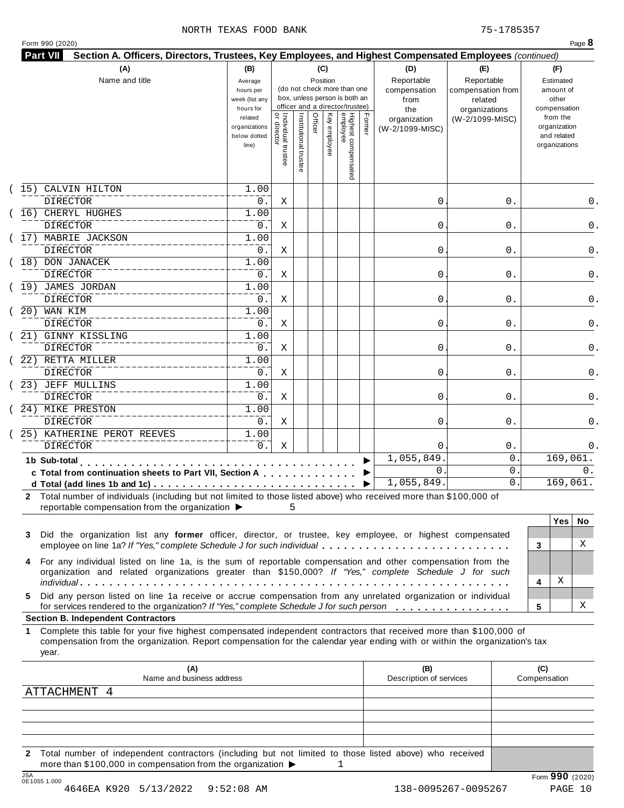#### NORTH TEXAS FOOD BANK 75-1785357

|  | Form 990 (2020) |  |
|--|-----------------|--|
|  |                 |  |

|                               |                                                                                                                                                                                                                                                  | week (list any<br>hours for                       |                                           |                       |         | (do not check more than one<br>box, unless person is both an<br>officer and a director/trustee) |                                 |        | compensation<br>from<br>the     | compensation from<br>related<br>organizations | amount of<br>other<br>compensation                       |
|-------------------------------|--------------------------------------------------------------------------------------------------------------------------------------------------------------------------------------------------------------------------------------------------|---------------------------------------------------|-------------------------------------------|-----------------------|---------|-------------------------------------------------------------------------------------------------|---------------------------------|--------|---------------------------------|-----------------------------------------------|----------------------------------------------------------|
|                               |                                                                                                                                                                                                                                                  | related<br>organizations<br>below dotted<br>line) | <br>  Individual trustee<br>  or director | Institutional trustee | Officer | Key employee                                                                                    | Highest compensated<br>employee | Former | organization<br>(W-2/1099-MISC) | (W-2/1099-MISC)                               | from the<br>organization<br>and related<br>organizations |
| CALVIN HILTON<br>15)          |                                                                                                                                                                                                                                                  | 1.00                                              |                                           |                       |         |                                                                                                 |                                 |        |                                 |                                               |                                                          |
| <b>DIRECTOR</b>               |                                                                                                                                                                                                                                                  | 0.                                                | Χ                                         |                       |         |                                                                                                 |                                 |        | 0                               | 0.                                            | 0.                                                       |
| 16) CHERYL HUGHES<br>DIRECTOR |                                                                                                                                                                                                                                                  | 1.00<br>0.                                        | Χ                                         |                       |         |                                                                                                 |                                 |        | 0                               | 0.                                            | 0.                                                       |
| 17) MABRIE JACKSON            |                                                                                                                                                                                                                                                  | 1.00                                              |                                           |                       |         |                                                                                                 |                                 |        |                                 |                                               |                                                          |
| <b>DIRECTOR</b>               |                                                                                                                                                                                                                                                  | 0.                                                | Χ                                         |                       |         |                                                                                                 |                                 |        | 0                               | 0.                                            | 0.                                                       |
| 18) DON JANACEK               |                                                                                                                                                                                                                                                  | 1.00                                              |                                           |                       |         |                                                                                                 |                                 |        |                                 |                                               |                                                          |
| <b>DIRECTOR</b>               |                                                                                                                                                                                                                                                  | 0.                                                | Χ                                         |                       |         |                                                                                                 |                                 |        | 0                               | 0.                                            | 0.                                                       |
| (19) JAMES JORDAN             |                                                                                                                                                                                                                                                  | 1.00                                              |                                           |                       |         |                                                                                                 |                                 |        |                                 |                                               |                                                          |
| <b>DIRECTOR</b>               |                                                                                                                                                                                                                                                  | 0.                                                | Χ                                         |                       |         |                                                                                                 |                                 |        | 0                               | 0.                                            | 0.                                                       |
| 20) WAN KIM                   |                                                                                                                                                                                                                                                  | 1.00                                              |                                           |                       |         |                                                                                                 |                                 |        |                                 |                                               |                                                          |
| <b>DIRECTOR</b>               |                                                                                                                                                                                                                                                  | 0.                                                | Χ                                         |                       |         |                                                                                                 |                                 |        | 0                               | 0.                                            | 0.                                                       |
| 21) GINNY KISSLING            |                                                                                                                                                                                                                                                  | 1.00                                              |                                           |                       |         |                                                                                                 |                                 |        |                                 |                                               |                                                          |
| <b>DIRECTOR</b>               |                                                                                                                                                                                                                                                  | 0.                                                | Χ                                         |                       |         |                                                                                                 |                                 |        | 0                               | 0.                                            | 0.                                                       |
| 22) RETTA MILLER<br>DIRECTOR  |                                                                                                                                                                                                                                                  | 1.00<br>0.                                        | Χ                                         |                       |         |                                                                                                 |                                 |        | 0                               | 0.                                            | 0.                                                       |
| 23) JEFF MULLINS              |                                                                                                                                                                                                                                                  | 1.00                                              |                                           |                       |         |                                                                                                 |                                 |        |                                 |                                               |                                                          |
| DIRECTOR                      |                                                                                                                                                                                                                                                  | 0.                                                | Χ                                         |                       |         |                                                                                                 |                                 |        | 0                               | 0.                                            | 0.                                                       |
| 24) MIKE PRESTON              |                                                                                                                                                                                                                                                  | 1.00                                              |                                           |                       |         |                                                                                                 |                                 |        |                                 |                                               |                                                          |
| <b>DIRECTOR</b>               |                                                                                                                                                                                                                                                  | $0$ .                                             | Χ                                         |                       |         |                                                                                                 |                                 |        | 0                               | 0.                                            | 0.                                                       |
|                               | 25) KATHERINE PEROT REEVES                                                                                                                                                                                                                       | 1.00                                              |                                           |                       |         |                                                                                                 |                                 |        |                                 |                                               |                                                          |
| <b>DIRECTOR</b>               |                                                                                                                                                                                                                                                  | $0$ .                                             | Χ                                         |                       |         |                                                                                                 |                                 |        | $\Omega$                        | $0$ .                                         | 0.                                                       |
| 1b Sub-total                  | $\mathbf{a} \cdot \mathbf{a} \cdot \mathbf{a} \cdot \mathbf{a} \cdot \mathbf{a}$                                                                                                                                                                 |                                                   |                                           |                       |         |                                                                                                 |                                 |        | 1,055,849                       | 0                                             | 169, 061.                                                |
|                               | c Total from continuation sheets to Part VII, Section A                                                                                                                                                                                          |                                                   |                                           |                       |         |                                                                                                 |                                 |        | $\mathbf{0}$                    | 0                                             | 0.                                                       |
|                               |                                                                                                                                                                                                                                                  |                                                   |                                           |                       |         |                                                                                                 |                                 |        | 1,055,849.                      | $\mathsf{O}$ .                                | 169,061.                                                 |
|                               | 2 Total number of individuals (including but not limited to those listed above) who received more than \$100,000 of<br>reportable compensation from the organization ▶                                                                           |                                                   | 5                                         |                       |         |                                                                                                 |                                 |        |                                 |                                               |                                                          |
|                               |                                                                                                                                                                                                                                                  |                                                   |                                           |                       |         |                                                                                                 |                                 |        |                                 |                                               | <b>Yes</b><br>No.                                        |
| 3                             | Did the organization list any former officer, director, or trustee, key employee, or highest compensated                                                                                                                                         |                                                   |                                           |                       |         |                                                                                                 |                                 |        |                                 |                                               |                                                          |
|                               | employee on line 1a? If "Yes," complete Schedule J for such individual                                                                                                                                                                           |                                                   |                                           |                       |         |                                                                                                 |                                 |        |                                 |                                               | X<br>3                                                   |
| 4                             | For any individual listed on line 1a, is the sum of reportable compensation and other compensation from the                                                                                                                                      |                                                   |                                           |                       |         |                                                                                                 |                                 |        |                                 |                                               |                                                          |
|                               | organization and related organizations greater than \$150,000? If "Yes," complete Schedule J for such                                                                                                                                            |                                                   |                                           |                       |         |                                                                                                 |                                 |        |                                 |                                               |                                                          |
|                               |                                                                                                                                                                                                                                                  |                                                   |                                           |                       |         |                                                                                                 |                                 |        |                                 |                                               | Χ<br>4                                                   |
| 5.                            | Did any person listed on line 1a receive or accrue compensation from any unrelated organization or individual                                                                                                                                    |                                                   |                                           |                       |         |                                                                                                 |                                 |        |                                 |                                               |                                                          |
|                               | for services rendered to the organization? If "Yes," complete Schedule J for such person                                                                                                                                                         |                                                   |                                           |                       |         |                                                                                                 |                                 |        |                                 |                                               | х<br>5                                                   |
|                               | <b>Section B. Independent Contractors</b>                                                                                                                                                                                                        |                                                   |                                           |                       |         |                                                                                                 |                                 |        |                                 |                                               |                                                          |
| 1<br>year.                    | Complete this table for your five highest compensated independent contractors that received more than \$100,000 of<br>compensation from the organization. Report compensation for the calendar year ending with or within the organization's tax |                                                   |                                           |                       |         |                                                                                                 |                                 |        |                                 |                                               |                                                          |
|                               | (A)                                                                                                                                                                                                                                              |                                                   |                                           |                       |         |                                                                                                 |                                 |        | (B)                             |                                               | (C)                                                      |
|                               | Name and business address                                                                                                                                                                                                                        |                                                   |                                           |                       |         |                                                                                                 |                                 |        | Description of services         |                                               | Compensation                                             |
| ATTACHMENT 4                  |                                                                                                                                                                                                                                                  |                                                   |                                           |                       |         |                                                                                                 |                                 |        |                                 |                                               |                                                          |
|                               |                                                                                                                                                                                                                                                  |                                                   |                                           |                       |         |                                                                                                 |                                 |        |                                 |                                               |                                                          |
|                               |                                                                                                                                                                                                                                                  |                                                   |                                           |                       |         |                                                                                                 |                                 |        |                                 |                                               |                                                          |
|                               |                                                                                                                                                                                                                                                  |                                                   |                                           |                       |         |                                                                                                 |                                 |        |                                 |                                               |                                                          |
| $\mathbf{2}$                  | Total number of independent contractors (including but not limited to those listed above) who received                                                                                                                                           |                                                   |                                           |                       |         |                                                                                                 |                                 |        |                                 |                                               |                                                          |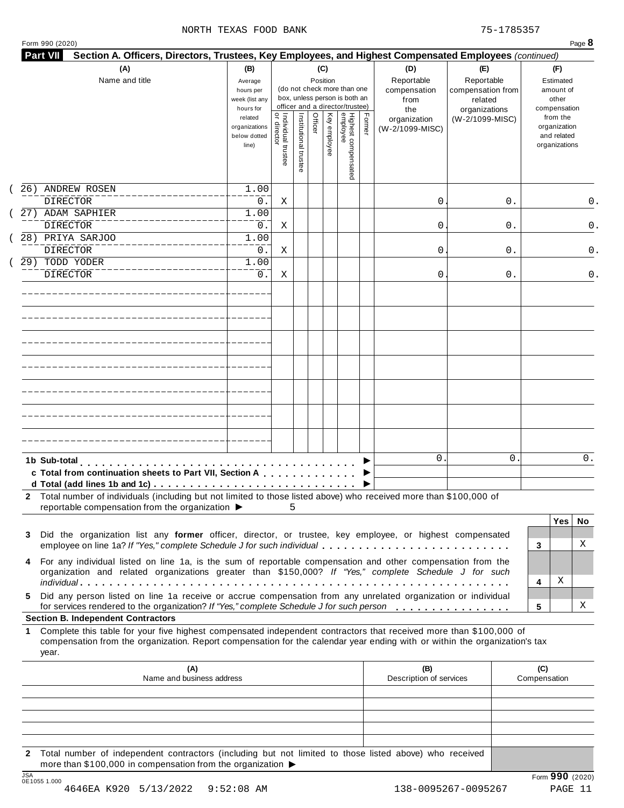#### NORTH TEXAS FOOD BANK 75-1785357

| (A)<br>Name and title                                                                                                                                                                                                                                          | (B)<br>Average<br>hours per<br>week (list any<br>hours for |                                     |                       |         | (C)<br>Position | (do not check more than one<br>box, unless person is both an<br>officer and a director/trustee) |        | (D)<br>Reportable<br>compensation<br>from<br>the | (E)<br>Reportable<br>compensation from<br>related<br>organizations | (F)<br>Estimated<br>amount of<br>other<br>compensation |                                                          |
|----------------------------------------------------------------------------------------------------------------------------------------------------------------------------------------------------------------------------------------------------------------|------------------------------------------------------------|-------------------------------------|-----------------------|---------|-----------------|-------------------------------------------------------------------------------------------------|--------|--------------------------------------------------|--------------------------------------------------------------------|--------------------------------------------------------|----------------------------------------------------------|
|                                                                                                                                                                                                                                                                | related<br>organizations<br>below dotted<br>line)          | Individual trustee<br>  or director | Institutional trustee | Officer | Key employee    | Highest compensated<br>employee                                                                 | Former | organization<br>(W-2/1099-MISC)                  | (W-2/1099-MISC)                                                    |                                                        | from the<br>organization<br>and related<br>organizations |
| 26) ANDREW ROSEN<br><b>DIRECTOR</b>                                                                                                                                                                                                                            | 1.00                                                       |                                     |                       |         |                 |                                                                                                 |        |                                                  |                                                                    |                                                        |                                                          |
| 27) ADAM SAPHIER                                                                                                                                                                                                                                               | $0$ .<br>1.00                                              | Χ                                   |                       |         |                 |                                                                                                 |        | 0                                                | 0.                                                                 |                                                        |                                                          |
| <b>DIRECTOR</b>                                                                                                                                                                                                                                                | 0.                                                         | Χ                                   |                       |         |                 |                                                                                                 |        | 0                                                | 0.                                                                 |                                                        |                                                          |
| 28) PRIYA SARJOO                                                                                                                                                                                                                                               | 1.00                                                       |                                     |                       |         |                 |                                                                                                 |        |                                                  |                                                                    |                                                        |                                                          |
| <b>DIRECTOR</b>                                                                                                                                                                                                                                                | 0.                                                         | Χ                                   |                       |         |                 |                                                                                                 |        | 0                                                | 0.                                                                 |                                                        |                                                          |
| 29) TODD YODER                                                                                                                                                                                                                                                 | 1.00                                                       |                                     |                       |         |                 |                                                                                                 |        |                                                  |                                                                    |                                                        |                                                          |
| <b>DIRECTOR</b>                                                                                                                                                                                                                                                | 0.                                                         | Χ                                   |                       |         |                 |                                                                                                 |        | 0                                                | 0.                                                                 |                                                        |                                                          |
|                                                                                                                                                                                                                                                                |                                                            |                                     |                       |         |                 |                                                                                                 |        |                                                  |                                                                    |                                                        |                                                          |
|                                                                                                                                                                                                                                                                |                                                            |                                     |                       |         |                 |                                                                                                 |        |                                                  |                                                                    |                                                        |                                                          |
|                                                                                                                                                                                                                                                                |                                                            |                                     |                       |         |                 |                                                                                                 |        |                                                  |                                                                    |                                                        |                                                          |
|                                                                                                                                                                                                                                                                |                                                            |                                     |                       |         |                 |                                                                                                 |        |                                                  |                                                                    |                                                        |                                                          |
|                                                                                                                                                                                                                                                                |                                                            |                                     |                       |         |                 |                                                                                                 |        |                                                  |                                                                    |                                                        |                                                          |
|                                                                                                                                                                                                                                                                |                                                            |                                     |                       |         |                 |                                                                                                 |        |                                                  |                                                                    |                                                        |                                                          |
|                                                                                                                                                                                                                                                                |                                                            |                                     |                       |         |                 |                                                                                                 |        |                                                  |                                                                    |                                                        |                                                          |
| 1b Sub-total<br>c Total from continuation sheets to Part VII, Section A                                                                                                                                                                                        |                                                            |                                     |                       |         |                 |                                                                                                 |        | $\mathbf{0}$                                     | 0                                                                  |                                                        |                                                          |
| 2 Total number of individuals (including but not limited to those listed above) who received more than \$100,000 of<br>reportable compensation from the organization ▶                                                                                         |                                                            | 5                                   |                       |         |                 |                                                                                                 |        |                                                  |                                                                    |                                                        |                                                          |
|                                                                                                                                                                                                                                                                |                                                            |                                     |                       |         |                 |                                                                                                 |        |                                                  |                                                                    |                                                        | <b>Yes</b><br>No.                                        |
| Did the organization list any former officer, director, or trustee, key employee, or highest compensated<br>3<br>employee on line 1a? If "Yes," complete Schedule J for such individual                                                                        |                                                            |                                     |                       |         |                 |                                                                                                 |        |                                                  |                                                                    | 3                                                      | X                                                        |
| For any individual listed on line 1a, is the sum of reportable compensation and other compensation from the<br>4<br>organization and related organizations greater than \$150,000? If "Yes," complete Schedule J for such                                      |                                                            |                                     |                       |         |                 |                                                                                                 |        |                                                  |                                                                    | 4                                                      | Χ                                                        |
| Did any person listed on line 1a receive or accrue compensation from any unrelated organization or individual<br>5.<br>for services rendered to the organization? If "Yes," complete Schedule J for such person                                                |                                                            |                                     |                       |         |                 |                                                                                                 |        |                                                  |                                                                    | 5                                                      | X                                                        |
|                                                                                                                                                                                                                                                                |                                                            |                                     |                       |         |                 |                                                                                                 |        |                                                  |                                                                    |                                                        |                                                          |
| <b>Section B. Independent Contractors</b>                                                                                                                                                                                                                      |                                                            |                                     |                       |         |                 |                                                                                                 |        |                                                  |                                                                    |                                                        |                                                          |
| Complete this table for your five highest compensated independent contractors that received more than \$100,000 of<br>1<br>compensation from the organization. Report compensation for the calendar year ending with or within the organization's tax<br>year. |                                                            |                                     |                       |         |                 |                                                                                                 |        |                                                  |                                                                    |                                                        |                                                          |
| (A)<br>Name and business address                                                                                                                                                                                                                               |                                                            |                                     |                       |         |                 |                                                                                                 |        | (B)<br>Description of services                   |                                                                    | (C)<br>Compensation                                    |                                                          |
|                                                                                                                                                                                                                                                                |                                                            |                                     |                       |         |                 |                                                                                                 |        |                                                  |                                                                    |                                                        |                                                          |
|                                                                                                                                                                                                                                                                |                                                            |                                     |                       |         |                 |                                                                                                 |        |                                                  |                                                                    |                                                        |                                                          |

**2** Total number of independent contractors (including but not limited to those listed above) who received more than \$100,000 in compensation from the organization  $\triangleright$ <br>  $\frac{\text{JSA}}{0.510551.000}$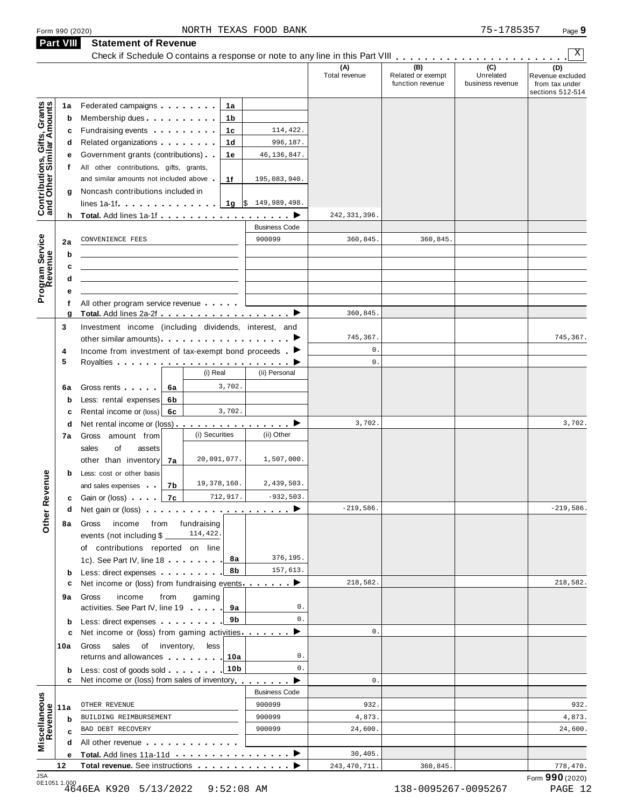| Form 990 (2020)                                           |                                                          |                                                                                                                                                                                                                                      |                | NORTH TEXAS FOOD BANK                             |                      |                                              | 75-1785357                           | Page 9                                                        |
|-----------------------------------------------------------|----------------------------------------------------------|--------------------------------------------------------------------------------------------------------------------------------------------------------------------------------------------------------------------------------------|----------------|---------------------------------------------------|----------------------|----------------------------------------------|--------------------------------------|---------------------------------------------------------------|
| <b>Part VIII</b>                                          |                                                          | <b>Statement of Revenue</b>                                                                                                                                                                                                          |                |                                                   |                      |                                              |                                      | Χ                                                             |
|                                                           |                                                          |                                                                                                                                                                                                                                      |                |                                                   | (A)<br>Total revenue | (B)<br>Related or exempt<br>function revenue | (C)<br>Unrelated<br>business revenue | (D)<br>Revenue excluded<br>from tax under<br>sections 512-514 |
| 1a                                                        |                                                          | Federated campaigns <b>Federated</b>                                                                                                                                                                                                 | 1a             |                                                   |                      |                                              |                                      |                                                               |
| Contributions, Gifts, Grants<br>and Other Similar Amounts | b                                                        | Membership dues expansion of the material of the material of the material of the material of the material of the material of the material of the material of the material of the material of the material of the material of t       | 1b             |                                                   |                      |                                              |                                      |                                                               |
|                                                           |                                                          | Fundraising events <b>Fundraising</b>                                                                                                                                                                                                | 1c             | 114,422.                                          |                      |                                              |                                      |                                                               |
|                                                           |                                                          | Related organizations <b>and the set of the set of the set of the set of the set of the set of the set of the set of the set of the set of the set of the set of the set of the set of the set of the set of the set of the set </b> | 1d             | 996,187.                                          |                      |                                              |                                      |                                                               |
|                                                           |                                                          | Government grants (contributions)                                                                                                                                                                                                    | 1е             | 46, 136, 847.                                     |                      |                                              |                                      |                                                               |
|                                                           | f                                                        | All other contributions, gifts, grants,                                                                                                                                                                                              |                |                                                   |                      |                                              |                                      |                                                               |
|                                                           |                                                          | and similar amounts not included above                                                                                                                                                                                               | 1f             | 195,083,940.                                      |                      |                                              |                                      |                                                               |
|                                                           | g                                                        | Noncash contributions included in                                                                                                                                                                                                    |                |                                                   |                      |                                              |                                      |                                                               |
|                                                           |                                                          | $lines 1a-1f$ $\cdots$ $\cdots$                                                                                                                                                                                                      |                | <b>1g</b> $\left \frac{6}{3}\right $ 149,989,498. |                      |                                              |                                      |                                                               |
|                                                           | h                                                        | Total. Add lines 1a-1f <u>.</u> .                                                                                                                                                                                                    |                | ▸                                                 | 242, 331, 396.       |                                              |                                      |                                                               |
|                                                           |                                                          |                                                                                                                                                                                                                                      |                | <b>Business Code</b><br>900099                    |                      |                                              |                                      |                                                               |
| Program Service<br>Revenue<br>2a                          |                                                          | CONVENIENCE FEES                                                                                                                                                                                                                     |                |                                                   | 360,845.             | 360,845.                                     |                                      |                                                               |
|                                                           | b                                                        |                                                                                                                                                                                                                                      |                |                                                   |                      |                                              |                                      |                                                               |
|                                                           | c                                                        |                                                                                                                                                                                                                                      |                |                                                   |                      |                                              |                                      |                                                               |
|                                                           | d<br>е                                                   |                                                                                                                                                                                                                                      |                |                                                   |                      |                                              |                                      |                                                               |
|                                                           | f                                                        | All other program service revenue                                                                                                                                                                                                    |                |                                                   |                      |                                              |                                      |                                                               |
|                                                           | g                                                        | Total. Add lines 2a-2f ▶                                                                                                                                                                                                             |                |                                                   | 360,845              |                                              |                                      |                                                               |
| 3                                                         |                                                          | Investment income (including dividends, interest, and                                                                                                                                                                                |                |                                                   |                      |                                              |                                      |                                                               |
|                                                           | other similar amounts). The state of the similar amounts |                                                                                                                                                                                                                                      |                | 745,367.                                          |                      |                                              | 745,367.                             |                                                               |
| 4                                                         |                                                          | Income from investment of tax-exempt bond proceeds $\blacksquare$                                                                                                                                                                    |                |                                                   | $\mathbf{0}$ .       |                                              |                                      |                                                               |
| 5                                                         |                                                          |                                                                                                                                                                                                                                      |                |                                                   | $\mathbf{0}$ .       |                                              |                                      |                                                               |
|                                                           |                                                          |                                                                                                                                                                                                                                      | (i) Real       | (ii) Personal                                     |                      |                                              |                                      |                                                               |
| 6a                                                        |                                                          | Gross rents <b>Contains and Container</b><br>6а                                                                                                                                                                                      | 3,702.         |                                                   |                      |                                              |                                      |                                                               |
|                                                           | b                                                        | Less: rental expenses<br>6b                                                                                                                                                                                                          | 3,702.         |                                                   |                      |                                              |                                      |                                                               |
|                                                           | d                                                        | Rental income or (loss) 6c<br>Net rental income or (loss) $\cdots$ $\cdots$ $\cdots$ $\cdots$                                                                                                                                        |                |                                                   | 3,702.               |                                              |                                      | 3,702.                                                        |
| 7a                                                        |                                                          | Gross<br>amount from                                                                                                                                                                                                                 | (i) Securities | (ii) Other                                        |                      |                                              |                                      |                                                               |
|                                                           |                                                          | sales<br>οf<br>assets                                                                                                                                                                                                                |                |                                                   |                      |                                              |                                      |                                                               |
|                                                           |                                                          | other than inventory 7a                                                                                                                                                                                                              | 20,091,077.    | 1,507,000.                                        |                      |                                              |                                      |                                                               |
|                                                           | b                                                        | Less: cost or other basis                                                                                                                                                                                                            |                |                                                   |                      |                                              |                                      |                                                               |
|                                                           |                                                          | and sales expenses   7b                                                                                                                                                                                                              | 19,378,160.    | 2,439,503.                                        |                      |                                              |                                      |                                                               |
|                                                           |                                                          | c Gain or (loss) $\blacksquare$ 7c                                                                                                                                                                                                   | 712,917.       | $-932,503.$                                       |                      |                                              |                                      |                                                               |
|                                                           |                                                          | Net gain or (loss) $\cdots$ $\cdots$ $\cdots$ $\cdots$ $\cdots$ $\cdots$ $\cdots$                                                                                                                                                    |                |                                                   | $-219,586.$          |                                              |                                      | $-219,586.$                                                   |
| Other Revenue                                             | 8а                                                       | income from<br>Gross                                                                                                                                                                                                                 | fundraising    |                                                   |                      |                                              |                                      |                                                               |
|                                                           |                                                          | events (not including \$                                                                                                                                                                                                             | 114,422.       |                                                   |                      |                                              |                                      |                                                               |
|                                                           |                                                          | of contributions reported on line                                                                                                                                                                                                    |                |                                                   |                      |                                              |                                      |                                                               |
|                                                           |                                                          | 1c). See Part IV, line 18                                                                                                                                                                                                            | 8а             | 376,195.<br>157,613.                              |                      |                                              |                                      |                                                               |
|                                                           | b                                                        | Less: direct expenses<br>Net income or (loss) from fundraising events. $\blacksquare$                                                                                                                                                | 8b             |                                                   | 218,582.             |                                              |                                      | 218,582.                                                      |
| 9а                                                        |                                                          | income<br>from<br>Gross                                                                                                                                                                                                              | gaming         |                                                   |                      |                                              |                                      |                                                               |
|                                                           |                                                          | activities. See Part IV, line 19                                                                                                                                                                                                     | 9а             | 0.                                                |                      |                                              |                                      |                                                               |
|                                                           | b                                                        | Less: direct expenses                                                                                                                                                                                                                | 9b             | $0$ .                                             |                      |                                              |                                      |                                                               |
|                                                           | c                                                        | Net income or (loss) from gaming activities                                                                                                                                                                                          |                |                                                   | $0$ .                |                                              |                                      |                                                               |
| 10a                                                       |                                                          | Gross sales of inventory,                                                                                                                                                                                                            | less           |                                                   |                      |                                              |                                      |                                                               |
|                                                           |                                                          | returns and allowances                                                                                                                                                                                                               | 10a            | 0.                                                |                      |                                              |                                      |                                                               |
|                                                           | b                                                        | Less: cost of goods sold.                                                                                                                                                                                                            | 10b            | 0.                                                |                      |                                              |                                      |                                                               |
|                                                           | c                                                        | Net income or (loss) from sales of inventory                                                                                                                                                                                         |                |                                                   | 0.                   |                                              |                                      |                                                               |

Business Code

OTHER REVENUE 900099 932. 932. BUILDING REIMBURSEMENT 4,873. BAD DEBT RECOVERY 24,600. 900099 900099 24,600.

30,405.

m m m m m m m m m m m m m m m m I

**<sup>12</sup> Total revenue.** See instructions m m m m m m m m m m m m m I

**11ab c**

**Miscellaneous**<br>
Revenue<br> **Revenue**<br> **a**<br> **a**<br> **a**<br> **a** 

**c** BAD DEBT RECOVERY<br> **d** All other revenue  $\cdots \cdots \cdots$ 

**e Total.** Add lines 11a-11d

243,470,711. 360,845. 778,470.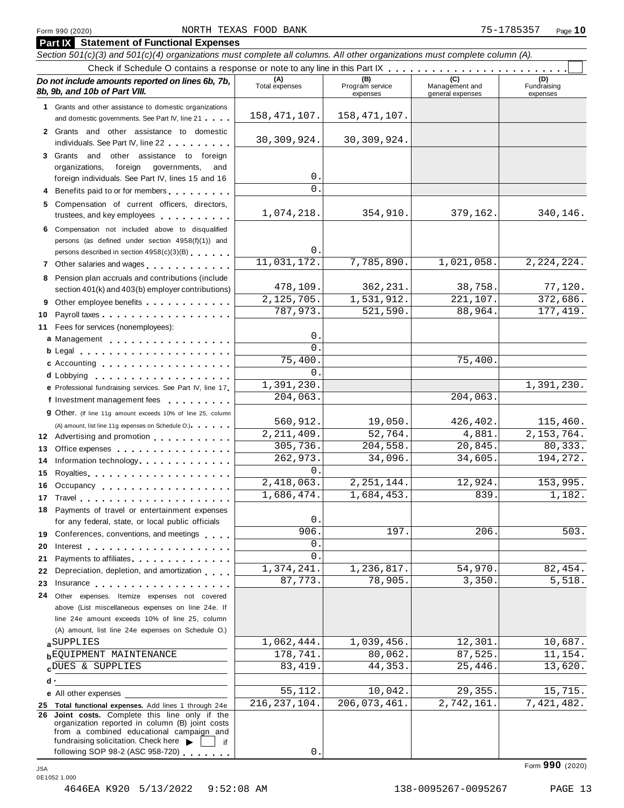#### Form <sup>990</sup> (2020) Page **10** NORTH TEXAS FOOD BANK 75-1785357

|          | <b>Part IX</b> Statement of Functional Expenses                                                                                                                                                                                                                |                         |                                    |                                    |                                |
|----------|----------------------------------------------------------------------------------------------------------------------------------------------------------------------------------------------------------------------------------------------------------------|-------------------------|------------------------------------|------------------------------------|--------------------------------|
|          | Section 501(c)(3) and 501(c)(4) organizations must complete all columns. All other organizations must complete column (A).                                                                                                                                     |                         |                                    |                                    |                                |
|          |                                                                                                                                                                                                                                                                |                         |                                    |                                    |                                |
|          | Do not include amounts reported on lines 6b, 7b,<br>8b, 9b, and 10b of Part VIII.                                                                                                                                                                              | (A)<br>Total expenses   | (B)<br>Program service<br>expenses | Management and<br>general expenses | (D)<br>Fundraising<br>expenses |
|          | 1 Grants and other assistance to domestic organizations<br>and domestic governments. See Part IV, line 21                                                                                                                                                      | 158, 471, 107.          | 158, 471, 107.                     |                                    |                                |
|          | 2 Grants and other assistance to domestic<br>individuals. See Part IV, line 22                                                                                                                                                                                 | 30, 309, 924.           | 30, 309, 924.                      |                                    |                                |
|          | 3 Grants and other assistance to foreign                                                                                                                                                                                                                       |                         |                                    |                                    |                                |
|          | foreign governments,<br>organizations,<br>and                                                                                                                                                                                                                  |                         |                                    |                                    |                                |
|          | foreign individuals. See Part IV, lines 15 and 16                                                                                                                                                                                                              | 0                       |                                    |                                    |                                |
|          | Benefits paid to or for members                                                                                                                                                                                                                                | $\Omega$                |                                    |                                    |                                |
|          | 5 Compensation of current officers, directors,<br>trustees, and key employees expressed and the state of                                                                                                                                                       | 1,074,218.              | 354,910.                           | 379,162.                           | 340,146.                       |
|          | 6 Compensation not included above to disqualified                                                                                                                                                                                                              |                         |                                    |                                    |                                |
|          | persons (as defined under section 4958(f)(1)) and                                                                                                                                                                                                              |                         |                                    |                                    |                                |
|          | persons described in section 4958(c)(3)(B)                                                                                                                                                                                                                     | 0.<br>11,031,172.       | 7,785,890.                         | 1,021,058.                         | 2, 224, 224.                   |
|          | 7 Other salaries and wages                                                                                                                                                                                                                                     |                         |                                    |                                    |                                |
| 8        | Pension plan accruals and contributions (include<br>section 401(k) and 403(b) employer contributions)                                                                                                                                                          | 478,109.                | 362, 231.                          | 38,758.                            | 77,120.                        |
| 9        | Other employee benefits                                                                                                                                                                                                                                        | 2, 125, 705.            | 1,531,912.                         | 221,107.                           | 372,686.                       |
| 10       |                                                                                                                                                                                                                                                                | 787,973.                | 521,590.                           | 88,964.                            | 177, 419.                      |
| 11       | Fees for services (nonemployees):                                                                                                                                                                                                                              |                         |                                    |                                    |                                |
|          | a Management                                                                                                                                                                                                                                                   | 0                       |                                    |                                    |                                |
|          | b Legal entering the service of the service of the service of the service of the service of the service of the                                                                                                                                                 | $\Omega$                |                                    |                                    |                                |
|          | c Accounting                                                                                                                                                                                                                                                   | 75,400                  |                                    | 75,400.                            |                                |
|          | d Lobbying entering the series of the series of the series of the series of the series of the series of the series of the series of the series of the series of the series of the series of the series of the series of the se                                 | 0                       |                                    |                                    |                                |
|          | e Professional fundraising services. See Part IV, line 17                                                                                                                                                                                                      | 1,391,230.              |                                    |                                    | 1,391,230.                     |
|          | f Investment management fees                                                                                                                                                                                                                                   | 204,063.                |                                    | 204,063.                           |                                |
|          | <b>g</b> Other. (If line 11g amount exceeds 10% of line 25, column                                                                                                                                                                                             | 560,912.                | 19,050.                            | 426,402.                           | 115,460.                       |
|          | (A) amount, list line 11g expenses on Schedule O.).                                                                                                                                                                                                            | $\overline{2,211},409.$ | 52,764.                            | 4,881.                             | 2, 153, 764.                   |
| 13       | 12 Advertising and promotion<br>Office expenses examines a series of the series of the series of the series of the series of the series of the series of the series of the series of the series of the series of the series of the series of the series of the | 305,736.                | 204,558.                           | 20,845.                            | 80,333.                        |
| 14       | Information technology<br>                                                                                                                                                                                                                                     | 262,973.                | 34,096.                            | 34,605.                            | 194, 272.                      |
| 15       | Royalties experience and a series are a series and a series of the series of the series of the series of the s                                                                                                                                                 | $\Omega$                |                                    |                                    |                                |
|          | 16 Occupancy                                                                                                                                                                                                                                                   | 2,418,063.              | 2, 251, 144.                       | 12,924.                            | 153,995.                       |
|          | 17 Travel <b>17 Travel</b>                                                                                                                                                                                                                                     | 1,686,474.              | 1,684,453.                         | 839.                               | 1,182.                         |
|          | 18 Payments of travel or entertainment expenses                                                                                                                                                                                                                |                         |                                    |                                    |                                |
|          | for any federal, state, or local public officials                                                                                                                                                                                                              | $0$ .                   |                                    |                                    |                                |
|          | 19 Conferences, conventions, and meetings                                                                                                                                                                                                                      | 906<br>$\mathsf{O}$ .   | 197.                               | 206.                               | 503.                           |
| 20       |                                                                                                                                                                                                                                                                | $\mathbf{0}$            |                                    |                                    |                                |
| 21<br>22 | Payments to affiliates <b>All Accords</b> Payments to affiliates<br>Depreciation, depletion, and amortization                                                                                                                                                  | 1,374,241.              | 1,236,817.                         | 54,970.                            | 82,454.                        |
| 23       | Insurance experience and the set of the set of the set of the set of the set of the set of the set of the set of the set of the set of the set of the set of the set of the set of the set of the set of the set of the set of                                 | 87,773.                 | 78,905.                            | 3,350.                             | 5,518.                         |
| 24       | Other expenses. Itemize expenses not covered                                                                                                                                                                                                                   |                         |                                    |                                    |                                |
|          | above (List miscellaneous expenses on line 24e. If                                                                                                                                                                                                             |                         |                                    |                                    |                                |
|          | line 24e amount exceeds 10% of line 25, column                                                                                                                                                                                                                 |                         |                                    |                                    |                                |
|          | (A) amount, list line 24e expenses on Schedule O.)                                                                                                                                                                                                             |                         |                                    |                                    |                                |
|          | aSUPPLIES                                                                                                                                                                                                                                                      | 1,062,444.              | 1,039,456.                         | 12,301.                            | 10,687.                        |
|          | <b>bEQUIPMENT MAINTENANCE</b>                                                                                                                                                                                                                                  | 178,741.                | 80,062.                            | 87,525.                            | 11,154.                        |
|          | CDUES & SUPPLIES                                                                                                                                                                                                                                               | 83, 419.                | 44,353.                            | 25,446.                            | 13,620.                        |
|          | d٠                                                                                                                                                                                                                                                             | 55,112.                 | 10,042.                            | 29,355.                            | 15,715.                        |
|          | e All other expenses                                                                                                                                                                                                                                           | 216, 237, 104.          | 206,073,461.                       | 2,742,161.                         | 7,421,482.                     |
|          | 25 Total functional expenses. Add lines 1 through 24e<br>26 Joint costs. Complete this line only if the<br>organization reported in column (B) joint costs<br>from a combined educational campaign and                                                         |                         |                                    |                                    |                                |
|          | fundraising solicitation. Check here $\blacktriangleright$<br>if                                                                                                                                                                                               |                         |                                    |                                    |                                |
|          | following SOP 98-2 (ASC 958-720)                                                                                                                                                                                                                               | 0.                      |                                    |                                    |                                |

Form **990** (2020) JSA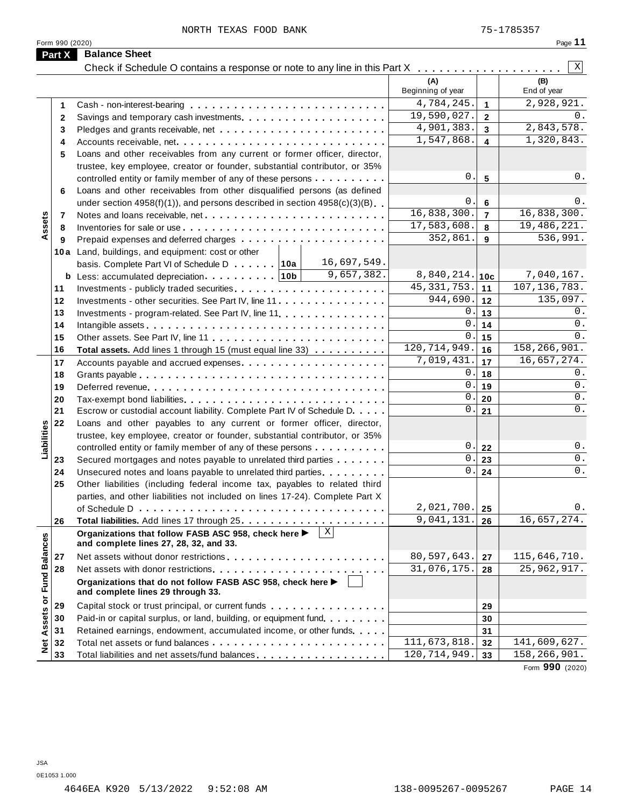|                             | Form 990 (2020) | NORTH TEXAS FOOD BANK                                                                                                                              |                              |                         | 75-1785357<br>Page 11       |
|-----------------------------|-----------------|----------------------------------------------------------------------------------------------------------------------------------------------------|------------------------------|-------------------------|-----------------------------|
|                             | Part X          | <b>Balance Sheet</b>                                                                                                                               |                              |                         |                             |
|                             |                 | Check if Schedule O contains a response or note to any line in this Part X                                                                         |                              |                         | $\vert X \vert$             |
|                             |                 |                                                                                                                                                    | (A)<br>Beginning of year     |                         | (B)<br>End of year          |
|                             | 1               |                                                                                                                                                    | 4,784,245.                   | $\mathbf{1}$            | 2,928,921.                  |
|                             | $\overline{2}$  |                                                                                                                                                    | 19,590,027.                  | $\overline{2}$          | 0.                          |
|                             | 3               |                                                                                                                                                    | 4,901,383.                   | $\overline{\mathbf{3}}$ | 2,843,578.                  |
|                             | 4               | Accounts receivable, net                                                                                                                           | 1,547,868.                   | $\overline{\mathbf{4}}$ | 1,320,843.                  |
|                             | 5               | Loans and other receivables from any current or former officer, director,                                                                          |                              |                         |                             |
|                             |                 | trustee, key employee, creator or founder, substantial contributor, or 35%                                                                         |                              |                         |                             |
|                             |                 | controlled entity or family member of any of these persons                                                                                         | $\mathbf 0$ .                | 5                       | 0.                          |
|                             | 6               | Loans and other receivables from other disqualified persons (as defined                                                                            |                              |                         |                             |
|                             |                 | under section $4958(f)(1)$ , and persons described in section $4958(c)(3)(B)$                                                                      | 0.                           | 6                       | 0.                          |
|                             | $\overline{7}$  | Notes and loans receivable, net                                                                                                                    | 16,838,300.                  | $\overline{7}$          | 16,838,300.                 |
| Assets                      | 8               |                                                                                                                                                    | 17,583,608.                  | 8                       | 19,486,221.                 |
|                             | 9               |                                                                                                                                                    | 352,861                      | 9                       | 536,991.                    |
|                             |                 | 10a Land, buildings, and equipment: cost or other                                                                                                  |                              |                         |                             |
|                             |                 | 16,697,549.<br>basis. Complete Part VI of Schedule D 10a                                                                                           |                              |                         |                             |
|                             |                 | 9,657,382.                                                                                                                                         | 8,840,214.                   | 10 <sub>c</sub>         | 7,040,167.                  |
|                             | 11              |                                                                                                                                                    | 45, 331, 753.                | 11                      | 107, 136, 783.              |
|                             | 12              | Investments - other securities. See Part IV, line 11                                                                                               | 944,690.                     | 12                      | 135,097.                    |
|                             | 13              | Investments - program-related. See Part IV, line 11                                                                                                | 0                            | 13                      | 0.                          |
|                             | 14              |                                                                                                                                                    | $\mathsf{O}$                 | 14                      | 0.                          |
|                             | 15              |                                                                                                                                                    | 0                            | 15                      | 0.                          |
|                             | 16              | Total assets. Add lines 1 through 15 (must equal line 33)                                                                                          | 120, 714, 949.<br>7,019,431. | 16                      | 158,266,901.<br>16,657,274. |
|                             | 17              | Accounts payable and accrued expenses                                                                                                              | 0                            | 17                      | 0.                          |
|                             | 18              |                                                                                                                                                    | $\mathbf 0$ .                | 18                      | 0.                          |
|                             | 19              |                                                                                                                                                    | $\mathbf 0$ .                | 19                      | 0.                          |
|                             | 20<br>21        | Escrow or custodial account liability. Complete Part IV of Schedule D.                                                                             | 0.                           | 20<br>21                | 0.                          |
|                             | 22              |                                                                                                                                                    |                              |                         |                             |
| Liabilities                 |                 | Loans and other payables to any current or former officer, director,<br>trustee, key employee, creator or founder, substantial contributor, or 35% |                              |                         |                             |
|                             |                 | controlled entity or family member of any of these persons                                                                                         | 0.                           | 22                      | $0$ .                       |
|                             | 23              | Secured mortgages and notes payable to unrelated third parties                                                                                     | 0.                           | 23                      | 0.                          |
|                             | 24              | Unsecured notes and loans payable to unrelated third parties.                                                                                      | $\overline{0}$ .             | 24                      | $0$ .                       |
|                             | 25              | Other liabilities (including federal income tax, payables to related third                                                                         |                              |                         |                             |
|                             |                 | parties, and other liabilities not included on lines 17-24). Complete Part X                                                                       |                              |                         |                             |
|                             |                 |                                                                                                                                                    | 2,021,700.                   | 25                      | 0.                          |
|                             | 26              |                                                                                                                                                    | 9,041,131                    | 26                      | 16,657,274.                 |
|                             |                 | $\mid x \mid$<br>Organizations that follow FASB ASC 958, check here ▶<br>and complete lines 27, 28, 32, and 33.                                    |                              |                         |                             |
|                             | 27              | Net assets without donor restrictions                                                                                                              | 80,597,643.                  | 27                      | 115,646,710.                |
|                             | 28              |                                                                                                                                                    | 31,076,175.                  | 28                      | 25,962,917.                 |
| Net Assets or Fund Balances |                 | Organizations that do not follow FASB ASC 958, check here ▶<br>and complete lines 29 through 33.                                                   |                              |                         |                             |
|                             | 29              | Capital stock or trust principal, or current funds                                                                                                 |                              | 29                      |                             |
|                             | 30              | Paid-in or capital surplus, or land, building, or equipment fund.                                                                                  |                              | 30                      |                             |
|                             | 31              | Retained earnings, endowment, accumulated income, or other funds                                                                                   |                              | 31                      |                             |
|                             | 32              |                                                                                                                                                    | 111,673,818.                 | 32                      | 141,609,627.                |
|                             | 33              | Total liabilities and net assets/fund balances                                                                                                     | 120, 714, 949.               | 33                      | 158,266,901.                |
|                             |                 |                                                                                                                                                    |                              |                         | Form 990 (2020)             |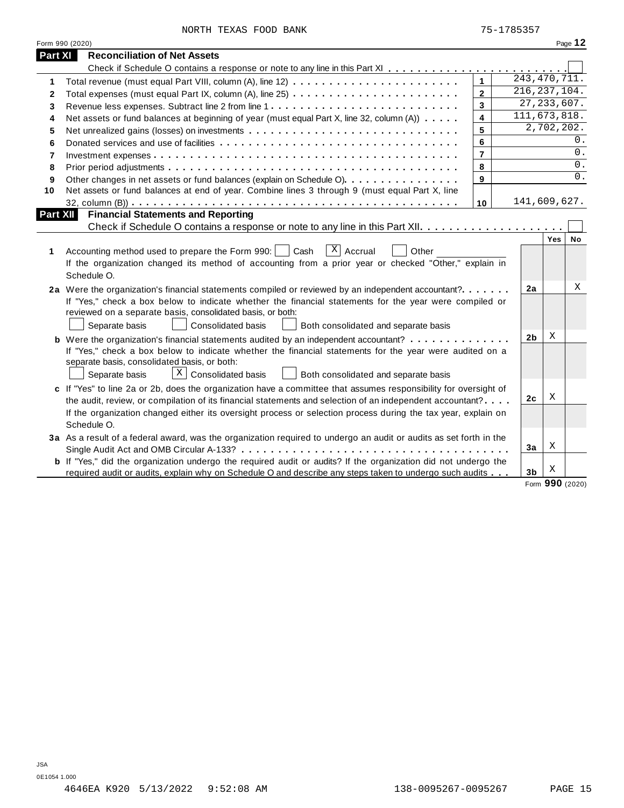| NORTH TEXAS FOOD BANK |  |  |  |  |
|-----------------------|--|--|--|--|
|-----------------------|--|--|--|--|

|          | Form 990 (2020)                                                                                                                                                                                                                                                            |                |                              |            | Page 12 |
|----------|----------------------------------------------------------------------------------------------------------------------------------------------------------------------------------------------------------------------------------------------------------------------------|----------------|------------------------------|------------|---------|
| Part XI  | <b>Reconciliation of Net Assets</b>                                                                                                                                                                                                                                        |                |                              |            |         |
|          |                                                                                                                                                                                                                                                                            |                |                              |            |         |
| 1        |                                                                                                                                                                                                                                                                            | $\mathbf{1}$   | $\overline{243, 470, 711}$ . |            |         |
| 2        |                                                                                                                                                                                                                                                                            | $\mathbf{2}$   | 216, 237, 104.               |            |         |
| 3        |                                                                                                                                                                                                                                                                            | $\overline{3}$ | 27, 233, 607.                |            |         |
| 4        | Net assets or fund balances at beginning of year (must equal Part X, line 32, column (A))                                                                                                                                                                                  | 4              | 111, 673, 818.               |            |         |
| 5        |                                                                                                                                                                                                                                                                            | 5              |                              | 2,702,202. |         |
| 6        |                                                                                                                                                                                                                                                                            | 6              |                              |            | 0.      |
| 7        |                                                                                                                                                                                                                                                                            | $\overline{7}$ |                              |            | 0.      |
| 8        |                                                                                                                                                                                                                                                                            | 8              |                              |            | 0.      |
| 9        | Other changes in net assets or fund balances (explain on Schedule O)                                                                                                                                                                                                       | 9              |                              |            | 0.      |
| 10       | Net assets or fund balances at end of year. Combine lines 3 through 9 (must equal Part X, line                                                                                                                                                                             |                |                              |            |         |
|          |                                                                                                                                                                                                                                                                            | 10             | 141,609,627.                 |            |         |
| Part XII | <b>Financial Statements and Reporting</b>                                                                                                                                                                                                                                  |                |                              |            |         |
|          |                                                                                                                                                                                                                                                                            |                |                              |            |         |
| 1        | $\overline{X}$ Accrual<br>Accounting method used to prepare the Form 990:<br>Cash<br>Other<br>If the organization changed its method of accounting from a prior year or checked "Other," explain in<br>Schedule O.                                                         |                |                              | Yes        | No      |
|          | 2a Were the organization's financial statements compiled or reviewed by an independent accountant?<br>If "Yes," check a box below to indicate whether the financial statements for the year were compiled or<br>reviewed on a separate basis, consolidated basis, or both: |                | 2a                           |            | Χ       |
|          | Separate basis<br><b>Consolidated basis</b><br>Both consolidated and separate basis                                                                                                                                                                                        |                |                              |            |         |
|          | <b>b</b> Were the organization's financial statements audited by an independent accountant?                                                                                                                                                                                |                | 2 <sub>b</sub>               | Χ          |         |
|          | If "Yes," check a box below to indicate whether the financial statements for the year were audited on a<br>separate basis, consolidated basis, or both:<br>$X$ Consolidated basis<br>Separate basis<br>Both consolidated and separate basis                                |                |                              |            |         |
|          | c If "Yes" to line 2a or 2b, does the organization have a committee that assumes responsibility for oversight of                                                                                                                                                           |                |                              |            |         |
|          | the audit, review, or compilation of its financial statements and selection of an independent accountant?                                                                                                                                                                  |                | 2c                           | Χ          |         |
|          | If the organization changed either its oversight process or selection process during the tax year, explain on<br>Schedule O.                                                                                                                                               |                |                              |            |         |
|          | 3a As a result of a federal award, was the organization required to undergo an audit or audits as set forth in the                                                                                                                                                         |                |                              |            |         |
|          | Single Audit Act and OMB Circular A-133?                                                                                                                                                                                                                                   |                | 3a                           | Χ          |         |
|          | <b>b</b> If "Yes," did the organization undergo the required audit or audits? If the organization did not undergo the                                                                                                                                                      |                | 3 <sub>b</sub>               | Χ          |         |
|          | required audit or audits, explain why on Schedule O and describe any steps taken to undergo such audits                                                                                                                                                                    |                |                              |            |         |

Form **990** (2020)

 $\overline{\phantom{a}}$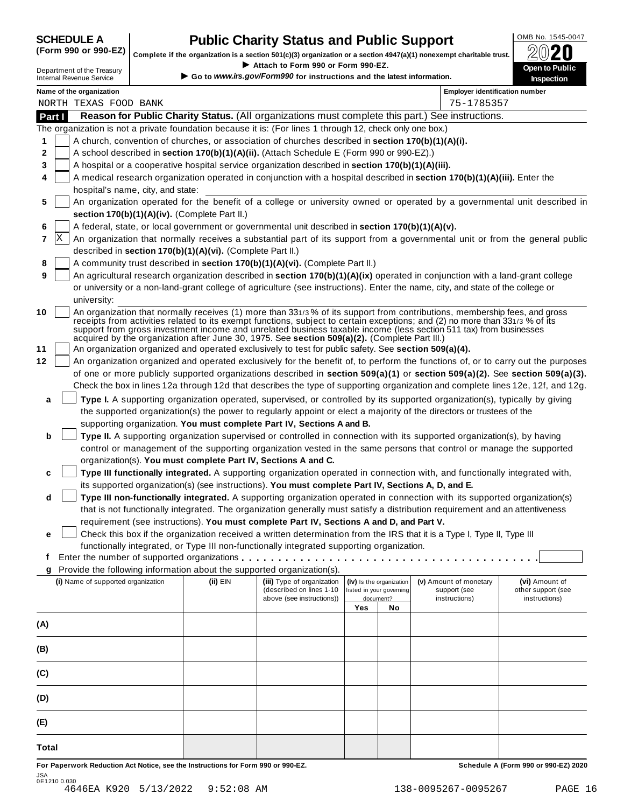# **OMB No. 1545-0047 CHEDULE A Public Charity Status** and **Public Support** (Form 990 or 990-EZ) **Complete if the organization is a section 501(c)(3) organization or a section 4947(a)(1) popeyempt charitable trust \bigcirc**

(Form 990 or 990-EZ) complete if the organization is a section 501(c)(3) organization or a section 4947(a)(1) nonexempt charitable trust.  $2020$ 

|              | <u>  .</u>                                                                                                                                                                                                                                                      |  |                                                                                           | Complete if the organization is a section 501(c)(3) organization or a section 4947(a)(1) nonexempt charitable trust. |     |                          |                                                                                                                                                                                                                                                                                                                                                                                | ZWŁU                                                                                                                             |  |  |  |
|--------------|-----------------------------------------------------------------------------------------------------------------------------------------------------------------------------------------------------------------------------------------------------------------|--|-------------------------------------------------------------------------------------------|----------------------------------------------------------------------------------------------------------------------|-----|--------------------------|--------------------------------------------------------------------------------------------------------------------------------------------------------------------------------------------------------------------------------------------------------------------------------------------------------------------------------------------------------------------------------|----------------------------------------------------------------------------------------------------------------------------------|--|--|--|
|              | Department of the Treasury<br><b>Internal Revenue Service</b>                                                                                                                                                                                                   |  |                                                                                           | Attach to Form 990 or Form 990-EZ.<br>Go to www.irs.gov/Form990 for instructions and the latest information.         |     |                          |                                                                                                                                                                                                                                                                                                                                                                                | Open to Public<br><b>Inspection</b>                                                                                              |  |  |  |
|              | Name of the organization                                                                                                                                                                                                                                        |  |                                                                                           |                                                                                                                      |     |                          | <b>Employer identification number</b>                                                                                                                                                                                                                                                                                                                                          |                                                                                                                                  |  |  |  |
|              | NORTH TEXAS FOOD BANK                                                                                                                                                                                                                                           |  |                                                                                           |                                                                                                                      |     |                          | 75-1785357                                                                                                                                                                                                                                                                                                                                                                     |                                                                                                                                  |  |  |  |
| Part I       |                                                                                                                                                                                                                                                                 |  |                                                                                           |                                                                                                                      |     |                          | Reason for Public Charity Status. (All organizations must complete this part.) See instructions.                                                                                                                                                                                                                                                                               |                                                                                                                                  |  |  |  |
|              |                                                                                                                                                                                                                                                                 |  |                                                                                           | The organization is not a private foundation because it is: (For lines 1 through 12, check only one box.)            |     |                          |                                                                                                                                                                                                                                                                                                                                                                                |                                                                                                                                  |  |  |  |
| 1            |                                                                                                                                                                                                                                                                 |  |                                                                                           | A church, convention of churches, or association of churches described in section 170(b)(1)(A)(i).                   |     |                          |                                                                                                                                                                                                                                                                                                                                                                                |                                                                                                                                  |  |  |  |
| 2            |                                                                                                                                                                                                                                                                 |  | A school described in section 170(b)(1)(A)(ii). (Attach Schedule E (Form 990 or 990-EZ).) |                                                                                                                      |     |                          |                                                                                                                                                                                                                                                                                                                                                                                |                                                                                                                                  |  |  |  |
| 3            |                                                                                                                                                                                                                                                                 |  |                                                                                           | A hospital or a cooperative hospital service organization described in section 170(b)(1)(A)(iii).                    |     |                          |                                                                                                                                                                                                                                                                                                                                                                                |                                                                                                                                  |  |  |  |
| 4            |                                                                                                                                                                                                                                                                 |  |                                                                                           |                                                                                                                      |     |                          | A medical research organization operated in conjunction with a hospital described in section 170(b)(1)(A)(iii). Enter the                                                                                                                                                                                                                                                      |                                                                                                                                  |  |  |  |
|              | hospital's name, city, and state:                                                                                                                                                                                                                               |  |                                                                                           |                                                                                                                      |     |                          |                                                                                                                                                                                                                                                                                                                                                                                |                                                                                                                                  |  |  |  |
| 5            |                                                                                                                                                                                                                                                                 |  |                                                                                           |                                                                                                                      |     |                          |                                                                                                                                                                                                                                                                                                                                                                                | An organization operated for the benefit of a college or university owned or operated by a governmental unit described in        |  |  |  |
|              |                                                                                                                                                                                                                                                                 |  | section 170(b)(1)(A)(iv). (Complete Part II.)                                             |                                                                                                                      |     |                          |                                                                                                                                                                                                                                                                                                                                                                                |                                                                                                                                  |  |  |  |
| 6<br> X<br>7 | A federal, state, or local government or governmental unit described in section 170(b)(1)(A)(v).                                                                                                                                                                |  |                                                                                           |                                                                                                                      |     |                          |                                                                                                                                                                                                                                                                                                                                                                                |                                                                                                                                  |  |  |  |
|              | An organization that normally receives a substantial part of its support from a governmental unit or from the general public<br>described in section 170(b)(1)(A)(vi). (Complete Part II.)                                                                      |  |                                                                                           |                                                                                                                      |     |                          |                                                                                                                                                                                                                                                                                                                                                                                |                                                                                                                                  |  |  |  |
| 8            |                                                                                                                                                                                                                                                                 |  |                                                                                           | A community trust described in section 170(b)(1)(A)(vi). (Complete Part II.)                                         |     |                          |                                                                                                                                                                                                                                                                                                                                                                                |                                                                                                                                  |  |  |  |
| 9            |                                                                                                                                                                                                                                                                 |  |                                                                                           |                                                                                                                      |     |                          |                                                                                                                                                                                                                                                                                                                                                                                |                                                                                                                                  |  |  |  |
|              | An agricultural research organization described in section 170(b)(1)(A)(ix) operated in conjunction with a land-grant college<br>or university or a non-land-grant college of agriculture (see instructions). Enter the name, city, and state of the college or |  |                                                                                           |                                                                                                                      |     |                          |                                                                                                                                                                                                                                                                                                                                                                                |                                                                                                                                  |  |  |  |
|              | university:                                                                                                                                                                                                                                                     |  |                                                                                           |                                                                                                                      |     |                          |                                                                                                                                                                                                                                                                                                                                                                                |                                                                                                                                  |  |  |  |
| 10           |                                                                                                                                                                                                                                                                 |  |                                                                                           | acquired by the organization after June 30, 1975. See section 509(a)(2). (Complete Part III.)                        |     |                          | An organization that normally receives (1) more than 331/3% of its support from contributions, membership fees, and gross<br>receipts from activities related to its exempt functions, subject to certain exceptions; and (2) no more than 331/3 % of its<br>support from gross investment income and unrelated business taxable income (less section 511 tax) from businesses |                                                                                                                                  |  |  |  |
| 11           |                                                                                                                                                                                                                                                                 |  |                                                                                           | An organization organized and operated exclusively to test for public safety. See section 509(a)(4).                 |     |                          |                                                                                                                                                                                                                                                                                                                                                                                |                                                                                                                                  |  |  |  |
| 12           |                                                                                                                                                                                                                                                                 |  |                                                                                           |                                                                                                                      |     |                          |                                                                                                                                                                                                                                                                                                                                                                                | An organization organized and operated exclusively for the benefit of, to perform the functions of, or to carry out the purposes |  |  |  |
|              | of one or more publicly supported organizations described in section 509(a)(1) or section 509(a)(2). See section 509(a)(3).                                                                                                                                     |  |                                                                                           |                                                                                                                      |     |                          |                                                                                                                                                                                                                                                                                                                                                                                |                                                                                                                                  |  |  |  |
|              | Check the box in lines 12a through 12d that describes the type of supporting organization and complete lines 12e, 12f, and 12g.                                                                                                                                 |  |                                                                                           |                                                                                                                      |     |                          |                                                                                                                                                                                                                                                                                                                                                                                |                                                                                                                                  |  |  |  |
| a            | Type I. A supporting organization operated, supervised, or controlled by its supported organization(s), typically by giving                                                                                                                                     |  |                                                                                           |                                                                                                                      |     |                          |                                                                                                                                                                                                                                                                                                                                                                                |                                                                                                                                  |  |  |  |
|              | the supported organization(s) the power to regularly appoint or elect a majority of the directors or trustees of the                                                                                                                                            |  |                                                                                           |                                                                                                                      |     |                          |                                                                                                                                                                                                                                                                                                                                                                                |                                                                                                                                  |  |  |  |
| b            | supporting organization. You must complete Part IV, Sections A and B.<br>Type II. A supporting organization supervised or controlled in connection with its supported organization(s), by having                                                                |  |                                                                                           |                                                                                                                      |     |                          |                                                                                                                                                                                                                                                                                                                                                                                |                                                                                                                                  |  |  |  |
|              |                                                                                                                                                                                                                                                                 |  |                                                                                           |                                                                                                                      |     |                          | control or management of the supporting organization vested in the same persons that control or manage the supported                                                                                                                                                                                                                                                           |                                                                                                                                  |  |  |  |
|              |                                                                                                                                                                                                                                                                 |  |                                                                                           | organization(s). You must complete Part IV, Sections A and C.                                                        |     |                          |                                                                                                                                                                                                                                                                                                                                                                                |                                                                                                                                  |  |  |  |
| c            |                                                                                                                                                                                                                                                                 |  |                                                                                           |                                                                                                                      |     |                          | Type III functionally integrated. A supporting organization operated in connection with, and functionally integrated with,                                                                                                                                                                                                                                                     |                                                                                                                                  |  |  |  |
|              |                                                                                                                                                                                                                                                                 |  |                                                                                           | its supported organization(s) (see instructions). You must complete Part IV, Sections A, D, and E.                   |     |                          |                                                                                                                                                                                                                                                                                                                                                                                |                                                                                                                                  |  |  |  |
| d            |                                                                                                                                                                                                                                                                 |  |                                                                                           |                                                                                                                      |     |                          | Type III non-functionally integrated. A supporting organization operated in connection with its supported organization(s)                                                                                                                                                                                                                                                      |                                                                                                                                  |  |  |  |
|              |                                                                                                                                                                                                                                                                 |  |                                                                                           |                                                                                                                      |     |                          | that is not functionally integrated. The organization generally must satisfy a distribution requirement and an attentiveness                                                                                                                                                                                                                                                   |                                                                                                                                  |  |  |  |
|              |                                                                                                                                                                                                                                                                 |  |                                                                                           | requirement (see instructions). You must complete Part IV, Sections A and D, and Part V.                             |     |                          |                                                                                                                                                                                                                                                                                                                                                                                |                                                                                                                                  |  |  |  |
| е            |                                                                                                                                                                                                                                                                 |  |                                                                                           |                                                                                                                      |     |                          | Check this box if the organization received a written determination from the IRS that it is a Type I, Type II, Type III                                                                                                                                                                                                                                                        |                                                                                                                                  |  |  |  |
|              |                                                                                                                                                                                                                                                                 |  |                                                                                           | functionally integrated, or Type III non-functionally integrated supporting organization.                            |     |                          |                                                                                                                                                                                                                                                                                                                                                                                |                                                                                                                                  |  |  |  |
| f            |                                                                                                                                                                                                                                                                 |  |                                                                                           | Provide the following information about the supported organization(s).                                               |     |                          |                                                                                                                                                                                                                                                                                                                                                                                |                                                                                                                                  |  |  |  |
| g            | (i) Name of supported organization                                                                                                                                                                                                                              |  | (ii) EIN                                                                                  | (iii) Type of organization                                                                                           |     | (iv) Is the organization | (v) Amount of monetary                                                                                                                                                                                                                                                                                                                                                         | (vi) Amount of                                                                                                                   |  |  |  |
|              |                                                                                                                                                                                                                                                                 |  |                                                                                           | (described on lines 1-10                                                                                             |     | listed in your governing | support (see                                                                                                                                                                                                                                                                                                                                                                   | other support (see                                                                                                               |  |  |  |
|              |                                                                                                                                                                                                                                                                 |  |                                                                                           | above (see instructions))                                                                                            | Yes | document?<br>No          | instructions)                                                                                                                                                                                                                                                                                                                                                                  | instructions)                                                                                                                    |  |  |  |
|              |                                                                                                                                                                                                                                                                 |  |                                                                                           |                                                                                                                      |     |                          |                                                                                                                                                                                                                                                                                                                                                                                |                                                                                                                                  |  |  |  |
| (A)          |                                                                                                                                                                                                                                                                 |  |                                                                                           |                                                                                                                      |     |                          |                                                                                                                                                                                                                                                                                                                                                                                |                                                                                                                                  |  |  |  |
| (B)          |                                                                                                                                                                                                                                                                 |  |                                                                                           |                                                                                                                      |     |                          |                                                                                                                                                                                                                                                                                                                                                                                |                                                                                                                                  |  |  |  |
| (C)          |                                                                                                                                                                                                                                                                 |  |                                                                                           |                                                                                                                      |     |                          |                                                                                                                                                                                                                                                                                                                                                                                |                                                                                                                                  |  |  |  |
| (D)          |                                                                                                                                                                                                                                                                 |  |                                                                                           |                                                                                                                      |     |                          |                                                                                                                                                                                                                                                                                                                                                                                |                                                                                                                                  |  |  |  |
| (E)          |                                                                                                                                                                                                                                                                 |  |                                                                                           |                                                                                                                      |     |                          |                                                                                                                                                                                                                                                                                                                                                                                |                                                                                                                                  |  |  |  |
| Total        |                                                                                                                                                                                                                                                                 |  |                                                                                           |                                                                                                                      |     |                          |                                                                                                                                                                                                                                                                                                                                                                                |                                                                                                                                  |  |  |  |
|              |                                                                                                                                                                                                                                                                 |  | For Paperwork Reduction Act Notice, see the Instructions for Form 990 or 990-EZ.          |                                                                                                                      |     |                          |                                                                                                                                                                                                                                                                                                                                                                                | Schedule A (Form 990 or 990-EZ) 2020                                                                                             |  |  |  |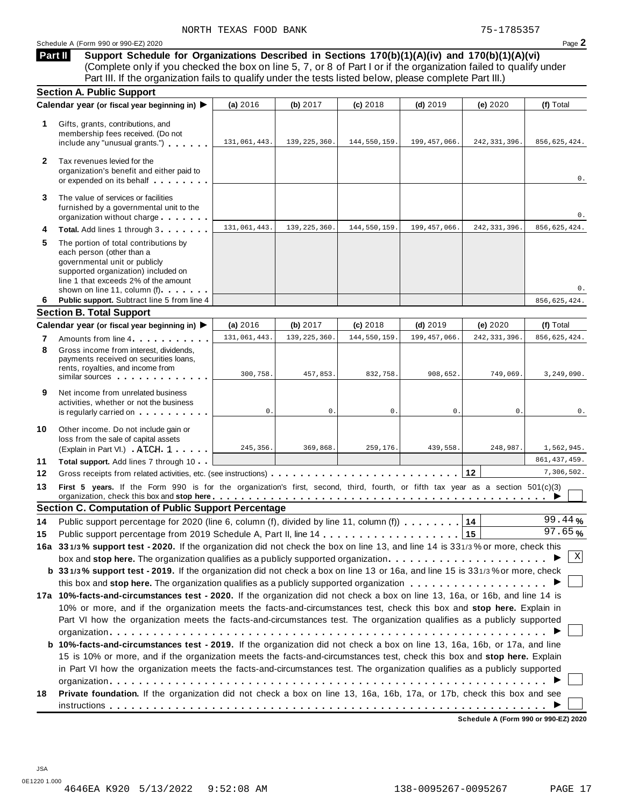**Support Schedule for Organizations Described in Sections 170(b)(1)(A)(iv) and 170(b)(1)(A)(vi)** (Complete only if you checked the box on line 5, 7, or 8 of Part I or if the organization failed to qualify under Part III. If the organization fails to qualify under the tests listed below, please complete Part III.) **Part II**

|                            | <b>Section A. Public Support</b>                                                                                                                                                                                                         |                |                |                |                |                |                |
|----------------------------|------------------------------------------------------------------------------------------------------------------------------------------------------------------------------------------------------------------------------------------|----------------|----------------|----------------|----------------|----------------|----------------|
|                            | Calendar year (or fiscal year beginning in) ▶                                                                                                                                                                                            | (a) 2016       | (b) 2017       | (c) 2018       | $(d)$ 2019     | (e) 2020       | (f) Total      |
| 1                          | Gifts, grants, contributions, and<br>membership fees received. (Do not<br>include any "unusual grants.")                                                                                                                                 | 131,061,443.   | 139, 225, 360. | 144,550,159.   | 199, 457, 066. | 242, 331, 396. | 856,625,424.   |
| $\mathbf{2}$               | Tax revenues levied for the<br>organization's benefit and either paid to<br>or expended on its behalf                                                                                                                                    |                |                |                |                |                | 0.             |
| 3                          | The value of services or facilities<br>furnished by a governmental unit to the<br>organization without charge                                                                                                                            |                |                |                |                |                | 0.             |
| 4                          | Total. Add lines 1 through 3                                                                                                                                                                                                             | 131,061,443.   | 139, 225, 360. | 144,550,159.   | 199, 457, 066. | 242, 331, 396. | 856,625,424.   |
| 5                          | The portion of total contributions by<br>each person (other than a<br>governmental unit or publicly<br>supported organization) included on<br>line 1 that exceeds 2% of the amount<br>shown on line 11, column (f)                       |                |                |                |                |                | $0$ .          |
| 6                          | Public support. Subtract line 5 from line 4                                                                                                                                                                                              |                |                |                |                |                | 856,625,424.   |
|                            | <b>Section B. Total Support</b>                                                                                                                                                                                                          |                |                |                |                |                |                |
|                            | Calendar year (or fiscal year beginning in) ▶                                                                                                                                                                                            | (a) 2016       | (b) 2017       | (c) 2018       | $(d)$ 2019     | (e) 2020       | (f) Total      |
| 7                          | Amounts from line 4                                                                                                                                                                                                                      | 131,061,443.   | 139, 225, 360. | 144,550,159    | 199, 457, 066. | 242, 331, 396. | 856,625,424.   |
| 8                          | Gross income from interest, dividends.<br>payments received on securities loans,<br>rents, royalties, and income from<br>similar sources experiences                                                                                     | 300,758.       | 457,853.       | 832,758.       | 908,652.       | 749,069.       | 3, 249, 090.   |
| 9                          | Net income from unrelated business<br>activities, whether or not the business<br>is regularly carried on the control of the set of the set of the set of the set of the set of the set of the s                                          | $\mathbf{0}$ . | 0.             | $\mathbf{0}$ . | 0.             | 0.             | 0.             |
| 10                         | Other income. Do not include gain or<br>loss from the sale of capital assets<br>(Explain in Part VI.) ATCH 1                                                                                                                             | 245,356.       | 369,868.       | 259,176.       | 439,558.       | 248,987.       | 1,562,945.     |
|                            | Total support. Add lines 7 through 10                                                                                                                                                                                                    |                |                |                |                |                | 861, 437, 459. |
|                            |                                                                                                                                                                                                                                          |                |                |                |                | 12             | 7,306,502.     |
|                            |                                                                                                                                                                                                                                          |                |                |                |                |                |                |
|                            | First 5 years. If the Form 990 is for the organization's first, second, third, fourth, or fifth tax year as a section 501(c)(3)<br>organization, check this box and stop here equitarian enterity or an example that is not a stop here. |                |                |                |                |                |                |
|                            | <b>Section C. Computation of Public Support Percentage</b>                                                                                                                                                                               |                |                |                |                |                |                |
|                            | Public support percentage for 2020 (line 6, column (f), divided by line 11, column (f)                                                                                                                                                   |                |                |                |                | 14             | 99.44%         |
|                            |                                                                                                                                                                                                                                          |                |                |                |                | 15             | 97.65%         |
|                            | 16a 331/3% support test - 2020. If the organization did not check the box on line 13, and line 14 is 331/3% or more, check this                                                                                                          |                |                |                |                |                |                |
|                            | box and stop here. The organization qualifies as a publicly supported organization $\ldots \ldots \ldots \ldots \ldots \ldots$                                                                                                           |                |                |                |                |                | Χ              |
|                            | b 331/3% support test - 2019. If the organization did not check a box on line 13 or 16a, and line 15 is 331/3% or more, check                                                                                                            |                |                |                |                |                |                |
|                            |                                                                                                                                                                                                                                          |                |                |                |                |                |                |
|                            | 17a 10%-facts-and-circumstances test - 2020. If the organization did not check a box on line 13, 16a, or 16b, and line 14 is                                                                                                             |                |                |                |                |                |                |
|                            | 10% or more, and if the organization meets the facts-and-circumstances test, check this box and stop here. Explain in                                                                                                                    |                |                |                |                |                |                |
|                            | Part VI how the organization meets the facts-and-circumstances test. The organization qualifies as a publicly supported                                                                                                                  |                |                |                |                |                |                |
|                            |                                                                                                                                                                                                                                          |                |                |                |                |                |                |
|                            | b 10%-facts-and-circumstances test - 2019. If the organization did not check a box on line 13, 16a, 16b, or 17a, and line                                                                                                                |                |                |                |                |                |                |
|                            | 15 is 10% or more, and if the organization meets the facts-and-circumstances test, check this box and stop here. Explain                                                                                                                 |                |                |                |                |                |                |
| 11<br>12<br>13<br>14<br>15 | in Part VI how the organization meets the facts-and-circumstances test. The organization qualifies as a publicly supported                                                                                                               |                |                |                |                |                |                |
|                            |                                                                                                                                                                                                                                          |                |                |                |                |                |                |
| 18                         | Private foundation. If the organization did not check a box on line 13, 16a, 16b, 17a, or 17b, check this box and see                                                                                                                    |                |                |                |                |                |                |

**Schedule A (Form 990 or 990-EZ) 2020**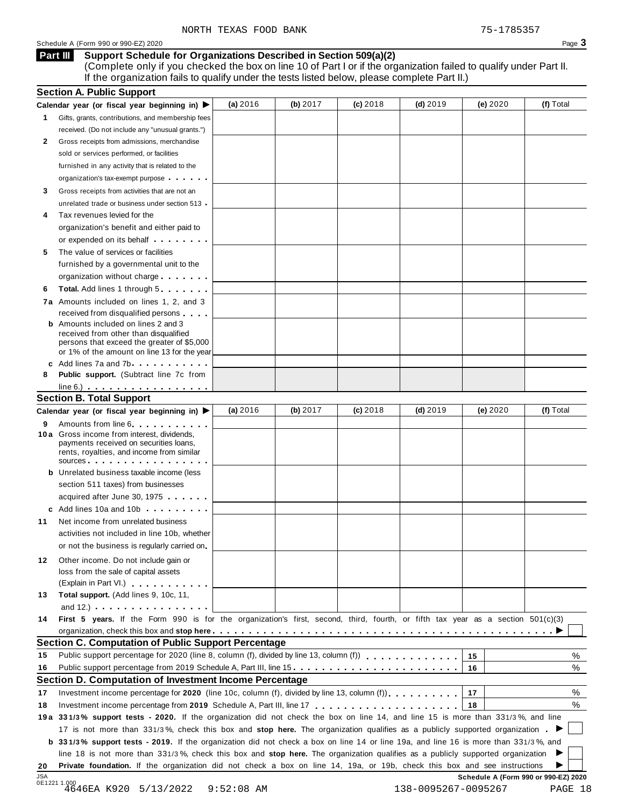#### Schedule <sup>A</sup> (Form <sup>990</sup> or 990-EZ) <sup>2020</sup> Page **3**

#### **Support Schedule for Organizations Described in Section 509(a)(2) Part III**

(Complete only if you checked the box on line 10 of Part I or if the organization failed to qualify under Part II. If the organization fails to qualify under the tests listed below, please complete Part II.)

| <b>Section A. Public Support</b>                                                                                                    |                                                                                                                                                                                                                                                                                                                                                                                                                                                                                                                                                                                                                                                                                                                                                                                                                                                                                                                                                                                                                                                                                                                                                                                                                                                                                                                                                                                                                                                                                                                                                                                                                                                                                                                                                                                                           |            |                                                                                                                                  |            |                                                                                                                                                                                                            |                                                                                                                                                                 |
|-------------------------------------------------------------------------------------------------------------------------------------|-----------------------------------------------------------------------------------------------------------------------------------------------------------------------------------------------------------------------------------------------------------------------------------------------------------------------------------------------------------------------------------------------------------------------------------------------------------------------------------------------------------------------------------------------------------------------------------------------------------------------------------------------------------------------------------------------------------------------------------------------------------------------------------------------------------------------------------------------------------------------------------------------------------------------------------------------------------------------------------------------------------------------------------------------------------------------------------------------------------------------------------------------------------------------------------------------------------------------------------------------------------------------------------------------------------------------------------------------------------------------------------------------------------------------------------------------------------------------------------------------------------------------------------------------------------------------------------------------------------------------------------------------------------------------------------------------------------------------------------------------------------------------------------------------------------|------------|----------------------------------------------------------------------------------------------------------------------------------|------------|------------------------------------------------------------------------------------------------------------------------------------------------------------------------------------------------------------|-----------------------------------------------------------------------------------------------------------------------------------------------------------------|
| Calendar year (or fiscal year beginning in)                                                                                         | (a) $2016$                                                                                                                                                                                                                                                                                                                                                                                                                                                                                                                                                                                                                                                                                                                                                                                                                                                                                                                                                                                                                                                                                                                                                                                                                                                                                                                                                                                                                                                                                                                                                                                                                                                                                                                                                                                                | (b) $2017$ | $(c)$ 2018                                                                                                                       | (d) $2019$ | (e) 2020                                                                                                                                                                                                   | (f) Total                                                                                                                                                       |
| Gifts, grants, contributions, and membership fees                                                                                   |                                                                                                                                                                                                                                                                                                                                                                                                                                                                                                                                                                                                                                                                                                                                                                                                                                                                                                                                                                                                                                                                                                                                                                                                                                                                                                                                                                                                                                                                                                                                                                                                                                                                                                                                                                                                           |            |                                                                                                                                  |            |                                                                                                                                                                                                            |                                                                                                                                                                 |
| received. (Do not include any "unusual grants.")                                                                                    |                                                                                                                                                                                                                                                                                                                                                                                                                                                                                                                                                                                                                                                                                                                                                                                                                                                                                                                                                                                                                                                                                                                                                                                                                                                                                                                                                                                                                                                                                                                                                                                                                                                                                                                                                                                                           |            |                                                                                                                                  |            |                                                                                                                                                                                                            |                                                                                                                                                                 |
|                                                                                                                                     |                                                                                                                                                                                                                                                                                                                                                                                                                                                                                                                                                                                                                                                                                                                                                                                                                                                                                                                                                                                                                                                                                                                                                                                                                                                                                                                                                                                                                                                                                                                                                                                                                                                                                                                                                                                                           |            |                                                                                                                                  |            |                                                                                                                                                                                                            |                                                                                                                                                                 |
| sold or services performed, or facilities                                                                                           |                                                                                                                                                                                                                                                                                                                                                                                                                                                                                                                                                                                                                                                                                                                                                                                                                                                                                                                                                                                                                                                                                                                                                                                                                                                                                                                                                                                                                                                                                                                                                                                                                                                                                                                                                                                                           |            |                                                                                                                                  |            |                                                                                                                                                                                                            |                                                                                                                                                                 |
| furnished in any activity that is related to the                                                                                    |                                                                                                                                                                                                                                                                                                                                                                                                                                                                                                                                                                                                                                                                                                                                                                                                                                                                                                                                                                                                                                                                                                                                                                                                                                                                                                                                                                                                                                                                                                                                                                                                                                                                                                                                                                                                           |            |                                                                                                                                  |            |                                                                                                                                                                                                            |                                                                                                                                                                 |
|                                                                                                                                     |                                                                                                                                                                                                                                                                                                                                                                                                                                                                                                                                                                                                                                                                                                                                                                                                                                                                                                                                                                                                                                                                                                                                                                                                                                                                                                                                                                                                                                                                                                                                                                                                                                                                                                                                                                                                           |            |                                                                                                                                  |            |                                                                                                                                                                                                            |                                                                                                                                                                 |
|                                                                                                                                     |                                                                                                                                                                                                                                                                                                                                                                                                                                                                                                                                                                                                                                                                                                                                                                                                                                                                                                                                                                                                                                                                                                                                                                                                                                                                                                                                                                                                                                                                                                                                                                                                                                                                                                                                                                                                           |            |                                                                                                                                  |            |                                                                                                                                                                                                            |                                                                                                                                                                 |
|                                                                                                                                     |                                                                                                                                                                                                                                                                                                                                                                                                                                                                                                                                                                                                                                                                                                                                                                                                                                                                                                                                                                                                                                                                                                                                                                                                                                                                                                                                                                                                                                                                                                                                                                                                                                                                                                                                                                                                           |            |                                                                                                                                  |            |                                                                                                                                                                                                            |                                                                                                                                                                 |
|                                                                                                                                     |                                                                                                                                                                                                                                                                                                                                                                                                                                                                                                                                                                                                                                                                                                                                                                                                                                                                                                                                                                                                                                                                                                                                                                                                                                                                                                                                                                                                                                                                                                                                                                                                                                                                                                                                                                                                           |            |                                                                                                                                  |            |                                                                                                                                                                                                            |                                                                                                                                                                 |
|                                                                                                                                     |                                                                                                                                                                                                                                                                                                                                                                                                                                                                                                                                                                                                                                                                                                                                                                                                                                                                                                                                                                                                                                                                                                                                                                                                                                                                                                                                                                                                                                                                                                                                                                                                                                                                                                                                                                                                           |            |                                                                                                                                  |            |                                                                                                                                                                                                            |                                                                                                                                                                 |
|                                                                                                                                     |                                                                                                                                                                                                                                                                                                                                                                                                                                                                                                                                                                                                                                                                                                                                                                                                                                                                                                                                                                                                                                                                                                                                                                                                                                                                                                                                                                                                                                                                                                                                                                                                                                                                                                                                                                                                           |            |                                                                                                                                  |            |                                                                                                                                                                                                            |                                                                                                                                                                 |
|                                                                                                                                     |                                                                                                                                                                                                                                                                                                                                                                                                                                                                                                                                                                                                                                                                                                                                                                                                                                                                                                                                                                                                                                                                                                                                                                                                                                                                                                                                                                                                                                                                                                                                                                                                                                                                                                                                                                                                           |            |                                                                                                                                  |            |                                                                                                                                                                                                            |                                                                                                                                                                 |
|                                                                                                                                     |                                                                                                                                                                                                                                                                                                                                                                                                                                                                                                                                                                                                                                                                                                                                                                                                                                                                                                                                                                                                                                                                                                                                                                                                                                                                                                                                                                                                                                                                                                                                                                                                                                                                                                                                                                                                           |            |                                                                                                                                  |            |                                                                                                                                                                                                            |                                                                                                                                                                 |
|                                                                                                                                     |                                                                                                                                                                                                                                                                                                                                                                                                                                                                                                                                                                                                                                                                                                                                                                                                                                                                                                                                                                                                                                                                                                                                                                                                                                                                                                                                                                                                                                                                                                                                                                                                                                                                                                                                                                                                           |            |                                                                                                                                  |            |                                                                                                                                                                                                            |                                                                                                                                                                 |
|                                                                                                                                     |                                                                                                                                                                                                                                                                                                                                                                                                                                                                                                                                                                                                                                                                                                                                                                                                                                                                                                                                                                                                                                                                                                                                                                                                                                                                                                                                                                                                                                                                                                                                                                                                                                                                                                                                                                                                           |            |                                                                                                                                  |            |                                                                                                                                                                                                            |                                                                                                                                                                 |
|                                                                                                                                     |                                                                                                                                                                                                                                                                                                                                                                                                                                                                                                                                                                                                                                                                                                                                                                                                                                                                                                                                                                                                                                                                                                                                                                                                                                                                                                                                                                                                                                                                                                                                                                                                                                                                                                                                                                                                           |            |                                                                                                                                  |            |                                                                                                                                                                                                            |                                                                                                                                                                 |
|                                                                                                                                     |                                                                                                                                                                                                                                                                                                                                                                                                                                                                                                                                                                                                                                                                                                                                                                                                                                                                                                                                                                                                                                                                                                                                                                                                                                                                                                                                                                                                                                                                                                                                                                                                                                                                                                                                                                                                           |            |                                                                                                                                  |            |                                                                                                                                                                                                            |                                                                                                                                                                 |
|                                                                                                                                     |                                                                                                                                                                                                                                                                                                                                                                                                                                                                                                                                                                                                                                                                                                                                                                                                                                                                                                                                                                                                                                                                                                                                                                                                                                                                                                                                                                                                                                                                                                                                                                                                                                                                                                                                                                                                           |            |                                                                                                                                  |            |                                                                                                                                                                                                            |                                                                                                                                                                 |
| received from other than disqualified                                                                                               |                                                                                                                                                                                                                                                                                                                                                                                                                                                                                                                                                                                                                                                                                                                                                                                                                                                                                                                                                                                                                                                                                                                                                                                                                                                                                                                                                                                                                                                                                                                                                                                                                                                                                                                                                                                                           |            |                                                                                                                                  |            |                                                                                                                                                                                                            |                                                                                                                                                                 |
| persons that exceed the greater of \$5,000                                                                                          |                                                                                                                                                                                                                                                                                                                                                                                                                                                                                                                                                                                                                                                                                                                                                                                                                                                                                                                                                                                                                                                                                                                                                                                                                                                                                                                                                                                                                                                                                                                                                                                                                                                                                                                                                                                                           |            |                                                                                                                                  |            |                                                                                                                                                                                                            |                                                                                                                                                                 |
|                                                                                                                                     |                                                                                                                                                                                                                                                                                                                                                                                                                                                                                                                                                                                                                                                                                                                                                                                                                                                                                                                                                                                                                                                                                                                                                                                                                                                                                                                                                                                                                                                                                                                                                                                                                                                                                                                                                                                                           |            |                                                                                                                                  |            |                                                                                                                                                                                                            |                                                                                                                                                                 |
|                                                                                                                                     |                                                                                                                                                                                                                                                                                                                                                                                                                                                                                                                                                                                                                                                                                                                                                                                                                                                                                                                                                                                                                                                                                                                                                                                                                                                                                                                                                                                                                                                                                                                                                                                                                                                                                                                                                                                                           |            |                                                                                                                                  |            |                                                                                                                                                                                                            |                                                                                                                                                                 |
|                                                                                                                                     |                                                                                                                                                                                                                                                                                                                                                                                                                                                                                                                                                                                                                                                                                                                                                                                                                                                                                                                                                                                                                                                                                                                                                                                                                                                                                                                                                                                                                                                                                                                                                                                                                                                                                                                                                                                                           |            |                                                                                                                                  |            |                                                                                                                                                                                                            |                                                                                                                                                                 |
|                                                                                                                                     |                                                                                                                                                                                                                                                                                                                                                                                                                                                                                                                                                                                                                                                                                                                                                                                                                                                                                                                                                                                                                                                                                                                                                                                                                                                                                                                                                                                                                                                                                                                                                                                                                                                                                                                                                                                                           |            |                                                                                                                                  |            |                                                                                                                                                                                                            |                                                                                                                                                                 |
|                                                                                                                                     |                                                                                                                                                                                                                                                                                                                                                                                                                                                                                                                                                                                                                                                                                                                                                                                                                                                                                                                                                                                                                                                                                                                                                                                                                                                                                                                                                                                                                                                                                                                                                                                                                                                                                                                                                                                                           |            |                                                                                                                                  |            |                                                                                                                                                                                                            |                                                                                                                                                                 |
|                                                                                                                                     |                                                                                                                                                                                                                                                                                                                                                                                                                                                                                                                                                                                                                                                                                                                                                                                                                                                                                                                                                                                                                                                                                                                                                                                                                                                                                                                                                                                                                                                                                                                                                                                                                                                                                                                                                                                                           |            |                                                                                                                                  |            |                                                                                                                                                                                                            | (f) Total                                                                                                                                                       |
|                                                                                                                                     |                                                                                                                                                                                                                                                                                                                                                                                                                                                                                                                                                                                                                                                                                                                                                                                                                                                                                                                                                                                                                                                                                                                                                                                                                                                                                                                                                                                                                                                                                                                                                                                                                                                                                                                                                                                                           |            |                                                                                                                                  |            |                                                                                                                                                                                                            |                                                                                                                                                                 |
| payments received on securities loans,<br>rents, royalties, and income from similar                                                 |                                                                                                                                                                                                                                                                                                                                                                                                                                                                                                                                                                                                                                                                                                                                                                                                                                                                                                                                                                                                                                                                                                                                                                                                                                                                                                                                                                                                                                                                                                                                                                                                                                                                                                                                                                                                           |            |                                                                                                                                  |            |                                                                                                                                                                                                            |                                                                                                                                                                 |
|                                                                                                                                     |                                                                                                                                                                                                                                                                                                                                                                                                                                                                                                                                                                                                                                                                                                                                                                                                                                                                                                                                                                                                                                                                                                                                                                                                                                                                                                                                                                                                                                                                                                                                                                                                                                                                                                                                                                                                           |            |                                                                                                                                  |            |                                                                                                                                                                                                            |                                                                                                                                                                 |
|                                                                                                                                     |                                                                                                                                                                                                                                                                                                                                                                                                                                                                                                                                                                                                                                                                                                                                                                                                                                                                                                                                                                                                                                                                                                                                                                                                                                                                                                                                                                                                                                                                                                                                                                                                                                                                                                                                                                                                           |            |                                                                                                                                  |            |                                                                                                                                                                                                            |                                                                                                                                                                 |
|                                                                                                                                     |                                                                                                                                                                                                                                                                                                                                                                                                                                                                                                                                                                                                                                                                                                                                                                                                                                                                                                                                                                                                                                                                                                                                                                                                                                                                                                                                                                                                                                                                                                                                                                                                                                                                                                                                                                                                           |            |                                                                                                                                  |            |                                                                                                                                                                                                            |                                                                                                                                                                 |
|                                                                                                                                     |                                                                                                                                                                                                                                                                                                                                                                                                                                                                                                                                                                                                                                                                                                                                                                                                                                                                                                                                                                                                                                                                                                                                                                                                                                                                                                                                                                                                                                                                                                                                                                                                                                                                                                                                                                                                           |            |                                                                                                                                  |            |                                                                                                                                                                                                            |                                                                                                                                                                 |
|                                                                                                                                     |                                                                                                                                                                                                                                                                                                                                                                                                                                                                                                                                                                                                                                                                                                                                                                                                                                                                                                                                                                                                                                                                                                                                                                                                                                                                                                                                                                                                                                                                                                                                                                                                                                                                                                                                                                                                           |            |                                                                                                                                  |            |                                                                                                                                                                                                            |                                                                                                                                                                 |
|                                                                                                                                     |                                                                                                                                                                                                                                                                                                                                                                                                                                                                                                                                                                                                                                                                                                                                                                                                                                                                                                                                                                                                                                                                                                                                                                                                                                                                                                                                                                                                                                                                                                                                                                                                                                                                                                                                                                                                           |            |                                                                                                                                  |            |                                                                                                                                                                                                            |                                                                                                                                                                 |
|                                                                                                                                     |                                                                                                                                                                                                                                                                                                                                                                                                                                                                                                                                                                                                                                                                                                                                                                                                                                                                                                                                                                                                                                                                                                                                                                                                                                                                                                                                                                                                                                                                                                                                                                                                                                                                                                                                                                                                           |            |                                                                                                                                  |            |                                                                                                                                                                                                            |                                                                                                                                                                 |
|                                                                                                                                     |                                                                                                                                                                                                                                                                                                                                                                                                                                                                                                                                                                                                                                                                                                                                                                                                                                                                                                                                                                                                                                                                                                                                                                                                                                                                                                                                                                                                                                                                                                                                                                                                                                                                                                                                                                                                           |            |                                                                                                                                  |            |                                                                                                                                                                                                            |                                                                                                                                                                 |
|                                                                                                                                     |                                                                                                                                                                                                                                                                                                                                                                                                                                                                                                                                                                                                                                                                                                                                                                                                                                                                                                                                                                                                                                                                                                                                                                                                                                                                                                                                                                                                                                                                                                                                                                                                                                                                                                                                                                                                           |            |                                                                                                                                  |            |                                                                                                                                                                                                            |                                                                                                                                                                 |
|                                                                                                                                     |                                                                                                                                                                                                                                                                                                                                                                                                                                                                                                                                                                                                                                                                                                                                                                                                                                                                                                                                                                                                                                                                                                                                                                                                                                                                                                                                                                                                                                                                                                                                                                                                                                                                                                                                                                                                           |            |                                                                                                                                  |            |                                                                                                                                                                                                            |                                                                                                                                                                 |
|                                                                                                                                     |                                                                                                                                                                                                                                                                                                                                                                                                                                                                                                                                                                                                                                                                                                                                                                                                                                                                                                                                                                                                                                                                                                                                                                                                                                                                                                                                                                                                                                                                                                                                                                                                                                                                                                                                                                                                           |            |                                                                                                                                  |            |                                                                                                                                                                                                            |                                                                                                                                                                 |
|                                                                                                                                     |                                                                                                                                                                                                                                                                                                                                                                                                                                                                                                                                                                                                                                                                                                                                                                                                                                                                                                                                                                                                                                                                                                                                                                                                                                                                                                                                                                                                                                                                                                                                                                                                                                                                                                                                                                                                           |            |                                                                                                                                  |            |                                                                                                                                                                                                            |                                                                                                                                                                 |
|                                                                                                                                     |                                                                                                                                                                                                                                                                                                                                                                                                                                                                                                                                                                                                                                                                                                                                                                                                                                                                                                                                                                                                                                                                                                                                                                                                                                                                                                                                                                                                                                                                                                                                                                                                                                                                                                                                                                                                           |            |                                                                                                                                  |            |                                                                                                                                                                                                            |                                                                                                                                                                 |
|                                                                                                                                     |                                                                                                                                                                                                                                                                                                                                                                                                                                                                                                                                                                                                                                                                                                                                                                                                                                                                                                                                                                                                                                                                                                                                                                                                                                                                                                                                                                                                                                                                                                                                                                                                                                                                                                                                                                                                           |            |                                                                                                                                  |            |                                                                                                                                                                                                            |                                                                                                                                                                 |
|                                                                                                                                     |                                                                                                                                                                                                                                                                                                                                                                                                                                                                                                                                                                                                                                                                                                                                                                                                                                                                                                                                                                                                                                                                                                                                                                                                                                                                                                                                                                                                                                                                                                                                                                                                                                                                                                                                                                                                           |            |                                                                                                                                  |            |                                                                                                                                                                                                            |                                                                                                                                                                 |
|                                                                                                                                     |                                                                                                                                                                                                                                                                                                                                                                                                                                                                                                                                                                                                                                                                                                                                                                                                                                                                                                                                                                                                                                                                                                                                                                                                                                                                                                                                                                                                                                                                                                                                                                                                                                                                                                                                                                                                           |            |                                                                                                                                  |            |                                                                                                                                                                                                            |                                                                                                                                                                 |
|                                                                                                                                     |                                                                                                                                                                                                                                                                                                                                                                                                                                                                                                                                                                                                                                                                                                                                                                                                                                                                                                                                                                                                                                                                                                                                                                                                                                                                                                                                                                                                                                                                                                                                                                                                                                                                                                                                                                                                           |            |                                                                                                                                  |            |                                                                                                                                                                                                            | %                                                                                                                                                               |
|                                                                                                                                     |                                                                                                                                                                                                                                                                                                                                                                                                                                                                                                                                                                                                                                                                                                                                                                                                                                                                                                                                                                                                                                                                                                                                                                                                                                                                                                                                                                                                                                                                                                                                                                                                                                                                                                                                                                                                           |            |                                                                                                                                  |            |                                                                                                                                                                                                            | %                                                                                                                                                               |
|                                                                                                                                     |                                                                                                                                                                                                                                                                                                                                                                                                                                                                                                                                                                                                                                                                                                                                                                                                                                                                                                                                                                                                                                                                                                                                                                                                                                                                                                                                                                                                                                                                                                                                                                                                                                                                                                                                                                                                           |            |                                                                                                                                  |            |                                                                                                                                                                                                            |                                                                                                                                                                 |
|                                                                                                                                     |                                                                                                                                                                                                                                                                                                                                                                                                                                                                                                                                                                                                                                                                                                                                                                                                                                                                                                                                                                                                                                                                                                                                                                                                                                                                                                                                                                                                                                                                                                                                                                                                                                                                                                                                                                                                           |            |                                                                                                                                  |            |                                                                                                                                                                                                            | %                                                                                                                                                               |
|                                                                                                                                     |                                                                                                                                                                                                                                                                                                                                                                                                                                                                                                                                                                                                                                                                                                                                                                                                                                                                                                                                                                                                                                                                                                                                                                                                                                                                                                                                                                                                                                                                                                                                                                                                                                                                                                                                                                                                           |            |                                                                                                                                  |            | 18                                                                                                                                                                                                         | %                                                                                                                                                               |
| 19a 331/3% support tests - 2020. If the organization did not check the box on line 14, and line 15 is more than 331/3%, and line    |                                                                                                                                                                                                                                                                                                                                                                                                                                                                                                                                                                                                                                                                                                                                                                                                                                                                                                                                                                                                                                                                                                                                                                                                                                                                                                                                                                                                                                                                                                                                                                                                                                                                                                                                                                                                           |            |                                                                                                                                  |            |                                                                                                                                                                                                            |                                                                                                                                                                 |
| 17 is not more than 331/3%, check this box and stop here. The organization qualifies as a publicly supported organization.          |                                                                                                                                                                                                                                                                                                                                                                                                                                                                                                                                                                                                                                                                                                                                                                                                                                                                                                                                                                                                                                                                                                                                                                                                                                                                                                                                                                                                                                                                                                                                                                                                                                                                                                                                                                                                           |            |                                                                                                                                  |            |                                                                                                                                                                                                            |                                                                                                                                                                 |
|                                                                                                                                     |                                                                                                                                                                                                                                                                                                                                                                                                                                                                                                                                                                                                                                                                                                                                                                                                                                                                                                                                                                                                                                                                                                                                                                                                                                                                                                                                                                                                                                                                                                                                                                                                                                                                                                                                                                                                           |            |                                                                                                                                  |            |                                                                                                                                                                                                            |                                                                                                                                                                 |
| b 331/3% support tests - 2019. If the organization did not check a box on line 14 or line 19a, and line 16 is more than 331/3%, and |                                                                                                                                                                                                                                                                                                                                                                                                                                                                                                                                                                                                                                                                                                                                                                                                                                                                                                                                                                                                                                                                                                                                                                                                                                                                                                                                                                                                                                                                                                                                                                                                                                                                                                                                                                                                           |            |                                                                                                                                  |            |                                                                                                                                                                                                            |                                                                                                                                                                 |
| line 18 is not more than 331/3%, check this box and stop here. The organization qualifies as a publicly supported organization      |                                                                                                                                                                                                                                                                                                                                                                                                                                                                                                                                                                                                                                                                                                                                                                                                                                                                                                                                                                                                                                                                                                                                                                                                                                                                                                                                                                                                                                                                                                                                                                                                                                                                                                                                                                                                           |            |                                                                                                                                  |            |                                                                                                                                                                                                            |                                                                                                                                                                 |
| Private foundation. If the organization did not check a box on line 14, 19a, or 19b, check this box and see instructions            |                                                                                                                                                                                                                                                                                                                                                                                                                                                                                                                                                                                                                                                                                                                                                                                                                                                                                                                                                                                                                                                                                                                                                                                                                                                                                                                                                                                                                                                                                                                                                                                                                                                                                                                                                                                                           |            |                                                                                                                                  |            |                                                                                                                                                                                                            |                                                                                                                                                                 |
|                                                                                                                                     | Gross receipts from admissions, merchandise<br>organization's tax-exempt purpose<br>Gross receipts from activities that are not an<br>unrelated trade or business under section 513 .<br>Tax revenues levied for the<br>organization's benefit and either paid to<br>or expended on its behalf <b>contains the set of the set of the set of the set of the set of the set of the set of the set of the set of the set of the set of the set of the set of the set of the set of the set of the set of</b><br>The value of services or facilities<br>furnished by a governmental unit to the<br>organization without charge<br><b>Total.</b> Add lines 1 through 5<br>7a Amounts included on lines 1, 2, and 3<br>received from disqualified persons<br><b>b</b> Amounts included on lines 2 and 3<br>or 1% of the amount on line 13 for the year<br>c Add lines 7a and 7b contact the contact of the contact of the contact of the contact of the contact of the contact of the contact of the contact of the contact of the contact of the contact of the contact of the contact<br>Public support. (Subtract line 7c from<br>$line 6.)$<br><b>Section B. Total Support</b><br>Calendar year (or fiscal year beginning in)<br>Amounts from line 6<br>10 a Gross income from interest, dividends,<br>SOUICES<br><b>b</b> Unrelated business taxable income (less<br>section 511 taxes) from businesses<br>acquired after June 30, 1975<br>c Add lines 10a and 10b<br>Net income from unrelated business<br>activities not included in line 10b, whether<br>or not the business is regularly carried on.<br>Other income. Do not include gain or<br>loss from the sale of capital assets<br>(Explain in Part VI.)<br>Total support. (Add lines 9, 10c, 11,<br>and 12.) $\cdots$ $\cdots$ $\cdots$ $\cdots$ | (a) 2016   | (b) 2017<br><b>Section C. Computation of Public Support Percentage</b><br>Section D. Computation of Investment Income Percentage | $(c)$ 2018 | (d) $2019$<br>Public support percentage from 2019 Schedule A, Part III, line 15.<br>Investment income percentage for 2020 (line 10c, column (f), divided by line 13, column (f)), $\ldots$ , , , , , , , , | (e) $2020$<br>First 5 years. If the Form 990 is for the organization's first, second, third, fourth, or fifth tax year as a section 501(c)(3)<br>15<br>16<br>17 |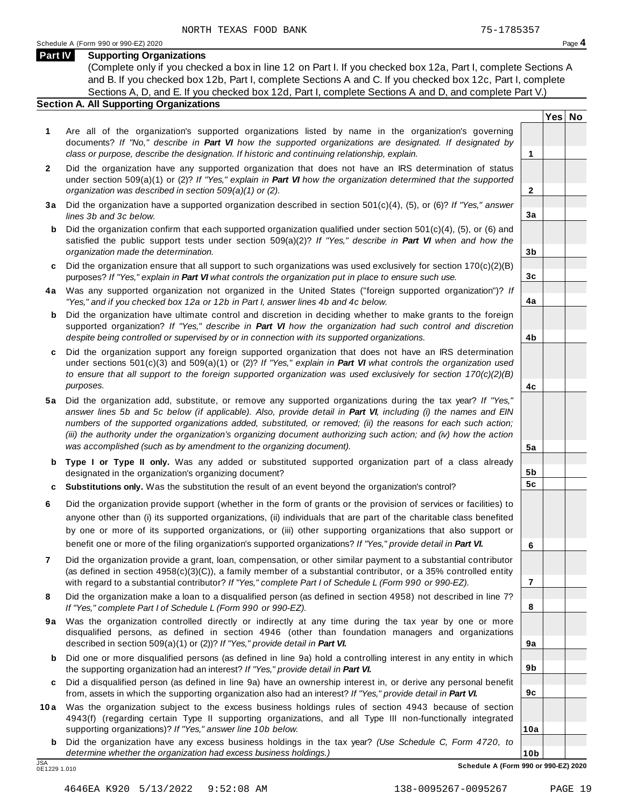**Yes No**

**2**

**3a**

**3b**

**3c**

**4a**

**4b**

**4c**

**5a**

**5b 5c**

**6**

**7**

**8**

**9a**

**9b**

**9c**

**10a**

#### **Part IV Supporting Organizations**

(Complete only if you checked a box in line 12 on Part I. If you checked box 12a, Part I, complete Sections A and B. If you checked box 12b, Part I, complete Sections A and C. If you checked box 12c, Part I, complete Sections A, D, and E. If you checked box 12d, Part I, complete Sections A and D, and complete Part V.)

## **Section A. All Supporting Organizations**

- **1** Are all of the organization's supported organizations listed by name in the organization's governing documents? *If "No," describe in Part VI how the supported organizations are designated. If designated by class or purpose, describe the designation. If historic and continuing relationship, explain.* **1**
- **2** Did the organization have any supported organization that does not have an IRS determination of status under section 509(a)(1) or (2)? *If"Yes," explain in Part VI how the organization determined that the supported organization was described in section 509(a)(1) or (2).*
- **3 a** Did the organization have a supported organization described in section 501(c)(4), (5), or (6)? *If "Yes," answer lines 3b and 3c below.*
- **b** Did the organization confirm that each supported organization qualified under section 501(c)(4), (5), or (6) and | satisfied the public support tests under section 509(a)(2)? *If "Yes," describe in Part VI when and how the organization made the determination.*
- **c** Did the organization ensure that all support to such organizations was used exclusively for section 170(c)(2)(B) purposes? *If"Yes," explain in Part VI what controls the organization put in place to ensure such use.*
- **4 a** Was any supported organization not organized in the United States ("foreign supported organization")? *If "Yes," and if you checked box 12a or 12b in Part I, answer lines 4b and 4c below.*
- **b** Did the organization have ultimate control and discretion in deciding whether to make grants to the foreign | supported organization? *If "Yes," describe in Part VI how the organization had such control and discretion despite being controlled or supervised by or in connection with its supported organizations.*
- **c** Did the organization support any foreign supported organization that does not have an IRS determination | under sections 501(c)(3) and 509(a)(1) or (2)? *If "Yes," explain in Part VI what controls the organization used to ensure that all support to the foreign supported organization was used exclusively for section 170(c)(2)(B) purposes.*
- **5 a** Did the organization add, substitute, or remove any supported organizations during the tax year? *If "Yes,"* answer lines 5b and 5c below (if applicable). Also, provide detail in Part VI, including (i) the names and EIN *numbers of the supported organizations added, substituted, or removed; (ii) the reasons for each such action;* (iii) the authority under the organization's organizing document authorizing such action; and (iv) how the action *was accomplished (such as by amendment to the organizing document).*
- **b Type I or Type II only.** Was any added or substituted supported organization part of a class already designated in the organization's organizing document?
- **c Substitutions only.** Was the substitution the result of an event beyond the organization's control?
- **6** Did the organization provide support (whether in the form of grants or the provision of services or facilities) to anyone other than (i) its supported organizations, (ii) individuals that are part of the charitable class benefited by one or more of its supported organizations, or (iii) other supporting organizations that also support or benefit one or more of the filing organization's supported organizations? *If"Yes," provide detail in Part VI.*
- **7** Did the organization provide a grant, loan, compensation, or other similar payment to a substantial contributor (as defined in section 4958(c)(3)(C)), a family member of a substantial contributor, or a 35% controlled entity with regard to a substantial contributor? *If"Yes," complete Part I of Schedule L (Form 990 or 990-EZ).*
- **8** Did the organization make a loan to a disqualified person (as defined in section 4958) not described in line 7? *If "Yes," complete Part I of Schedule L (Form 990 or 990-EZ).*
- **9a** Was the organization controlled directly or indirectly at any time during the tax year by one or more | disqualified persons, as defined in section 4946 (other than foundation managers and organizations described in section 509(a)(1) or (2))? *If"Yes," provide detail in Part VI.*
- **b** Did one or more disqualified persons (as defined in line 9a) hold a controlling interest in any entity in which | the supporting organization had an interest? *If"Yes," provide detail in Part VI.*
- **c** Did a disqualified person (as defined in line 9a) have an ownership interest in, or derive any personal benefit from, assets in which the supporting organization also had an interest? *If"Yes," provide detail in Part VI.*
- **10a** Was the organization subject to the excess business holdings rules of section 4943 because of section | 4943(f) (regarding certain Type II supporting organizations, and all Type III non-functionally integrated supporting organizations)? *If"Yes," answer line 10b below.*
	- **b** Did the organization have any excess business holdings in the tax year? *(Use Schedule C, Form 4720, to determine whether the organization had excess business holdings.)*

0E1229 1.010

**10b** JSA **Schedule A (Form 990 or 990-EZ) 2020**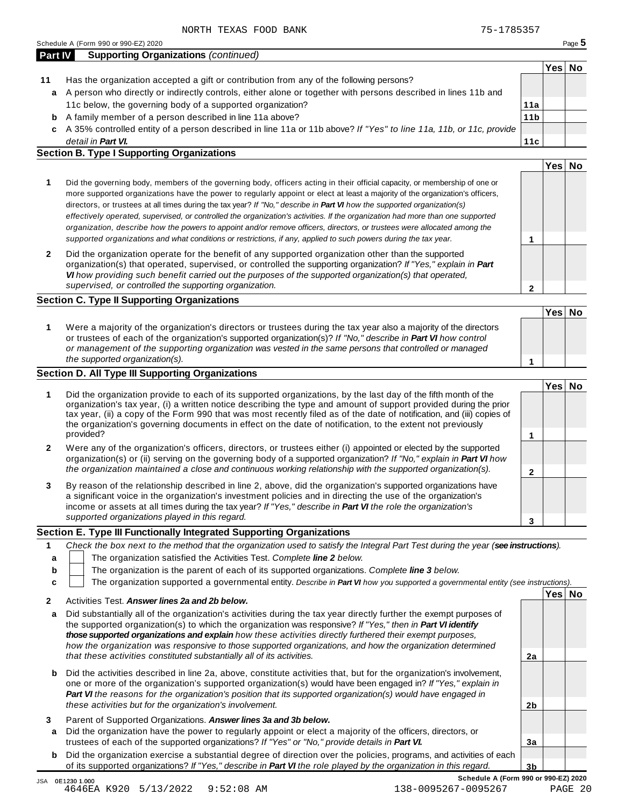|    |                                                                                                                    |                 | Yes⊺ | No |
|----|--------------------------------------------------------------------------------------------------------------------|-----------------|------|----|
| 11 | Has the organization accepted a gift or contribution from any of the following persons?                            |                 |      |    |
|    | a A person who directly or indirectly controls, either alone or together with persons described in lines 11b and   |                 |      |    |
|    | 11c below, the governing body of a supported organization?                                                         | 11a             |      |    |
| b  | A family member of a person described in line 11a above?                                                           | 11 <sub>b</sub> |      |    |
| c  | A 35% controlled entity of a person described in line 11a or 11b above? If "Yes" to line 11a, 11b, or 11c, provide |                 |      |    |
|    | detail in <b>Part VI.</b>                                                                                          | 11c             |      |    |

|                                                                                                                                                                                                                                                                                                                                                                                                                                                                                                                                                                                                                                                             | Yes⊺ | No |
|-------------------------------------------------------------------------------------------------------------------------------------------------------------------------------------------------------------------------------------------------------------------------------------------------------------------------------------------------------------------------------------------------------------------------------------------------------------------------------------------------------------------------------------------------------------------------------------------------------------------------------------------------------------|------|----|
| Did the governing body, members of the governing body, officers acting in their official capacity, or membership of one or<br>more supported organizations have the power to regularly appoint or elect at least a majority of the organization's officers,<br>directors, or trustees at all times during the tax year? If "No," describe in <b>Part VI</b> how the supported organization(s)<br>effectively operated, supervised, or controlled the organization's activities. If the organization had more than one supported<br>organization, describe how the powers to appoint and/or remove officers, directors, or trustees were allocated among the |      |    |
| supported organizations and what conditions or restrictions, if any, applied to such powers during the tax year.                                                                                                                                                                                                                                                                                                                                                                                                                                                                                                                                            |      |    |
| Did the organization operate for the benefit of any supported organization other than the supported<br>organization(s) that operated, supervised, or controlled the supporting organization? If "Yes," explain in Part                                                                                                                                                                                                                                                                                                                                                                                                                                      |      |    |

*VI how providing such benefit carried out the purposes of the supported organization(s) that operated, supervised, or controlled the supporting organization.*

## **Section C. Type II Supporting Organizations**

**1 Yes No 1** Were a majority of the organization's directors or trustees during the tax year also a majority of the directors or trustees of each of the organization's supported organization(s)? *If"No," describe in Part VI how control or management of the supporting organization was vested in the same persons that controlled or managed the supported organization(s).*

### **Section D. All Type III Supporting Organizations**

|              |                                                                                                                                                                                                                                                                                                                                                                                                                                                                                          |  | Yes⊺ |  |
|--------------|------------------------------------------------------------------------------------------------------------------------------------------------------------------------------------------------------------------------------------------------------------------------------------------------------------------------------------------------------------------------------------------------------------------------------------------------------------------------------------------|--|------|--|
|              | Did the organization provide to each of its supported organizations, by the last day of the fifth month of the<br>organization's tax year, (i) a written notice describing the type and amount of support provided during the prior<br>tax year, (ii) a copy of the Form 990 that was most recently filed as of the date of notification, and (iii) copies of<br>the organization's governing documents in effect on the date of notification, to the extent not previously<br>provided? |  |      |  |
| $\mathbf{2}$ | Were any of the organization's officers, directors, or trustees either (i) appointed or elected by the supported<br>organization(s) or (ii) serving on the governing body of a supported organization? If "No," explain in Part VI how                                                                                                                                                                                                                                                   |  |      |  |
|              | the organization maintained a close and continuous working relationship with the supported organization(s).                                                                                                                                                                                                                                                                                                                                                                              |  |      |  |
| 3            | By reason of the relationship described in line 2, above, did the organization's supported organizations have<br>a significant voice in the organization's investment policies and in directing the use of the organization's<br>income or assets at all times during the tax year? If "Yes," describe in Part VI the role the organization's                                                                                                                                            |  |      |  |
|              | supported organizations played in this regard.                                                                                                                                                                                                                                                                                                                                                                                                                                           |  |      |  |

#### **Section E. Type III Functionally Integrated Supporting Organizations**

|   |                                                                                               | Check the box next to the method that the organization used to satisfy the Integral Part Test during the year (see instructions). |  |      |    |
|---|-----------------------------------------------------------------------------------------------|-----------------------------------------------------------------------------------------------------------------------------------|--|------|----|
|   |                                                                                               | The organization satisfied the Activities Test. Complete line 2 below.                                                            |  |      |    |
| b | The organization is the parent of each of its supported organizations. Complete line 3 below. |                                                                                                                                   |  |      |    |
|   |                                                                                               | The organization supported a governmental entity. Describe in Part VI how you supported a governmental entity (see instructions). |  |      |    |
|   |                                                                                               | Activities Test Answer lines 23 and 2h holew                                                                                      |  | Yesl | No |

|        | AUDULICS TCSL. ANSWCI INCS ZO ONU ZU DCIUW.                                                                                                                                                                                                                                                                                                                                                                                                                      |                |  |
|--------|------------------------------------------------------------------------------------------------------------------------------------------------------------------------------------------------------------------------------------------------------------------------------------------------------------------------------------------------------------------------------------------------------------------------------------------------------------------|----------------|--|
| a      | Did substantially all of the organization's activities during the tax year directly further the exempt purposes of<br>the supported organization(s) to which the organization was responsive? If "Yes," then in <b>Part VI identify</b><br>those supported organizations and explain how these activities directly furthered their exempt purposes.<br>how the organization was responsive to those supported organizations, and how the organization determined |                |  |
|        | that these activities constituted substantially all of its activities.                                                                                                                                                                                                                                                                                                                                                                                           | 2a             |  |
|        | <b>b</b> Did the activities described in line 2a, above, constitute activities that, but for the organization's involvement,<br>one or more of the organization's supported organization(s) would have been engaged in? If "Yes," explain in<br><b>Part VI</b> the reasons for the organization's position that its supported organization(s) would have engaged in<br>these activities but for the organization's involvement.                                  | 2 <sub>b</sub> |  |
| 3<br>a | Parent of Supported Organizations. Answer lines 3a and 3b below.<br>Did the organization have the power to regularly appoint or elect a majority of the officers, directors, or<br>trustees of each of the supported organizations? If "Yes" or "No," provide details in Part VI.                                                                                                                                                                                | Зa             |  |
|        | <b>b</b> Did the organization exercise a substantial degree of direction over the policies, programs, and activities of each<br>of its supported organizations? If "Yes," describe in <b>Part VI</b> the role played by the organization in this regard.                                                                                                                                                                                                         | 3b             |  |

**2**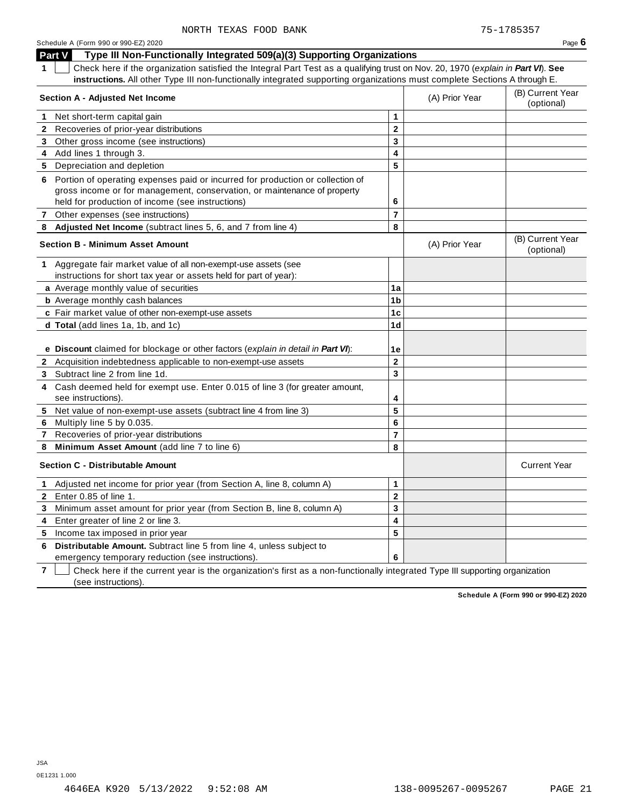|              | Part V<br>Type III Non-Functionally Integrated 509(a)(3) Supporting Organizations                                                                                                                              |                         |                |                                |
|--------------|----------------------------------------------------------------------------------------------------------------------------------------------------------------------------------------------------------------|-------------------------|----------------|--------------------------------|
| 1.           | Check here if the organization satisfied the Integral Part Test as a qualifying trust on Nov. 20, 1970 (explain in Part VI). See                                                                               |                         |                |                                |
|              | instructions. All other Type III non-functionally integrated supporting organizations must complete Sections A through E.                                                                                      |                         |                |                                |
|              | <b>Section A - Adjusted Net Income</b>                                                                                                                                                                         |                         | (A) Prior Year | (B) Current Year<br>(optional) |
| 1.           | Net short-term capital gain                                                                                                                                                                                    | 1                       |                |                                |
| 2            | Recoveries of prior-year distributions                                                                                                                                                                         | $\mathbf 2$             |                |                                |
| 3            | Other gross income (see instructions)                                                                                                                                                                          | 3                       |                |                                |
| 4            | Add lines 1 through 3.                                                                                                                                                                                         | 4                       |                |                                |
| 5            | Depreciation and depletion                                                                                                                                                                                     | 5                       |                |                                |
| 6            | Portion of operating expenses paid or incurred for production or collection of<br>gross income or for management, conservation, or maintenance of property<br>held for production of income (see instructions) | 6                       |                |                                |
|              | 7 Other expenses (see instructions)                                                                                                                                                                            | $\overline{\mathbf{r}}$ |                |                                |
| 8            | Adjusted Net Income (subtract lines 5, 6, and 7 from line 4)                                                                                                                                                   | 8                       |                |                                |
|              | <b>Section B - Minimum Asset Amount</b>                                                                                                                                                                        |                         | (A) Prior Year | (B) Current Year<br>(optional) |
|              | 1 Aggregate fair market value of all non-exempt-use assets (see<br>instructions for short tax year or assets held for part of year):                                                                           |                         |                |                                |
|              | a Average monthly value of securities                                                                                                                                                                          | 1a                      |                |                                |
|              | <b>b</b> Average monthly cash balances                                                                                                                                                                         | 1 <sub>b</sub>          |                |                                |
|              | c Fair market value of other non-exempt-use assets                                                                                                                                                             | 1c                      |                |                                |
|              | d Total (add lines 1a, 1b, and 1c)                                                                                                                                                                             | 1d                      |                |                                |
|              |                                                                                                                                                                                                                |                         |                |                                |
|              | e Discount claimed for blockage or other factors (explain in detail in Part VI):                                                                                                                               | 1е                      |                |                                |
|              | 2 Acquisition indebtedness applicable to non-exempt-use assets                                                                                                                                                 | $\mathbf 2$             |                |                                |
| 3            | Subtract line 2 from line 1d.                                                                                                                                                                                  | 3                       |                |                                |
| 4            | Cash deemed held for exempt use. Enter 0.015 of line 3 (for greater amount,<br>see instructions).                                                                                                              | 4                       |                |                                |
| 5            | Net value of non-exempt-use assets (subtract line 4 from line 3)                                                                                                                                               | 5                       |                |                                |
| 6            | Multiply line 5 by 0.035.                                                                                                                                                                                      | 6                       |                |                                |
| $\mathbf{7}$ | Recoveries of prior-year distributions                                                                                                                                                                         | $\overline{7}$          |                |                                |
| 8            | Minimum Asset Amount (add line 7 to line 6)                                                                                                                                                                    | 8                       |                |                                |
|              | <b>Section C - Distributable Amount</b>                                                                                                                                                                        |                         |                | <b>Current Year</b>            |
| $\mathbf 1$  | Adjusted net income for prior year (from Section A, line 8, column A)                                                                                                                                          | 1                       |                |                                |
|              | <b>2</b> Enter 0.85 of line 1.                                                                                                                                                                                 | $\overline{\mathbf{2}}$ |                |                                |
| 3            | Minimum asset amount for prior year (from Section B, line 8, column A)                                                                                                                                         | 3                       |                |                                |
| 4            | Enter greater of line 2 or line 3.                                                                                                                                                                             | 4                       |                |                                |
| 5            | Income tax imposed in prior year                                                                                                                                                                               | 5                       |                |                                |
| 6            | Distributable Amount. Subtract line 5 from line 4, unless subject to<br>emergency temporary reduction (see instructions).                                                                                      | 6                       |                |                                |

**7**  $\Box$  Check here if the current year is the organization's first as a non-functionally integrated Type III supporting organization (see instructions).

**Schedule A (Form 990 or 990-EZ) 2020**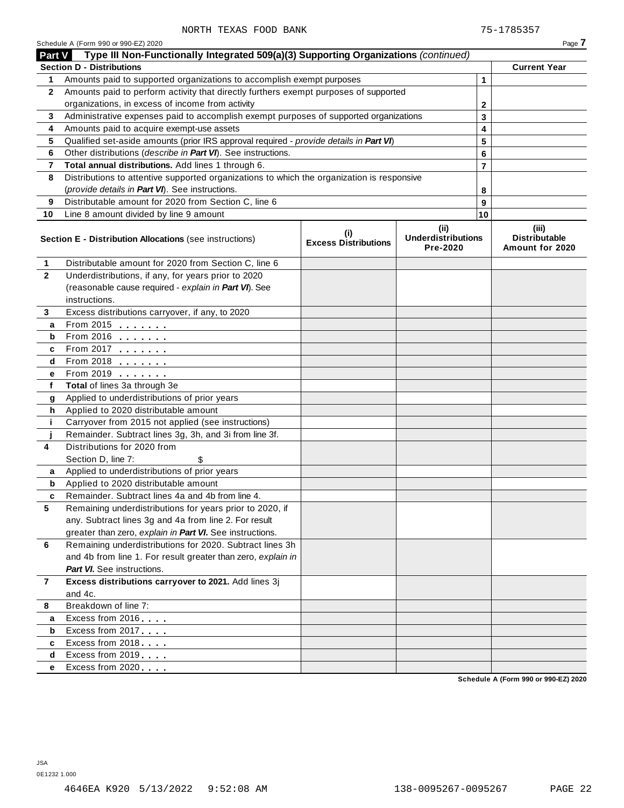|              | Part V Type III Non-Functionally Integrated 509(a)(3) Supporting Organizations (continued) |                                    |                                               |    |                                           |
|--------------|--------------------------------------------------------------------------------------------|------------------------------------|-----------------------------------------------|----|-------------------------------------------|
|              | <b>Section D - Distributions</b>                                                           |                                    |                                               |    | <b>Current Year</b>                       |
| 1            | Amounts paid to supported organizations to accomplish exempt purposes                      |                                    |                                               | 1  |                                           |
| $\mathbf{2}$ | Amounts paid to perform activity that directly furthers exempt purposes of supported       |                                    |                                               |    |                                           |
|              | organizations, in excess of income from activity                                           |                                    |                                               | 2  |                                           |
| 3            | Administrative expenses paid to accomplish exempt purposes of supported organizations      |                                    |                                               | 3  |                                           |
| 4            | Amounts paid to acquire exempt-use assets                                                  |                                    |                                               | 4  |                                           |
| 5            | Qualified set-aside amounts (prior IRS approval required - provide details in Part VI)     |                                    |                                               | 5  |                                           |
| 6            | Other distributions (describe in Part VI). See instructions.                               |                                    |                                               | 6  |                                           |
| 7            | Total annual distributions. Add lines 1 through 6.                                         |                                    |                                               | 7  |                                           |
| 8            | Distributions to attentive supported organizations to which the organization is responsive |                                    |                                               |    |                                           |
|              | (provide details in Part VI). See instructions.                                            |                                    |                                               | 8  |                                           |
| 9            | Distributable amount for 2020 from Section C, line 6                                       |                                    |                                               | 9  |                                           |
| 10           | Line 8 amount divided by line 9 amount                                                     |                                    |                                               | 10 |                                           |
|              | Section E - Distribution Allocations (see instructions)                                    | (i)<br><b>Excess Distributions</b> | (ii)<br><b>Underdistributions</b><br>Pre-2020 |    | (iii)<br>Distributable<br>Amount for 2020 |
| 1            | Distributable amount for 2020 from Section C, line 6                                       |                                    |                                               |    |                                           |
| $\mathbf{2}$ | Underdistributions, if any, for years prior to 2020                                        |                                    |                                               |    |                                           |
|              | (reasonable cause required - explain in Part VI). See                                      |                                    |                                               |    |                                           |
|              | instructions.                                                                              |                                    |                                               |    |                                           |
| 3            | Excess distributions carryover, if any, to 2020                                            |                                    |                                               |    |                                           |
| a            | From 2015 $\frac{1}{2}$                                                                    |                                    |                                               |    |                                           |
| b            | From 2016 $\frac{2016}{200}$                                                               |                                    |                                               |    |                                           |
| c            | From 2017 $\frac{1}{\sqrt{2}}$                                                             |                                    |                                               |    |                                           |
| d            | From 2018 $\frac{1}{2}$                                                                    |                                    |                                               |    |                                           |
| е            | From 2019 <b>Figure 1.1</b>                                                                |                                    |                                               |    |                                           |
| f            | Total of lines 3a through 3e                                                               |                                    |                                               |    |                                           |
| g            | Applied to underdistributions of prior years                                               |                                    |                                               |    |                                           |
| h.           | Applied to 2020 distributable amount                                                       |                                    |                                               |    |                                           |
| j.           | Carryover from 2015 not applied (see instructions)                                         |                                    |                                               |    |                                           |
|              | Remainder. Subtract lines 3g, 3h, and 3i from line 3f.                                     |                                    |                                               |    |                                           |
| 4            | Distributions for 2020 from                                                                |                                    |                                               |    |                                           |
|              | Section D, line 7:                                                                         |                                    |                                               |    |                                           |
| a            | Applied to underdistributions of prior years                                               |                                    |                                               |    |                                           |
| b            | Applied to 2020 distributable amount                                                       |                                    |                                               |    |                                           |
| c            | Remainder. Subtract lines 4a and 4b from line 4.                                           |                                    |                                               |    |                                           |
| 5            | Remaining underdistributions for years prior to 2020, if                                   |                                    |                                               |    |                                           |
|              | any. Subtract lines 3g and 4a from line 2. For result                                      |                                    |                                               |    |                                           |
|              | greater than zero, explain in Part VI. See instructions.                                   |                                    |                                               |    |                                           |
| 6            | Remaining underdistributions for 2020. Subtract lines 3h                                   |                                    |                                               |    |                                           |
|              | and 4b from line 1. For result greater than zero, explain in                               |                                    |                                               |    |                                           |
|              | <b>Part VI.</b> See instructions.                                                          |                                    |                                               |    |                                           |
| 7            | Excess distributions carryover to 2021. Add lines 3j<br>and 4c.                            |                                    |                                               |    |                                           |
| 8            | Breakdown of line 7:                                                                       |                                    |                                               |    |                                           |
|              | Excess from 2016                                                                           |                                    |                                               |    |                                           |
| a<br>b       | Excess from 2017                                                                           |                                    |                                               |    |                                           |
| c            | Excess from 2018                                                                           |                                    |                                               |    |                                           |
| d            | Excess from 2019                                                                           |                                    |                                               |    |                                           |
| е            | Excess from 2020                                                                           |                                    |                                               |    |                                           |
|              |                                                                                            |                                    |                                               |    | Schedule A (Form 990 or 990-F7) 2020      |

**Schedule A (Form 990 or 990-EZ) 2020**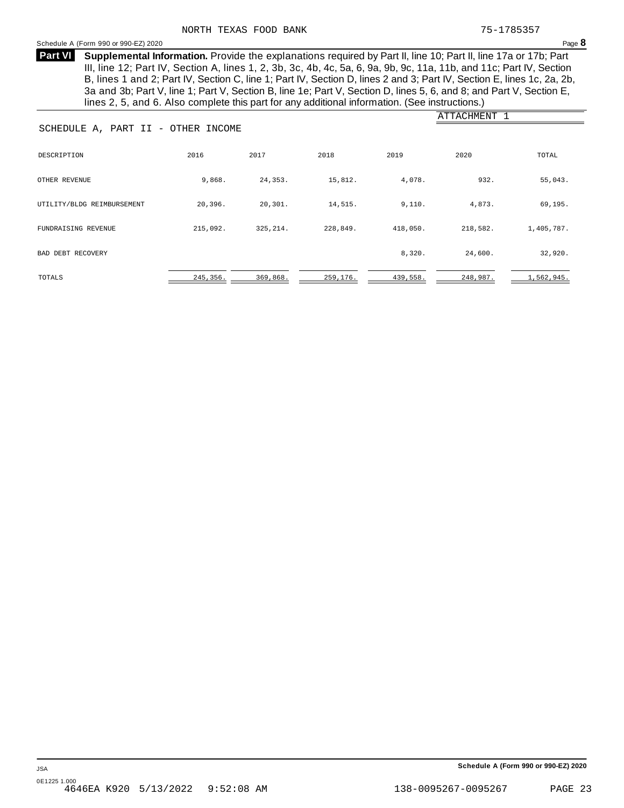<span id="page-20-0"></span>**Supplemental Information.** Provide the explanations required by Part II, line 10; Part II, line 17a or 17b; Part **Part VI** III, line 12; Part IV, Section A, lines 1, 2, 3b, 3c, 4b, 4c, 5a, 6, 9a, 9b, 9c, 11a, 11b, and 11c; Part IV, Section B, lines 1 and 2; Part IV, Section C, line 1; Part IV, Section D, lines 2 and 3; Part IV, Section E, lines 1c, 2a, 2b, 3a and 3b; Part V, line 1; Part V, Section B, line 1e; Part V, Section D, lines 5, 6, and 8; and Part V, Section E, lines 2, 5, and 6. Also complete this part for any additional information. (See instructions.)

| SCHEDULE A, PART II - OTHER INCOME |           |           |          |          | ATTACHMENT 1 |            |
|------------------------------------|-----------|-----------|----------|----------|--------------|------------|
| DESCRIPTION                        | 2016      | 2017      | 2018     | 2019     | 2020         | TOTAL      |
| OTHER REVENUE                      | 9,868.    | 24,353.   | 15,812.  | 4,078.   | 932.         | 55,043.    |
| UTILITY/BLDG REIMBURSEMENT         | 20,396.   | 20, 301.  | 14,515.  | 9,110.   | 4,873.       | 69,195.    |
| FUNDRAISING REVENUE                | 215,092.  | 325, 214. | 228,849. | 418,050. | 218,582.     | 1,405,787. |
| BAD DEBT RECOVERY                  |           |           |          | 8,320.   | 24,600.      | 32,920.    |
| TOTALS                             | 245, 356. | 369,868.  | 259,176. | 439,558. | 248,987.     | 1,562,945. |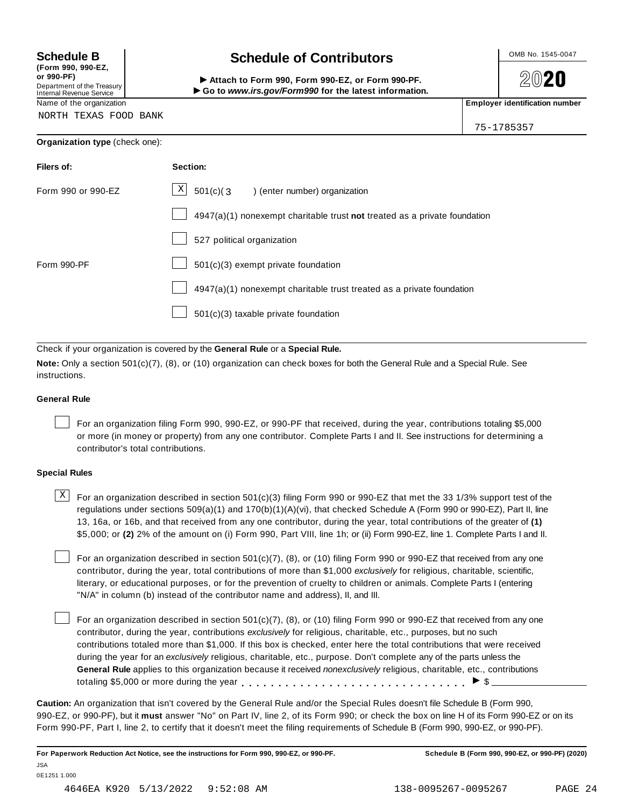**(Form 990, 990-EZ, or 990-PF)** Department of the Treasury<br>Internal Revenue Service

## **Schedule B chedule of Contributors**

(Form 990, 990-EZ,<br>
or 990-PF,<br>
Department of the Treasury **COLOCY**<br>
Internal Revenue Service **COLOCY**<br>
Name of the organization<br>
Name of the organization

**2020** 

75-1785357

NORTH TEXAS FOOD BANK

|  | Organization type (check one): |  |
|--|--------------------------------|--|
|--|--------------------------------|--|

| Filers of:         | Section:                                                                    |
|--------------------|-----------------------------------------------------------------------------|
| Form 990 or 990-EZ | $\mathbf{X}$<br>$501(c)$ (3<br>enter number) organization                   |
|                    | $4947(a)(1)$ nonexempt charitable trust not treated as a private foundation |
|                    | 527 political organization                                                  |
| Form 990-PF        | 501(c)(3) exempt private foundation                                         |
|                    | 4947(a)(1) nonexempt charitable trust treated as a private foundation       |
|                    | 501(c)(3) taxable private foundation                                        |

Check if your organization is covered by the **General Rule** or a **Special Rule.**

**Note:** Only a section 501(c)(7), (8), or (10) organization can check boxes for both the General Rule and a Special Rule. See instructions.

#### **General Rule**

For an organization filing Form 990, 990-EZ, or 990-PF that received, during the year, contributions totaling \$5,000 or more (in money or property) from any one contributor. Complete Parts I and II. See instructions for determining a contributor's total contributions.

#### **Special Rules**

 $\text{X}$  For an organization described in section 501(c)(3) filing Form 990 or 990-EZ that met the 33 1/3% support test of the regulations under sections 509(a)(1) and 170(b)(1)(A)(vi), that checked Schedule A (Form 990 or 990-EZ), Part II, line 13, 16a, or 16b, and that received from any one contributor, during the year, total contributions of the greater of **(1)** \$5,000; or **(2)** 2% of the amount on (i) Form 990, Part VIII, line 1h; or (ii) Form 990-EZ, line 1. Complete Parts I and II.

For an organization described in section 501(c)(7), (8), or (10) filing Form 990 or 990-EZ that received from any one contributor, during the year, total contributions of more than \$1,000 *exclusively* for religious, charitable, scientific, literary, or educational purposes, or for the prevention of cruelty to children or animals. Complete Parts I (entering "N/A" in column (b) instead of the contributor name and address), II, and III.

For an organization described in section 501(c)(7), (8), or (10) filing Form 990 or 990-EZ that received from any one contributor, during the year, contributions *exclusively* for religious, charitable, etc., purposes, but no such contributions totaled more than \$1,000. If this box is checked, enter here the total contributions that were received during the year for an *exclusively* religious, charitable, etc., purpose. Don't complete any of the parts unless the **General Rule** applies to this organization because it received *nonexclusively* religious, charitable, etc., contributions totaling \$5,000 or more during the year  $\ldots \ldots \ldots \ldots \ldots \ldots \ldots \ldots \ldots \vdots$ 

**Caution:** An organization that isn't covered by the General Rule and/or the Special Rules doesn't file Schedule B (Form 990, 990-EZ, or 990-PF), but it **must** answer "No" on Part IV, line 2, of its Form 990; or check the box on line H of its Form 990-EZ or on its Form 990-PF, Part I, line 2, to certify that it doesn't meet the filing requirements of Schedule B (Form 990, 990-EZ, or 990-PF).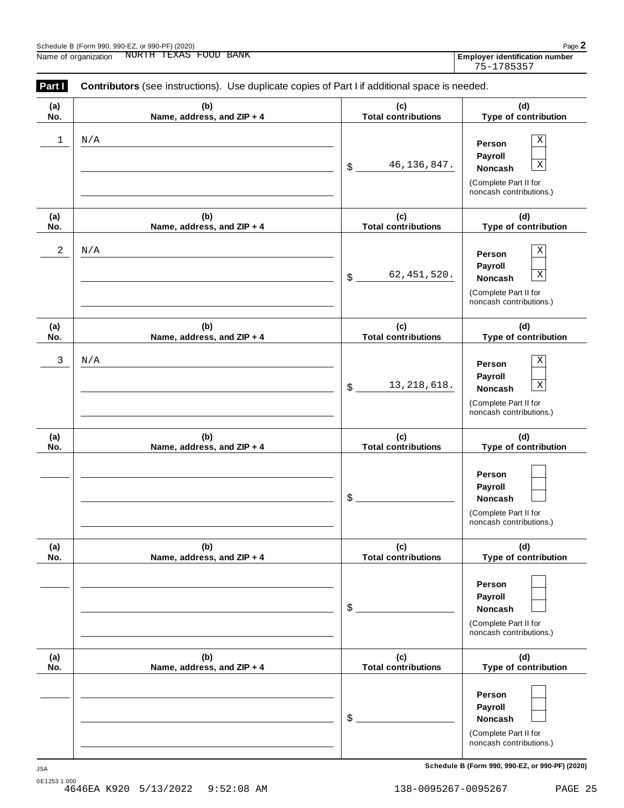| Schedule B (Form 990, 990-EZ, or 990-PF) (2020 |  |  |  |  |
|------------------------------------------------|--|--|--|--|
|                                                |  |  |  |  |

| Schedule B (Form 990, 990-EZ, or 990-PF) (2020) | Page $\mathbf{z}$              |
|-------------------------------------------------|--------------------------------|
| NORTH TEXAS FOOD BANK<br>Name of organization   | Employer identification number |

| Employer identification numbe |
|-------------------------------|
| 75-1785357                    |

| Part I     | Contributors (see instructions). Use duplicate copies of Part I if additional space is needed. |                                    |                                                                                                      |
|------------|------------------------------------------------------------------------------------------------|------------------------------------|------------------------------------------------------------------------------------------------------|
| (a)<br>No. | (b)<br>Name, address, and ZIP + 4                                                              | (c)<br><b>Total contributions</b>  | (d)<br>Type of contribution                                                                          |
| 1          | N/A                                                                                            | 46, 136, 847.<br>$\boldsymbol{\$}$ | Χ<br>Person<br>Payroll<br>$\mathbf X$<br>Noncash<br>(Complete Part II for<br>noncash contributions.) |
| (a)<br>No. | (b)<br>Name, address, and ZIP + 4                                                              | (c)<br><b>Total contributions</b>  | (d)<br>Type of contribution                                                                          |
| 2          | N/A                                                                                            | 62, 451, 520.<br>$\boldsymbol{\$}$ | Χ<br>Person<br>Payroll<br>$\mathbf X$<br>Noncash<br>(Complete Part II for<br>noncash contributions.) |
| (a)<br>No. | (b)<br>Name, address, and ZIP + 4                                                              | (c)<br><b>Total contributions</b>  | (d)<br>Type of contribution                                                                          |
| 3          | N/A                                                                                            | 13, 218, 618.<br>$\boldsymbol{\$}$ | Χ<br>Person<br>Payroll<br>$\mathbf X$<br>Noncash<br>(Complete Part II for<br>noncash contributions.) |
| (a)<br>No. | (b)<br>Name, address, and ZIP + 4                                                              | (c)<br><b>Total contributions</b>  | (d)<br>Type of contribution                                                                          |
|            |                                                                                                | \$                                 | Person<br>Payroll<br>Noncash<br>(Complete Part II for<br>noncash contributions.)                     |
| (a)<br>No. | (b)<br>Name, address, and ZIP + 4                                                              | (c)<br><b>Total contributions</b>  | (d)<br>Type of contribution                                                                          |
|            |                                                                                                | \$                                 | Person<br>Payroll<br>Noncash<br>(Complete Part II for<br>noncash contributions.)                     |
| (a)<br>No. | (b)<br>Name, address, and ZIP + 4                                                              | (c)<br><b>Total contributions</b>  | (d)<br>Type of contribution                                                                          |
|            |                                                                                                | \$                                 | Person<br>Payroll<br>Noncash<br>(Complete Part II for<br>noncash contributions.)                     |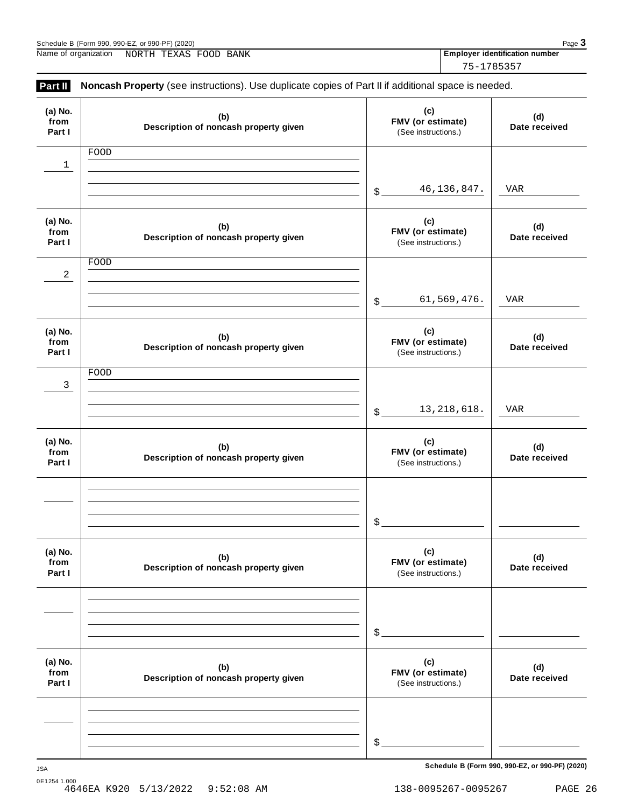| Schedule B (Form 990, 990-EZ, or 990-PF) (2020)<br>Name of organization<br>NORTH TEXAS FOOD BANK |                                                                                                     |                                                       | 75-1785357    | Page 3<br><b>Employer identification number</b> |
|--------------------------------------------------------------------------------------------------|-----------------------------------------------------------------------------------------------------|-------------------------------------------------------|---------------|-------------------------------------------------|
| Part II                                                                                          | Noncash Property (see instructions). Use duplicate copies of Part II if additional space is needed. |                                                       |               |                                                 |
| (a) No.<br>from<br>Part I                                                                        | (b)<br>Description of noncash property given                                                        | (c)<br>FMV (or estimate)<br>(See instructions.)       |               | (d)<br>Date received                            |
| 1                                                                                                | FOOD                                                                                                | \$                                                    | 46, 136, 847. | VAR                                             |
| (a) No.<br>from<br>Part I                                                                        | (b)<br>Description of noncash property given                                                        | (c)<br>FMV (or estimate)<br>(See instructions.)       |               | (d)<br>Date received                            |
| 2                                                                                                | FOOD                                                                                                |                                                       | 61,569,476.   | VAR                                             |
| (a) No.<br>from<br>Part I                                                                        | (b)<br>Description of noncash property given                                                        | \$<br>(c)<br>FMV (or estimate)<br>(See instructions.) |               | (d)<br>Date received                            |
| 3                                                                                                | FOOD                                                                                                | \$                                                    | 13, 218, 618. | VAR                                             |
| (a) No.<br>from<br>Part I                                                                        | (b)<br>Description of noncash property given                                                        | (c)<br>FMV (or estimate)<br>(See instructions.)       |               | (d)<br>Date received                            |
|                                                                                                  |                                                                                                     | $\mathsf{S}$                                          |               |                                                 |
| (a) No.<br>from<br>Part I                                                                        | (b)<br>Description of noncash property given                                                        | (c)<br>FMV (or estimate)<br>(See instructions.)       |               | (d)<br>Date received                            |
|                                                                                                  |                                                                                                     | $\mathcal{L}_{\text{L}}$                              |               |                                                 |
| (a) No.<br>from<br>Part I                                                                        | (b)<br>Description of noncash property given                                                        | (c)<br>FMV (or estimate)<br>(See instructions.)       |               | (d)<br>Date received                            |
|                                                                                                  |                                                                                                     | \$                                                    |               |                                                 |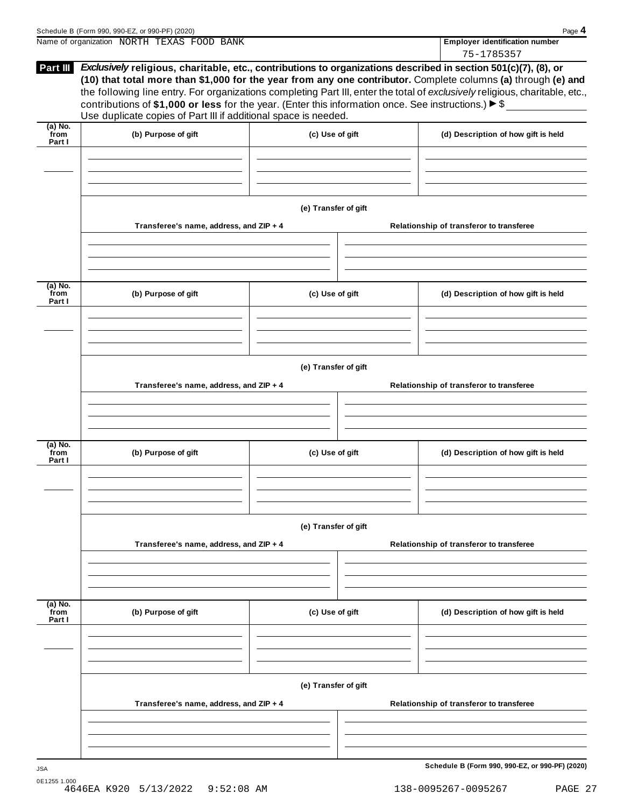|                           | Name of organization NORTH TEXAS FOOD BANK                                                                                                                                             |                      | <b>Employer identification number</b>                                                                                                                                                                                                                                                                                                                            |
|---------------------------|----------------------------------------------------------------------------------------------------------------------------------------------------------------------------------------|----------------------|------------------------------------------------------------------------------------------------------------------------------------------------------------------------------------------------------------------------------------------------------------------------------------------------------------------------------------------------------------------|
|                           |                                                                                                                                                                                        |                      | 75-1785357                                                                                                                                                                                                                                                                                                                                                       |
| Part III                  | contributions of \$1,000 or less for the year. (Enter this information once. See instructions.) $\triangleright$ \$<br>Use duplicate copies of Part III if additional space is needed. |                      | Exclusively religious, charitable, etc., contributions to organizations described in section 501(c)(7), (8), or<br>(10) that total more than \$1,000 for the year from any one contributor. Complete columns (a) through (e) and<br>the following line entry. For organizations completing Part III, enter the total of exclusively religious, charitable, etc., |
| (a) No.                   |                                                                                                                                                                                        |                      |                                                                                                                                                                                                                                                                                                                                                                  |
| from<br>Part I            | (b) Purpose of gift                                                                                                                                                                    | (c) Use of gift      | (d) Description of how gift is held                                                                                                                                                                                                                                                                                                                              |
|                           |                                                                                                                                                                                        | (e) Transfer of gift |                                                                                                                                                                                                                                                                                                                                                                  |
|                           | Transferee's name, address, and ZIP + 4                                                                                                                                                |                      | Relationship of transferor to transferee                                                                                                                                                                                                                                                                                                                         |
| (a) No.<br>from<br>Part I | (b) Purpose of gift                                                                                                                                                                    | (c) Use of gift      | (d) Description of how gift is held                                                                                                                                                                                                                                                                                                                              |
|                           |                                                                                                                                                                                        |                      |                                                                                                                                                                                                                                                                                                                                                                  |
|                           | Transferee's name, address, and ZIP + 4                                                                                                                                                | (e) Transfer of gift | Relationship of transferor to transferee                                                                                                                                                                                                                                                                                                                         |
|                           | (b) Purpose of gift                                                                                                                                                                    | (c) Use of gift      | (d) Description of how gift is held                                                                                                                                                                                                                                                                                                                              |
|                           |                                                                                                                                                                                        |                      |                                                                                                                                                                                                                                                                                                                                                                  |
| (a) No.<br>from<br>Part I | Transferee's name, address, and ZIP + 4                                                                                                                                                | (e) Transfer of gift | Relationship of transferor to transferee                                                                                                                                                                                                                                                                                                                         |
|                           |                                                                                                                                                                                        |                      |                                                                                                                                                                                                                                                                                                                                                                  |
| (a) No.<br>from<br>Part I | (b) Purpose of gift                                                                                                                                                                    | (c) Use of gift      | (d) Description of how gift is held                                                                                                                                                                                                                                                                                                                              |
|                           | Transferee's name, address, and ZIP + 4                                                                                                                                                | (e) Transfer of gift | Relationship of transferor to transferee                                                                                                                                                                                                                                                                                                                         |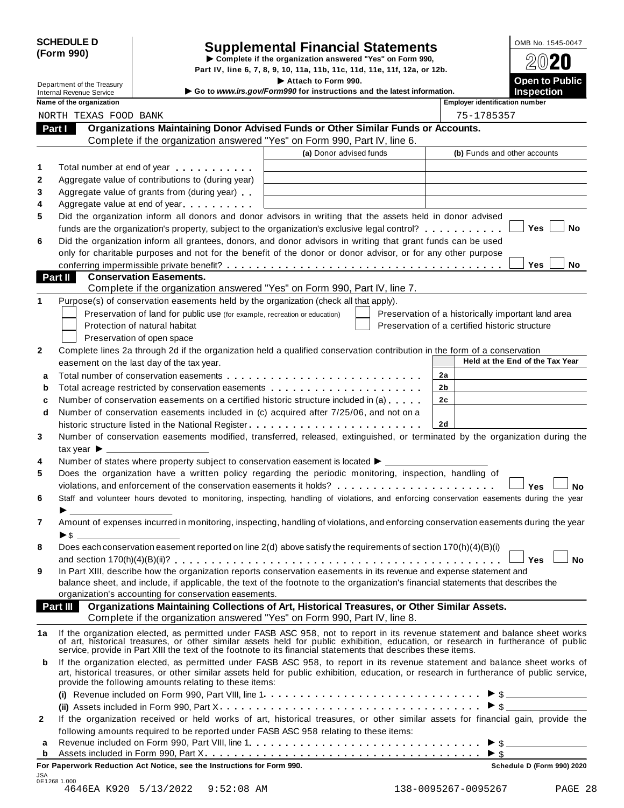|            | <b>SCHEDULE D</b> |
|------------|-------------------|
| (Form 990) |                   |

# Supplemental Financial Statements<br>
Example if the organization answered "Yes" on Form 990,<br>
Not IV line 6, 7, 8, 9, 10, 11a, 11b, 11c, 11d, 11e, 11f, 12a, or, 12b

|              |                                                             |                                                                                                                                                                                       | Part IV, line 6, 7, 8, 9, 10, 11a, 11b, 11c, 11d, 11e, 11f, 12a, or 12b.                      |          | BWŁU                                                                                                                                                                                                                                                                   |
|--------------|-------------------------------------------------------------|---------------------------------------------------------------------------------------------------------------------------------------------------------------------------------------|-----------------------------------------------------------------------------------------------|----------|------------------------------------------------------------------------------------------------------------------------------------------------------------------------------------------------------------------------------------------------------------------------|
|              | Department of the Treasury                                  |                                                                                                                                                                                       | Attach to Form 990.<br>Go to www.irs.gov/Form990 for instructions and the latest information. |          | Open to Public<br><b>Inspection</b>                                                                                                                                                                                                                                    |
|              | <b>Internal Revenue Service</b><br>Name of the organization |                                                                                                                                                                                       |                                                                                               |          | <b>Employer identification number</b>                                                                                                                                                                                                                                  |
|              | NORTH TEXAS FOOD BANK                                       |                                                                                                                                                                                       |                                                                                               |          | 75-1785357                                                                                                                                                                                                                                                             |
|              | Part I                                                      | Organizations Maintaining Donor Advised Funds or Other Similar Funds or Accounts.                                                                                                     |                                                                                               |          |                                                                                                                                                                                                                                                                        |
|              |                                                             | Complete if the organization answered "Yes" on Form 990, Part IV, line 6.                                                                                                             |                                                                                               |          |                                                                                                                                                                                                                                                                        |
|              |                                                             |                                                                                                                                                                                       | (a) Donor advised funds                                                                       |          | (b) Funds and other accounts                                                                                                                                                                                                                                           |
| 1            |                                                             | Total number at end of year                                                                                                                                                           |                                                                                               |          |                                                                                                                                                                                                                                                                        |
| 2            |                                                             | Aggregate value of contributions to (during year)                                                                                                                                     |                                                                                               |          |                                                                                                                                                                                                                                                                        |
| 3            |                                                             | Aggregate value of grants from (during year)                                                                                                                                          |                                                                                               |          |                                                                                                                                                                                                                                                                        |
| 4            |                                                             | Aggregate value at end of year                                                                                                                                                        |                                                                                               |          |                                                                                                                                                                                                                                                                        |
| 5            |                                                             | Did the organization inform all donors and donor advisors in writing that the assets held in donor advised                                                                            |                                                                                               |          |                                                                                                                                                                                                                                                                        |
|              |                                                             | funds are the organization's property, subject to the organization's exclusive legal control?                                                                                         |                                                                                               |          | Yes<br>No                                                                                                                                                                                                                                                              |
| 6            |                                                             | Did the organization inform all grantees, donors, and donor advisors in writing that grant funds can be used                                                                          |                                                                                               |          |                                                                                                                                                                                                                                                                        |
|              |                                                             | only for charitable purposes and not for the benefit of the donor or donor advisor, or for any other purpose                                                                          |                                                                                               |          |                                                                                                                                                                                                                                                                        |
|              |                                                             |                                                                                                                                                                                       |                                                                                               |          | <b>Yes</b><br>No                                                                                                                                                                                                                                                       |
|              | <b>Part II</b>                                              | <b>Conservation Easements.</b>                                                                                                                                                        |                                                                                               |          |                                                                                                                                                                                                                                                                        |
|              |                                                             | Complete if the organization answered "Yes" on Form 990, Part IV, line 7.                                                                                                             |                                                                                               |          |                                                                                                                                                                                                                                                                        |
| 1            |                                                             | Purpose(s) of conservation easements held by the organization (check all that apply).                                                                                                 |                                                                                               |          |                                                                                                                                                                                                                                                                        |
|              |                                                             | Preservation of land for public use (for example, recreation or education)                                                                                                            |                                                                                               |          | Preservation of a historically important land area                                                                                                                                                                                                                     |
|              |                                                             | Protection of natural habitat                                                                                                                                                         |                                                                                               |          | Preservation of a certified historic structure                                                                                                                                                                                                                         |
|              |                                                             | Preservation of open space                                                                                                                                                            |                                                                                               |          |                                                                                                                                                                                                                                                                        |
| 2            |                                                             | Complete lines 2a through 2d if the organization held a qualified conservation contribution in the form of a conservation                                                             |                                                                                               |          | Held at the End of the Tax Year                                                                                                                                                                                                                                        |
|              |                                                             | easement on the last day of the tax year.                                                                                                                                             |                                                                                               |          |                                                                                                                                                                                                                                                                        |
| a            |                                                             |                                                                                                                                                                                       |                                                                                               | 2a       |                                                                                                                                                                                                                                                                        |
| b            |                                                             | Total acreage restricted by conservation easements                                                                                                                                    |                                                                                               | 2b<br>2c |                                                                                                                                                                                                                                                                        |
| c<br>d       |                                                             | Number of conservation easements on a certified historic structure included in (a) $\dots$ .<br>Number of conservation easements included in (c) acquired after 7/25/06, and not on a |                                                                                               |          |                                                                                                                                                                                                                                                                        |
|              |                                                             | historic structure listed in the National Register                                                                                                                                    |                                                                                               | 2d       |                                                                                                                                                                                                                                                                        |
| 3            |                                                             |                                                                                                                                                                                       |                                                                                               |          | Number of conservation easements modified, transferred, released, extinguished, or terminated by the organization during the                                                                                                                                           |
|              | tax year $\blacktriangleright$ $\_\$                        |                                                                                                                                                                                       |                                                                                               |          |                                                                                                                                                                                                                                                                        |
| 4            |                                                             | Number of states where property subject to conservation easement is located $\blacktriangleright$ ___                                                                                 |                                                                                               |          |                                                                                                                                                                                                                                                                        |
| 5            |                                                             | Does the organization have a written policy regarding the periodic monitoring, inspection, handling of                                                                                |                                                                                               |          |                                                                                                                                                                                                                                                                        |
|              |                                                             |                                                                                                                                                                                       |                                                                                               |          | Yes<br>No                                                                                                                                                                                                                                                              |
| 6            |                                                             |                                                                                                                                                                                       |                                                                                               |          | Staff and volunteer hours devoted to monitoring, inspecting, handling of violations, and enforcing conservation easements during the year                                                                                                                              |
|              |                                                             |                                                                                                                                                                                       |                                                                                               |          |                                                                                                                                                                                                                                                                        |
| $\epsilon$   |                                                             |                                                                                                                                                                                       |                                                                                               |          | Amount of expenses incurred in monitoring, inspecting, handling of violations, and enforcing conservation easements during the year                                                                                                                                    |
|              | $\triangleright$ \$                                         |                                                                                                                                                                                       |                                                                                               |          |                                                                                                                                                                                                                                                                        |
| 8            |                                                             | Does each conservation easement reported on line 2(d) above satisfy the requirements of section 170(h)(4)(B)(i)                                                                       |                                                                                               |          |                                                                                                                                                                                                                                                                        |
|              |                                                             |                                                                                                                                                                                       |                                                                                               |          | <b>Yes</b><br><b>No</b>                                                                                                                                                                                                                                                |
| 9            |                                                             | In Part XIII, describe how the organization reports conservation easements in its revenue and expense statement and                                                                   |                                                                                               |          |                                                                                                                                                                                                                                                                        |
|              |                                                             | balance sheet, and include, if applicable, the text of the footnote to the organization's financial statements that describes the                                                     |                                                                                               |          |                                                                                                                                                                                                                                                                        |
|              |                                                             | organization's accounting for conservation easements.                                                                                                                                 |                                                                                               |          |                                                                                                                                                                                                                                                                        |
|              | <b>Part III</b>                                             | Organizations Maintaining Collections of Art, Historical Treasures, or Other Similar Assets.<br>Complete if the organization answered "Yes" on Form 990, Part IV, line 8.             |                                                                                               |          |                                                                                                                                                                                                                                                                        |
|              |                                                             |                                                                                                                                                                                       |                                                                                               |          |                                                                                                                                                                                                                                                                        |
| 1a           |                                                             | service, provide in Part XIII the text of the footnote to its financial statements that describes these items.                                                                        |                                                                                               |          | If the organization elected, as permitted under FASB ASC 958, not to report in its revenue statement and balance sheet works of art, historical treasures, or other similar assets held for public exhibition, education, or r                                         |
| b            |                                                             | provide the following amounts relating to these items:                                                                                                                                |                                                                                               |          | If the organization elected, as permitted under FASB ASC 958, to report in its revenue statement and balance sheet works of<br>art, historical treasures, or other similar assets held for public exhibition, education, or research in furtherance of public service, |
|              |                                                             |                                                                                                                                                                                       |                                                                                               |          | $\triangleright$ \$                                                                                                                                                                                                                                                    |
|              |                                                             |                                                                                                                                                                                       |                                                                                               |          | $\triangleright$ \$                                                                                                                                                                                                                                                    |
| $\mathbf{2}$ |                                                             |                                                                                                                                                                                       |                                                                                               |          | If the organization received or held works of art, historical treasures, or other similar assets for financial gain, provide the                                                                                                                                       |
|              |                                                             | following amounts required to be reported under FASB ASC 958 relating to these items:                                                                                                 |                                                                                               |          |                                                                                                                                                                                                                                                                        |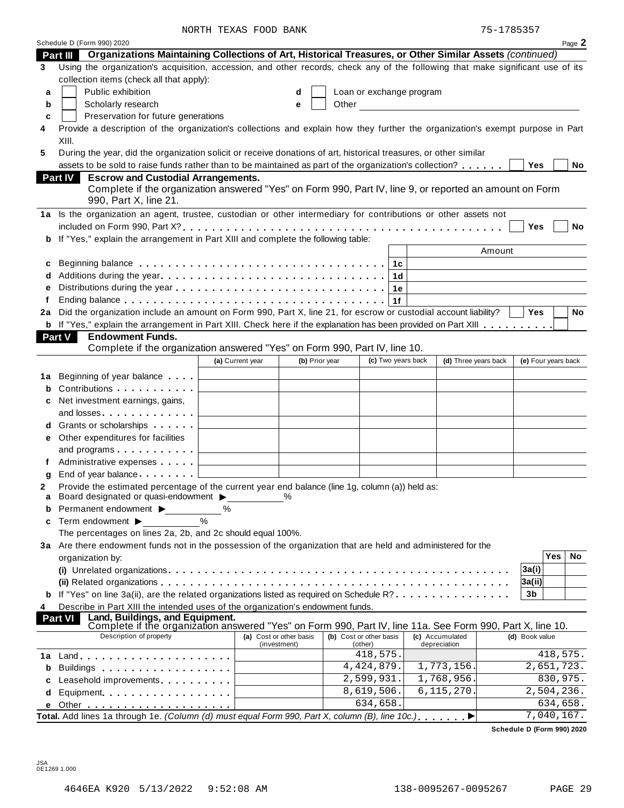NORTH TEXAS FOOD BANK 75-1785357

|    | Schedule D (Form 990) 2020                                                                                                                                      |                                                     |                |  |                          |  |                      |                     |                           | Page 2 |
|----|-----------------------------------------------------------------------------------------------------------------------------------------------------------------|-----------------------------------------------------|----------------|--|--------------------------|--|----------------------|---------------------|---------------------------|--------|
|    | Organizations Maintaining Collections of Art, Historical Treasures, or Other Similar Assets (continued)<br>Part III                                             |                                                     |                |  |                          |  |                      |                     |                           |        |
| 3  | Using the organization's acquisition, accession, and other records, check any of the following that make significant use of its                                 |                                                     |                |  |                          |  |                      |                     |                           |        |
|    | collection items (check all that apply):                                                                                                                        |                                                     |                |  |                          |  |                      |                     |                           |        |
| a  | Public exhibition                                                                                                                                               |                                                     | d              |  | Loan or exchange program |  |                      |                     |                           |        |
| b  | Scholarly research<br>Other<br><u> 1980 - Jan Barat, martin a</u><br>е                                                                                          |                                                     |                |  |                          |  |                      |                     |                           |        |
| c  | Preservation for future generations                                                                                                                             |                                                     |                |  |                          |  |                      |                     |                           |        |
| 4  | Provide a description of the organization's collections and explain how they further the organization's exempt purpose in Part                                  |                                                     |                |  |                          |  |                      |                     |                           |        |
|    | XIII.                                                                                                                                                           |                                                     |                |  |                          |  |                      |                     |                           |        |
| 5  | During the year, did the organization solicit or receive donations of art, historical treasures, or other similar                                               |                                                     |                |  |                          |  |                      |                     |                           |        |
|    | assets to be sold to raise funds rather than to be maintained as part of the organization's collection?                                                         |                                                     |                |  |                          |  |                      | Yes                 |                           | No     |
|    | <b>Escrow and Custodial Arrangements.</b><br><b>Part IV</b>                                                                                                     |                                                     |                |  |                          |  |                      |                     |                           |        |
|    | Complete if the organization answered "Yes" on Form 990, Part IV, line 9, or reported an amount on Form                                                         |                                                     |                |  |                          |  |                      |                     |                           |        |
|    | 990, Part X, line 21.                                                                                                                                           |                                                     |                |  |                          |  |                      |                     |                           |        |
|    | 1a Is the organization an agent, trustee, custodian or other intermediary for contributions or other assets not                                                 |                                                     |                |  |                          |  |                      |                     |                           |        |
|    |                                                                                                                                                                 |                                                     |                |  |                          |  |                      | Yes                 |                           | No     |
|    | If "Yes," explain the arrangement in Part XIII and complete the following table:                                                                                |                                                     |                |  |                          |  |                      |                     |                           |        |
|    |                                                                                                                                                                 |                                                     |                |  |                          |  | Amount               |                     |                           |        |
|    |                                                                                                                                                                 |                                                     |                |  |                          |  |                      |                     |                           |        |
| c  |                                                                                                                                                                 |                                                     |                |  | 1c                       |  |                      |                     |                           |        |
|    |                                                                                                                                                                 |                                                     |                |  | 1 <sub>d</sub>           |  |                      |                     |                           |        |
|    |                                                                                                                                                                 |                                                     |                |  | 1e                       |  |                      |                     |                           |        |
| f  |                                                                                                                                                                 |                                                     |                |  | 1f                       |  |                      |                     |                           |        |
| 2a | Did the organization include an amount on Form 990, Part X, line 21, for escrow or custodial account liability?                                                 |                                                     |                |  |                          |  |                      | <b>Yes</b>          |                           | No     |
|    | <b>b</b> If "Yes," explain the arrangement in Part XIII. Check here if the explanation has been provided on Part XIII                                           |                                                     |                |  |                          |  |                      |                     |                           |        |
|    | <b>Endowment Funds.</b><br><b>Part V</b><br>Complete if the organization answered "Yes" on Form 990, Part IV, line 10.                                          |                                                     |                |  |                          |  |                      |                     |                           |        |
|    |                                                                                                                                                                 |                                                     | (b) Prior year |  | (c) Two years back       |  |                      |                     |                           |        |
|    |                                                                                                                                                                 | (a) Current year                                    |                |  |                          |  | (d) Three years back | (e) Four years back |                           |        |
| 1а | Beginning of year balance                                                                                                                                       | <u> 1980 - Andrea Station Barbara, amerikan per</u> |                |  |                          |  |                      |                     |                           |        |
| b  | Contributions <b>Contributions</b>                                                                                                                              |                                                     |                |  |                          |  |                      |                     |                           |        |
| c  | Net investment earnings, gains,                                                                                                                                 |                                                     |                |  |                          |  |                      |                     |                           |        |
|    |                                                                                                                                                                 |                                                     |                |  |                          |  |                      |                     |                           |        |
| d  | Grants or scholarships                                                                                                                                          |                                                     |                |  |                          |  |                      |                     |                           |        |
| е  | Other expenditures for facilities                                                                                                                               |                                                     |                |  |                          |  |                      |                     |                           |        |
|    | and programs $\ldots$                                                                                                                                           |                                                     |                |  |                          |  |                      |                     |                           |        |
| f  | Administrative expenses                                                                                                                                         |                                                     |                |  |                          |  |                      |                     |                           |        |
| g  | End of year balance                                                                                                                                             |                                                     |                |  |                          |  |                      |                     |                           |        |
| 2  | Provide the estimated percentage of the current year end balance (line 1g, column (a)) held as:                                                                 |                                                     |                |  |                          |  |                      |                     |                           |        |
|    | Board designated or quasi-endowment $\blacktriangleright$                                                                                                       |                                                     |                |  |                          |  |                      |                     |                           |        |
| b  | Permanent endowment >                                                                                                                                           | ℅                                                   |                |  |                          |  |                      |                     |                           |        |
| c  | $\frac{0}{0}$<br>Term endowment ▶                                                                                                                               |                                                     |                |  |                          |  |                      |                     |                           |        |
|    | The percentages on lines 2a, 2b, and 2c should equal 100%.                                                                                                      |                                                     |                |  |                          |  |                      |                     |                           |        |
|    | 3a Are there endowment funds not in the possession of the organization that are held and administered for the                                                   |                                                     |                |  |                          |  |                      |                     |                           |        |
|    | organization by:                                                                                                                                                |                                                     |                |  |                          |  |                      |                     | <b>Yes</b>                | No     |
|    |                                                                                                                                                                 |                                                     |                |  |                          |  |                      | 3a(i)               |                           |        |
|    |                                                                                                                                                                 |                                                     |                |  |                          |  |                      | 3a(ii)              |                           |        |
|    | If "Yes" on line 3a(ii), are the related organizations listed as required on Schedule R?                                                                        |                                                     |                |  |                          |  |                      | 3b                  |                           |        |
| 4  | Describe in Part XIII the intended uses of the organization's endowment funds.                                                                                  |                                                     |                |  |                          |  |                      |                     |                           |        |
|    | Land, Buildings, and Equipment.<br>Complete if the organization answered "Yes" on Form 990, Part IV, line 11a. See Form 990, Part X, line 10.<br><b>Part VI</b> |                                                     |                |  |                          |  |                      |                     |                           |        |
|    | Description of property                                                                                                                                         | (a) Cost or other basis                             |                |  | (b) Cost or other basis  |  | (c) Accumulated      | (d) Book value      |                           |        |
|    |                                                                                                                                                                 | (investment)                                        |                |  | (other)                  |  | depreciation         |                     |                           |        |
| 1a |                                                                                                                                                                 |                                                     |                |  | 418,575.                 |  |                      |                     | 418,575.                  |        |
| b  | Buildings                                                                                                                                                       |                                                     |                |  | 4, 424, 879.             |  | 1,773,156.           |                     | 2,651,723.                |        |
| C  | Leasehold improvements <b>Leasehold</b> improvements                                                                                                            |                                                     |                |  | 2,599,931.               |  | 1,768,956            |                     | 830,975.                  |        |
| d  | Equipment                                                                                                                                                       |                                                     |                |  | 8,619,506.               |  | 6, 115, 270          |                     | $\overline{2,504}$ , 236. |        |
|    |                                                                                                                                                                 |                                                     |                |  | 634,658.                 |  |                      |                     | 634,658.                  |        |
|    | Total. Add lines 1a through 1e. (Column (d) must equal Form 990, Part X, column (B), line 10c.).                                                                |                                                     |                |  |                          |  | ▶                    |                     | 7,040,167.                |        |
|    |                                                                                                                                                                 |                                                     |                |  |                          |  |                      |                     |                           |        |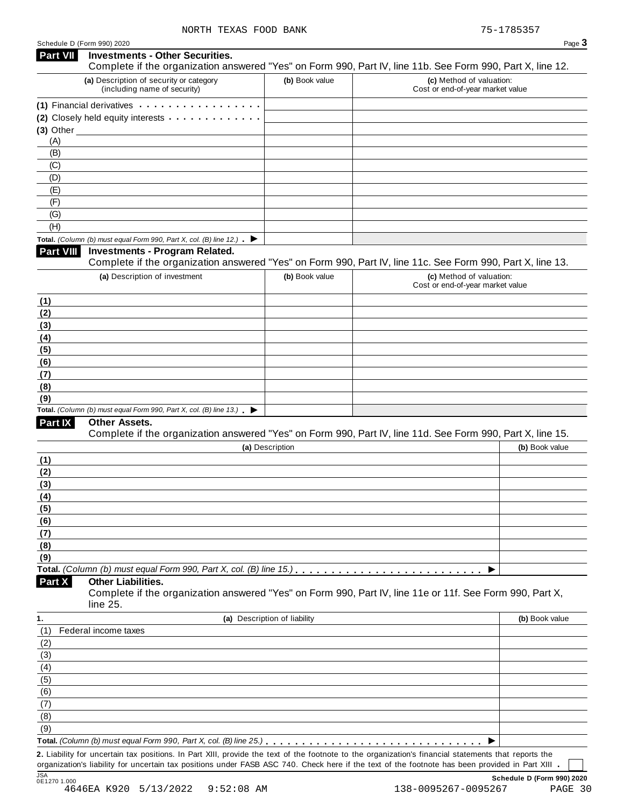|             | Page. |  |
|-------------|-------|--|
|             |       |  |
| X, line 12. |       |  |

| <b>Part VII</b>     | <b>Investments - Other Securities.</b><br>Complete if the organization answered "Yes" on Form 990, Part IV, line 11b. See Form 990, Part X, line 12.                                                                           |                              |                                                              |                |
|---------------------|--------------------------------------------------------------------------------------------------------------------------------------------------------------------------------------------------------------------------------|------------------------------|--------------------------------------------------------------|----------------|
|                     | (a) Description of security or category<br>(including name of security)                                                                                                                                                        | (b) Book value               | (c) Method of valuation:<br>Cost or end-of-year market value |                |
|                     | (1) Financial derivatives expansion of the state of the state of the state of the state of the state of the state of the state of the state of the state of the state of the state of the state of the state of the state of t |                              |                                                              |                |
|                     | (2) Closely held equity interests                                                                                                                                                                                              |                              |                                                              |                |
| $(3)$ Other $\_$    |                                                                                                                                                                                                                                |                              |                                                              |                |
| (A)                 |                                                                                                                                                                                                                                |                              |                                                              |                |
| (B)                 |                                                                                                                                                                                                                                |                              |                                                              |                |
| (C)                 |                                                                                                                                                                                                                                |                              |                                                              |                |
| (D)                 |                                                                                                                                                                                                                                |                              |                                                              |                |
| (E)                 |                                                                                                                                                                                                                                |                              |                                                              |                |
| (F)                 |                                                                                                                                                                                                                                |                              |                                                              |                |
| (G)                 |                                                                                                                                                                                                                                |                              |                                                              |                |
| (H)                 |                                                                                                                                                                                                                                |                              |                                                              |                |
|                     | Total. (Column (b) must equal Form 990, Part X, col. (B) line 12.)                                                                                                                                                             |                              |                                                              |                |
| Part VIII           | <b>Investments - Program Related.</b><br>Complete if the organization answered "Yes" on Form 990, Part IV, line 11c. See Form 990, Part X, line 13.                                                                            |                              |                                                              |                |
|                     | (a) Description of investment                                                                                                                                                                                                  | (b) Book value               | (c) Method of valuation:<br>Cost or end-of-year market value |                |
| (1)                 |                                                                                                                                                                                                                                |                              |                                                              |                |
| (2)                 |                                                                                                                                                                                                                                |                              |                                                              |                |
| (3)                 |                                                                                                                                                                                                                                |                              |                                                              |                |
| (4)                 |                                                                                                                                                                                                                                |                              |                                                              |                |
| (5)                 |                                                                                                                                                                                                                                |                              |                                                              |                |
| (6)                 |                                                                                                                                                                                                                                |                              |                                                              |                |
| (7)                 |                                                                                                                                                                                                                                |                              |                                                              |                |
| (8)                 |                                                                                                                                                                                                                                |                              |                                                              |                |
| (9)                 | Total. (Column (b) must equal Form 990, Part X, col. (B) line $13$ .)                                                                                                                                                          |                              |                                                              |                |
| Part IX             | Other Assets.                                                                                                                                                                                                                  |                              |                                                              |                |
|                     | Complete if the organization answered "Yes" on Form 990, Part IV, line 11d. See Form 990, Part X, line 15.                                                                                                                     |                              |                                                              |                |
|                     |                                                                                                                                                                                                                                | (a) Description              |                                                              | (b) Book value |
| (1)                 |                                                                                                                                                                                                                                |                              |                                                              |                |
| (2)                 |                                                                                                                                                                                                                                |                              |                                                              |                |
| (3)                 |                                                                                                                                                                                                                                |                              |                                                              |                |
| (4)                 |                                                                                                                                                                                                                                |                              |                                                              |                |
| (5)                 |                                                                                                                                                                                                                                |                              |                                                              |                |
| (6)                 |                                                                                                                                                                                                                                |                              |                                                              |                |
| (7)                 |                                                                                                                                                                                                                                |                              |                                                              |                |
| (8)                 |                                                                                                                                                                                                                                |                              |                                                              |                |
| (9)                 |                                                                                                                                                                                                                                |                              |                                                              |                |
|                     |                                                                                                                                                                                                                                |                              |                                                              |                |
| Part $\overline{X}$ | <b>Other Liabilities.</b><br>Complete if the organization answered "Yes" on Form 990, Part IV, line 11e or 11f. See Form 990, Part X,<br>line 25.                                                                              |                              |                                                              |                |
| 1.                  |                                                                                                                                                                                                                                | (a) Description of liability |                                                              | (b) Book value |
| (1)                 | Federal income taxes                                                                                                                                                                                                           |                              |                                                              |                |
| (2)                 |                                                                                                                                                                                                                                |                              |                                                              |                |
| (3)                 |                                                                                                                                                                                                                                |                              |                                                              |                |
| (4)                 |                                                                                                                                                                                                                                |                              |                                                              |                |
| (5)                 |                                                                                                                                                                                                                                |                              |                                                              |                |
| (6)                 |                                                                                                                                                                                                                                |                              |                                                              |                |
| (7)                 |                                                                                                                                                                                                                                |                              |                                                              |                |
| (8)                 |                                                                                                                                                                                                                                |                              |                                                              |                |
| (9)                 |                                                                                                                                                                                                                                |                              |                                                              |                |
|                     | Total. (Column (b) must equal Form 990, Part X, col. (B) line $25$ .                                                                                                                                                           |                              |                                                              |                |
|                     | 2. Liability for uncertain tax positions. In Part XIII, provide the text of the footnote to the organization's financial statements that reports the                                                                           |                              |                                                              |                |
|                     | organization's liability for uncertain tax positions under FASB ASC 740. Check here if the text of the footnote has been provided in Part XIII                                                                                 |                              |                                                              |                |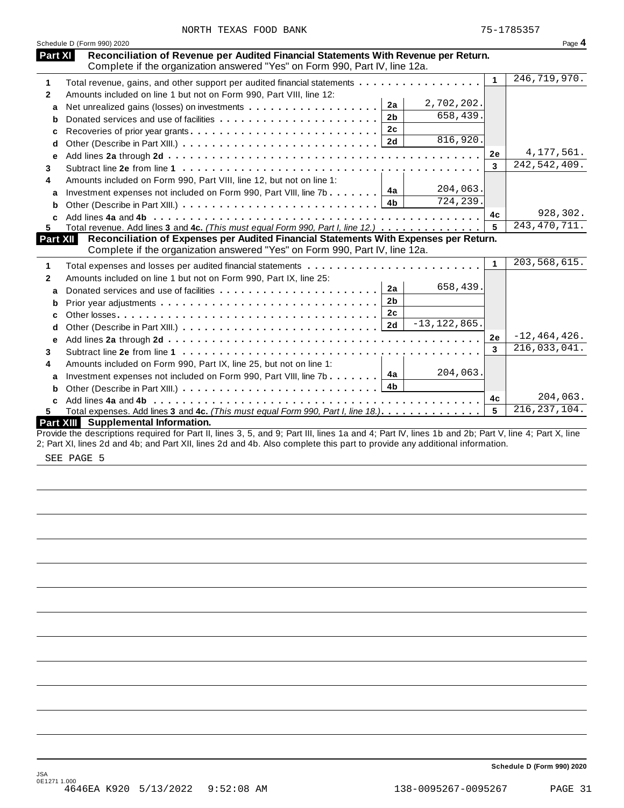| NORTH TEXAS FOOD BANK |  |  |  |  |
|-----------------------|--|--|--|--|
|-----------------------|--|--|--|--|

|              | Schedule D (Form 990) 2020                                                                                                                                         |              | Page 4           |
|--------------|--------------------------------------------------------------------------------------------------------------------------------------------------------------------|--------------|------------------|
| Part XI      | Reconciliation of Revenue per Audited Financial Statements With Revenue per Return.<br>Complete if the organization answered "Yes" on Form 990, Part IV, line 12a. |              |                  |
| 1            | Total revenue, gains, and other support per audited financial statements                                                                                           | $\mathbf{1}$ | 246, 719, 970.   |
| $\mathbf{2}$ | Amounts included on line 1 but not on Form 990, Part VIII, line 12:                                                                                                |              |                  |
| a            | 2,702,202.<br>2a                                                                                                                                                   |              |                  |
| b            | 658,439.<br>2 <sub>b</sub>                                                                                                                                         |              |                  |
| c            | 2c                                                                                                                                                                 |              |                  |
| d            | 816,920.                                                                                                                                                           |              |                  |
| e            |                                                                                                                                                                    | 2e           | 4, 177, 561.     |
| 3            |                                                                                                                                                                    | 3            | 242, 542, 409.   |
| 4            | Amounts included on Form 990, Part VIII, line 12, but not on line 1:                                                                                               |              |                  |
|              | 204,063.<br>4a<br>Investment expenses not included on Form 990, Part VIII, line 7b                                                                                 |              |                  |
| a<br>b       | 724, 239.<br>4 <sub>b</sub>                                                                                                                                        |              |                  |
| C.           |                                                                                                                                                                    | 4c           | 928,302.         |
| 5            | Total revenue. Add lines 3 and 4c. (This must equal Form 990, Part I, line 12.)                                                                                    | 5            | 243, 470, 711.   |
| Part XII     | Reconciliation of Expenses per Audited Financial Statements With Expenses per Return.                                                                              |              |                  |
|              | Complete if the organization answered "Yes" on Form 990, Part IV, line 12a.                                                                                        |              |                  |
| 1            | Total expenses and losses per audited financial statements                                                                                                         | $\mathbf{1}$ | 203,568,615.     |
| 2            | Amounts included on line 1 but not on Form 990, Part IX, line 25:                                                                                                  |              |                  |
| a            | 658,439.<br>2a                                                                                                                                                     |              |                  |
| b            | 2 <sub>b</sub>                                                                                                                                                     |              |                  |
| C            | 2c                                                                                                                                                                 |              |                  |
| d            | $-13, 122, 865.$<br>2d                                                                                                                                             |              |                  |
| е            |                                                                                                                                                                    | 2e           | $-12, 464, 426.$ |
| 3            |                                                                                                                                                                    | 3            | 216,033,041.     |
| 4            | Amounts included on Form 990, Part IX, line 25, but not on line 1:                                                                                                 |              |                  |
| a            | 204,063.<br>4a<br>Investment expenses not included on Form 990, Part VIII, line 7b                                                                                 |              |                  |
| b            | 4 <sub>b</sub>                                                                                                                                                     |              |                  |
| C            |                                                                                                                                                                    | 4c           | 204,063.         |
| 5.           | Total expenses. Add lines 3 and 4c. (This must equal Form 990, Part I, line 18.).                                                                                  | 5            | 216, 237, 104.   |
|              | Part XIII Supplemental Information.                                                                                                                                |              |                  |
|              | Provide the descriptions required for Part II, lines 3, 5, and 9; Part III, lines 1a and 4; Part IV, lines 1b and 2b; Part V, line 4; Part X, line                 |              |                  |

2; Part XI, lines 2d and 4b; and Part XII, lines 2d and 4b. Also complete this part to provide any additional information.

SEE PAGE 5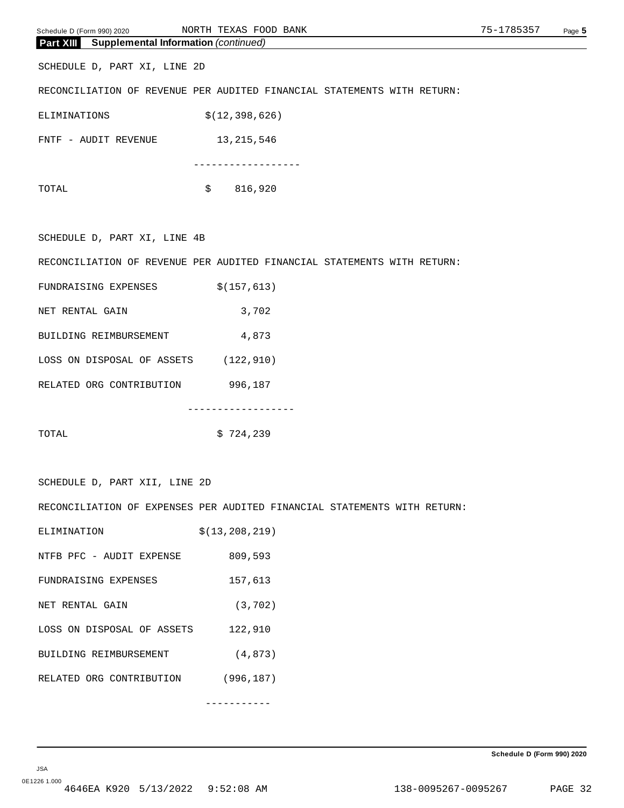| Schedule D (Form 990) 2020 |                                                       | NORTH TEXAS FOOD BANK                                                    | 75-1785357 | Page 5 |
|----------------------------|-------------------------------------------------------|--------------------------------------------------------------------------|------------|--------|
|                            | <b>Part XIII</b> Supplemental Information (continued) |                                                                          |            |        |
|                            | SCHEDULE D, PART XI, LINE 2D                          |                                                                          |            |        |
|                            |                                                       | RECONCILIATION OF REVENUE PER AUDITED FINANCIAL STATEMENTS WITH RETURN:  |            |        |
| ELIMINATIONS               |                                                       | \$(12, 398, 626)                                                         |            |        |
|                            | FNTF - AUDIT REVENUE                                  | 13,215,546                                                               |            |        |
|                            |                                                       | . <u>.</u> .                                                             |            |        |
| TOTAL                      |                                                       | \$ 816,920                                                               |            |        |
|                            |                                                       |                                                                          |            |        |
|                            | SCHEDULE D, PART XI, LINE 4B                          |                                                                          |            |        |
|                            |                                                       | RECONCILIATION OF REVENUE PER AUDITED FINANCIAL STATEMENTS WITH RETURN:  |            |        |
|                            | FUNDRAISING EXPENSES                                  | \$(157, 613)                                                             |            |        |
| NET RENTAL GAIN            |                                                       | 3,702                                                                    |            |        |
|                            | BUILDING REIMBURSEMENT                                | 4,873                                                                    |            |        |
|                            | LOSS ON DISPOSAL OF ASSETS (122,910)                  |                                                                          |            |        |
|                            | RELATED ORG CONTRIBUTION 996,187                      |                                                                          |            |        |
|                            |                                                       | -----------------                                                        |            |        |
| TOTAL                      |                                                       | \$724,239                                                                |            |        |
|                            |                                                       |                                                                          |            |        |
|                            | SCHEDULE D, PART XII, LINE 2D                         |                                                                          |            |        |
|                            |                                                       | RECONCILIATION OF EXPENSES PER AUDITED FINANCIAL STATEMENTS WITH RETURN: |            |        |
| ELIMINATION                |                                                       | \$(13, 208, 219)                                                         |            |        |
|                            | NTFB PFC - AUDIT EXPENSE 809,593                      |                                                                          |            |        |
|                            | FUNDRAISING EXPENSES                                  | 157,613                                                                  |            |        |
| NET RENTAL GAIN            |                                                       | (3, 702)                                                                 |            |        |
|                            | LOSS ON DISPOSAL OF ASSETS 122,910                    |                                                                          |            |        |
|                            | BUILDING REIMBURSEMENT                                | (4, 873)                                                                 |            |        |
|                            | RELATED ORG CONTRIBUTION (996,187)                    |                                                                          |            |        |
|                            |                                                       |                                                                          |            |        |
|                            |                                                       |                                                                          |            |        |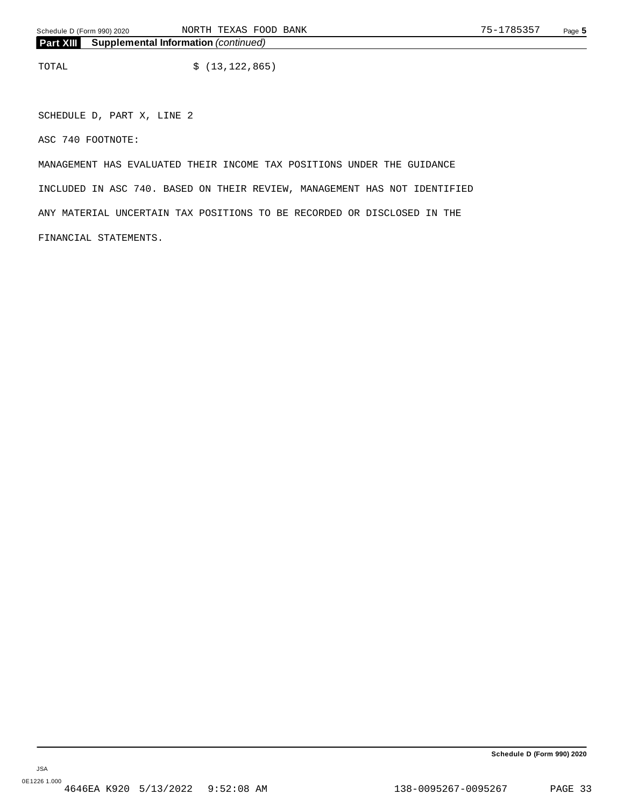TOTAL  $$ (13, 122, 865)$ 

SCHEDULE D, PART X, LINE 2

ASC 740 FOOTNOTE:

MANAGEMENT HAS EVALUATED THEIR INCOME TAX POSITIONS UNDER THE GUIDANCE INCLUDED IN ASC 740. BASED ON THEIR REVIEW, MANAGEMENT HAS NOT IDENTIFIED ANY MATERIAL UNCERTAIN TAX POSITIONS TO BE RECORDED OR DISCLOSED IN THE FINANCIAL STATEMENTS.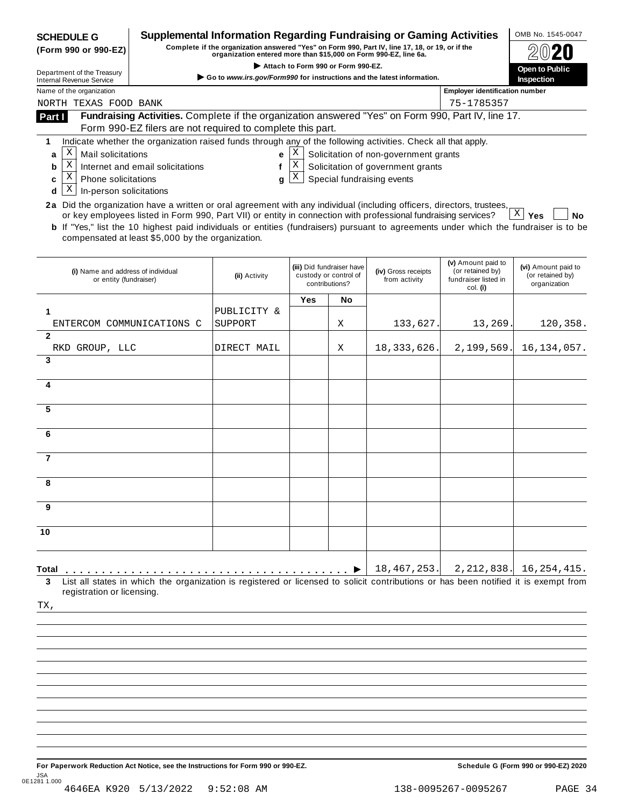| <b>SCHEDULE G</b><br>(Form 990 or 990-EZ)                                                                                                                                                                                                                                                                                                                                                           | Supplemental Information Regarding Fundraising or Gaming Activities<br>Complete if the organization answered "Yes" on Form 990, Part IV, line 17, 18, or 19, or if the<br>organization entered more than \$15,000 on Form 990-EZ, line 6a. |               |             |                                                                      |                                                                                                          |                                                                            |                                                         |  |  |
|-----------------------------------------------------------------------------------------------------------------------------------------------------------------------------------------------------------------------------------------------------------------------------------------------------------------------------------------------------------------------------------------------------|--------------------------------------------------------------------------------------------------------------------------------------------------------------------------------------------------------------------------------------------|---------------|-------------|----------------------------------------------------------------------|----------------------------------------------------------------------------------------------------------|----------------------------------------------------------------------------|---------------------------------------------------------|--|--|
| Attach to Form 990 or Form 990-EZ.<br>Department of the Treasury<br>Go to www.irs.gov/Form990 for instructions and the latest information.                                                                                                                                                                                                                                                          |                                                                                                                                                                                                                                            |               |             |                                                                      |                                                                                                          |                                                                            | Open to Public<br>Inspection                            |  |  |
| <b>Internal Revenue Service</b><br>Name of the organization                                                                                                                                                                                                                                                                                                                                         |                                                                                                                                                                                                                                            |               |             |                                                                      |                                                                                                          | <b>Employer identification number</b>                                      |                                                         |  |  |
| NORTH TEXAS FOOD BANK                                                                                                                                                                                                                                                                                                                                                                               | 75-1785357                                                                                                                                                                                                                                 |               |             |                                                                      |                                                                                                          |                                                                            |                                                         |  |  |
| Fundraising Activities. Complete if the organization answered "Yes" on Form 990, Part IV, line 17.<br>Part I                                                                                                                                                                                                                                                                                        |                                                                                                                                                                                                                                            |               |             |                                                                      |                                                                                                          |                                                                            |                                                         |  |  |
| Form 990-EZ filers are not required to complete this part.<br>Indicate whether the organization raised funds through any of the following activities. Check all that apply.<br>1                                                                                                                                                                                                                    |                                                                                                                                                                                                                                            |               |             |                                                                      |                                                                                                          |                                                                            |                                                         |  |  |
| X<br>Mail solicitations<br>a<br>Χ<br>Internet and email solicitations<br>b<br>Χ<br><b>Phone solicitations</b><br>c<br>Χ<br>In-person solicitations<br>d<br>2a Did the organization have a written or oral agreement with any individual (including officers, directors, trustees,<br>or key employees listed in Form 990, Part VII) or entity in connection with professional fundraising services? |                                                                                                                                                                                                                                            | е<br>f<br>g   | Χ<br>Χ<br>Χ |                                                                      | Solicitation of non-government grants<br>Solicitation of government grants<br>Special fundraising events |                                                                            | $X \mid$<br>Yes<br>No                                   |  |  |
| <b>b</b> If "Yes," list the 10 highest paid individuals or entities (fundraisers) pursuant to agreements under which the fundraiser is to be<br>compensated at least \$5,000 by the organization.                                                                                                                                                                                                   |                                                                                                                                                                                                                                            |               |             |                                                                      |                                                                                                          |                                                                            |                                                         |  |  |
| (i) Name and address of individual<br>or entity (fundraiser)                                                                                                                                                                                                                                                                                                                                        |                                                                                                                                                                                                                                            | (ii) Activity |             | (iii) Did fundraiser have<br>custody or control of<br>contributions? | (iv) Gross receipts<br>from activity                                                                     | (v) Amount paid to<br>(or retained by)<br>fundraiser listed in<br>col. (i) | (vi) Amount paid to<br>(or retained by)<br>organization |  |  |
|                                                                                                                                                                                                                                                                                                                                                                                                     |                                                                                                                                                                                                                                            |               | Yes         | No                                                                   |                                                                                                          |                                                                            |                                                         |  |  |
| ENTERCOM COMMUNICATIONS C                                                                                                                                                                                                                                                                                                                                                                           | SUPPORT                                                                                                                                                                                                                                    | PUBLICITY &   |             | Χ                                                                    | 133,627                                                                                                  | 13,269                                                                     | 120,358.                                                |  |  |
| $\overline{2}$                                                                                                                                                                                                                                                                                                                                                                                      |                                                                                                                                                                                                                                            |               |             |                                                                      |                                                                                                          |                                                                            |                                                         |  |  |
| RKD GROUP, LLC<br>3                                                                                                                                                                                                                                                                                                                                                                                 |                                                                                                                                                                                                                                            | DIRECT MAIL   |             | X                                                                    | 18, 333, 626.                                                                                            | 2,199,569                                                                  | 16, 134, 057.                                           |  |  |
|                                                                                                                                                                                                                                                                                                                                                                                                     |                                                                                                                                                                                                                                            |               |             |                                                                      |                                                                                                          |                                                                            |                                                         |  |  |
| 4                                                                                                                                                                                                                                                                                                                                                                                                   |                                                                                                                                                                                                                                            |               |             |                                                                      |                                                                                                          |                                                                            |                                                         |  |  |
| 5                                                                                                                                                                                                                                                                                                                                                                                                   |                                                                                                                                                                                                                                            |               |             |                                                                      |                                                                                                          |                                                                            |                                                         |  |  |
| 6                                                                                                                                                                                                                                                                                                                                                                                                   |                                                                                                                                                                                                                                            |               |             |                                                                      |                                                                                                          |                                                                            |                                                         |  |  |
|                                                                                                                                                                                                                                                                                                                                                                                                     |                                                                                                                                                                                                                                            |               |             |                                                                      |                                                                                                          |                                                                            |                                                         |  |  |
| $\overline{7}$                                                                                                                                                                                                                                                                                                                                                                                      |                                                                                                                                                                                                                                            |               |             |                                                                      |                                                                                                          |                                                                            |                                                         |  |  |
| 8                                                                                                                                                                                                                                                                                                                                                                                                   |                                                                                                                                                                                                                                            |               |             |                                                                      |                                                                                                          |                                                                            |                                                         |  |  |
| 9                                                                                                                                                                                                                                                                                                                                                                                                   |                                                                                                                                                                                                                                            |               |             |                                                                      |                                                                                                          |                                                                            |                                                         |  |  |
| 10                                                                                                                                                                                                                                                                                                                                                                                                  |                                                                                                                                                                                                                                            |               |             |                                                                      |                                                                                                          |                                                                            |                                                         |  |  |
| Total<br>List all states in which the organization is registered or licensed to solicit contributions or has been notified it is exempt from                                                                                                                                                                                                                                                        |                                                                                                                                                                                                                                            |               |             |                                                                      | 18,467,253.                                                                                              | 2, 212, 838.                                                               | 16, 254, 415.                                           |  |  |
| 3<br>registration or licensing.<br>TX,                                                                                                                                                                                                                                                                                                                                                              |                                                                                                                                                                                                                                            |               |             |                                                                      |                                                                                                          |                                                                            |                                                         |  |  |
|                                                                                                                                                                                                                                                                                                                                                                                                     |                                                                                                                                                                                                                                            |               |             |                                                                      |                                                                                                          |                                                                            |                                                         |  |  |
|                                                                                                                                                                                                                                                                                                                                                                                                     |                                                                                                                                                                                                                                            |               |             |                                                                      |                                                                                                          |                                                                            |                                                         |  |  |
|                                                                                                                                                                                                                                                                                                                                                                                                     |                                                                                                                                                                                                                                            |               |             |                                                                      |                                                                                                          |                                                                            |                                                         |  |  |
|                                                                                                                                                                                                                                                                                                                                                                                                     |                                                                                                                                                                                                                                            |               |             |                                                                      |                                                                                                          |                                                                            |                                                         |  |  |
|                                                                                                                                                                                                                                                                                                                                                                                                     |                                                                                                                                                                                                                                            |               |             |                                                                      |                                                                                                          |                                                                            |                                                         |  |  |
|                                                                                                                                                                                                                                                                                                                                                                                                     |                                                                                                                                                                                                                                            |               |             |                                                                      |                                                                                                          |                                                                            |                                                         |  |  |
|                                                                                                                                                                                                                                                                                                                                                                                                     |                                                                                                                                                                                                                                            |               |             |                                                                      |                                                                                                          |                                                                            |                                                         |  |  |
|                                                                                                                                                                                                                                                                                                                                                                                                     |                                                                                                                                                                                                                                            |               |             |                                                                      |                                                                                                          |                                                                            |                                                         |  |  |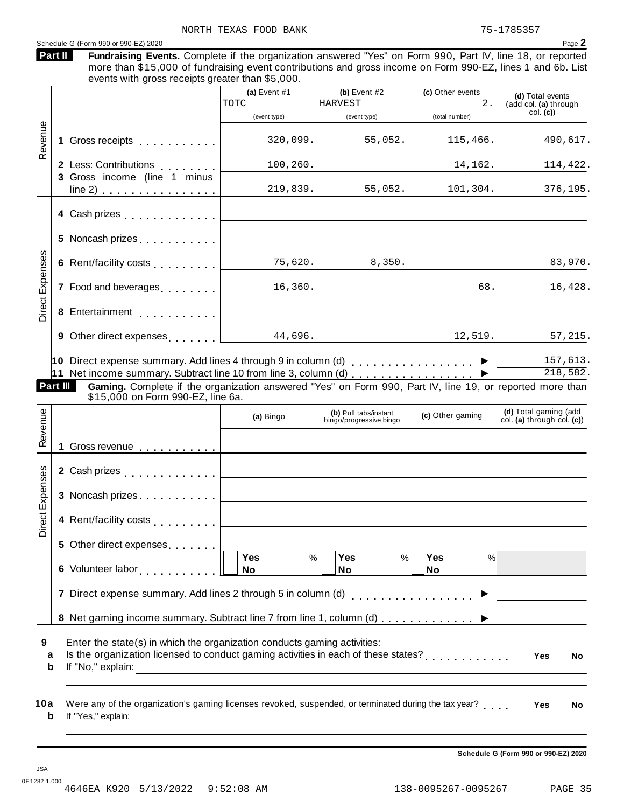#### Schedule <sup>G</sup> (Form <sup>990</sup> or 990-EZ) <sup>2020</sup> Page **2**

| Part II | Fundraising Events. Complete if the organization answered "Yes" on Form 990, Part IV, line 18, or reported |  |  |  |  |
|---------|------------------------------------------------------------------------------------------------------------|--|--|--|--|
|         | more than \$15,000 of fundraising event contributions and gross income on Form 990-FZ lines 1 and 6b List  |  |  |  |  |

than \$15,000 of fundraising event contributions and gross income on Form 990-EZ, lines 1 and 6b. List events with gross receipts greater than \$5,000. **(a)** Event #1 **(b)** Event #2 **(c)** Other events **(d)** Total events (add col. **(a)** through col. **(c)**) (event type) (event type) (total number) **1** Gross receipts <sub>.....</sub>...... **2** Less: Contributions **3** Gross income (line 1 minus line 2) . . . . . . . . . . . . . . . . Less: Contributions<br>Gross income (line 1 minus -Revenue<br>1<br>1 **4** Cash prizes . . . . . . . . . . . . **5** Noncash prizes  $\ldots \ldots \ldots$ **6** Rent/facility costs m m m m m m m m m enses **7** Food and beverages **manual 8**<br> **8** Entertainment<br> **8** Entertainment **9** Other direct expenses **manual 10** Direct expense summary. Add lines 4 through 9 in column (d) m m m m m m m m m m m m m m m m m I **11** Net income summary. Subtract line 10 from line 3, column (d) m m m m m m m m m m m m m m m m m I xp**Part III Gaming.** Complete if the organization answered "Yes" on Form 990, Part IV, line 19, or reported more than<br>\$15,000 on Form 990-EZ, line 6a. **(d)** Total gaming (add col. **(a)** through col. **(c)**) **(b)** Pull tabs/instant (a) Bingo **(b)** Pull tabs/instant **(c)** Other gaming **(c)** Other gaming  $\mathbb{E}\left[1\right]$  Gross revenue  $\ldots \ldots \ldots \ldots$ **2** Cash prizes **manual** measure in the manual  $\sim$ **3** Noncash prizes . . . . . . . . . . . œ venue **4** Rent/facility costs<br>
5 Other direct expenses....... **5** Other direct expenses **6** Volunteer labor **man m m m m m m m m m m m m m m m m m 7** Direct expense summary. Add lines 2 through 5 in column (d)  $\ldots$  . . . . . . . . . . . . . . .  $\blacktriangleright$ 8 Net gaming income summary. Subtract line 7 from line 1, column (d)  $\ldots \ldots \ldots$ xpenses<br>3<br>x<br>3 **Yes No Yes No Yes No** % $\vert \quad \vert$  Yes \_\_\_\_\_\_ % $\vert \quad \vert$  Yes \_\_\_\_\_\_ % $\vert$ **9 10** Enter the state(s) in which the organization conducts gaming activities: Erner the state(s) in which the organization conducts gaming activities.<br> **a** Is the organization licensed to conduct gaming activities in each of these states?<br> **b** If the theoretic state of the state of the states of the **b** If "No," explain: a Were any of the organization's gaming licenses revoked, suspended, or terminated during the tax year?<br>http://www.wali.in.com/industrial/industrial/industrial/industrial/industrial/industrial/industrial/industrial/ **b** If "Yes," explain: TOTC HARVEST 2.  $320,099.$  55,052. 115,466. 490,617.  $100,260.$  14,162. 14,162. 219,839. 55,052. 101,304. 376,195.  $75,620.$  8,350. 83,970. 16,360. 68. 16,428. 12,519. 57,215. 157,613. 218,582.

**Schedule G (Form 990 or 990-EZ) 2020**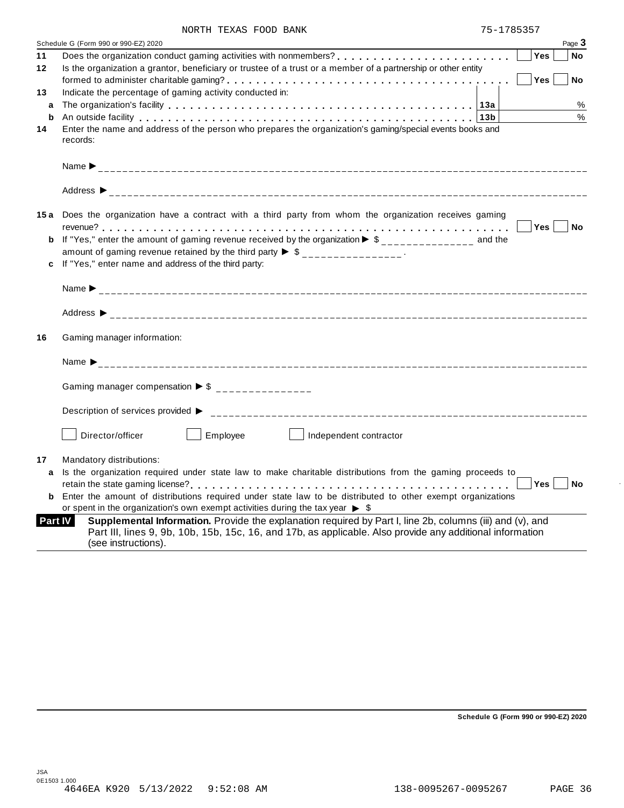|                | Schedule G (Form 990 or 990-EZ) 2020                                                                                                                                                                                                          |                  | Page 3    |
|----------------|-----------------------------------------------------------------------------------------------------------------------------------------------------------------------------------------------------------------------------------------------|------------------|-----------|
| 11             |                                                                                                                                                                                                                                               | Yes              | <b>No</b> |
| 12             | Is the organization a grantor, beneficiary or trustee of a trust or a member of a partnership or other entity                                                                                                                                 |                  |           |
|                |                                                                                                                                                                                                                                               | Yes              | <b>No</b> |
| 13             | Indicate the percentage of gaming activity conducted in:                                                                                                                                                                                      |                  |           |
| a              |                                                                                                                                                                                                                                               |                  | %         |
| b              | An outside facility enterpreteration of the control of the control of the control of the control of the control of the control of the control of the control of the control of the control of the control of the control of th                |                  | %         |
| 14             | Enter the name and address of the person who prepares the organization's gaming/special events books and<br>records:                                                                                                                          |                  |           |
|                |                                                                                                                                                                                                                                               |                  |           |
|                |                                                                                                                                                                                                                                               |                  |           |
|                | 15a Does the organization have a contract with a third party from whom the organization receives gaming                                                                                                                                       |                  |           |
|                |                                                                                                                                                                                                                                               | Yes <sub>1</sub> | <b>No</b> |
|                | <b>b</b> If "Yes," enter the amount of gaming revenue received by the organization $\triangleright$ \$                                                                                                                                        |                  |           |
|                | amount of gaming revenue retained by the third party $\triangleright$ \$ _______________.                                                                                                                                                     |                  |           |
|                | c If "Yes," enter name and address of the third party:                                                                                                                                                                                        |                  |           |
|                |                                                                                                                                                                                                                                               |                  |           |
|                |                                                                                                                                                                                                                                               |                  |           |
| 16             | Gaming manager information:                                                                                                                                                                                                                   |                  |           |
|                | Name $\sum_{-2}$                                                                                                                                                                                                                              |                  |           |
|                |                                                                                                                                                                                                                                               |                  |           |
|                | Gaming manager compensation $\triangleright$ \$ ______________                                                                                                                                                                                |                  |           |
|                |                                                                                                                                                                                                                                               |                  |           |
|                | Director/officer<br>Employee<br>Independent contractor                                                                                                                                                                                        |                  |           |
| 17             | Mandatory distributions:                                                                                                                                                                                                                      |                  |           |
| a              | Is the organization required under state law to make charitable distributions from the gaming proceeds to                                                                                                                                     |                  |           |
|                |                                                                                                                                                                                                                                               | Yes              | <b>No</b> |
| b              | Enter the amount of distributions required under state law to be distributed to other exempt organizations                                                                                                                                    |                  |           |
|                | or spent in the organization's own exempt activities during the tax year $\triangleright$ \$                                                                                                                                                  |                  |           |
| <b>Part IV</b> | Supplemental Information. Provide the explanation required by Part I, line 2b, columns (iii) and (v), and<br>Part III, lines 9, 9b, 10b, 15b, 15c, 16, and 17b, as applicable. Also provide any additional information<br>(see instructions). |                  |           |

**Schedule G (Form 990 or 990-EZ) 2020**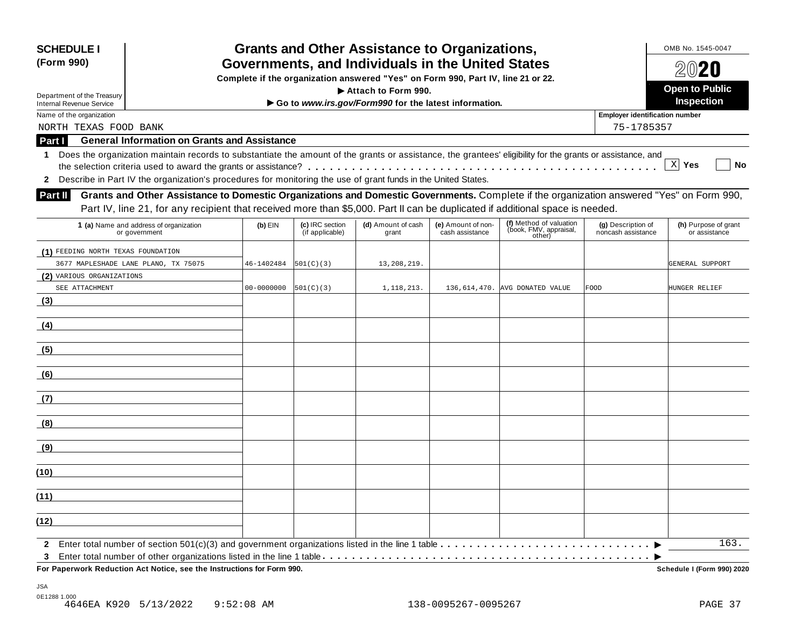| <b>SCHEDULE I</b>                                           |                                                                                                                                                            |                |                                    | <b>Grants and Other Assistance to Organizations,</b>  |                                       |                                                             |                                          | OMB No. 1545-0047<br>2020             |  |  |
|-------------------------------------------------------------|------------------------------------------------------------------------------------------------------------------------------------------------------------|----------------|------------------------------------|-------------------------------------------------------|---------------------------------------|-------------------------------------------------------------|------------------------------------------|---------------------------------------|--|--|
| (Form 990)                                                  | Governments, and Individuals in the United States<br>Complete if the organization answered "Yes" on Form 990, Part IV, line 21 or 22.                      |                |                                    |                                                       |                                       |                                                             |                                          |                                       |  |  |
|                                                             |                                                                                                                                                            |                |                                    |                                                       |                                       |                                                             |                                          | <b>Open to Public</b>                 |  |  |
| Department of the Treasury                                  |                                                                                                                                                            |                |                                    | Attach to Form 990.                                   |                                       |                                                             |                                          | Inspection                            |  |  |
| <b>Internal Revenue Service</b><br>Name of the organization |                                                                                                                                                            |                |                                    | Go to www.irs.gov/Form990 for the latest information. |                                       |                                                             | Employer identification number           |                                       |  |  |
| NORTH TEXAS FOOD BANK                                       |                                                                                                                                                            |                |                                    |                                                       |                                       |                                                             | 75-1785357                               |                                       |  |  |
|                                                             | <b>General Information on Grants and Assistance</b>                                                                                                        |                |                                    |                                                       |                                       |                                                             |                                          |                                       |  |  |
| Part I                                                      |                                                                                                                                                            |                |                                    |                                                       |                                       |                                                             |                                          |                                       |  |  |
| 1                                                           | Does the organization maintain records to substantiate the amount of the grants or assistance, the grantees' eligibility for the grants or assistance, and |                |                                    |                                                       |                                       |                                                             |                                          | $X$ Yes<br>No                         |  |  |
|                                                             | Describe in Part IV the organization's procedures for monitoring the use of grant funds in the United States.                                              |                |                                    |                                                       |                                       |                                                             |                                          |                                       |  |  |
| $\mathbf{2}$                                                |                                                                                                                                                            |                |                                    |                                                       |                                       |                                                             |                                          |                                       |  |  |
| <b>Part II</b>                                              | Grants and Other Assistance to Domestic Organizations and Domestic Governments. Complete if the organization answered "Yes" on Form 990,                   |                |                                    |                                                       |                                       |                                                             |                                          |                                       |  |  |
|                                                             | Part IV, line 21, for any recipient that received more than \$5,000. Part II can be duplicated if additional space is needed.                              |                |                                    |                                                       |                                       |                                                             |                                          |                                       |  |  |
|                                                             | 1 (a) Name and address of organization<br>or government                                                                                                    | $(b)$ EIN      | (c) IRC section<br>(if applicable) | (d) Amount of cash<br>grant                           | (e) Amount of non-<br>cash assistance | (f) Method of valuation<br>(book, FMV, appraisal,<br>other) | (g) Description of<br>noncash assistance | (h) Purpose of grant<br>or assistance |  |  |
| (1) FEEDING NORTH TEXAS FOUNDATION                          |                                                                                                                                                            |                |                                    |                                                       |                                       |                                                             |                                          |                                       |  |  |
|                                                             | 3677 MAPLESHADE LANE PLANO, TX 75075                                                                                                                       | 46-1402484     | 501(C)(3)                          | 13, 208, 219.                                         |                                       |                                                             |                                          | GENERAL SUPPORT                       |  |  |
| (2) VARIOUS ORGANIZATIONS                                   |                                                                                                                                                            |                |                                    |                                                       |                                       |                                                             |                                          |                                       |  |  |
| SEE ATTACHMENT                                              |                                                                                                                                                            | $00 - 0000000$ | 501(C)(3)                          | 1, 118, 213.                                          |                                       | 136,614,470. AVG DONATED VALUE                              | FOOD                                     | HUNGER RELIEF                         |  |  |
| (3)                                                         |                                                                                                                                                            |                |                                    |                                                       |                                       |                                                             |                                          |                                       |  |  |
| (4)                                                         |                                                                                                                                                            |                |                                    |                                                       |                                       |                                                             |                                          |                                       |  |  |
| (5)                                                         |                                                                                                                                                            |                |                                    |                                                       |                                       |                                                             |                                          |                                       |  |  |
| (6)                                                         |                                                                                                                                                            |                |                                    |                                                       |                                       |                                                             |                                          |                                       |  |  |
| (7)                                                         |                                                                                                                                                            |                |                                    |                                                       |                                       |                                                             |                                          |                                       |  |  |
| (8)                                                         |                                                                                                                                                            |                |                                    |                                                       |                                       |                                                             |                                          |                                       |  |  |
| (9)                                                         |                                                                                                                                                            |                |                                    |                                                       |                                       |                                                             |                                          |                                       |  |  |
| (10)                                                        |                                                                                                                                                            |                |                                    |                                                       |                                       |                                                             |                                          |                                       |  |  |
| (11)                                                        |                                                                                                                                                            |                |                                    |                                                       |                                       |                                                             |                                          |                                       |  |  |
| (12)                                                        |                                                                                                                                                            |                |                                    |                                                       |                                       |                                                             |                                          |                                       |  |  |
| 3                                                           | 2 Enter total number of section 501(c)(3) and government organizations listed in the line 1 table                                                          |                |                                    |                                                       |                                       |                                                             |                                          | 163.                                  |  |  |
|                                                             | For Paperwork Reduction Act Notice, see the Instructions for Form 990.                                                                                     |                |                                    |                                                       |                                       |                                                             |                                          | Schedule I (Form 990) 2020            |  |  |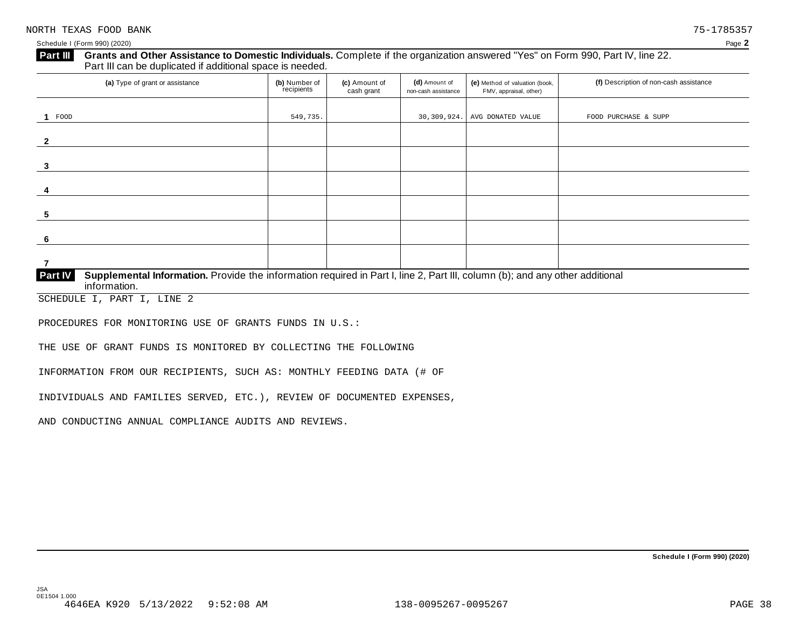#### **Grants and Other Assistance to Domestic Individuals.** Complete ifthe organization answered "Yes" on Form 990, Part IV, line 22. **Part III** Grants and Other Assistance to Domestic Individuals<br>Part III can be duplicated if additional space is needed.

| (a) Type of grant or assistance                                                                                                                | (b) Number of<br>recipients | (c) Amount of<br>cash grant | (d) Amount of<br>non-cash assistance | (e) Method of valuation (book,<br>FMV, appraisal, other) | (f) Description of non-cash assistance |  |  |
|------------------------------------------------------------------------------------------------------------------------------------------------|-----------------------------|-----------------------------|--------------------------------------|----------------------------------------------------------|----------------------------------------|--|--|
|                                                                                                                                                |                             |                             |                                      |                                                          |                                        |  |  |
| 1 FOOD                                                                                                                                         | 549,735.                    |                             | 30,309,924.                          | AVG DONATED VALUE                                        | FOOD PURCHASE & SUPP                   |  |  |
|                                                                                                                                                |                             |                             |                                      |                                                          |                                        |  |  |
| 2                                                                                                                                              |                             |                             |                                      |                                                          |                                        |  |  |
|                                                                                                                                                |                             |                             |                                      |                                                          |                                        |  |  |
| 3                                                                                                                                              |                             |                             |                                      |                                                          |                                        |  |  |
|                                                                                                                                                |                             |                             |                                      |                                                          |                                        |  |  |
| 4                                                                                                                                              |                             |                             |                                      |                                                          |                                        |  |  |
|                                                                                                                                                |                             |                             |                                      |                                                          |                                        |  |  |
| 5                                                                                                                                              |                             |                             |                                      |                                                          |                                        |  |  |
|                                                                                                                                                |                             |                             |                                      |                                                          |                                        |  |  |
| 6                                                                                                                                              |                             |                             |                                      |                                                          |                                        |  |  |
|                                                                                                                                                |                             |                             |                                      |                                                          |                                        |  |  |
|                                                                                                                                                |                             |                             |                                      |                                                          |                                        |  |  |
| Supplemental Information. Provide the information required in Part I, line 2, Part III, column (b); and any other additional<br><b>Part IV</b> |                             |                             |                                      |                                                          |                                        |  |  |

 $information$ .

SCHEDULE I, PART I, LINE 2

PROCEDURES FOR MONITORING USE OF GRANTS FUNDS IN U.S.:

THE USE OF GRANT FUNDS IS MONITORED BY COLLECTING THE FOLLOWING

INFORMATION FROM OUR RECIPIENTS, SUCH AS: MONTHLY FEEDING DATA (# OF

INDIVIDUALS AND FAMILIES SERVED, ETC.), REVIEW OF DOCUMENTED EXPENSES,

AND CONDUCTING ANNUAL COMPLIANCE AUDITS AND REVIEWS.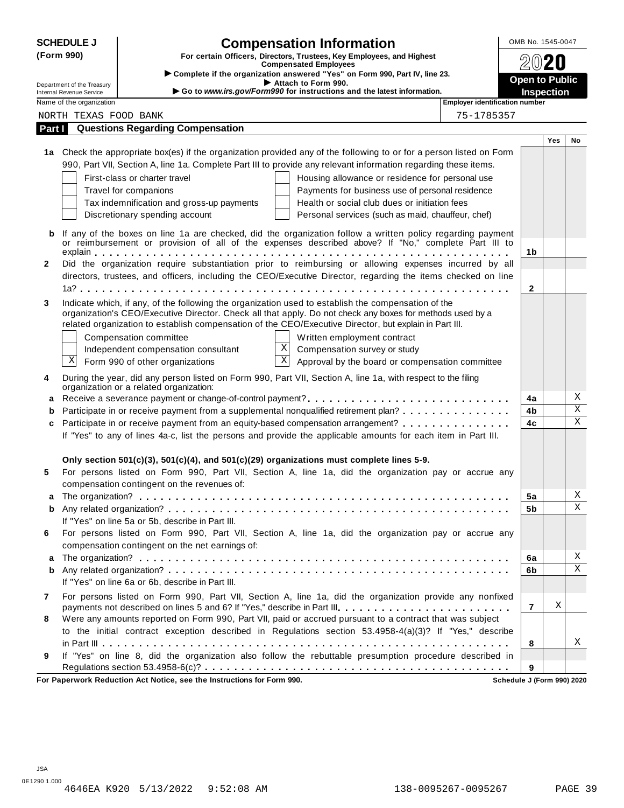| <b>SCHEDULE J</b>                                      | <b>Compensation Information</b>                                                                                                                                                                                  |                                            |     |         |  |
|--------------------------------------------------------|------------------------------------------------------------------------------------------------------------------------------------------------------------------------------------------------------------------|--------------------------------------------|-----|---------|--|
| (Form 990)                                             | For certain Officers, Directors, Trustees, Key Employees, and Highest<br><b>Compensated Employees</b>                                                                                                            |                                            |     |         |  |
|                                                        | > Complete if the organization answered "Yes" on Form 990, Part IV, line 23.                                                                                                                                     |                                            |     |         |  |
| Department of the Treasury<br>Internal Revenue Service | Attach to Form 990.<br>Go to www.irs.gov/Form990 for instructions and the latest information.                                                                                                                    | <b>Open to Public</b><br><b>Inspection</b> |     |         |  |
| Name of the organization                               | Employer identification number                                                                                                                                                                                   |                                            |     |         |  |
| NORTH TEXAS FOOD BANK                                  | 75-1785357                                                                                                                                                                                                       |                                            |     |         |  |
| Part I                                                 | <b>Questions Regarding Compensation</b>                                                                                                                                                                          |                                            |     |         |  |
|                                                        |                                                                                                                                                                                                                  |                                            | Yes | No      |  |
|                                                        | 1a Check the appropriate box(es) if the organization provided any of the following to or for a person listed on Form                                                                                             |                                            |     |         |  |
|                                                        | 990, Part VII, Section A, line 1a. Complete Part III to provide any relevant information regarding these items.                                                                                                  |                                            |     |         |  |
|                                                        | First-class or charter travel<br>Housing allowance or residence for personal use                                                                                                                                 |                                            |     |         |  |
|                                                        | Travel for companions<br>Payments for business use of personal residence                                                                                                                                         |                                            |     |         |  |
|                                                        | Tax indemnification and gross-up payments<br>Health or social club dues or initiation fees                                                                                                                       |                                            |     |         |  |
|                                                        | Discretionary spending account<br>Personal services (such as maid, chauffeur, chef)                                                                                                                              |                                            |     |         |  |
| b                                                      | If any of the boxes on line 1a are checked, did the organization follow a written policy regarding payment                                                                                                       |                                            |     |         |  |
|                                                        | or reimbursement or provision of all of the expenses described above? If "No," complete Part III to                                                                                                              |                                            |     |         |  |
|                                                        |                                                                                                                                                                                                                  | 1b                                         |     |         |  |
| $\mathbf{2}$                                           | Did the organization require substantiation prior to reimbursing or allowing expenses incurred by all                                                                                                            |                                            |     |         |  |
|                                                        | directors, trustees, and officers, including the CEO/Executive Director, regarding the items checked on line                                                                                                     | $\mathbf{2}$                               |     |         |  |
|                                                        |                                                                                                                                                                                                                  |                                            |     |         |  |
| 3                                                      | Indicate which, if any, of the following the organization used to establish the compensation of the<br>organization's CEO/Executive Director. Check all that apply. Do not check any boxes for methods used by a |                                            |     |         |  |
|                                                        | related organization to establish compensation of the CEO/Executive Director, but explain in Part III.                                                                                                           |                                            |     |         |  |
|                                                        | Written employment contract<br>Compensation committee                                                                                                                                                            |                                            |     |         |  |
|                                                        | X<br>Compensation survey or study<br>Independent compensation consultant                                                                                                                                         |                                            |     |         |  |
| Χ                                                      | $\overline{\mathbf{X}}$<br>Form 990 of other organizations<br>Approval by the board or compensation committee                                                                                                    |                                            |     |         |  |
| 4                                                      | During the year, did any person listed on Form 990, Part VII, Section A, line 1a, with respect to the filing                                                                                                     |                                            |     |         |  |
|                                                        | organization or a related organization:                                                                                                                                                                          |                                            |     |         |  |
| a                                                      |                                                                                                                                                                                                                  | 4a                                         |     | Χ       |  |
| b                                                      | Participate in or receive payment from a supplemental nonqualified retirement plan?                                                                                                                              | 4b                                         |     | $\rm X$ |  |
| c                                                      | Participate in or receive payment from an equity-based compensation arrangement?                                                                                                                                 | 4c                                         |     | X       |  |
|                                                        | If "Yes" to any of lines 4a-c, list the persons and provide the applicable amounts for each item in Part III.                                                                                                    |                                            |     |         |  |
|                                                        |                                                                                                                                                                                                                  |                                            |     |         |  |
|                                                        | Only section $501(c)(3)$ , $501(c)(4)$ , and $501(c)(29)$ organizations must complete lines 5-9.                                                                                                                 |                                            |     |         |  |
| 5                                                      | For persons listed on Form 990, Part VII, Section A, line 1a, did the organization pay or accrue any                                                                                                             |                                            |     |         |  |
|                                                        | compensation contingent on the revenues of:                                                                                                                                                                      |                                            |     |         |  |
|                                                        |                                                                                                                                                                                                                  | 5a                                         |     | Χ       |  |
| b                                                      |                                                                                                                                                                                                                  | 5b                                         |     | X       |  |
|                                                        | If "Yes" on line 5a or 5b, describe in Part III.                                                                                                                                                                 |                                            |     |         |  |
| 6                                                      | For persons listed on Form 990, Part VII, Section A, line 1a, did the organization pay or accrue any                                                                                                             |                                            |     |         |  |
|                                                        | compensation contingent on the net earnings of:                                                                                                                                                                  | 6a                                         |     | Χ       |  |
| a<br>b                                                 |                                                                                                                                                                                                                  | 6b                                         |     | X       |  |
|                                                        | If "Yes" on line 6a or 6b, describe in Part III.                                                                                                                                                                 |                                            |     |         |  |
| 7                                                      | For persons listed on Form 990, Part VII, Section A, line 1a, did the organization provide any nonfixed                                                                                                          |                                            |     |         |  |
|                                                        | payments not described on lines 5 and 6? If "Yes," describe in Part III.                                                                                                                                         | $\overline{7}$                             | Χ   |         |  |
| 8                                                      | Were any amounts reported on Form 990, Part VII, paid or accrued pursuant to a contract that was subject                                                                                                         |                                            |     |         |  |
|                                                        | to the initial contract exception described in Regulations section 53.4958-4(a)(3)? If "Yes," describe                                                                                                           |                                            |     |         |  |
|                                                        |                                                                                                                                                                                                                  | 8                                          |     | Χ       |  |
| 9                                                      | If "Yes" on line 8, did the organization also follow the rebuttable presumption procedure described in                                                                                                           |                                            |     |         |  |
|                                                        |                                                                                                                                                                                                                  | 9                                          |     |         |  |
|                                                        | For Paperwork Reduction Act Notice, see the Instructions for Form 990.                                                                                                                                           | Schedule J (Form 990) 2020                 |     |         |  |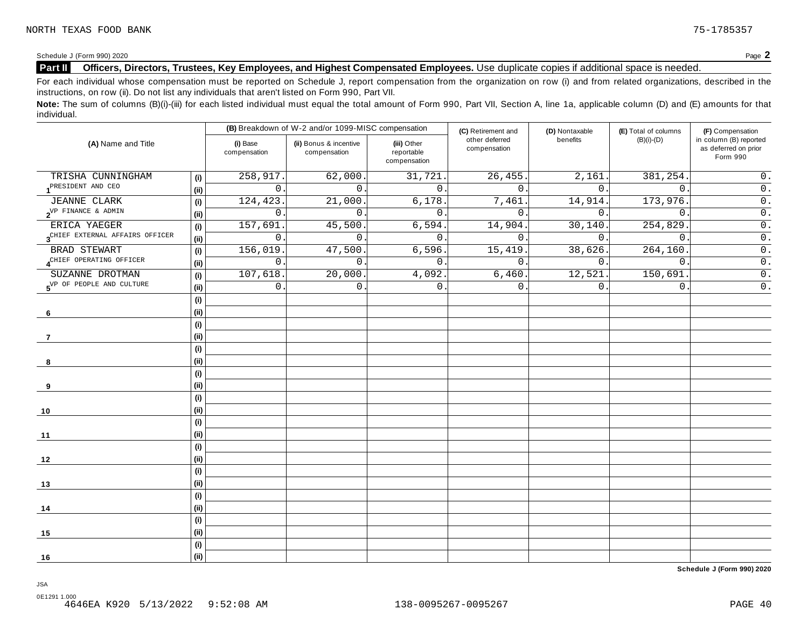## **Part II Officers, Directors, Trustees, Key Employees, and Highest Compensated Employees.** Use duplicate copies ifadditional space is needed.

For each individual whose compensation must be reported on Schedule J, report compensation from the organization on row (i) and from related organizations, described in the instructions, on row (ii). Do not list any individuals that aren't listed on Form 990, Part VII.

Note: The sum of columns (B)(i)-(iii) for each listed individual must equal the total amount of Form 990, Part VII, Section A, line 1a, applicable column (D) and (E) amounts for that individual.

| (A) Name and Title                          |      |                          | (B) Breakdown of W-2 and/or 1099-MISC compensation |                                           | (C) Retirement and             | (D) Nontaxable | (E) Total of columns | (F) Compensation                                           |  |
|---------------------------------------------|------|--------------------------|----------------------------------------------------|-------------------------------------------|--------------------------------|----------------|----------------------|------------------------------------------------------------|--|
|                                             |      | (i) Base<br>compensation | (ii) Bonus & incentive<br>compensation             | (iii) Other<br>reportable<br>compensation | other deferred<br>compensation | benefits       | $(B)(i)-(D)$         | in column (B) reported<br>as deferred on prior<br>Form 990 |  |
| TRISHA CUNNINGHAM                           | (i)  | 258,917.                 | 62,000.                                            | 31,721.                                   | 26, 455.                       | 2,161.         | 381, 254.            | $0$ .                                                      |  |
| PRESIDENT AND CEO                           | (ii) | $\overline{0}$           | $\Omega$ .                                         | $\mathbf{0}$ .                            | $\Omega$ .                     | 0.             | $\mathbf{0}$ .       | $\overline{0}$ .                                           |  |
| <b>JEANNE CLARK</b>                         | (i)  | 124,423                  | 21,000                                             | 6,178.                                    | 7,461                          | 14,914.        | 173,976.             | $\overline{0}$ .                                           |  |
| $2^{\text{VP}$ FINANCE & ADMIN              | (i)  | $\mathbf 0$              | $\Omega$ .                                         | $\overline{0}$ .                          | $\Omega$                       | $\Omega$ .     | $\Omega$             | $\overline{0}$ .                                           |  |
| ERICA YAEGER                                | (i)  | 157,691                  | 45,500                                             | 6,594.                                    | 14,904.                        | 30,140         | 254,829              | $\overline{0}$ .                                           |  |
| 3 <sup>CHIEF</sup> EXTERNAL AFFAIRS OFFICER | (i)  | $\mathsf{O}$             | $\mathbf 0$ .                                      | 0.                                        | 0.                             | $0$ .          | $\mathbf{0}$ .       | $\overline{0}$ .                                           |  |
| BRAD STEWART                                | (i)  | 156,019                  | 47,500                                             | 6,596.                                    | 15,419                         | 38,626.        | 264, 160.            | $\overline{0}$ .                                           |  |
| ACHIEF OPERATING OFFICER                    | (i)  | 0                        | $\overline{0}$ .                                   | $\mathbf{0}$ .                            | $\mathbf{0}$ .                 | 0.             | $\mathsf{0}$ .       | $\overline{0}$ .                                           |  |
| SUZANNE DROTMAN                             | (i)  | 107,618.                 | 20,000.                                            | 4,092.                                    | 6,460.                         | 12,521.        | 150,691              | $\overline{0}$ .                                           |  |
| 5 <sup>VP</sup> OF PEOPLE AND CULTURE       | (i)  | 0                        | $\mathbf 0$                                        | 0.                                        | $\mathbf{0}$                   | 0.             | $\mathbf 0$ .        | $\overline{0}$ .                                           |  |
|                                             | (i)  |                          |                                                    |                                           |                                |                |                      |                                                            |  |
| 6                                           | (i)  |                          |                                                    |                                           |                                |                |                      |                                                            |  |
|                                             | (i)  |                          |                                                    |                                           |                                |                |                      |                                                            |  |
| -7                                          | (i)  |                          |                                                    |                                           |                                |                |                      |                                                            |  |
|                                             | (i)  |                          |                                                    |                                           |                                |                |                      |                                                            |  |
| 8                                           | (i)  |                          |                                                    |                                           |                                |                |                      |                                                            |  |
|                                             | (i)  |                          |                                                    |                                           |                                |                |                      |                                                            |  |
| 9                                           | (i)  |                          |                                                    |                                           |                                |                |                      |                                                            |  |
|                                             | (i)  |                          |                                                    |                                           |                                |                |                      |                                                            |  |
| 10                                          | (i)  |                          |                                                    |                                           |                                |                |                      |                                                            |  |
|                                             | (i)  |                          |                                                    |                                           |                                |                |                      |                                                            |  |
| 11                                          | (i)  |                          |                                                    |                                           |                                |                |                      |                                                            |  |
|                                             | (i)  |                          |                                                    |                                           |                                |                |                      |                                                            |  |
| 12                                          | (i)  |                          |                                                    |                                           |                                |                |                      |                                                            |  |
|                                             | (i)  |                          |                                                    |                                           |                                |                |                      |                                                            |  |
| 13                                          | (i)  |                          |                                                    |                                           |                                |                |                      |                                                            |  |
|                                             | (i)  |                          |                                                    |                                           |                                |                |                      |                                                            |  |
| 14                                          | (i)  |                          |                                                    |                                           |                                |                |                      |                                                            |  |
|                                             | (i)  |                          |                                                    |                                           |                                |                |                      |                                                            |  |
| 15                                          | (i)  |                          |                                                    |                                           |                                |                |                      |                                                            |  |
|                                             | (i)  |                          |                                                    |                                           |                                |                |                      |                                                            |  |
| 16                                          | (i)  |                          |                                                    |                                           |                                |                |                      |                                                            |  |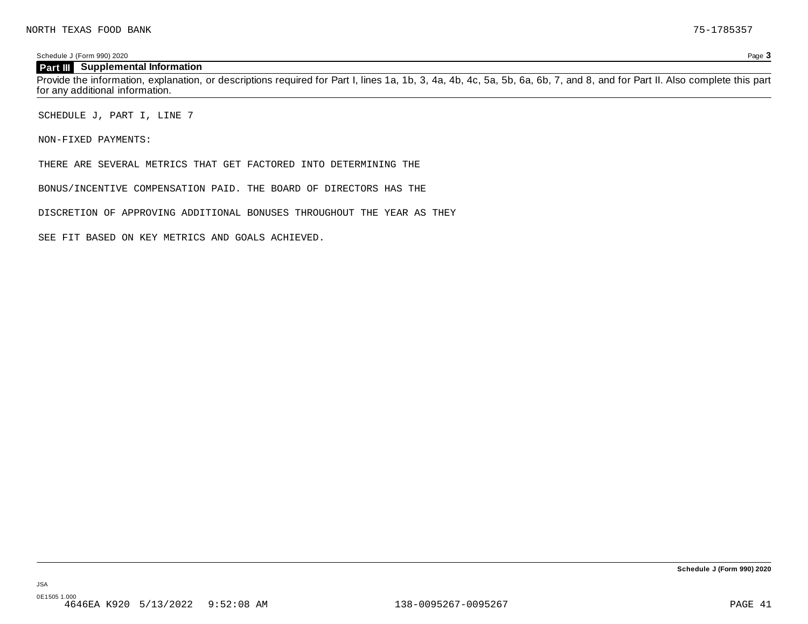#### **Part III Supplemental Information**

Provide the information, explanation, or descriptions required for Part I, lines 1a, 1b, 3, 4a, 4b, 4c, 5a, 5b, 6a, 6b, 7, and 8, and for Part II. Also complete this part for any additional information.

SCHEDULE J, PART I, LINE 7

NON-FIXED PAYMENTS:

JSA 0E1505 1.000

THERE ARE SEVERAL METRICS THAT GET FACTORED INTO DETERMINING THE

BONUS/INCENTIVE COMPENSATION PAID. THE BOARD OF DIRECTORS HAS THE

DISCRETION OF APPROVING ADDITIONAL BONUSES THROUGHOUT THE YEAR AS THEY

SEE FIT BASED ON KEY METRICS AND GOALS ACHIEVED.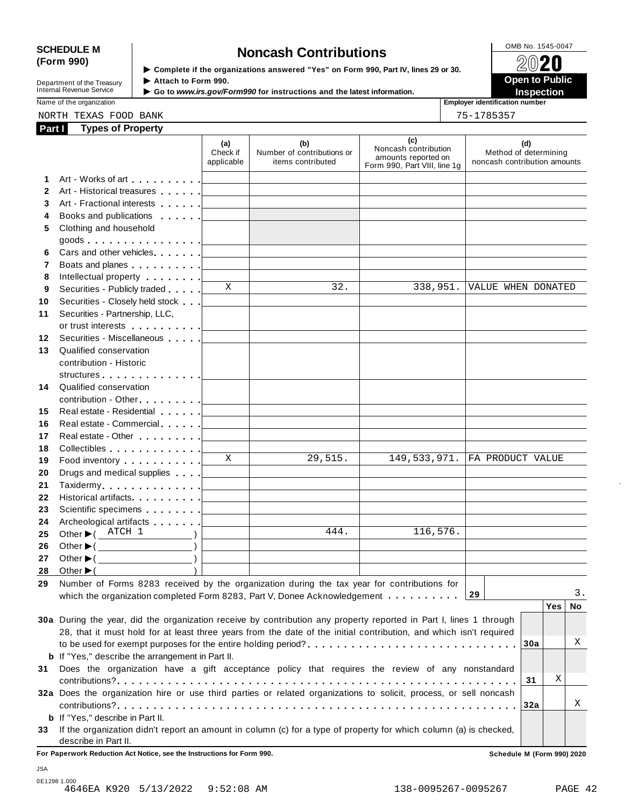# SCHEDULE M<br>
(Form 990) **Supplementary of the organizations answered** "Yes" on Form 990 Part IV lines 29 or 30

**Department of the Treasury<br>Internal Revenue Service** 

**Examplete** if the organizations answered "Yes" on Form 990, Part Ⅳ, lines 29 or 30. 
<br>
■ **Open to Public Department of the Treasury ▶ Attach to Form 990.**<br>Internal Revenue Service ▶ Go to *www.irs.gov/Form990* for instructions and the latest information.<br>Nome of the organization aumhor



Name of the organization **intervalse of the organization intervalse of the organization intervalse of the organization intervalse of the organization intervalse of the organization intervalse of the organization** 

| NORTH | ᆩᅲᢦ<br>г. л.<br>ے کی کا<br>$\sim$ $\sim$ | $E^{\prime}$<br>ΩD<br>$\mathbf{v}$<br>ັ<br>_____ | <b>BANK</b> | $\mathbf{A} = \mathbf{A}$<br>` -<br>.<br>$\sim$ |
|-------|------------------------------------------|--------------------------------------------------|-------------|-------------------------------------------------|
|       |                                          |                                                  |             |                                                 |

| . . |  | 7957 |  | г |  |
|-----|--|------|--|---|--|
|     |  |      |  |   |  |

| Part I       | <b>Types of Property</b>                                                                                                                                                                                                             |                               |                                                                                                                     |                                                                                    |                                                              |
|--------------|--------------------------------------------------------------------------------------------------------------------------------------------------------------------------------------------------------------------------------------|-------------------------------|---------------------------------------------------------------------------------------------------------------------|------------------------------------------------------------------------------------|--------------------------------------------------------------|
|              |                                                                                                                                                                                                                                      | (a)<br>Check if<br>applicable | (b)<br>Number of contributions or<br>items contributed                                                              | (c)<br>Noncash contribution<br>amounts reported on<br>Form 990, Part VIII, line 1g | (d)<br>Method of determining<br>noncash contribution amounts |
| 1            | Art - Works of art [1]                                                                                                                                                                                                               |                               |                                                                                                                     |                                                                                    |                                                              |
| $\mathbf{2}$ | Art - Historical treasures                                                                                                                                                                                                           |                               |                                                                                                                     |                                                                                    |                                                              |
| 3            |                                                                                                                                                                                                                                      |                               |                                                                                                                     |                                                                                    |                                                              |
| 4            | Books and publications [1995]                                                                                                                                                                                                        |                               |                                                                                                                     |                                                                                    |                                                              |
| 5            | Clothing and household                                                                                                                                                                                                               |                               |                                                                                                                     |                                                                                    |                                                              |
|              | goods $\lfloor$                                                                                                                                                                                                                      |                               |                                                                                                                     |                                                                                    |                                                              |
| 6            |                                                                                                                                                                                                                                      |                               |                                                                                                                     |                                                                                    |                                                              |
| 7            | Boats and planes <u>  _ _ _ _ _</u>                                                                                                                                                                                                  |                               | the control of the control of the control of the control of the control of                                          |                                                                                    |                                                              |
| 8            | Intellectual property [                                                                                                                                                                                                              |                               |                                                                                                                     |                                                                                    |                                                              |
| 9            | Securities - Publicly traded                                                                                                                                                                                                         | $\mathbf{X}$                  | 32.                                                                                                                 | 338,951.                                                                           | VALUE WHEN DONATED                                           |
| 10           | Securities - Closely held stock                                                                                                                                                                                                      |                               |                                                                                                                     |                                                                                    |                                                              |
| 11           | Securities - Partnership, LLC,                                                                                                                                                                                                       |                               |                                                                                                                     |                                                                                    |                                                              |
|              | or trust interests in the set of the set of the set of the set of the set of the set of the set of the set of the set of the set of the set of the set of the set of the set of the set of the set of the set of the set of th       |                               |                                                                                                                     |                                                                                    |                                                              |
| 12           | Securities - Miscellaneous                                                                                                                                                                                                           |                               |                                                                                                                     |                                                                                    |                                                              |
| 13           | Qualified conservation                                                                                                                                                                                                               |                               |                                                                                                                     |                                                                                    |                                                              |
|              | contribution - Historic                                                                                                                                                                                                              |                               |                                                                                                                     |                                                                                    |                                                              |
|              | structures experience and the structures and the structures of the structure of the structure of the structure                                                                                                                       |                               |                                                                                                                     |                                                                                    |                                                              |
| 14           | Qualified conservation                                                                                                                                                                                                               |                               |                                                                                                                     |                                                                                    |                                                              |
|              | contribution - Other [1994]                                                                                                                                                                                                          |                               |                                                                                                                     |                                                                                    |                                                              |
| 15           | Real estate - Residential                                                                                                                                                                                                            |                               |                                                                                                                     |                                                                                    |                                                              |
| 16           | Real estate - Commercial [1994]                                                                                                                                                                                                      |                               | the control of the control of the control of the control of the control of                                          |                                                                                    |                                                              |
| 17           | Real estate - Other <b>Calculate 1   Calculate 1   Calculate 1   Calculate 1   Calculate 1   Calculate 1   Calculate 1   Calculate 1   Calculate 1   Calculate 1   Calculate 1   Calculate 1   Calculate 1   Calculate 1   Calcu</b> |                               |                                                                                                                     |                                                                                    |                                                              |
| 18           | Collectibles [19]                                                                                                                                                                                                                    |                               |                                                                                                                     |                                                                                    |                                                              |
| 19           | Food inventory [19]                                                                                                                                                                                                                  | $\overline{X}$                | 29,515.                                                                                                             | 149,533,971.                                                                       | FA PRODUCT VALUE                                             |
| 20           | Drugs and medical supplies                                                                                                                                                                                                           |                               | <u> 1989 - Johann Barn, mars ann an t-Amhain an t-Amhain an t-Amhain an t-Amhain an t-Amhain an t-Amhain an t-A</u> |                                                                                    |                                                              |
| 21           |                                                                                                                                                                                                                                      |                               | the control of the control of the control of the control of the control of                                          |                                                                                    |                                                              |
| 22           | Historical artifacts [19]                                                                                                                                                                                                            |                               |                                                                                                                     |                                                                                    |                                                              |
| 23           | Scientific specimens [1994]                                                                                                                                                                                                          |                               |                                                                                                                     |                                                                                    |                                                              |
| 24           | Archeological artifacts [1996]                                                                                                                                                                                                       |                               | 444.                                                                                                                | 116,576.                                                                           |                                                              |
| 25           | Other $\blacktriangleright$ ( ATCH 1                                                                                                                                                                                                 |                               |                                                                                                                     |                                                                                    |                                                              |
| 26           | Other $\blacktriangleright$ ( $\_\_\_\_\_\_\_\_\_$ )                                                                                                                                                                                 |                               |                                                                                                                     |                                                                                    |                                                              |
| 27           | Other $\blacktriangleright$ ( $\qquad \qquad$ )                                                                                                                                                                                      |                               |                                                                                                                     |                                                                                    |                                                              |
| 28           | Other $\blacktriangleright$ (                                                                                                                                                                                                        |                               |                                                                                                                     |                                                                                    |                                                              |
| 29           | Number of Forms 8283 received by the organization during the tax year for contributions for<br>which the organization completed Form 8283, Part V, Donee Acknowledgement $\dots \dots \dots$                                         |                               |                                                                                                                     |                                                                                    | З.<br>29                                                     |
|              |                                                                                                                                                                                                                                      |                               |                                                                                                                     |                                                                                    | Yes<br>No.                                                   |
|              | 30a During the year, did the organization receive by contribution any property reported in Part I, lines 1 through                                                                                                                   |                               |                                                                                                                     |                                                                                    |                                                              |
|              | 28, that it must hold for at least three years from the date of the initial contribution, and which isn't required                                                                                                                   |                               |                                                                                                                     |                                                                                    |                                                              |
|              |                                                                                                                                                                                                                                      |                               |                                                                                                                     |                                                                                    | Χ<br>30a                                                     |
|              | <b>b</b> If "Yes," describe the arrangement in Part II.                                                                                                                                                                              |                               |                                                                                                                     |                                                                                    |                                                              |
| 31           | Does the organization have a gift acceptance policy that requires the review of any nonstandard                                                                                                                                      |                               |                                                                                                                     |                                                                                    |                                                              |
|              |                                                                                                                                                                                                                                      |                               |                                                                                                                     |                                                                                    | Χ<br>31                                                      |
|              | 32a Does the organization hire or use third parties or related organizations to solicit, process, or sell noncash                                                                                                                    |                               |                                                                                                                     |                                                                                    |                                                              |
|              |                                                                                                                                                                                                                                      |                               |                                                                                                                     |                                                                                    | Χ<br>32a                                                     |
|              | <b>b</b> If "Yes," describe in Part II.                                                                                                                                                                                              |                               |                                                                                                                     |                                                                                    |                                                              |
| 33           | If the organization didn't report an amount in column (c) for a type of property for which column (a) is checked,                                                                                                                    |                               |                                                                                                                     |                                                                                    |                                                              |
|              | describe in Part II.                                                                                                                                                                                                                 |                               |                                                                                                                     |                                                                                    |                                                              |

**For Paperwork Reduction Act Notice, see the Instructions for Form 990. Schedule M (Form 990) 2020**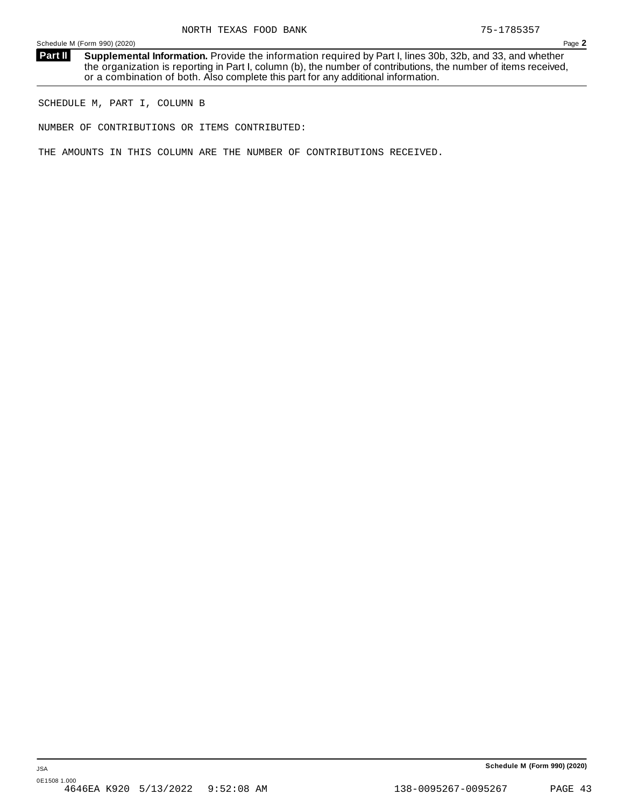**Supplemental Information.** Provide the information required by Part I, lines 30b, 32b, and 33, and whether the organization is reporting in Part I, column (b), the number of contributions, the number of items received, or a combination of both. Also complete this part for any additional information. **Part II**

SCHEDULE M, PART I, COLUMN B

NUMBER OF CONTRIBUTIONS OR ITEMS CONTRIBUTED:

THE AMOUNTS IN THIS COLUMN ARE THE NUMBER OF CONTRIBUTIONS RECEIVED.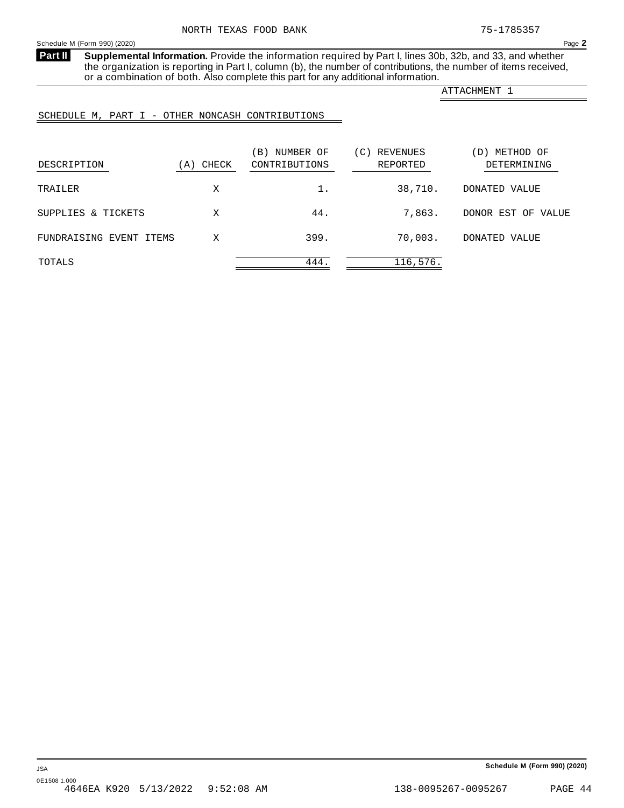<span id="page-41-0"></span>**Supplemental Information.** Provide the information required by Part I, lines 30b, 32b, and 33, and whether the organization is reporting in Part I, column (b), the number of contributions, the number of items received, or a combination of both. Also complete this part for any additional information. **Part II**

ATTACHMENT 1

## SCHEDULE M, PART I - OTHER NONCASH CONTRIBUTIONS

| DESCRIPTION             | CHECK<br>(A) | NUMBER OF<br>B)<br>CONTRIBUTIONS | REVENUES<br>'C)<br>REPORTED | METHOD OF<br>(D)<br>DETERMINING |
|-------------------------|--------------|----------------------------------|-----------------------------|---------------------------------|
| TRAILER                 | Х            |                                  | 38,710.                     | DONATED VALUE                   |
| SUPPLIES & TICKETS      | Χ            | 44.                              | 7,863.                      | DONOR EST OF VALUE              |
| FUNDRAISING EVENT ITEMS | Χ            | 399.                             | 70,003.                     | DONATED VALUE                   |
| TOTALS                  |              | 444.                             | 116,576.                    |                                 |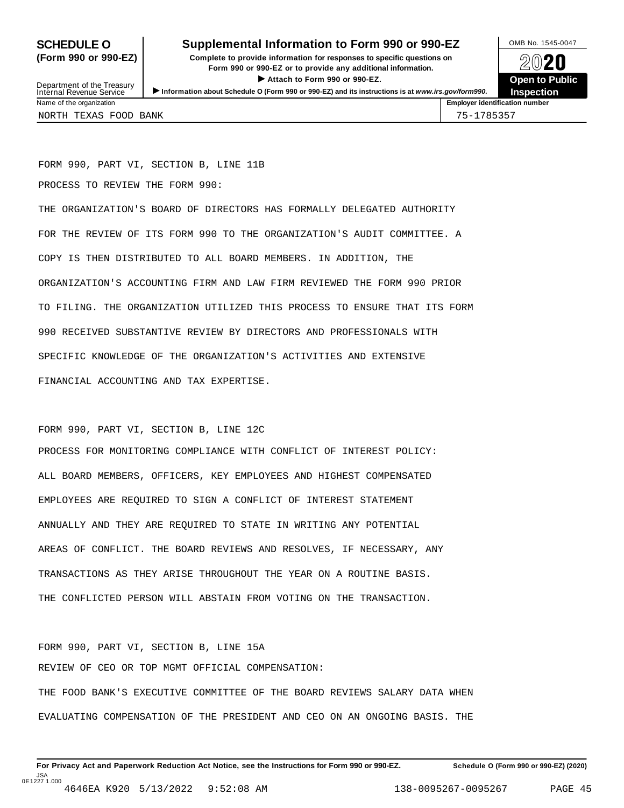## **SCHEDULE O** Supplemental Information to Form 990 or 990-EZ DAMB No. 1545-0047

**(Form 990 or 990-EZ) Complete to provide information for responses to specific questions on** plete to provide information for responses to specific questions on  $\bigotimes_{\mathbb{Z}}\mathbb{Q}$  20 **EVECT**<br>
Attach to Form 990 or 990-EZ.<br>
and the Communication of the Communication of the Communication of the Communication of the Communication of the Communication of the Communication of the Communication of the Commu Department of the Treasury <br>Depen to Public<br>Name of the organization<br>Name of the organization<br>Name of the organization<br>Name of the organization<br>Name of the organization<br>Name of the organization<br>Name of the organization<br>Na



Department of the Treasury<br>Internal Revenue Service NORTH TEXAS FOOD BANK 75-1785357

FORM 990, PART VI, SECTION B, LINE 11B

PROCESS TO REVIEW THE FORM 990:

THE ORGANIZATION'S BOARD OF DIRECTORS HAS FORMALLY DELEGATED AUTHORITY FOR THE REVIEW OF ITS FORM 990 TO THE ORGANIZATION'S AUDIT COMMITTEE. A COPY IS THEN DISTRIBUTED TO ALL BOARD MEMBERS. IN ADDITION, THE ORGANIZATION'S ACCOUNTING FIRM AND LAW FIRM REVIEWED THE FORM 990 PRIOR TO FILING. THE ORGANIZATION UTILIZED THIS PROCESS TO ENSURE THAT ITS FORM 990 RECEIVED SUBSTANTIVE REVIEW BY DIRECTORS AND PROFESSIONALS WITH SPECIFIC KNOWLEDGE OF THE ORGANIZATION'S ACTIVITIES AND EXTENSIVE FINANCIAL ACCOUNTING AND TAX EXPERTISE.

FORM 990, PART VI, SECTION B, LINE 12C

PROCESS FOR MONITORING COMPLIANCE WITH CONFLICT OF INTEREST POLICY: ALL BOARD MEMBERS, OFFICERS, KEY EMPLOYEES AND HIGHEST COMPENSATED EMPLOYEES ARE REQUIRED TO SIGN A CONFLICT OF INTEREST STATEMENT ANNUALLY AND THEY ARE REQUIRED TO STATE IN WRITING ANY POTENTIAL AREAS OF CONFLICT. THE BOARD REVIEWS AND RESOLVES, IF NECESSARY, ANY TRANSACTIONS AS THEY ARISE THROUGHOUT THE YEAR ON A ROUTINE BASIS. THE CONFLICTED PERSON WILL ABSTAIN FROM VOTING ON THE TRANSACTION.

FORM 990, PART VI, SECTION B, LINE 15A REVIEW OF CEO OR TOP MGMT OFFICIAL COMPENSATION: THE FOOD BANK'S EXECUTIVE COMMITTEE OF THE BOARD REVIEWS SALARY DATA WHEN EVALUATING COMPENSATION OF THE PRESIDENT AND CEO ON AN ONGOING BASIS. THE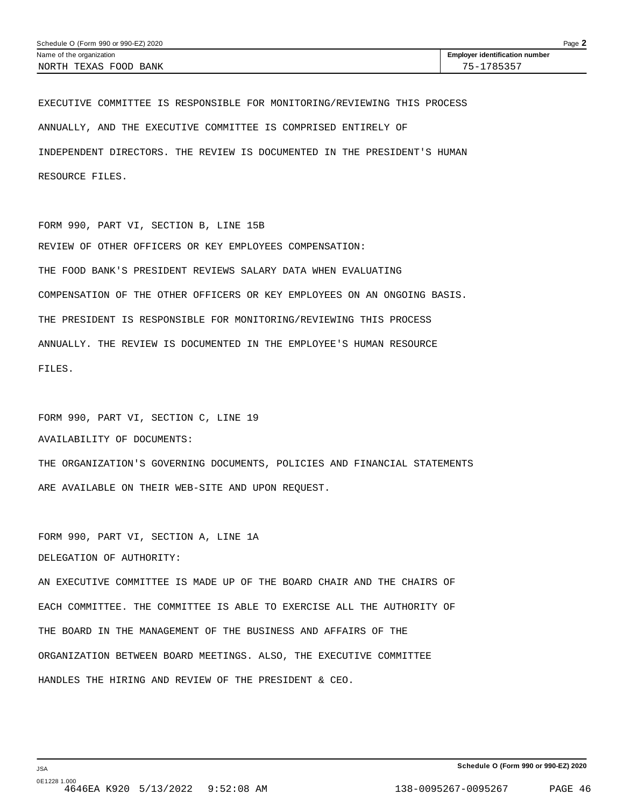EXECUTIVE COMMITTEE IS RESPONSIBLE FOR MONITORING/REVIEWING THIS PROCESS ANNUALLY, AND THE EXECUTIVE COMMITTEE IS COMPRISED ENTIRELY OF INDEPENDENT DIRECTORS. THE REVIEW IS DOCUMENTED IN THE PRESIDENT'S HUMAN RESOURCE FILES.

FORM 990, PART VI, SECTION B, LINE 15B REVIEW OF OTHER OFFICERS OR KEY EMPLOYEES COMPENSATION: THE FOOD BANK'S PRESIDENT REVIEWS SALARY DATA WHEN EVALUATING COMPENSATION OF THE OTHER OFFICERS OR KEY EMPLOYEES ON AN ONGOING BASIS. THE PRESIDENT IS RESPONSIBLE FOR MONITORING/REVIEWING THIS PROCESS ANNUALLY. THE REVIEW IS DOCUMENTED IN THE EMPLOYEE'S HUMAN RESOURCE FILES.

FORM 990, PART VI, SECTION C, LINE 19 AVAILABILITY OF DOCUMENTS: THE ORGANIZATION'S GOVERNING DOCUMENTS, POLICIES AND FINANCIAL STATEMENTS ARE AVAILABLE ON THEIR WEB-SITE AND UPON REQUEST.

FORM 990, PART VI, SECTION A, LINE 1A DELEGATION OF AUTHORITY:

AN EXECUTIVE COMMITTEE IS MADE UP OF THE BOARD CHAIR AND THE CHAIRS OF EACH COMMITTEE. THE COMMITTEE IS ABLE TO EXERCISE ALL THE AUTHORITY OF THE BOARD IN THE MANAGEMENT OF THE BUSINESS AND AFFAIRS OF THE ORGANIZATION BETWEEN BOARD MEETINGS. ALSO, THE EXECUTIVE COMMITTEE HANDLES THE HIRING AND REVIEW OF THE PRESIDENT & CEO.

JSA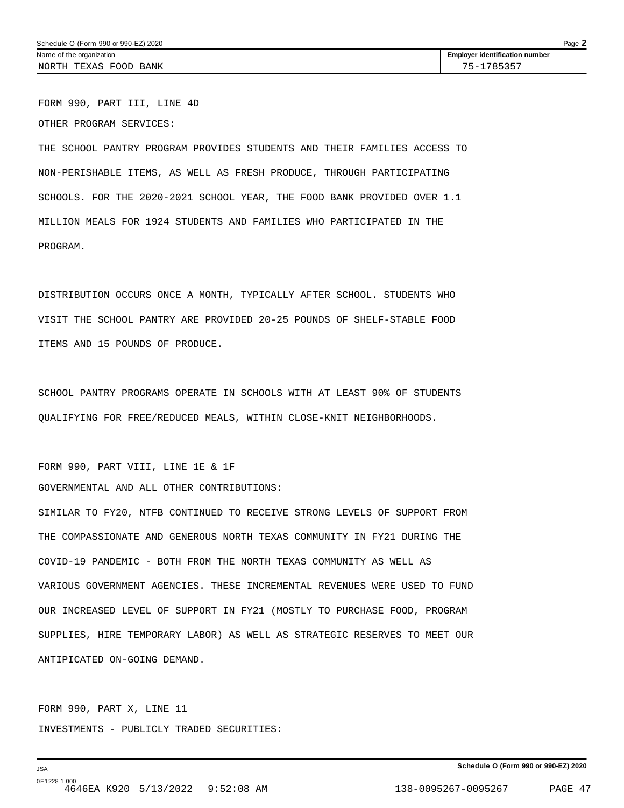FORM 990, PART III, LINE 4D OTHER PROGRAM SERVICES:

THE SCHOOL PANTRY PROGRAM PROVIDES STUDENTS AND THEIR FAMILIES ACCESS TO NON-PERISHABLE ITEMS, AS WELL AS FRESH PRODUCE, THROUGH PARTICIPATING SCHOOLS. FOR THE 2020-2021 SCHOOL YEAR, THE FOOD BANK PROVIDED OVER 1.1 MILLION MEALS FOR 1924 STUDENTS AND FAMILIES WHO PARTICIPATED IN THE PROGRAM.

DISTRIBUTION OCCURS ONCE A MONTH, TYPICALLY AFTER SCHOOL. STUDENTS WHO VISIT THE SCHOOL PANTRY ARE PROVIDED 20-25 POUNDS OF SHELF-STABLE FOOD ITEMS AND 15 POUNDS OF PRODUCE.

SCHOOL PANTRY PROGRAMS OPERATE IN SCHOOLS WITH AT LEAST 90% OF STUDENTS QUALIFYING FOR FREE/REDUCED MEALS, WITHIN CLOSE-KNIT NEIGHBORHOODS.

FORM 990, PART VIII, LINE 1E & 1F

GOVERNMENTAL AND ALL OTHER CONTRIBUTIONS:

SIMILAR TO FY20, NTFB CONTINUED TO RECEIVE STRONG LEVELS OF SUPPORT FROM THE COMPASSIONATE AND GENEROUS NORTH TEXAS COMMUNITY IN FY21 DURING THE COVID-19 PANDEMIC - BOTH FROM THE NORTH TEXAS COMMUNITY AS WELL AS VARIOUS GOVERNMENT AGENCIES. THESE INCREMENTAL REVENUES WERE USED TO FUND OUR INCREASED LEVEL OF SUPPORT IN FY21 (MOSTLY TO PURCHASE FOOD, PROGRAM SUPPLIES, HIRE TEMPORARY LABOR) AS WELL AS STRATEGIC RESERVES TO MEET OUR ANTIPICATED ON-GOING DEMAND.

FORM 990, PART X, LINE 11 INVESTMENTS - PUBLICLY TRADED SECURITIES: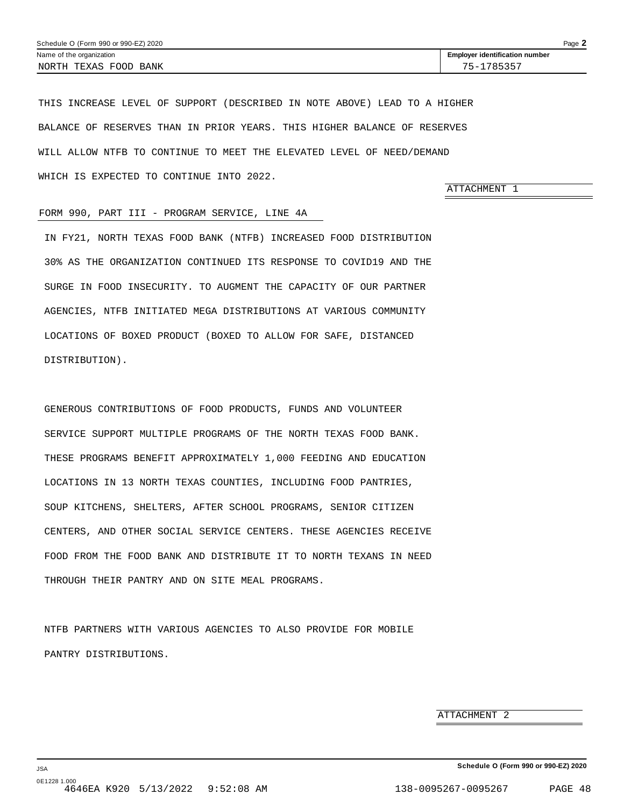<span id="page-45-0"></span>THIS INCREASE LEVEL OF SUPPORT (DESCRIBED IN NOTE ABOVE) LEAD TO A HIGHER BALANCE OF RESERVES THAN IN PRIOR YEARS. THIS HIGHER BALANCE OF RESERVES WILL ALLOW NTFB TO CONTINUE TO MEET THE ELEVATED LEVEL OF NEED/DEMAND WHICH IS EXPECTED TO CONTINUE INTO 2022.

ATTACHMENT 1

#### FORM 990, PART III - PROGRAM SERVICE, LINE 4A

IN FY21, NORTH TEXAS FOOD BANK (NTFB) INCREASED FOOD DISTRIBUTION 30% AS THE ORGANIZATION CONTINUED ITS RESPONSE TO COVID19 AND THE SURGE IN FOOD INSECURITY. TO AUGMENT THE CAPACITY OF OUR PARTNER AGENCIES, NTFB INITIATED MEGA DISTRIBUTIONS AT VARIOUS COMMUNITY LOCATIONS OF BOXED PRODUCT (BOXED TO ALLOW FOR SAFE, DISTANCED DISTRIBUTION).

GENEROUS CONTRIBUTIONS OF FOOD PRODUCTS, FUNDS AND VOLUNTEER SERVICE SUPPORT MULTIPLE PROGRAMS OF THE NORTH TEXAS FOOD BANK. THESE PROGRAMS BENEFIT APPROXIMATELY 1,000 FEEDING AND EDUCATION LOCATIONS IN 13 NORTH TEXAS COUNTIES, INCLUDING FOOD PANTRIES, SOUP KITCHENS, SHELTERS, AFTER SCHOOL PROGRAMS, SENIOR CITIZEN CENTERS, AND OTHER SOCIAL SERVICE CENTERS. THESE AGENCIES RECEIVE FOOD FROM THE FOOD BANK AND DISTRIBUTE IT TO NORTH TEXANS IN NEED THROUGH THEIR PANTRY AND ON SITE MEAL PROGRAMS.

NTFB PARTNERS WITH VARIOUS AGENCIES TO ALSO PROVIDE FOR MOBILE PANTRY DISTRIBUTIONS.

ATTACHMENT 2

JSA 0E1228 1.000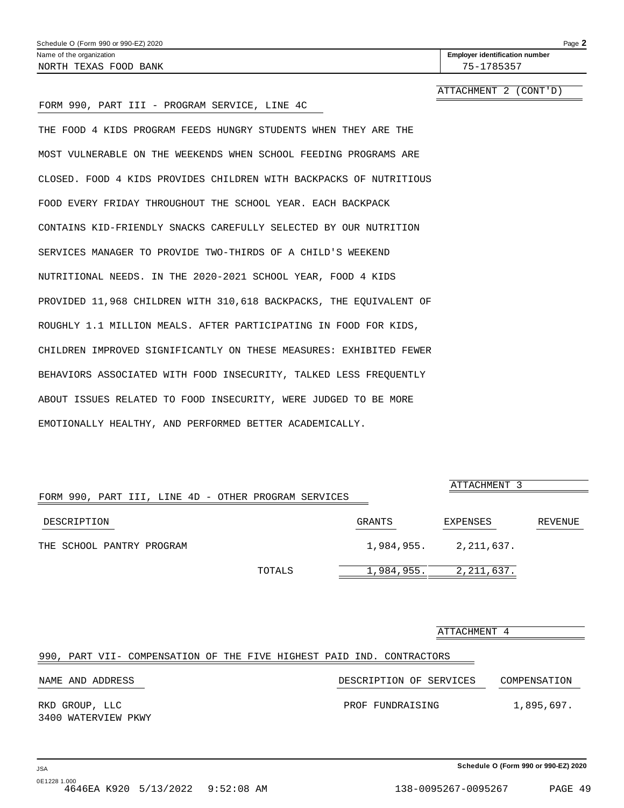<span id="page-46-0"></span>

| Schedule O (Form 990 or 990-EZ) 2020                             | Page 2                                |
|------------------------------------------------------------------|---------------------------------------|
| Name of the organization                                         | <b>Employer identification number</b> |
| NORTH TEXAS FOOD BANK                                            | 75-1785357                            |
|                                                                  | ATTACHMENT 2 (CONT'D)                 |
| FORM 990, PART III - PROGRAM SERVICE, LINE 4C                    |                                       |
| THE FOOD 4 KIDS PROGRAM FEEDS HUNGRY STUDENTS WHEN THEY ARE THE  |                                       |
| MOST VULNERABLE ON THE WEEKENDS WHEN SCHOOL FEEDING PROGRAMS ARE |                                       |

CONTAINS KID-FRIENDLY SNACKS CAREFULLY SELECTED BY OUR NUTRITION SERVICES MANAGER TO PROVIDE TWO-THIRDS OF A CHILD'S WEEKEND NUTRITIONAL NEEDS. IN THE 2020-2021 SCHOOL YEAR, FOOD 4 KIDS PROVIDED 11,968 CHILDREN WITH 310,618 BACKPACKS, THE EQUIVALENT OF ROUGHLY 1.1 MILLION MEALS. AFTER PARTICIPATING IN FOOD FOR KIDS, CHILDREN IMPROVED SIGNIFICANTLY ON THESE MEASURES: EXHIBITED FEWER BEHAVIORS ASSOCIATED WITH FOOD INSECURITY, TALKED LESS FREQUENTLY ABOUT ISSUES RELATED TO FOOD INSECURITY, WERE JUDGED TO BE MORE EMOTIONALLY HEALTHY, AND PERFORMED BETTER ACADEMICALLY.

CLOSED. FOOD 4 KIDS PROVIDES CHILDREN WITH BACKPACKS OF NUTRITIOUS

FOOD EVERY FRIDAY THROUGHOUT THE SCHOOL YEAR. EACH BACKPACK

|                                                      |            | ATTACHMENT 3 |         |
|------------------------------------------------------|------------|--------------|---------|
| FORM 990, PART III, LINE 4D - OTHER PROGRAM SERVICES |            |              |         |
| DESCRIPTION                                          | GRANTS     | EXPENSES     | REVENUE |
| THE SCHOOL PANTRY PROGRAM                            | 1,984,955. | 2,211,637.   |         |
| TOTALS                                               | 1,984,955. | 2, 211, 637. |         |

|                                                                       | ATTACHMENT 4            |              |
|-----------------------------------------------------------------------|-------------------------|--------------|
| 990, PART VII- COMPENSATION OF THE FIVE HIGHEST PAID IND. CONTRACTORS |                         |              |
| NAME AND ADDRESS                                                      | DESCRIPTION OF SERVICES | COMPENSATION |
| RKD GROUP, LLC<br>3400 WATERVIEW PKWY                                 | PROF FUNDRAISING        | 1,895,697.   |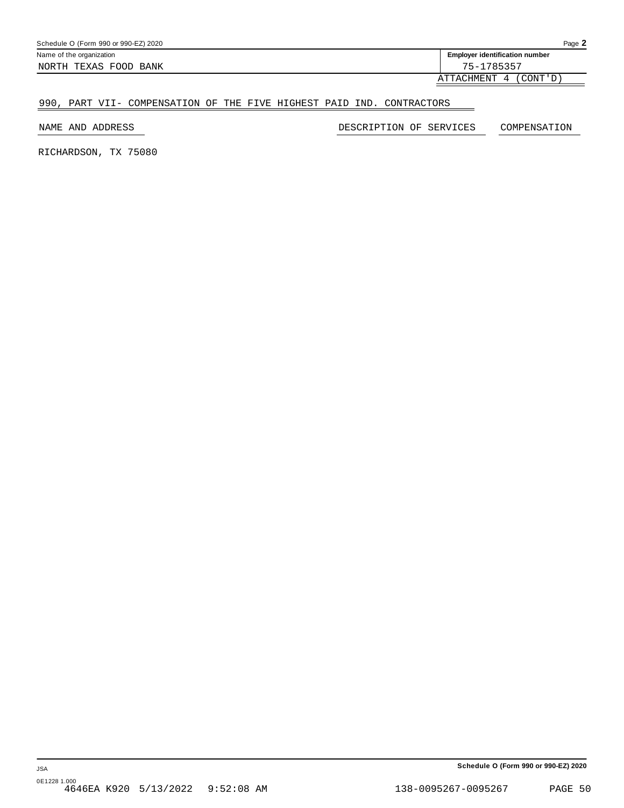| <b>Employer identification number</b><br>Name of the organization | Page $\blacktriangle$ | Schedule O (Form 990 or 990-EZ) 2020 |
|-------------------------------------------------------------------|-----------------------|--------------------------------------|
|                                                                   |                       |                                      |
| 75-1785357<br>NORTH TEXAS FOOD BANK                               |                       |                                      |

ATTACHMENT 4 (CONT'D)

#### 990, PART VII- COMPENSATION OF THE FIVE HIGHEST PAID IND. CONTRACTORS

NAME AND ADDRESS DESCRIPTION OF SERVICES COMPENSATION

RICHARDSON, TX 75080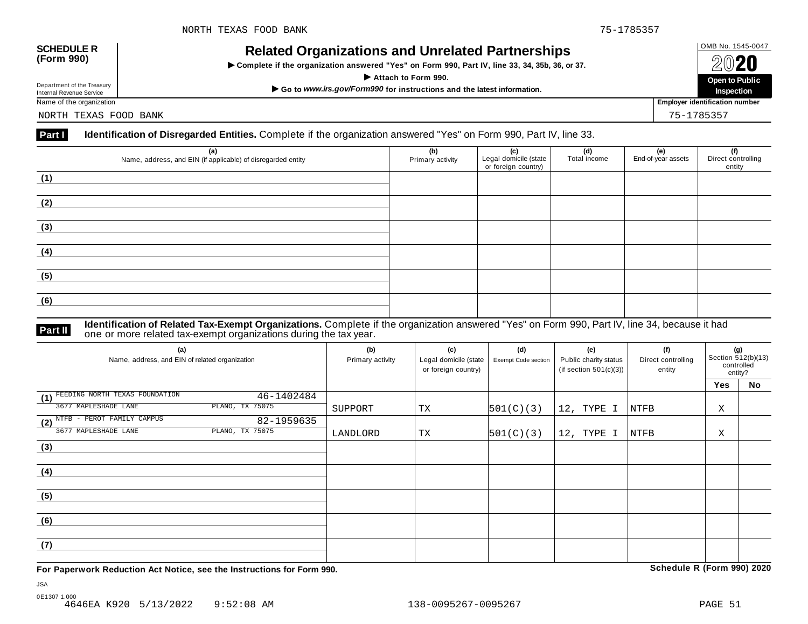# OMB No. 1545-0047 **SCHEDULE R (Form 990) Related Organizations and Unrelated Partnerships**

 $\triangleright$  Complete if the organization answered "Yes" on Form 990, Part IV, line 33, 34, 35b, 36, or 37.



Department of the Treasury

NORTH TEXAS FOOD BANK 75-1785357

#### **Part I Identification of Disregarded Entities.** Complete if the organization answered "Yes" on Form 990, Part IV, line 33.

| (a)<br>Name, address, and EIN (if applicable) of disregarded entity | (b)<br>Primary activity | (c)<br>Legal domicile (state<br>or foreign country) | (d)<br>Total income | (e)<br>End-of-year assets | (f)<br>Direct controlling<br>entity |
|---------------------------------------------------------------------|-------------------------|-----------------------------------------------------|---------------------|---------------------------|-------------------------------------|
| (1)                                                                 |                         |                                                     |                     |                           |                                     |
| (2)                                                                 |                         |                                                     |                     |                           |                                     |
| (3)                                                                 |                         |                                                     |                     |                           |                                     |
| (4)                                                                 |                         |                                                     |                     |                           |                                     |
| (5)                                                                 |                         |                                                     |                     |                           |                                     |
| (6)                                                                 |                         |                                                     |                     |                           |                                     |

#### **Identification of Related Tax-Exempt Organizations.** Complete if the organization answered "Yes" on Form 990, Part IV, line 34, because it had **Part II** one or more related tax-exempt organizations during the tax year.

| (a)<br>Name, address, and EIN of related organization | (b)<br>Primary activity | (c)<br>Legal domicile (state<br>or foreign country) | (d)<br>Exempt Code section | (e)<br>Public charity status<br>(if section $501(c)(3)$ ) | (f)<br>Direct controlling<br>entity | (g)<br>Section 512(b)(13)<br>controlled<br>entity? |    |
|-------------------------------------------------------|-------------------------|-----------------------------------------------------|----------------------------|-----------------------------------------------------------|-------------------------------------|----------------------------------------------------|----|
|                                                       |                         |                                                     |                            |                                                           |                                     | <b>Yes</b>                                         | No |
| FEEDING NORTH TEXAS FOUNDATION<br>46-1402484<br>(1)   |                         |                                                     |                            |                                                           |                                     |                                                    |    |
| PLANO, TX 75075<br>3677 MAPLESHADE LANE               | SUPPORT                 | ТX                                                  | 501(C)(3)                  | 12, TYPE I                                                | NTFB                                | Χ                                                  |    |
| (2) NTFB - PEROT FAMILY CAMPUS<br>82-1959635          |                         |                                                     |                            |                                                           |                                     |                                                    |    |
| PLANO, TX 75075<br>3677 MAPLESHADE LANE               | LANDLORD                | TX                                                  | 501(C)(3)                  | 12, TYPE I                                                | NTFB                                | Χ                                                  |    |
| (3)                                                   |                         |                                                     |                            |                                                           |                                     |                                                    |    |
|                                                       |                         |                                                     |                            |                                                           |                                     |                                                    |    |
| (4)                                                   |                         |                                                     |                            |                                                           |                                     |                                                    |    |
|                                                       |                         |                                                     |                            |                                                           |                                     |                                                    |    |
| (5)                                                   |                         |                                                     |                            |                                                           |                                     |                                                    |    |
|                                                       |                         |                                                     |                            |                                                           |                                     |                                                    |    |
| (6)                                                   |                         |                                                     |                            |                                                           |                                     |                                                    |    |
|                                                       |                         |                                                     |                            |                                                           |                                     |                                                    |    |
| (7)                                                   |                         |                                                     |                            |                                                           |                                     |                                                    |    |
|                                                       |                         |                                                     |                            |                                                           |                                     |                                                    |    |

**For Paperwork Reduction Act Notice, see the Instructions for Form 990. Schedule R (Form 990) 2020**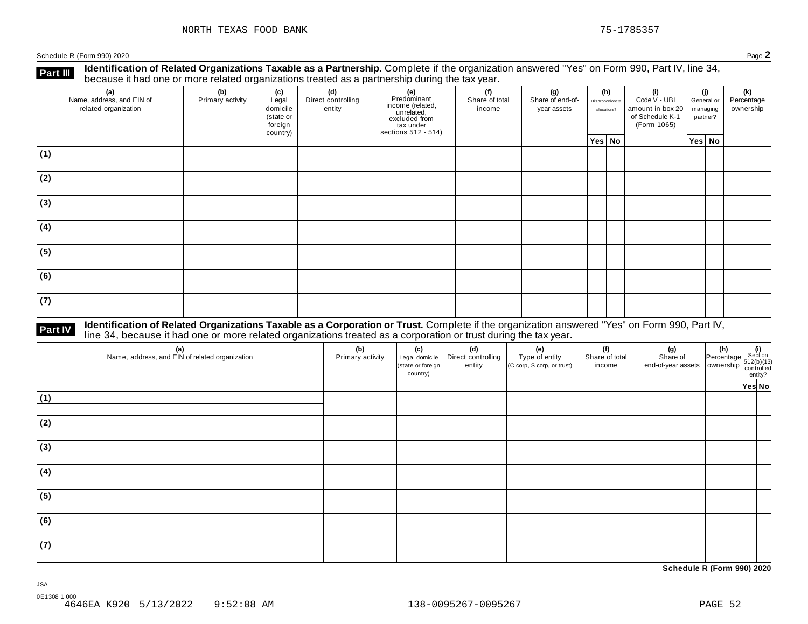**Identification of Related Organizations Taxable as a Partnership.** Complete if the organization answered "Yes" on Form 990, Part IV, line 34, **because it had one or more related organizations Taxable as a Partnership.** Complete if the organization of Related organizations treated as a partnership during the tax year.

| (a)<br>Name, address, and EIN of<br>related organization | (b)<br>Primary activity | (c)<br>Legal<br>domicile<br>(state or<br>foreign<br>country) | (d)<br>Direct controlling<br>entity | (e)<br>Predominant<br>income (related,<br>unrelated,<br>excluded from<br>tax under<br>sections 512 - 514) | (f)<br>Share of total<br>income | (g)<br>Share of end-of-<br>year assets | (h)<br>Disproportionate<br>allocations? | (i)<br>Code V - UBI<br>amount in box 20<br>of Schedule K-1<br>(Form 1065) | (j)<br>General or<br>managing<br>partner? | (k)<br>Percentage<br>ownership |
|----------------------------------------------------------|-------------------------|--------------------------------------------------------------|-------------------------------------|-----------------------------------------------------------------------------------------------------------|---------------------------------|----------------------------------------|-----------------------------------------|---------------------------------------------------------------------------|-------------------------------------------|--------------------------------|
|                                                          |                         |                                                              |                                     |                                                                                                           |                                 |                                        | Yes No                                  |                                                                           | Yes No                                    |                                |
| (1)                                                      |                         |                                                              |                                     |                                                                                                           |                                 |                                        |                                         |                                                                           |                                           |                                |
| (2)                                                      |                         |                                                              |                                     |                                                                                                           |                                 |                                        |                                         |                                                                           |                                           |                                |
| (3)                                                      |                         |                                                              |                                     |                                                                                                           |                                 |                                        |                                         |                                                                           |                                           |                                |
| (4)                                                      |                         |                                                              |                                     |                                                                                                           |                                 |                                        |                                         |                                                                           |                                           |                                |
| (5)                                                      |                         |                                                              |                                     |                                                                                                           |                                 |                                        |                                         |                                                                           |                                           |                                |
| (6)                                                      |                         |                                                              |                                     |                                                                                                           |                                 |                                        |                                         |                                                                           |                                           |                                |
| (7)                                                      |                         |                                                              |                                     |                                                                                                           |                                 |                                        |                                         |                                                                           |                                           |                                |

# **Part IV** Identification of Related Organizations Taxable as a Corporation or Trust. Complete if the organization answered "Yes" on Form 990, Part IV,<br>line 34, because it had one or more related organizations treated as a

| (a)<br>Name, address, and EIN of related organization | (b)<br>Primary activity | (c)<br>Legal domicile<br>(state or foreign<br>country) | (d)<br>Direct controlling<br>entity | (e)<br>Type of entity<br>(C corp, S corp, or trust) | (f)<br>Share of total<br>income | (g) (h) (i)<br>Share of Percentage $\frac{1}{2}$<br>end-of-year assets ownership $\frac{512(b)(13)}{612(b)(13)}$<br>entrolled entry? |        |
|-------------------------------------------------------|-------------------------|--------------------------------------------------------|-------------------------------------|-----------------------------------------------------|---------------------------------|--------------------------------------------------------------------------------------------------------------------------------------|--------|
| (1)                                                   |                         |                                                        |                                     |                                                     |                                 |                                                                                                                                      | Yes No |
| (2)                                                   |                         |                                                        |                                     |                                                     |                                 |                                                                                                                                      |        |
| (3)                                                   |                         |                                                        |                                     |                                                     |                                 |                                                                                                                                      |        |
| (4)                                                   |                         |                                                        |                                     |                                                     |                                 |                                                                                                                                      |        |
| (5)                                                   |                         |                                                        |                                     |                                                     |                                 |                                                                                                                                      |        |
| (6)                                                   |                         |                                                        |                                     |                                                     |                                 |                                                                                                                                      |        |
| (7)                                                   |                         |                                                        |                                     |                                                     |                                 |                                                                                                                                      |        |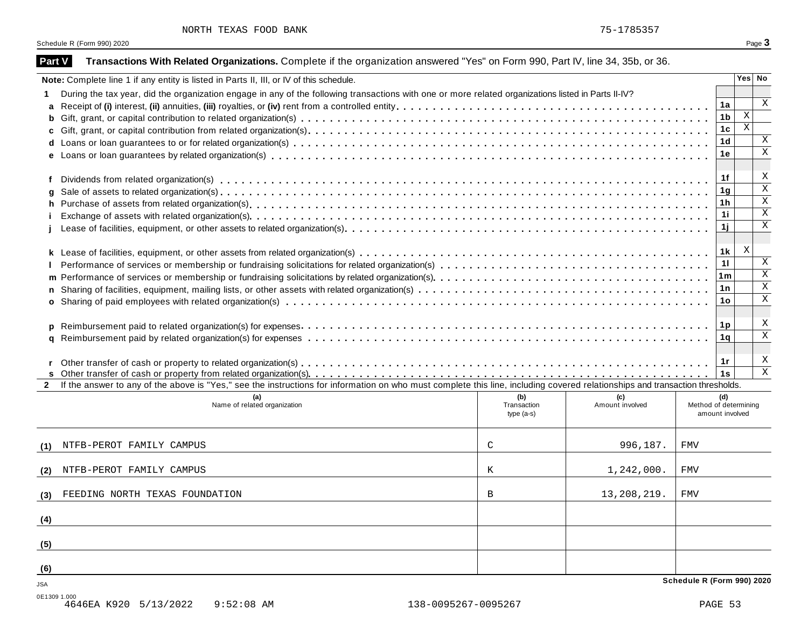|  | NORTH TEXAS FOOD BANK |  |  |  |
|--|-----------------------|--|--|--|
|--|-----------------------|--|--|--|

| <b>Part V</b> | Transactions With Related Organizations. Complete if the organization answered "Yes" on Form 990, Part IV, line 34, 35b, or 36.                                              |                                   |                        |                                          |                |                            |
|---------------|------------------------------------------------------------------------------------------------------------------------------------------------------------------------------|-----------------------------------|------------------------|------------------------------------------|----------------|----------------------------|
|               | Note: Complete line 1 if any entity is listed in Parts II, III, or IV of this schedule.                                                                                      |                                   |                        |                                          |                | Yes No                     |
|               | During the tax year, did the organization engage in any of the following transactions with one or more related organizations listed in Parts II-IV?                          |                                   |                        |                                          |                |                            |
|               |                                                                                                                                                                              |                                   |                        |                                          | 1a             | $\boldsymbol{\mathrm{X}}$  |
|               |                                                                                                                                                                              |                                   |                        |                                          | 1 <sub>b</sub> | $\mathbf{X}$               |
|               |                                                                                                                                                                              |                                   |                        |                                          | 1 <sub>c</sub> | $\mathbf X$                |
|               |                                                                                                                                                                              |                                   |                        |                                          | 1 <sub>d</sub> | X<br>$\overline{\text{X}}$ |
|               |                                                                                                                                                                              |                                   |                        |                                          | 1e             |                            |
|               |                                                                                                                                                                              |                                   |                        |                                          | 1f             | X                          |
| g             |                                                                                                                                                                              |                                   |                        |                                          | 1 <sub>g</sub> | $\overline{\mathbf{x}}$    |
| h.            |                                                                                                                                                                              |                                   |                        |                                          | 1 <sub>h</sub> | $\overline{\mathbf{x}}$    |
|               |                                                                                                                                                                              |                                   |                        |                                          | 11             | $\overline{\text{X}}$      |
|               |                                                                                                                                                                              |                                   |                        |                                          | 1j             | $\overline{\mathbf{x}}$    |
|               |                                                                                                                                                                              |                                   |                        |                                          |                |                            |
|               |                                                                                                                                                                              |                                   |                        |                                          | 1k             | X                          |
|               |                                                                                                                                                                              |                                   |                        |                                          | 11             | X                          |
|               |                                                                                                                                                                              |                                   |                        |                                          | 1 <sub>m</sub> | $\overline{X}$             |
|               |                                                                                                                                                                              |                                   |                        |                                          | 1n             | $\mathbf X$                |
|               |                                                                                                                                                                              |                                   |                        |                                          | 1o             | $\overline{\text{X}}$      |
|               |                                                                                                                                                                              |                                   |                        |                                          |                |                            |
| p             |                                                                                                                                                                              |                                   |                        |                                          | 1p             | X                          |
|               |                                                                                                                                                                              |                                   |                        |                                          | 1 <sub>q</sub> | $\overline{\mathbf{x}}$    |
|               |                                                                                                                                                                              |                                   |                        |                                          |                |                            |
|               |                                                                                                                                                                              |                                   |                        |                                          | 1r             | X                          |
|               |                                                                                                                                                                              |                                   |                        |                                          | 1s             | $\overline{\mathbf{x}}$    |
|               | If the answer to any of the above is "Yes," see the instructions for information on who must complete this line, including covered relationships and transaction thresholds. |                                   |                        |                                          |                |                            |
|               | (a)<br>Name of related organization                                                                                                                                          | (b)<br>Transaction<br>$type(a-s)$ | (c)<br>Amount involved | Method of determining<br>amount involved | (d)            |                            |
| (1)           | NTFB-PEROT FAMILY CAMPUS                                                                                                                                                     | C                                 | 996,187.               | <b>FMV</b>                               |                |                            |
| (2)           | NTFB-PEROT FAMILY CAMPUS                                                                                                                                                     | Κ                                 | 1,242,000.             | <b>FMV</b>                               |                |                            |
| (3)           | FEEDING NORTH TEXAS FOUNDATION                                                                                                                                               | B                                 | 13, 208, 219.          | FMV                                      |                |                            |
| (4)           |                                                                                                                                                                              |                                   |                        |                                          |                |                            |
| (5)           |                                                                                                                                                                              |                                   |                        |                                          |                |                            |
| (6)           |                                                                                                                                                                              |                                   |                        |                                          |                |                            |
| <b>JSA</b>    |                                                                                                                                                                              |                                   |                        | Schedule R (Form 990) 2020               |                |                            |
|               |                                                                                                                                                                              |                                   |                        |                                          |                |                            |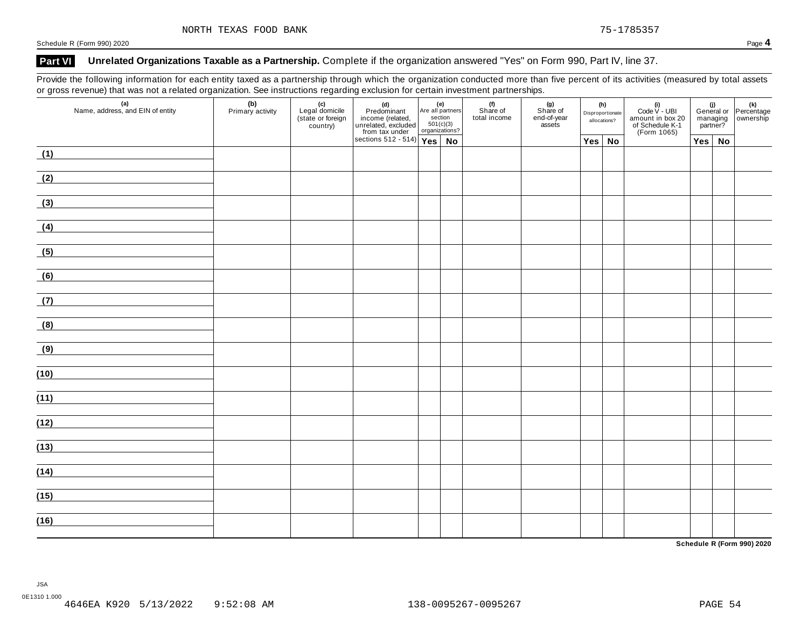## **Part VI Unrelated Organizations Taxable as a Partnership.** Complete if the organization answered "Yes" on Form 990, Part IV, line 37.

Provide the following information for each entity taxed as a partnership through which the organization conducted more than five percent of its activities (measured by total assets or gross revenue) that was not a related organization. See instructions regarding exclusion for certain investment partnerships.

| $\overline{\phantom{a}}$<br>(a)<br>Name, address, and EIN of entity | (b)<br>Primary activity | ັ<br>(c)<br>Legal domicile<br>(state or foreign<br>country) | (d)<br>Predominant<br>income (related,<br>unrelated, excluded<br>section<br>from tax under<br>sections 512 - 514)<br>Yes<br>No |  | (f)<br>Share of<br>total income | . .<br>(g)<br>Share of<br>end-of-year<br>assets | (h)<br>Disproportionate<br>allocations? | (i)<br>Code $V$ - UBI<br>amount in box 20<br>of Schedule K-1<br>(Form 1065) | managing<br>partner? | (i)<br>General or Percentage<br>managing ownership |
|---------------------------------------------------------------------|-------------------------|-------------------------------------------------------------|--------------------------------------------------------------------------------------------------------------------------------|--|---------------------------------|-------------------------------------------------|-----------------------------------------|-----------------------------------------------------------------------------|----------------------|----------------------------------------------------|
|                                                                     |                         |                                                             |                                                                                                                                |  |                                 |                                                 | $Yes \mid No$                           |                                                                             | $Yes \mid No$        |                                                    |
| (1)<br><u> 1989 - Jan Barbara Barbara, prima politik po</u>         |                         |                                                             |                                                                                                                                |  |                                 |                                                 |                                         |                                                                             |                      |                                                    |
| (2)                                                                 |                         |                                                             |                                                                                                                                |  |                                 |                                                 |                                         |                                                                             |                      |                                                    |
| (3)                                                                 |                         |                                                             |                                                                                                                                |  |                                 |                                                 |                                         |                                                                             |                      |                                                    |
| (4)                                                                 |                         |                                                             |                                                                                                                                |  |                                 |                                                 |                                         |                                                                             |                      |                                                    |
| (5)                                                                 |                         |                                                             |                                                                                                                                |  |                                 |                                                 |                                         |                                                                             |                      |                                                    |
| (6)<br><u> 1999 - Jan Barbara III, marka</u>                        |                         |                                                             |                                                                                                                                |  |                                 |                                                 |                                         |                                                                             |                      |                                                    |
| (7)                                                                 |                         |                                                             |                                                                                                                                |  |                                 |                                                 |                                         |                                                                             |                      |                                                    |
| (8)                                                                 |                         |                                                             |                                                                                                                                |  |                                 |                                                 |                                         |                                                                             |                      |                                                    |
| (9)<br><u> 1990 - Jan Barat, politik politik (</u>                  |                         |                                                             |                                                                                                                                |  |                                 |                                                 |                                         |                                                                             |                      |                                                    |
| (10)                                                                |                         |                                                             |                                                                                                                                |  |                                 |                                                 |                                         |                                                                             |                      |                                                    |
| (11)                                                                |                         |                                                             |                                                                                                                                |  |                                 |                                                 |                                         |                                                                             |                      |                                                    |
| (12)                                                                |                         |                                                             |                                                                                                                                |  |                                 |                                                 |                                         |                                                                             |                      |                                                    |
| (13)                                                                |                         |                                                             |                                                                                                                                |  |                                 |                                                 |                                         |                                                                             |                      |                                                    |
| (14)                                                                |                         |                                                             |                                                                                                                                |  |                                 |                                                 |                                         |                                                                             |                      |                                                    |
|                                                                     |                         |                                                             |                                                                                                                                |  |                                 |                                                 |                                         |                                                                             |                      |                                                    |
| (15)                                                                |                         |                                                             |                                                                                                                                |  |                                 |                                                 |                                         |                                                                             |                      |                                                    |
| (16)                                                                |                         |                                                             |                                                                                                                                |  |                                 |                                                 |                                         |                                                                             |                      |                                                    |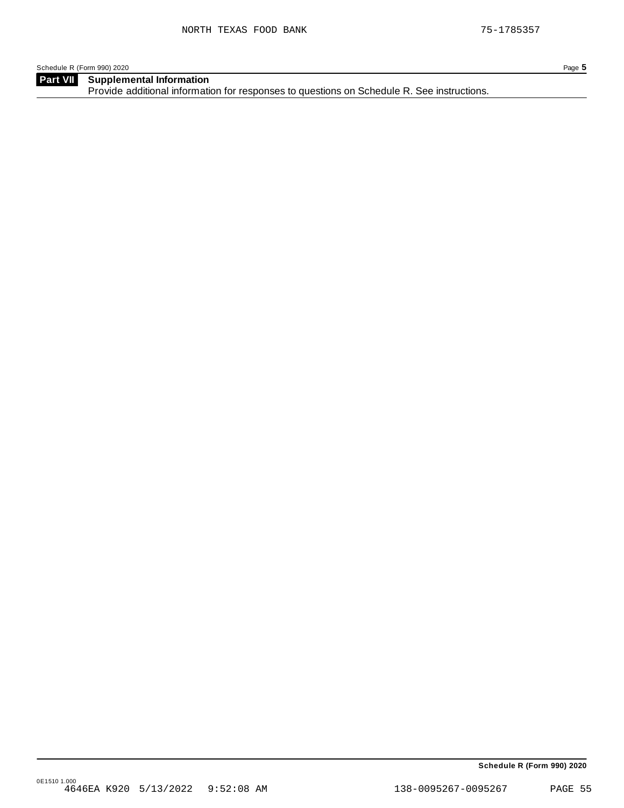**Supplemental Information** Provide additional information for responses to questions on Schedule R. See instructions. **Part VII**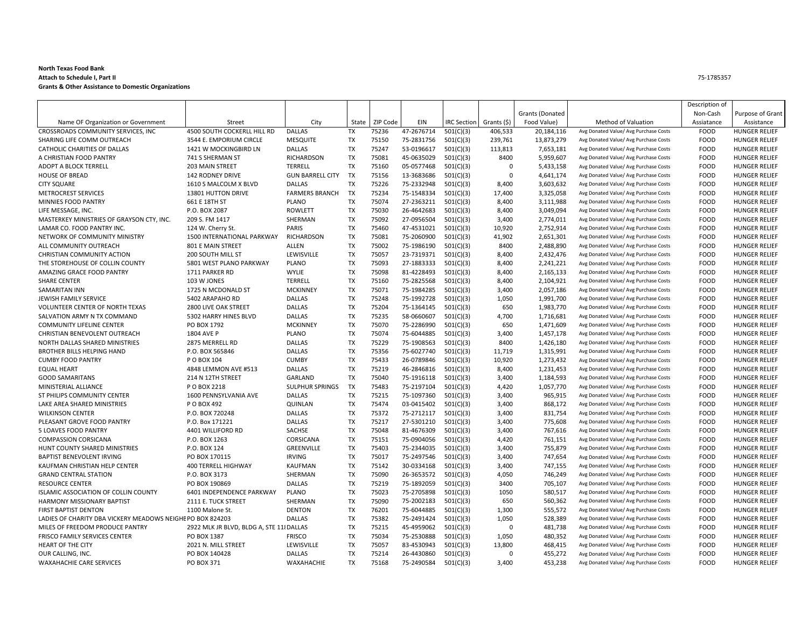#### **North Texas Food Bank Attach to Schedule <sup>I</sup>, Part II Grants & Other Assistance to Domestic Organizations**

|                                                            |                                          |                         |           |          |            |                    |                   |                        |                                       | Description of |                      |
|------------------------------------------------------------|------------------------------------------|-------------------------|-----------|----------|------------|--------------------|-------------------|------------------------|---------------------------------------|----------------|----------------------|
|                                                            |                                          |                         |           |          |            |                    |                   | <b>Grants (Donated</b> |                                       | Non-Cash       | Purpose of Grant     |
| Name OF Organization or Government                         | Street                                   | City                    | State     | ZIP Code | EIN        | <b>IRC Section</b> | Grants (\$)       | Food Value)            | Method of Valuation                   | Assiatance     | Assistance           |
| CROSSROADS COMMUNITY SERVICES, INC                         | 4500 SOUTH COCKERLL HILL RD              | <b>DALLAS</b>           | <b>TX</b> | 75236    | 47-2676714 | 501(C)(3)          | 406,533           | 20,184,116             | Avg Donated Value/ Avg Purchase Costs | <b>FOOD</b>    | <b>HUNGER RELIEF</b> |
| SHARING LIFE COMM OUTREACH                                 | 3544 E. EMPORIUM CIRCLE                  | <b>MESQUITE</b>         | <b>TX</b> | 75150    | 75-2831756 | 501(C)(3)          | 239,761           | 13,873,279             | Avg Donated Value/ Avg Purchase Costs | <b>FOOD</b>    | <b>HUNGER RELIEF</b> |
| CATHOLIC CHARITIES OF DALLAS                               | 1421 W MOCKINGBIRD LN                    | <b>DALLAS</b>           | <b>TX</b> | 75247    | 53-0196617 | 501(C)(3)          | 113,813           | 7,653,181              | Avg Donated Value/ Avg Purchase Costs | <b>FOOD</b>    | <b>HUNGER RELIEF</b> |
| A CHRISTIAN FOOD PANTRY                                    | 741 S SHERMAN ST                         | RICHARDSON              | <b>TX</b> | 75081    | 45-0635029 | 501(C)(3)          | 8400              | 5,959,607              | Avg Donated Value/ Avg Purchase Costs | <b>FOOD</b>    | <b>HUNGER RELIEF</b> |
| ADOPT A BLOCK TERRELL                                      | 203 MAIN STREET                          | TERRELL                 | <b>TX</b> | 75160    | 05-0577468 | 501(C)(3)          | 0                 | 5,433,158              | Avg Donated Value/ Avg Purchase Costs | <b>FOOD</b>    | <b>HUNGER RELIEF</b> |
| <b>HOUSE OF BREAD</b>                                      | <b>142 RODNEY DRIVE</b>                  | <b>GUN BARRELL CITY</b> | <b>TX</b> | 75156    | 13-3683686 | 501(C)(3)          | $\mathbf 0$       | 4,641,174              | Avg Donated Value/ Avg Purchase Costs | <b>FOOD</b>    | <b>HUNGER RELIEF</b> |
| <b>CITY SQUARE</b>                                         | 1610 S MALCOLM X BLVD                    | <b>DALLAS</b>           | <b>TX</b> | 75226    | 75-2332948 | 501(C)(3)          | 8,400             | 3,603,632              | Avg Donated Value/ Avg Purchase Costs | <b>FOOD</b>    | <b>HUNGER RELIEF</b> |
| <b>METROCREST SERVICES</b>                                 | 13801 HUTTON DRIVE                       | <b>FARMERS BRANCH</b>   | <b>TX</b> | 75234    | 75-1548334 | 501(C)(3)          | 17.400            | 3,325,058              | Avg Donated Value/ Avg Purchase Costs | <b>FOOD</b>    | <b>HUNGER RELIEF</b> |
| MINNIES FOOD PANTRY                                        | 661 E 18TH ST                            | PLANO                   | <b>TX</b> | 75074    | 27-2363211 | 501(C)(3)          | 8,400             | 3,111,988              | Avg Donated Value/ Avg Purchase Costs | <b>FOOD</b>    | <b>HUNGER RELIEF</b> |
| LIFE MESSAGE, INC.                                         | P.O. BOX 2087                            | <b>ROWLETT</b>          | <b>TX</b> | 75030    | 26-4642683 | 501(C)(3)          | 8,400             | 3,049,094              | Avg Donated Value/ Avg Purchase Costs | <b>FOOD</b>    | <b>HUNGER RELIEF</b> |
| MASTERKEY MINISTRIES OF GRAYSON CTY, INC.                  | 209 S. FM 1417                           | SHERMAN                 | <b>TX</b> | 75092    | 27-0956504 | 501(C)(3)          | 3,400             | 2,774,011              | Avg Donated Value/ Avg Purchase Costs | <b>FOOD</b>    | <b>HUNGER RELIEF</b> |
| LAMAR CO. FOOD PANTRY INC.                                 | 124 W. Cherry St.                        | PARIS                   | <b>TX</b> | 75460    | 47-4531021 | 501(C)(3)          | 10,920            | 2,752,914              | Avg Donated Value/ Avg Purchase Costs | <b>FOOD</b>    | <b>HUNGER RELIEF</b> |
| NETWORK OF COMMUNITY MINISTRY                              | <b>1500 INTERNATIONAL PARKWAY</b>        | <b>RICHARDSON</b>       | <b>TX</b> | 75081    | 75-2060900 | 501(C)(3)          | 41,902            | 2,651,301              | Avg Donated Value/ Avg Purchase Costs | <b>FOOD</b>    | <b>HUNGER RELIEF</b> |
| ALL COMMUNITY OUTREACH                                     | 801 E MAIN STREET                        | ALLEN                   | <b>TX</b> | 75002    | 75-1986190 | 501(C)(3)          | 8400              | 2,488,890              | Avg Donated Value/ Avg Purchase Costs | <b>FOOD</b>    | <b>HUNGER RELIEF</b> |
| CHRISTIAN COMMUNITY ACTION                                 | <b>200 SOUTH MILL ST</b>                 | LEWISVILLE              | <b>TX</b> | 75057    | 23-7319371 | 501(C)(3)          | 8,400             | 2,432,476              | Avg Donated Value/ Avg Purchase Costs | <b>FOOD</b>    | <b>HUNGER RELIEF</b> |
| THE STOREHOUSE OF COLLIN COUNTY                            | 5801 WEST PLANO PARKWAY                  | PLANO                   | <b>TX</b> | 75093    | 27-1883333 | 501(C)(3)          | 8,400             | 2,241,221              | Avg Donated Value/ Avg Purchase Costs | <b>FOOD</b>    | <b>HUNGER RELIEF</b> |
| AMAZING GRACE FOOD PANTRY                                  | 1711 PARKER RD                           | <b>WYLIE</b>            | <b>TX</b> | 75098    | 81-4228493 | 501(C)(3)          | 8,400             | 2,165,133              | Avg Donated Value/ Avg Purchase Costs | <b>FOOD</b>    | <b>HUNGER RELIEF</b> |
| <b>SHARE CENTER</b>                                        | 103 W JONES                              | <b>TERRELL</b>          | <b>TX</b> | 75160    | 75-2825568 | 501(C)(3)          | 8,400             | 2,104,921              | Avg Donated Value/ Avg Purchase Costs | <b>FOOD</b>    | <b>HUNGER RELIEF</b> |
| SAMARITAN INN                                              | 1725 N MCDONALD ST                       | <b>MCKINNEY</b>         | <b>TX</b> | 75071    | 75-1984285 | 501(C)(3)          | 3.400             | 2,057,186              | Avg Donated Value/ Avg Purchase Costs | <b>FOOD</b>    | <b>HUNGER RELIEF</b> |
| JEWISH FAMILY SERVICE                                      | 5402 ARAPAHO RD                          | <b>DALLAS</b>           | <b>TX</b> | 75248    | 75-1992728 | 501(C)(3)          | 1,050             | 1,991,700              | Avg Donated Value/ Avg Purchase Costs | <b>FOOD</b>    | <b>HUNGER RELIEF</b> |
| VOLUNTEER CENTER OF NORTH TEXAS                            | 2800 LIVE OAK STREET                     | <b>DALLAS</b>           | <b>TX</b> | 75204    | 75-1364145 | 501(C)(3)          | 650               | 1,983,770              | Avg Donated Value/ Avg Purchase Costs | <b>FOOD</b>    | <b>HUNGER RELIEF</b> |
| SALVATION ARMY N TX COMMAND                                | 5302 HARRY HINES BLVD                    | <b>DALLAS</b>           | <b>TX</b> | 75235    | 58-0660607 | 501(C)(3)          | 4,700             | 1,716,681              | Avg Donated Value/ Avg Purchase Costs | <b>FOOD</b>    | <b>HUNGER RELIEF</b> |
| <b>COMMUNITY LIFELINE CENTER</b>                           | PO BOX 1792                              | <b>MCKINNEY</b>         | <b>TX</b> | 75070    | 75-2286990 | 501(C)(3)          | 650               | 1,471,609              | Avg Donated Value/ Avg Purchase Costs | <b>FOOD</b>    | <b>HUNGER RELIEF</b> |
| CHRISTIAN BENEVOLENT OUTREACH                              | 1804 AVE P                               | <b>PLANO</b>            | <b>TX</b> | 75074    | 75-6044885 | 501(C)(3)          | 3,400             | 1,457,178              | Avg Donated Value/ Avg Purchase Costs | <b>FOOD</b>    | <b>HUNGER RELIEF</b> |
| NORTH DALLAS SHARED MINISTRIES                             | 2875 MERRELL RD                          | <b>DALLAS</b>           | <b>TX</b> | 75229    | 75-1908563 | 501(C)(3)          | 8400              | 1,426,180              | Avg Donated Value/ Avg Purchase Costs | <b>FOOD</b>    | <b>HUNGER RELIEF</b> |
| <b>BROTHER BILLS HELPING HAND</b>                          | P.O. BOX 565846                          | <b>DALLAS</b>           | <b>TX</b> | 75356    | 75-6027740 | 501(C)(3)          | 11,719            | 1,315,991              | Avg Donated Value/ Avg Purchase Costs | <b>FOOD</b>    | <b>HUNGER RELIEF</b> |
| <b>CUMBY FOOD PANTRY</b>                                   | P O BOX 104                              | <b>CUMBY</b>            | <b>TX</b> | 75433    | 26-0789846 | 501(C)(3)          | 10,920            | 1,273,432              | Avg Donated Value/ Avg Purchase Costs | <b>FOOD</b>    | <b>HUNGER RELIEF</b> |
| <b>EQUAL HEART</b>                                         | 4848 LEMMON AVE #513                     | <b>DALLAS</b>           | <b>TX</b> | 75219    | 46-2846816 | 501(C)(3)          | 8,400             | 1,231,453              | Avg Donated Value/ Avg Purchase Costs | <b>FOOD</b>    | <b>HUNGER RELIEF</b> |
| <b>GOOD SAMARITANS</b>                                     | 214 N 12TH STREET                        | GARLAND                 | <b>TX</b> | 75040    | 75-1916118 | 501(C)(3)          | 3,400             | 1,184,593              | Avg Donated Value/ Avg Purchase Costs | <b>FOOD</b>    | <b>HUNGER RELIEF</b> |
| MINISTERIAL ALLIANCE                                       | P O BOX 2218                             | <b>SULPHUR SPRINGS</b>  | <b>TX</b> | 75483    | 75-2197104 | 501(C)(3)          | 4,420             | 1,057,770              | Avg Donated Value/ Avg Purchase Costs | <b>FOOD</b>    | <b>HUNGER RELIEF</b> |
| ST PHILIPS COMMUNITY CENTER                                | 1600 PENNSYLVANIA AVE                    | <b>DALLAS</b>           | <b>TX</b> | 75215    | 75-1097360 | 501(C)(3)          | 3,400             | 965,915                | Avg Donated Value/ Avg Purchase Costs | <b>FOOD</b>    | <b>HUNGER RELIEF</b> |
| LAKE AREA SHARED MINISTRIES                                | P O BOX 492                              | QUINLAN                 | <b>TX</b> | 75474    | 03-0415402 | 501(C)(3)          | 3.400             | 868.172                | Avg Donated Value/ Avg Purchase Costs | <b>FOOD</b>    | <b>HUNGER RELIEF</b> |
| <b>WILKINSON CENTER</b>                                    | P.O. BOX 720248                          | <b>DALLAS</b>           | <b>TX</b> | 75372    | 75-2712117 | 501(C)(3)          | 3,400             | 831,754                | Avg Donated Value/ Avg Purchase Costs | <b>FOOD</b>    | <b>HUNGER RELIEF</b> |
| PLEASANT GROVE FOOD PANTRY                                 | P.O. Box 171221                          | <b>DALLAS</b>           | <b>TX</b> | 75217    | 27-5301210 | 501(C)(3)          | 3,400             | 775,608                | Avg Donated Value/ Avg Purchase Costs | <b>FOOD</b>    | <b>HUNGER RELIEF</b> |
| 5 LOAVES FOOD PANTRY                                       | 4401 WILLIFORD RD                        | SACHSE                  | <b>TX</b> | 75048    | 81-4676309 | 501(C)(3)          | 3,400             | 767,616                | Avg Donated Value/ Avg Purchase Costs | <b>FOOD</b>    | <b>HUNGER RELIEF</b> |
| <b>COMPASSION CORSICANA</b>                                | P.O. BOX 1263                            | CORSICANA               | <b>TX</b> | 75151    | 75-0904056 | 501(C)(3)          | 4,420             | 761,151                | Avg Donated Value/ Avg Purchase Costs | FOOD           | <b>HUNGER RELIEF</b> |
| HUNT COUNTY SHARED MINISTRIES                              | P.O. BOX 124                             | <b>GREENVILLE</b>       | <b>TX</b> | 75403    | 75-2344035 | 501(C)(3)          | 3.400             | 755.879                | Avg Donated Value/ Avg Purchase Costs | <b>FOOD</b>    | <b>HUNGER RELIEF</b> |
| <b>BAPTIST BENEVOLENT IRVING</b>                           | PO BOX 170115                            | <b>IRVING</b>           | <b>TX</b> | 75017    | 75-2497546 | 501(C)(3)          | 3,400             | 747,654                | Avg Donated Value/ Avg Purchase Costs | <b>FOOD</b>    | <b>HUNGER RELIEF</b> |
| KAUFMAN CHRISTIAN HELP CENTER                              | <b>400 TERRELL HIGHWAY</b>               | <b>KAUFMAN</b>          | <b>TX</b> | 75142    | 30-0334168 | 501(C)(3)          | 3,400             | 747,155                | Avg Donated Value/ Avg Purchase Costs | <b>FOOD</b>    | <b>HUNGER RELIEF</b> |
| <b>GRAND CENTRAL STATION</b>                               | P.O. BOX 3173                            | SHERMAN                 | <b>TX</b> | 75090    | 26-3653572 | 501(C)(3)          | 4,050             | 746,249                | Avg Donated Value/ Avg Purchase Costs | <b>FOOD</b>    | <b>HUNGER RELIEF</b> |
| <b>RESOURCE CENTER</b>                                     | PO BOX 190869                            | <b>DALLAS</b>           | <b>TX</b> | 75219    | 75-1892059 | 501(C)(3)          | 3400              | 705,107                | Avg Donated Value/ Avg Purchase Costs | <b>FOOD</b>    | <b>HUNGER RELIEF</b> |
| ISLAMIC ASSOCIATION OF COLLIN COUNTY                       | 6401 INDEPENDENCE PARKWAY                | PLANO                   | <b>TX</b> | 75023    | 75-2705898 |                    | 1050              | 580,517                | Avg Donated Value/ Avg Purchase Costs | <b>FOOD</b>    | <b>HUNGER RELIEF</b> |
| <b>HARMONY MISSIONARY BAPTIST</b>                          | 2111 E. TUCK STREET                      | SHERMAN                 | <b>TX</b> | 75090    | 75-2002183 | 501(C)(3)          | 650               | 560.362                | Avg Donated Value/ Avg Purchase Costs | <b>FOOD</b>    | <b>HUNGER RELIEF</b> |
| <b>FIRST BAPTIST DENTON</b>                                | 1100 Malone St.                          | <b>DENTON</b>           | <b>TX</b> | 76201    | 75-6044885 | 501(C)(3)          | 1,300             | 555,572                | Avg Donated Value/ Avg Purchase Costs | <b>FOOD</b>    | <b>HUNGER RELIEF</b> |
| LADIES OF CHARITY DBA VICKERY MEADOWS NEIGHE PO BOX 824203 |                                          | <b>DALLAS</b>           | <b>TX</b> | 75382    | 75-2491424 | 501(C)(3)          |                   | 528,389                | Avg Donated Value/ Avg Purchase Costs | <b>FOOD</b>    | <b>HUNGER RELIEF</b> |
| MILES OF FREEDOM PRODUCE PANTRY                            | 2922 MLK JR BLVD, BLDG A, STE 11 {DALLAS |                         | <b>TX</b> | 75215    | 45-4959062 | 501(C)(3)          | 1,050<br>$\Omega$ | 481,738                | Avg Donated Value/ Avg Purchase Costs | <b>FOOD</b>    | <b>HUNGER RELIEF</b> |
|                                                            |                                          | <b>FRISCO</b>           | <b>TX</b> | 75034    | 75-2530888 | 501(C)(3)          |                   |                        | Avg Donated Value/ Avg Purchase Costs | <b>FOOD</b>    |                      |
| FRISCO FAMILY SERVICES CENTER                              | PO BOX 1387                              |                         | <b>TX</b> | 75057    |            | 501(C)(3)          | 1,050             | 480,352                |                                       |                | <b>HUNGER RELIEF</b> |
| <b>HEART OF THE CITY</b>                                   | 2021 N. MILL STREET                      | LEWISVILLE              |           |          | 83-4530943 | 501(C)(3)          | 13.800            | 468.415                | Avg Donated Value/ Avg Purchase Costs | <b>FOOD</b>    | <b>HUNGER RELIEF</b> |
| OUR CALLING, INC.                                          | PO BOX 140428                            | <b>DALLAS</b>           | <b>TX</b> | 75214    | 26-4430860 | 501(C)(3)          | $\mathbf 0$       | 455,272                | Avg Donated Value/ Avg Purchase Costs | <b>FOOD</b>    | <b>HUNGER RELIEF</b> |
| <b>WAXAHACHIE CARE SERVICES</b>                            | PO BOX 371                               | WAXAHACHIE              | <b>TX</b> | 75168    | 75-2490584 | 501(C)(3)          | 3.400             | 453,238                | Avg Donated Value/ Avg Purchase Costs | <b>FOOD</b>    | <b>HUNGER RELIEF</b> |

75‐1785357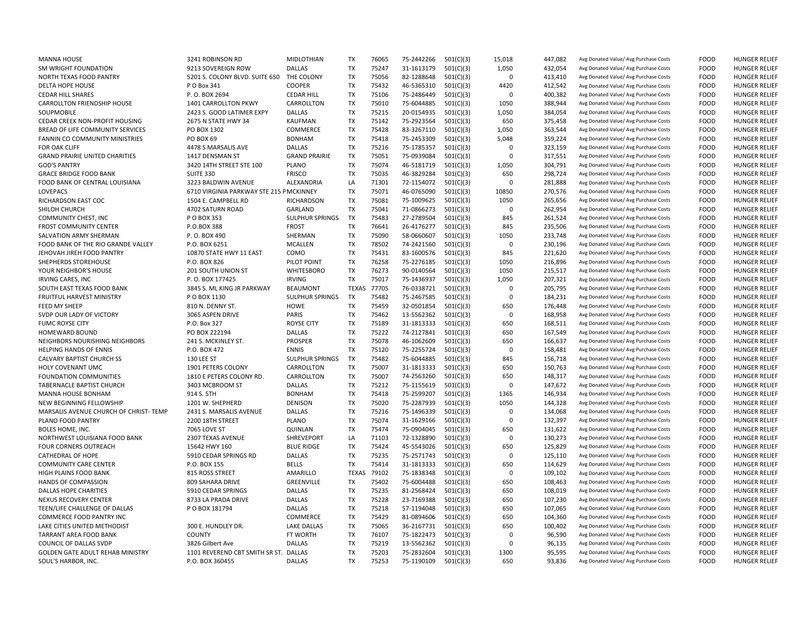| <b>MANNA HOUSE</b>                      | 3241 ROBINSON RD                        | MIDLOTHIAN             | <b>TX</b>    | 76065 | 75-2442266 | 501(C)(3) | 15,018       | 447,082 | Avg Donated Value/ Avg Purchase Costs | <b>FOOD</b> | <b>HUNGER RELIEF</b> |
|-----------------------------------------|-----------------------------------------|------------------------|--------------|-------|------------|-----------|--------------|---------|---------------------------------------|-------------|----------------------|
| SM WRIGHT FOUNDATION                    | 9213 SOVEREIGN ROW                      | <b>DALLAS</b>          | <b>TX</b>    | 75247 | 31-1613179 | 501(C)(3) | 1,050        | 432,054 | Avg Donated Value/ Avg Purchase Costs | <b>FOOD</b> | <b>HUNGER RELIEF</b> |
| NORTH TEXAS FOOD PANTRY                 | 5201 S. COLONY BLVD. SUITE 650          | THE COLONY             | <b>TX</b>    | 75056 | 82-1288648 | 501(C)(3) | $\Omega$     | 413,410 | Avg Donated Value/ Avg Purchase Costs | <b>FOOD</b> | <b>HUNGER RELIEF</b> |
| DELTA HOPE HOUSE                        | P O Box 341                             | <b>COOPER</b>          | <b>TX</b>    | 75432 | 46-5365310 | 501(C)(3) | 4420         | 412,542 | Avg Donated Value/ Avg Purchase Costs | <b>FOOD</b> | <b>HUNGER RELIEF</b> |
| <b>CEDAR HILL SHARES</b>                | P.O. BOX 2694                           | <b>CEDAR HILL</b>      | <b>TX</b>    | 75106 | 75-2486449 | 501(C)(3) | $\Omega$     | 400,382 | Avg Donated Value/ Avg Purchase Costs | <b>FOOD</b> | <b>HUNGER RELIEF</b> |
| CARROLLTON FRIENDSHIP HOUSE             | <b>1401 CARROLLTON PKWY</b>             | CARROLLTON             | <b>TX</b>    | 75010 | 75-6044885 | 501(C)(3) | 1050         | 388,944 | Avg Donated Value/ Avg Purchase Costs | <b>FOOD</b> | <b>HUNGER RELIEF</b> |
| SOUPMOBILE                              | 2423 S. GOOD LATIMER EXPY               | DALLAS                 | <b>TX</b>    | 75215 | 20-0154935 | 501(C)(3) | 1,050        | 384,054 | Avg Donated Value/ Avg Purchase Costs | <b>FOOD</b> | <b>HUNGER RELIEF</b> |
| CEDAR CREEK NON-PROFIT HOUSING          | 2675 N STATE HWY 34                     | KAUFMAN                | TX           | 75142 | 75-2923564 |           | 650          |         |                                       | <b>FOOD</b> | <b>HUNGER RELIEF</b> |
|                                         |                                         |                        |              |       |            | 501(C)(3) |              | 375,458 | Avg Donated Value/ Avg Purchase Costs |             |                      |
| BREAD OF LIFE COMMUNITY SERVICES        | PO BOX 1302                             | COMMERCE               | <b>TX</b>    | 75428 | 83-3267110 | 501(C)(3) | 1,050        | 363,544 | Avg Donated Value/ Avg Purchase Costs | <b>FOOD</b> | <b>HUNGER RELIEF</b> |
| FANNIN CO COMMUNITY MINISTRIES          | PO BOX 69                               | <b>BONHAM</b>          | <b>TX</b>    | 75418 | 75-2453309 | 501(C)(3) | 5,048        | 359,224 | Avg Donated Value/ Avg Purchase Costs | <b>FOOD</b> | <b>HUNGER RELIEF</b> |
| FOR OAK CLIFF                           | 4478 S MARSALIS AVE                     | <b>DALLAS</b>          | <b>TX</b>    | 75216 | 75-1785357 | 501(C)(3) | $\Omega$     | 323,159 | Avg Donated Value/ Avg Purchase Costs | <b>FOOD</b> | <b>HUNGER RELIEF</b> |
| <b>GRAND PRAIRIE UNITED CHARITIES</b>   | 1417 DENSMAN ST                         | <b>GRAND PRAIRIE</b>   | <b>TX</b>    | 75051 | 75-0939084 | 501(C)(3) | $\Omega$     | 317,551 | Avg Donated Value/ Avg Purchase Costs | <b>FOOD</b> | <b>HUNGER RELIEF</b> |
| <b>GOD'S PANTRY</b>                     | 3420 14TH STREET STE 100                | PLANO                  | <b>TX</b>    | 75074 | 46-5181719 | 501(C)(3) | 1,050        | 304,791 | Avg Donated Value/ Avg Purchase Costs | <b>FOOD</b> | <b>HUNGER RELIEF</b> |
| <b>GRACE BRIDGE FOOD BANK</b>           | SUITE 330                               | <b>FRISCO</b>          | <b>TX</b>    | 75035 | 46-3829284 | 501(C)(3) | 650          | 298,724 | Avg Donated Value/ Avg Purchase Costs | <b>FOOD</b> | <b>HUNGER RELIEF</b> |
| FOOD BANK OF CENTRAL LOUISIANA          | 3223 BALDWIN AVENUE                     | ALEXANDRIA             | LA           | 71301 | 72-1154072 | 501(C)(3) | $\Omega$     | 281,888 | Avg Donated Value/ Avg Purchase Costs | <b>FOOD</b> | <b>HUNGER RELIEF</b> |
| LOVEPACS                                | 6710 VIRGINIA PARKWAY STE 215 PMCKINNEY |                        | TX           | 75071 | 46-0765090 | 501(C)(3) | 10850        | 270,576 | Avg Donated Value/ Avg Purchase Costs | <b>FOOD</b> | <b>HUNGER RELIEF</b> |
| RICHARDSON EAST COC                     | 1504 E. CAMPBELL RD                     | RICHARDSON             | <b>TX</b>    | 75081 | 75-1009625 | 501(C)(3) | 1050         | 265,656 | Avg Donated Value/ Avg Purchase Costs | <b>FOOD</b> | <b>HUNGER RELIEF</b> |
| SHILOH CHURCH                           | 4702 SATURN ROAD                        | GARLAND                | <b>TX</b>    | 75041 | 71-0866273 | 501(C)(3) | $\Omega$     | 262,954 | Avg Donated Value/ Avg Purchase Costs | <b>FOOD</b> | <b>HUNGER RELIEF</b> |
| COMMUNITY CHEST, INC                    | P O BOX 353                             | <b>SULPHUR SPRINGS</b> | <b>TX</b>    | 75483 | 27-2789504 | 501(C)(3) | 845          | 261,524 | Avg Donated Value/ Avg Purchase Costs | <b>FOOD</b> | <b>HUNGER RELIEF</b> |
| <b>FROST COMMUNITY CENTER</b>           | P.O.BOX 388                             | <b>FROST</b>           | <b>TX</b>    | 76641 | 26-4176277 | 501(C)(3) | 845          | 235,506 | Avg Donated Value/ Avg Purchase Costs | <b>FOOD</b> | <b>HUNGER RELIEF</b> |
| SALVATION ARMY SHERMAN                  | P.O. BOX 490                            | SHERMAN                | <b>TX</b>    | 75090 | 58-0660607 | 501(C)(3) | 1050         | 233,748 | Avg Donated Value/ Avg Purchase Costs | <b>FOOD</b> | <b>HUNGER RELIEF</b> |
| FOOD BANK OF THE RIO GRANDE VALLEY      | P.O. BOX 6251                           | <b>MCALLEN</b>         | <b>TX</b>    | 78502 | 74-2421560 | 501(C)(3) | $\Omega$     | 230,196 | Avg Donated Value/ Avg Purchase Costs | <b>FOOD</b> | <b>HUNGER RELIEF</b> |
| JEHOVAH JIREH FOOD PANTRY               | 10870 STATE HWY 11 EAST                 | COMO                   | <b>TX</b>    | 75431 | 83-1600576 | 501(C)(3) | 845          | 221,620 | Avg Donated Value/ Avg Purchase Costs | <b>FOOD</b> | <b>HUNGER RELIEF</b> |
| SHEPHERDS STOREHOUSE                    |                                         |                        | <b>TX</b>    | 76258 | 75-2276185 |           | 1050         |         |                                       | <b>FOOD</b> | <b>HUNGER RELIEF</b> |
|                                         | P.O. BOX 826                            | PILOT POINT            |              |       |            | 501(C)(3) |              | 216,896 | Avg Donated Value/ Avg Purchase Costs |             |                      |
| YOUR NEIGHBOR'S HOUSE                   | 201 SOUTH UNION ST                      | <b>WHITESBORO</b>      | <b>TX</b>    | 76273 | 90-0140564 | 501(C)(3) | 1050         | 215,517 | Avg Donated Value/ Avg Purchase Costs | <b>FOOD</b> | <b>HUNGER RELIEF</b> |
| <b>IRVING CARES, INC</b>                | P.O. BOX 177425                         | <b>IRVING</b>          | <b>TX</b>    | 75017 | 75-1436937 | 501(C)(3) | 1,050        | 207,321 | Avg Donated Value/ Avg Purchase Costs | <b>FOOD</b> | <b>HUNGER RELIEF</b> |
| SOUTH EAST TEXAS FOOD BANK              | 3845 S. ML KING JR PARKWAY              | <b>BEAUMONT</b>        | <b>TEXAS</b> | 77705 | 76-0338721 | 501(C)(3) | $\mathbf{0}$ | 205,795 | Avg Donated Value/ Avg Purchase Costs | <b>FOOD</b> | <b>HUNGER RELIEF</b> |
| FRUITFUL HARVEST MINISTRY               | P O BOX 1130                            | SULPHUR SPRINGS        | <b>TX</b>    | 75482 | 75-2467585 | 501(C)(3) | $\Omega$     | 184,231 | Avg Donated Value/ Avg Purchase Costs | <b>FOOD</b> | <b>HUNGER RELIEF</b> |
| FEED MY SHEEP                           | 810 N. DENNY ST.                        | HOWE                   | TX           | 75459 | 32-0501854 | 501(C)(3) | 650          | 176,448 | Avg Donated Value/ Avg Purchase Costs | <b>FOOD</b> | <b>HUNGER RELIEF</b> |
| SVDP OUR LADY OF VICTORY                | 3065 ASPEN DRIVE                        | <b>PARIS</b>           | <b>TX</b>    | 75462 | 13-5562362 | 501(C)(3) | $\Omega$     | 168,958 | Avg Donated Value/ Avg Purchase Costs | <b>FOOD</b> | <b>HUNGER RELIEF</b> |
| <b>FUMC ROYSE CITY</b>                  | P.O. Box 327                            | <b>ROYSE CITY</b>      | <b>TX</b>    | 75189 | 31-1813333 | 501(C)(3) | 650          | 168,511 | Avg Donated Value/ Avg Purchase Costs | <b>FOOD</b> | <b>HUNGER RELIEF</b> |
| HOMEWARD BOUND                          | PO BOX 222194                           | <b>DALLAS</b>          | <b>TX</b>    | 75222 | 74-2127841 | 501(C)(3) | 650          | 167,549 | Avg Donated Value/ Avg Purchase Costs | <b>FOOD</b> | <b>HUNGER RELIEF</b> |
| NEIGHBORS NOURISHING NEIGHBORS          | 241 S. MCKINLEY ST.                     | <b>PROSPER</b>         | <b>TX</b>    | 75078 | 46-1062609 | 501(C)(3) | 650          | 166,637 | Avg Donated Value/ Avg Purchase Costs | <b>FOOD</b> | <b>HUNGER RELIEF</b> |
| <b>HELPING HANDS OF ENNIS</b>           | P.O. BOX 472                            | <b>ENNIS</b>           | <b>TX</b>    | 75120 | 75-2255724 | 501(C)(3) | $\Omega$     | 158,481 | Avg Donated Value/ Avg Purchase Costs | <b>FOOD</b> | <b>HUNGER RELIEF</b> |
| CALVARY BAPTIST CHURCH SS               | 130 LEE ST                              | <b>SULPHUR SPRINGS</b> | <b>TX</b>    | 75482 | 75-6044885 | 501(C)(3) | 845          | 156,718 | Avg Donated Value/ Avg Purchase Costs | <b>FOOD</b> | <b>HUNGER RELIEF</b> |
| HOLY COVENANT UMC                       | 1901 PETERS COLONY                      | CARROLLTON             | <b>TX</b>    | 75007 | 31-1813333 | 501(C)(3) | 650          | 150,763 | Avg Donated Value/ Avg Purchase Costs | <b>FOOD</b> | <b>HUNGER RELIEF</b> |
| <b>FOUNDATION COMMUNITIES</b>           | 1810 E PETERS COLONY RD.                | CARROLLTON             | <b>TX</b>    | 75007 | 74-2563260 | 501(C)(3) | 650          | 148,317 | Avg Donated Value/ Avg Purchase Costs | <b>FOOD</b> | <b>HUNGER RELIEF</b> |
| TABERNACLE BAPTIST CHURCH               | 3403 MCBROOM ST                         | DALLAS                 | <b>TX</b>    | 75212 | 75-1155619 | 501(C)(3) | $\Omega$     | 147,672 | Avg Donated Value/ Avg Purchase Costs | <b>FOOD</b> | <b>HUNGER RELIEF</b> |
| MANNA HOUSE BONHAM                      | 914 S. 5TH                              | <b>BONHAM</b>          | <b>TX</b>    | 75418 | 75-2599207 | 501(C)(3) | 1365         | 146,934 | Avg Donated Value/ Avg Purchase Costs | <b>FOOD</b> | <b>HUNGER RELIEF</b> |
| NEW BEGINNING FELLOWSHIP                | 1201 W. SHEPHERD                        | <b>DENISON</b>         | <b>TX</b>    | 75020 | 75-2287939 | 501(C)(3) | 1050         | 144,328 | Avg Donated Value/ Avg Purchase Costs | <b>FOOD</b> | <b>HUNGER RELIEF</b> |
| MARSALIS AVENUE CHURCH OF CHRIST-TEMP   | 2431 S. MARSALIS AVENUE                 | DALLAS                 | <b>TX</b>    | 75216 | 75-1496339 | 501(C)(3) | $\mathbf 0$  | 134,068 | Avg Donated Value/ Avg Purchase Costs | <b>FOOD</b> | <b>HUNGER RELIEF</b> |
|                                         |                                         |                        | <b>TX</b>    |       |            |           | $\Omega$     |         |                                       |             |                      |
| PLANO FOOD PANTRY                       | 2200 18TH STREET                        | PLANO                  |              | 75074 | 31-1629166 | 501(C)(3) |              | 132,397 | Avg Donated Value/ Avg Purchase Costs | <b>FOOD</b> | <b>HUNGER RELIEF</b> |
| BOLES HOME, INC.                        | <b>7065 LOVE ST</b>                     | QUINLAN                | <b>TX</b>    | 75474 | 75-0904045 | 501(C)(3) | 650          | 131,622 | Avg Donated Value/ Avg Purchase Costs | <b>FOOD</b> | <b>HUNGER RELIEF</b> |
| NORTHWEST LOUISIANA FOOD BANK           | 2307 TEXAS AVENUE                       | SHREVEPORT             | LA           | 71103 | 72-1328890 | 501(C)(3) | $\Omega$     | 130,273 | Avg Donated Value/ Avg Purchase Costs | <b>FOOD</b> | <b>HUNGER RELIEF</b> |
| FOUR CORNERS OUTREACH                   | 15642 HWY 160                           | <b>BLUE RIDGE</b>      | <b>TX</b>    | 75424 | 45-5543026 | 501(C)(3) | 650          | 125,829 | Avg Donated Value/ Avg Purchase Costs | <b>FOOD</b> | <b>HUNGER RELIEF</b> |
| CATHEDRAL OF HOPE                       | 5910 CEDAR SPRINGS RD                   | <b>DALLAS</b>          | TX           | 75235 | 75-2571743 | 501(C)(3) | $\Omega$     | 125,110 | Avg Donated Value/ Avg Purchase Costs | <b>FOOD</b> | <b>HUNGER RELIEF</b> |
| <b>COMMUNITY CARE CENTER</b>            | P.O. BOX 155                            | <b>BELLS</b>           | TX           | 75414 | 31-1813333 | 501(C)(3) | 650          | 114,629 | Avg Donated Value/ Avg Purchase Costs | <b>FOOD</b> | <b>HUNGER RELIEF</b> |
| HIGH PLAINS FOOD BANK                   | 815 ROSS STREET                         | AMARILLO               | <b>TEXAS</b> | 79102 | 75-1838348 | 501(C)(3) | $\Omega$     | 109,102 | Avg Donated Value/ Avg Purchase Costs | <b>FOOD</b> | <b>HUNGER RELIEF</b> |
| <b>HANDS OF COMPASSION</b>              | 809 SAHARA DRIVE                        | GREENVILLE             | <b>TX</b>    | 75402 | 75-6004488 | 501(C)(3) | 650          | 108,463 | Avg Donated Value/ Avg Purchase Costs | <b>FOOD</b> | <b>HUNGER RELIEF</b> |
| <b>DALLAS HOPE CHARITIES</b>            | 5910 CEDAR SPRINGS                      | <b>DALLAS</b>          | <b>TX</b>    | 75235 | 81-2568424 | 501(C)(3) | 650          | 108,019 | Avg Donated Value/ Avg Purchase Costs | <b>FOOD</b> | <b>HUNGER RELIEF</b> |
| NEXUS RECOVERY CENTER                   | 8733 LA PRADA DRIVE                     | <b>DALLAS</b>          | <b>TX</b>    | 75228 | 23-7169388 | 501(C)(3) | 650          | 107,230 | Avg Donated Value/ Avg Purchase Costs | <b>FOOD</b> | <b>HUNGER RELIEF</b> |
| TEEN/LIFE CHALLENGE OF DALLAS           | P O BOX 181794                          | DALLAS                 | <b>TX</b>    | 75218 | 57-1194048 | 501(C)(3) | 650          | 107,065 | Avg Donated Value/ Avg Purchase Costs | <b>FOOD</b> | <b>HUNGER RELIEF</b> |
| COMMERCE FOOD PANTRY INC                |                                         | COMMERCE               | <b>TX</b>    | 75429 | 81-0894606 | 501(C)(3) | 650          | 104,360 | Avg Donated Value/ Avg Purchase Costs | <b>FOOD</b> | <b>HUNGER RELIEF</b> |
| LAKE CITIES UNITED METHODIST            | 300 E. HUNDLEY DR.                      | <b>LAKE DALLAS</b>     | TX           | 75065 | 36-2167731 | 501(C)(3) | 650          | 100,402 | Avg Donated Value/ Avg Purchase Costs | <b>FOOD</b> | <b>HUNGER RELIEF</b> |
| TARRANT AREA FOOD BANK                  | <b>COUNTY</b>                           | FT WORTH               | <b>TX</b>    | 76107 | 75-1822473 | 501(C)(3) | $\Omega$     | 96,590  | Avg Donated Value/ Avg Purchase Costs | <b>FOOD</b> | <b>HUNGER RELIEF</b> |
| COUNCIL OF DALLAS SVDP                  | 3826 Gilbert Ave                        | <b>DALLAS</b>          | <b>TX</b>    | 75219 | 13-5562362 | 501(C)(3) | $\Omega$     | 96,135  | Avg Donated Value/ Avg Purchase Costs | <b>FOOD</b> | <b>HUNGER RELIEF</b> |
| <b>GOLDEN GATE ADULT REHAB MINISTRY</b> | 1101 REVEREND CBT SMITH SR ST. DALLAS   |                        | <b>TX</b>    | 75203 | 75-2832604 | 501(C)(3) | 1300         | 95,595  | Avg Donated Value/ Avg Purchase Costs | <b>FOOD</b> | <b>HUNGER RELIEF</b> |
| SOUL'S HARBOR, INC.                     | P.O. BOX 360455                         | <b>DALLAS</b>          | <b>TX</b>    | 75253 | 75-1190109 |           | 650          | 93,836  | Avg Donated Value/ Avg Purchase Costs | <b>FOOD</b> | <b>HUNGER RELIEF</b> |
|                                         |                                         |                        |              |       |            | 501(C)(3) |              |         |                                       |             |                      |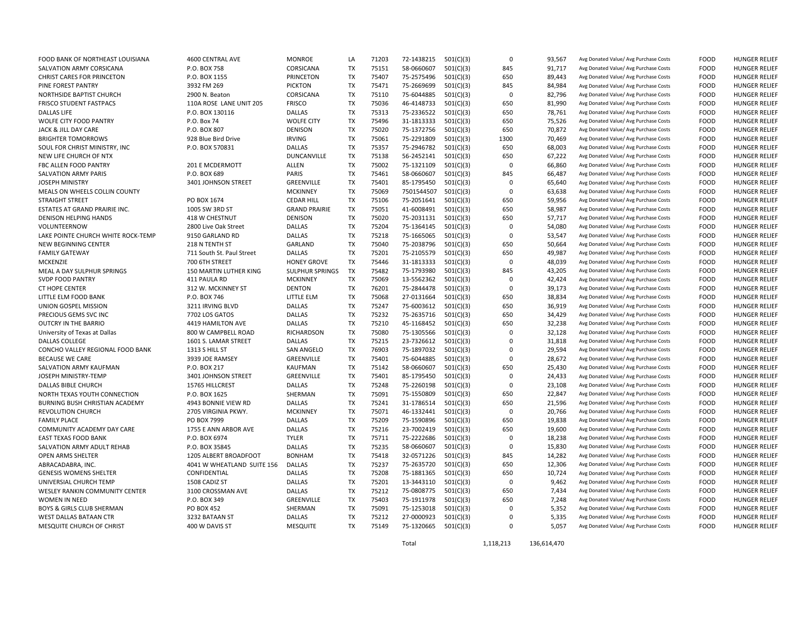| FOOD BANK OF NORTHEAST LOUISIANA      | 4600 CENTRAL AVE                            | <b>MONROE</b>        | LA        | 71203 | 72-1438215               | 501(C)(3) | $\Omega$    | 93,567           | Avg Donated Value/ Avg Purchase Costs | <b>FOOD</b> | <b>HUNGER RELIEF</b> |
|---------------------------------------|---------------------------------------------|----------------------|-----------|-------|--------------------------|-----------|-------------|------------------|---------------------------------------|-------------|----------------------|
| SALVATION ARMY CORSICANA              | P.O. BOX 758                                | CORSICANA            | <b>TX</b> | 75151 | 58-0660607               | 501(C)(3) | 845         | 91,717           | Avg Donated Value/ Avg Purchase Costs | <b>FOOD</b> | <b>HUNGER RELIEF</b> |
| <b>CHRIST CARES FOR PRINCETON</b>     | P.O. BOX 1155                               | <b>PRINCETON</b>     | <b>TX</b> | 75407 | 75-2575496               | 501(C)(3) | 650         | 89,443           | Avg Donated Value/ Avg Purchase Costs | <b>FOOD</b> | <b>HUNGER RELIEF</b> |
| PINE FOREST PANTRY                    | 3932 FM 269                                 | <b>PICKTON</b>       | <b>TX</b> | 75471 | 75-2669699               | 501(C)(3) | 845         | 84,984           | Avg Donated Value/ Avg Purchase Costs | <b>FOOD</b> | <b>HUNGER RELIEF</b> |
| NORTHSIDE BAPTIST CHURCH              | 2900 N. Beaton                              | CORSICANA            | <b>TX</b> | 75110 | 75-6044885               | 501(C)(3) | $\Omega$    | 82,796           | Avg Donated Value/ Avg Purchase Costs | <b>FOOD</b> | <b>HUNGER RELIEF</b> |
| <b>FRISCO STUDENT FASTPACS</b>        | 110A ROSE LANE UNIT 205                     | <b>FRISCO</b>        | <b>TX</b> | 75036 | 46-4148733               | 501(C)(3) | 650         | 81,990           | Avg Donated Value/ Avg Purchase Costs | <b>FOOD</b> | <b>HUNGER RELIEF</b> |
| <b>DALLAS LIFE</b>                    | P.O. BOX 130116                             | <b>DALLAS</b>        | <b>TX</b> | 75313 | 75-2336522               | 501(C)(3) | 650         | 78,761           | Avg Donated Value/ Avg Purchase Costs | <b>FOOD</b> | <b>HUNGER RELIEF</b> |
| WOLFE CITY FOOD PANTRY                | P.O. Box 74                                 | <b>WOLFE CITY</b>    | TX        | 75496 | 31-1813333               | 501(C)(3) | 650         | 75,526           | Avg Donated Value/ Avg Purchase Costs | FOOD        | <b>HUNGER RELIEF</b> |
| JACK & JILL DAY CARE                  | P.O. BOX 807                                | <b>DENISON</b>       | <b>TX</b> | 75020 | 75-1372756               | 501(C)(3) | 650         | 70,872           | Avg Donated Value/ Avg Purchase Costs | <b>FOOD</b> | <b>HUNGER RELIEF</b> |
| <b>BRIGHTER TOMORROWS</b>             | 928 Blue Bird Drive                         | <b>IRVING</b>        | <b>TX</b> | 75061 | 75-2291809               | 501(C)(3) | 1300        | 70,469           | Avg Donated Value/ Avg Purchase Costs | <b>FOOD</b> | <b>HUNGER RELIEF</b> |
| SOUL FOR CHRIST MINISTRY, INC         | P.O. BOX 570831                             | <b>DALLAS</b>        | <b>TX</b> | 75357 | 75-2946782               | 501(C)(3) | 650         | 68,003           | Avg Donated Value/ Avg Purchase Costs | <b>FOOD</b> | <b>HUNGER RELIEF</b> |
| NEW LIFE CHURCH OF NTX                |                                             | DUNCANVILLE          | <b>TX</b> | 75138 | 56-2452141               | 501(C)(3) | 650         | 67,222           | Avg Donated Value/ Avg Purchase Costs | <b>FOOD</b> | HUNGER RELIEF        |
| <b>FBC ALLEN FOOD PANTRY</b>          | 201 E MCDERMOTT                             | <b>ALLEN</b>         | <b>TX</b> | 75002 | 75-1321109               | 501(C)(3) | $\Omega$    | 66,860           | Avg Donated Value/ Avg Purchase Costs | <b>FOOD</b> | HUNGER RELIEF        |
| SALVATION ARMY PARIS                  | P.O. BOX 689                                | PARIS                | <b>TX</b> | 75461 | 58-0660607               | 501(C)(3) | 845         | 66,487           | Avg Donated Value/ Avg Purchase Costs | <b>FOOD</b> | <b>HUNGER RELIEF</b> |
| <b>JOSEPH MINISTRY</b>                | 3401 JOHNSON STREET                         | GREENVILLE           | <b>TX</b> | 75401 | 85-1795450               | 501(C)(3) | $\mathbf 0$ | 65,640           | Avg Donated Value/ Avg Purchase Costs | <b>FOOD</b> | <b>HUNGER RELIEF</b> |
| MEALS ON WHEELS COLLIN COUNTY         |                                             | <b>MCKINNEY</b>      | <b>TX</b> | 75069 | 7501544507               | 501(C)(3) | $\Omega$    | 63,638           | Avg Donated Value/ Avg Purchase Costs | <b>FOOD</b> | <b>HUNGER RELIEF</b> |
| <b>STRAIGHT STREET</b>                | PO BOX 1674                                 | <b>CEDAR HILL</b>    | <b>TX</b> | 75106 | 75-2051641               | 501(C)(3) | 650         | 59,956           | Avg Donated Value/ Avg Purchase Costs | <b>FOOD</b> | <b>HUNGER RELIEF</b> |
| ESTATES AT GRAND PRAIRIE INC.         | 1005 SW 3RD ST                              | <b>GRAND PRAIRIE</b> | <b>TX</b> | 75051 | 41-6008491               | 501(C)(3) | 650         | 58,987           | Avg Donated Value/ Avg Purchase Costs | <b>FOOD</b> | <b>HUNGER RELIEF</b> |
| DENISON HELPING HANDS                 | 418 W CHESTNUT                              | <b>DENISON</b>       | TX        | 75020 | 75-2031131               | 501(C)(3) | 650         | 57,717           | Avg Donated Value/ Avg Purchase Costs | <b>FOOD</b> | <b>HUNGER RELIEF</b> |
| VOLUNTEERNOW                          | 2800 Live Oak Street                        | <b>DALLAS</b>        | <b>TX</b> | 75204 | 75-1364145               | 501(C)(3) | $\Omega$    | 54,080           | Avg Donated Value/ Avg Purchase Costs | <b>FOOD</b> | <b>HUNGER RELIEF</b> |
| LAKE POINTE CHURCH WHITE ROCK-TEMP    | 9150 GARLAND RD                             | <b>DALLAS</b>        | <b>TX</b> | 75218 | 75-1665065               | 501(C)(3) | $\Omega$    | 53,547           | Avg Donated Value/ Avg Purchase Costs | <b>FOOD</b> | <b>HUNGER RELIEF</b> |
| NEW BEGINNING CENTER                  | 218 N TENTH ST                              | GARLAND              | <b>TX</b> | 75040 |                          |           | 650         |                  | Avg Donated Value/ Avg Purchase Costs | <b>FOOD</b> | <b>HUNGER RELIEF</b> |
| <b>FAMILY GATEWAY</b>                 |                                             | <b>DALLAS</b>        | <b>TX</b> | 75201 | 75-2038796<br>75-2105579 | 501(C)(3) | 650         | 50,664<br>49,987 | Avg Donated Value/ Avg Purchase Costs | <b>FOOD</b> | <b>HUNGER RELIEF</b> |
|                                       | 711 South St. Paul Street<br>700 6TH STREET |                      | <b>TX</b> | 75446 |                          | 501(C)(3) | $\Omega$    |                  | Avg Donated Value/ Avg Purchase Costs | <b>FOOD</b> | <b>HUNGER RELIEF</b> |
| MCKENZIE                              |                                             | <b>HONEY GROVE</b>   | TX        |       | 31-1813333               | 501(C)(3) | 845         | 48,039           |                                       |             |                      |
| MEAL A DAY SULPHUR SPRINGS            | 150 MARTIN LUTHER KING                      | SULPHUR SPRINGS      |           | 75482 | 75-1793980               | 501(C)(3) |             | 43,205           | Avg Donated Value/ Avg Purchase Costs | <b>FOOD</b> | <b>HUNGER RELIEF</b> |
| <b>SVDP FOOD PANTRY</b>               | 411 PAULA RD                                | <b>MCKINNEY</b>      | <b>TX</b> | 75069 | 13-5562362               | 501(C)(3) | $\Omega$    | 42,424           | Avg Donated Value/ Avg Purchase Costs | <b>FOOD</b> | <b>HUNGER RELIEF</b> |
| <b>CT HOPE CENTER</b>                 | 312 W. MCKINNEY ST                          | <b>DENTON</b>        | <b>TX</b> | 76201 | 75-2844478               | 501(C)(3) | $\Omega$    | 39,173           | Avg Donated Value/ Avg Purchase Costs | <b>FOOD</b> | <b>HUNGER RELIEF</b> |
| LITTLE ELM FOOD BANK                  | P.O. BOX 746                                | LITTLE ELM           | <b>TX</b> | 75068 | 27-0131664               | 501(C)(3) | 650         | 38,834           | Avg Donated Value/ Avg Purchase Costs | <b>FOOD</b> | <b>HUNGER RELIEF</b> |
| UNION GOSPEL MISSION                  | 3211 IRVING BLVD                            | <b>DALLAS</b>        | <b>TX</b> | 75247 | 75-6003612               | 501(C)(3) | 650         | 36,919           | Avg Donated Value/ Avg Purchase Costs | <b>FOOD</b> | <b>HUNGER RELIEF</b> |
| PRECIOUS GEMS SVC INC                 | 7702 LOS GATOS                              | <b>DALLAS</b>        | <b>TX</b> | 75232 | 75-2635716               | 501(C)(3) | 650         | 34,429           | Avg Donated Value/ Avg Purchase Costs | <b>FOOD</b> | <b>HUNGER RELIEF</b> |
| <b>OUTCRY IN THE BARRIO</b>           | 4419 HAMILTON AVE                           | <b>DALLAS</b>        | <b>TX</b> | 75210 | 45-1168452               | 501(C)(3) | 650         | 32,238           | Avg Donated Value/ Avg Purchase Costs | <b>FOOD</b> | <b>HUNGER RELIEF</b> |
| University of Texas at Dallas         | 800 W CAMPBELL ROAD                         | <b>RICHARDSON</b>    | <b>TX</b> | 75080 | 75-1305566               | 501(C)(3) | $\Omega$    | 32,128           | Avg Donated Value/ Avg Purchase Costs | <b>FOOD</b> | HUNGER RELIEF        |
| DALLAS COLLEGE                        | 1601 S. LAMAR STREET                        | <b>DALLAS</b>        | <b>TX</b> | 75215 | 23-7326612               | 501(C)(3) | $\Omega$    | 31,818           | Avg Donated Value/ Avg Purchase Costs | <b>FOOD</b> | <b>HUNGER RELIEF</b> |
| CONCHO VALLEY REGIONAL FOOD BANK      | 1313 S HILL ST                              | <b>SAN ANGELO</b>    | <b>TX</b> | 76903 | 75-1897032               | 501(C)(3) | $\Omega$    | 29,594           | Avg Donated Value/ Avg Purchase Costs | <b>FOOD</b> | <b>HUNGER RELIEF</b> |
| <b>BECAUSE WE CARE</b>                | 3939 JOE RAMSEY                             | GREENVILLE           | <b>TX</b> | 75401 | 75-6044885               | 501(C)(3) | $\Omega$    | 28,672           | Avg Donated Value/ Avg Purchase Costs | <b>FOOD</b> | <b>HUNGER RELIEF</b> |
| SALVATION ARMY KAUFMAN                | P.O. BOX 217                                | KAUFMAN              | <b>TX</b> | 75142 | 58-0660607               | 501(C)(3) | 650         | 25,430           | Avg Donated Value/ Avg Purchase Costs | <b>FOOD</b> | <b>HUNGER RELIEF</b> |
| JOSEPH MINISTRY-TEMP                  | 3401 JOHNSON STREET                         | GREENVILLE           | <b>TX</b> | 75401 | 85-1795450               | 501(C)(3) | $\Omega$    | 24,433           | Avg Donated Value/ Avg Purchase Costs | <b>FOOD</b> | <b>HUNGER RELIEF</b> |
| DALLAS BIBLE CHURCH                   | 15765 HILLCREST                             | <b>DALLAS</b>        | <b>TX</b> | 75248 | 75-2260198               | 501(C)(3) | $\Omega$    | 23,108           | Avg Donated Value/ Avg Purchase Costs | <b>FOOD</b> | <b>HUNGER RELIEF</b> |
| NORTH TEXAS YOUTH CONNECTION          | P.O. BOX 1625                               | SHERMAN              | <b>TX</b> | 75091 | 75-1550809               | 501(C)(3) | 650         | 22,847           | Avg Donated Value/ Avg Purchase Costs | <b>FOOD</b> | <b>HUNGER RELIEF</b> |
| <b>BURNING BUSH CHRISTIAN ACADEMY</b> | 4943 BONNIE VIEW RD                         | <b>DALLAS</b>        | <b>TX</b> | 75241 | 31-1786514               | 501(C)(3) | 650         | 21,596           | Avg Donated Value/ Avg Purchase Costs | <b>FOOD</b> | <b>HUNGER RELIEF</b> |
| <b>REVOLUTION CHURCH</b>              | 2705 VIRGINIA PKWY.                         | <b>MCKINNEY</b>      | <b>TX</b> | 75071 | 46-1332441               | 501(C)(3) | $\Omega$    | 20,766           | Avg Donated Value/ Avg Purchase Costs | <b>FOOD</b> | <b>HUNGER RELIEF</b> |
| <b>FAMILY PLACE</b>                   | PO BOX 7999                                 | <b>DALLAS</b>        | TX        | 75209 | 75-1590896               | 501(C)(3) | 650         | 19,838           | Avg Donated Value/ Avg Purchase Costs | <b>FOOD</b> | <b>HUNGER RELIEF</b> |
| COMMUNITY ACADEMY DAY CARE            | 1755 E ANN ARBOR AVE                        | <b>DALLAS</b>        | <b>TX</b> | 75216 | 23-7002419               | 501(C)(3) | 650         | 19,600           | Avg Donated Value/ Avg Purchase Costs | <b>FOOD</b> | <b>HUNGER RELIEF</b> |
| <b>EAST TEXAS FOOD BANK</b>           | P.O. BOX 6974                               | <b>TYLER</b>         | <b>TX</b> | 75711 | 75-2222686               | 501(C)(3) | $\Omega$    | 18,238           | Avg Donated Value/ Avg Purchase Costs | <b>FOOD</b> | <b>HUNGER RELIEF</b> |
| SALVATION ARMY ADULT REHAB            | P.O. BOX 35845                              | <b>DALLAS</b>        | <b>TX</b> | 75235 | 58-0660607               | 501(C)(3) | $\Omega$    | 15,830           | Avg Donated Value/ Avg Purchase Costs | <b>FOOD</b> | <b>HUNGER RELIEF</b> |
| OPEN ARMS SHELTER                     | 1205 ALBERT BROADFOOT                       | <b>BONHAM</b>        | <b>TX</b> | 75418 | 32-0571226               | 501(C)(3) | 845         | 14,282           | Avg Donated Value/ Avg Purchase Costs | <b>FOOD</b> | <b>HUNGER RELIEF</b> |
| ABRACADABRA, INC.                     | 4041 W WHEATLAND SUITE 156                  | <b>DALLAS</b>        | <b>TX</b> | 75237 | 75-2635720               | 501(C)(3) | 650         | 12,306           | Avg Donated Value/ Avg Purchase Costs | <b>FOOD</b> | <b>HUNGER RELIEF</b> |
| <b>GENESIS WOMENS SHELTER</b>         | CONFIDENTIAL                                | <b>DALLAS</b>        | <b>TX</b> | 75208 | 75-1881365               | 501(C)(3) | 650         | 10,724           | Avg Donated Value/ Avg Purchase Costs | <b>FOOD</b> | <b>HUNGER RELIEF</b> |
| UNIVERSIAL CHURCH TEMP                | 1508 CADIZ ST                               | DALLAS               | <b>TX</b> | 75201 | 13-3443110               | 501(C)(3) | $\mathbf 0$ | 9,462            | Avg Donated Value/ Avg Purchase Costs | <b>FOOD</b> | <b>HUNGER RELIEF</b> |
| WESLEY RANKIN COMMUNITY CENTER        | 3100 CROSSMAN AVE                           | <b>DALLAS</b>        | <b>TX</b> | 75212 | 75-0808775               | 501(C)(3) | 650         | 7,434            | Avg Donated Value/ Avg Purchase Costs | <b>FOOD</b> | <b>HUNGER RELIEF</b> |
| WOMEN IN NEED                         | P.O. BOX 349                                | GREENVILLE           | <b>TX</b> | 75403 | 75-1911978               | 501(C)(3) | 650         | 7,248            | Avg Donated Value/ Avg Purchase Costs | <b>FOOD</b> | <b>HUNGER RELIEF</b> |
| <b>BOYS &amp; GIRLS CLUB SHERMAN</b>  | PO BOX 452                                  | SHERMAN              | <b>TX</b> | 75091 | 75-1253018               | 501(C)(3) | $\Omega$    | 5,352            | Avg Donated Value/ Avg Purchase Costs | <b>FOOD</b> | <b>HUNGER RELIEF</b> |
| WEST DALLAS BATAAN CTR                | 3232 BATAAN ST                              | <b>DALLAS</b>        | <b>TX</b> | 75212 | 27-0000923               | 501(C)(3) | $\Omega$    | 5,335            | Avg Donated Value/ Avg Purchase Costs | <b>FOOD</b> | <b>HUNGER RELIEF</b> |
| MESQUITE CHURCH OF CHRIST             | 400 W DAVIS ST                              | <b>MESQUITE</b>      | <b>TX</b> | 75149 | 75-1320665 501(C)(3)     |           | $\Omega$    | 5.057            | Avg Donated Value/ Avg Purchase Costs | <b>FOOD</b> | <b>HUNGER RELIEF</b> |
|                                       |                                             |                      |           |       |                          |           |             |                  |                                       |             |                      |

Total 1,118,213 136,614,470